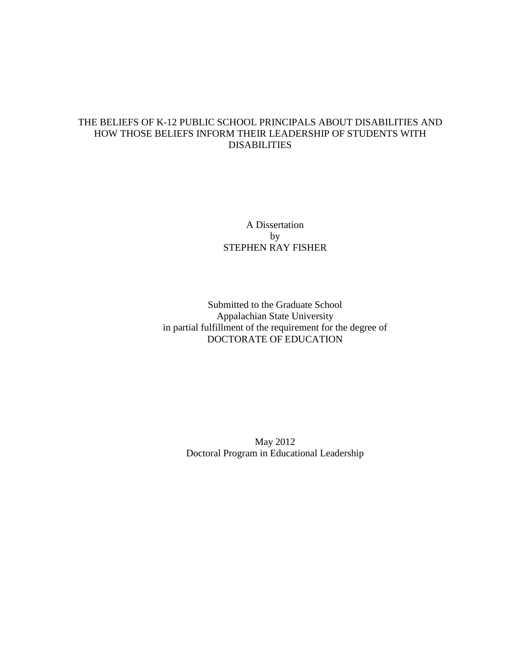# THE BELIEFS OF K-12 PUBLIC SCHOOL PRINCIPALS ABOUT DISABILITIES AND HOW THOSE BELIEFS INFORM THEIR LEADERSHIP OF STUDENTS WITH DISABILITIES

# A Dissertation by STEPHEN RAY FISHER

# Submitted to the Graduate School Appalachian State University in partial fulfillment of the requirement for the degree of DOCTORATE OF EDUCATION

May 2012 Doctoral Program in Educational Leadership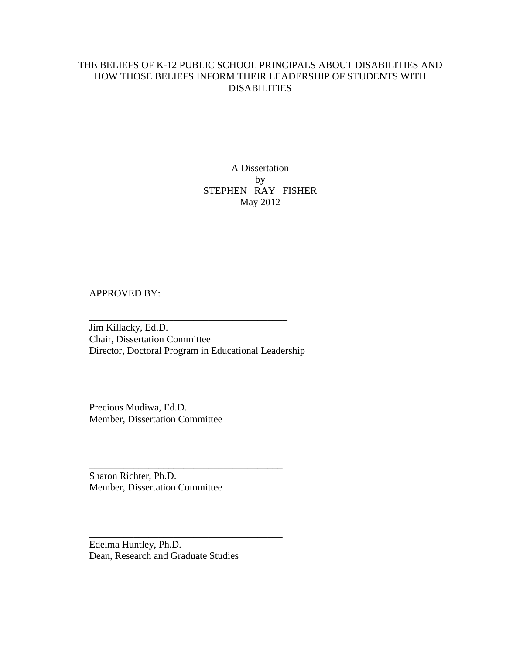# THE BELIEFS OF K-12 PUBLIC SCHOOL PRINCIPALS ABOUT DISABILITIES AND HOW THOSE BELIEFS INFORM THEIR LEADERSHIP OF STUDENTS WITH DISABILITIES

# A Dissertation by STEPHEN RAY FISHER May 2012

# APPROVED BY:

Jim Killacky, Ed.D. Chair, Dissertation Committee Director, Doctoral Program in Educational Leadership

\_\_\_\_\_\_\_\_\_\_\_\_\_\_\_\_\_\_\_\_\_\_\_\_\_\_\_\_\_\_\_\_\_\_\_\_\_\_\_\_

\_\_\_\_\_\_\_\_\_\_\_\_\_\_\_\_\_\_\_\_\_\_\_\_\_\_\_\_\_\_\_\_\_\_\_\_\_\_\_

\_\_\_\_\_\_\_\_\_\_\_\_\_\_\_\_\_\_\_\_\_\_\_\_\_\_\_\_\_\_\_\_\_\_\_\_\_\_\_

\_\_\_\_\_\_\_\_\_\_\_\_\_\_\_\_\_\_\_\_\_\_\_\_\_\_\_\_\_\_\_\_\_\_\_\_\_\_\_

Precious Mudiwa, Ed.D. Member, Dissertation Committee

Sharon Richter, Ph.D. Member, Dissertation Committee

Edelma Huntley, Ph.D. Dean, Research and Graduate Studies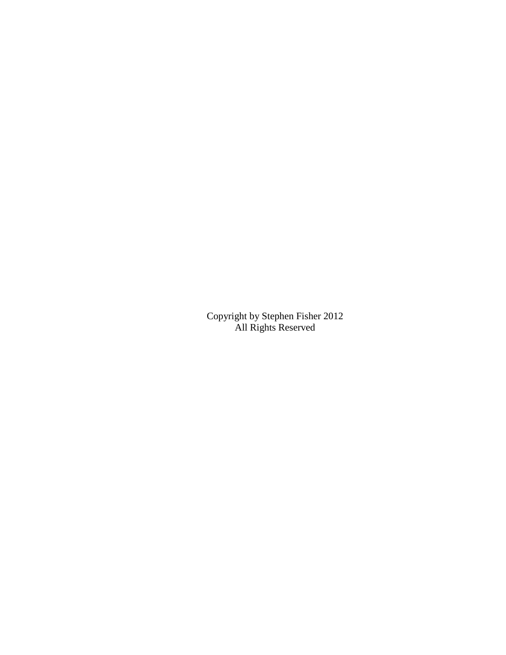Copyright by Stephen Fisher 2012 All Rights Reserved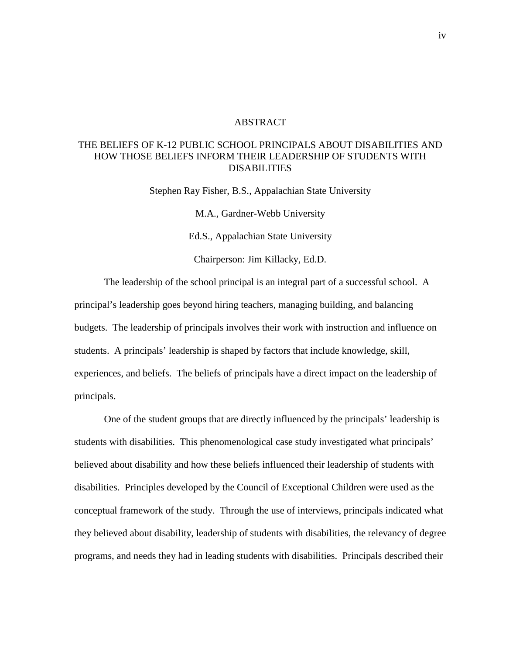## ABSTRACT

# THE BELIEFS OF K-12 PUBLIC SCHOOL PRINCIPALS ABOUT DISABILITIES AND HOW THOSE BELIEFS INFORM THEIR LEADERSHIP OF STUDENTS WITH DISABILITIES

Stephen Ray Fisher, B.S., Appalachian State University M.A., Gardner-Webb University Ed.S., Appalachian State University Chairperson: Jim Killacky, Ed.D.

The leadership of the school principal is an integral part of a successful school. A principal's leadership goes beyond hiring teachers, managing building, and balancing budgets. The leadership of principals involves their work with instruction and influence on students. A principals' leadership is shaped by factors that include knowledge, skill, experiences, and beliefs. The beliefs of principals have a direct impact on the leadership of principals.

One of the student groups that are directly influenced by the principals' leadership is students with disabilities. This phenomenological case study investigated what principals' believed about disability and how these beliefs influenced their leadership of students with disabilities. Principles developed by the Council of Exceptional Children were used as the conceptual framework of the study. Through the use of interviews, principals indicated what they believed about disability, leadership of students with disabilities, the relevancy of degree programs, and needs they had in leading students with disabilities. Principals described their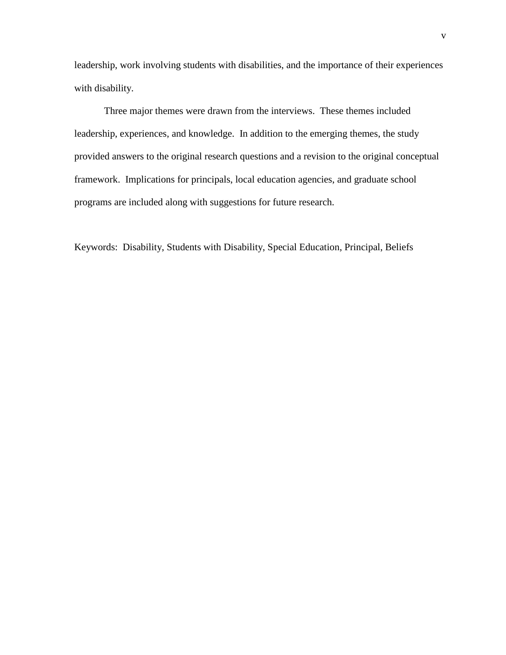leadership, work involving students with disabilities, and the importance of their experiences with disability.

Three major themes were drawn from the interviews. These themes included leadership, experiences, and knowledge. In addition to the emerging themes, the study provided answers to the original research questions and a revision to the original conceptual framework. Implications for principals, local education agencies, and graduate school programs are included along with suggestions for future research.

Keywords: Disability, Students with Disability, Special Education, Principal, Beliefs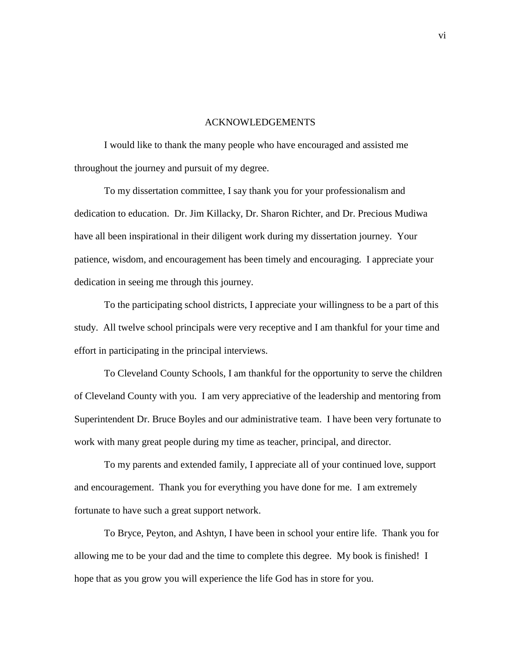#### ACKNOWLEDGEMENTS

I would like to thank the many people who have encouraged and assisted me throughout the journey and pursuit of my degree.

To my dissertation committee, I say thank you for your professionalism and dedication to education. Dr. Jim Killacky, Dr. Sharon Richter, and Dr. Precious Mudiwa have all been inspirational in their diligent work during my dissertation journey. Your patience, wisdom, and encouragement has been timely and encouraging. I appreciate your dedication in seeing me through this journey.

To the participating school districts, I appreciate your willingness to be a part of this study. All twelve school principals were very receptive and I am thankful for your time and effort in participating in the principal interviews.

To Cleveland County Schools, I am thankful for the opportunity to serve the children of Cleveland County with you. I am very appreciative of the leadership and mentoring from Superintendent Dr. Bruce Boyles and our administrative team. I have been very fortunate to work with many great people during my time as teacher, principal, and director.

To my parents and extended family, I appreciate all of your continued love, support and encouragement. Thank you for everything you have done for me. I am extremely fortunate to have such a great support network.

To Bryce, Peyton, and Ashtyn, I have been in school your entire life. Thank you for allowing me to be your dad and the time to complete this degree. My book is finished! I hope that as you grow you will experience the life God has in store for you.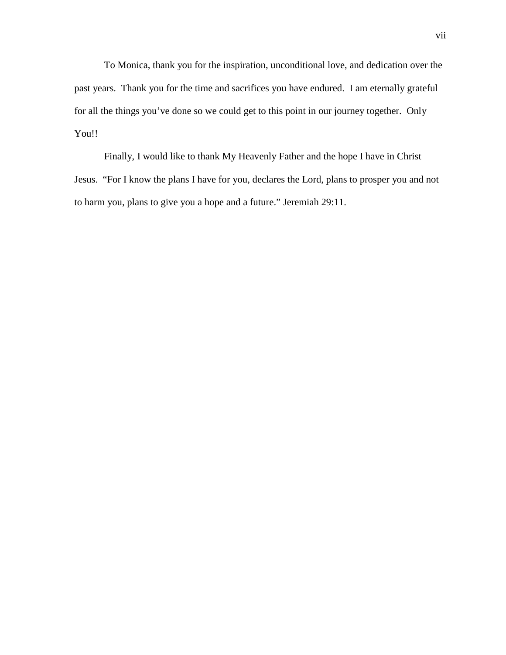To Monica, thank you for the inspiration, unconditional love, and dedication over the past years. Thank you for the time and sacrifices you have endured. I am eternally grateful for all the things you've done so we could get to this point in our journey together. Only You!!

Finally, I would like to thank My Heavenly Father and the hope I have in Christ Jesus. "For I know the plans I have for you, declares the Lord, plans to prosper you and not to harm you, plans to give you a hope and a future." Jeremiah 29:11.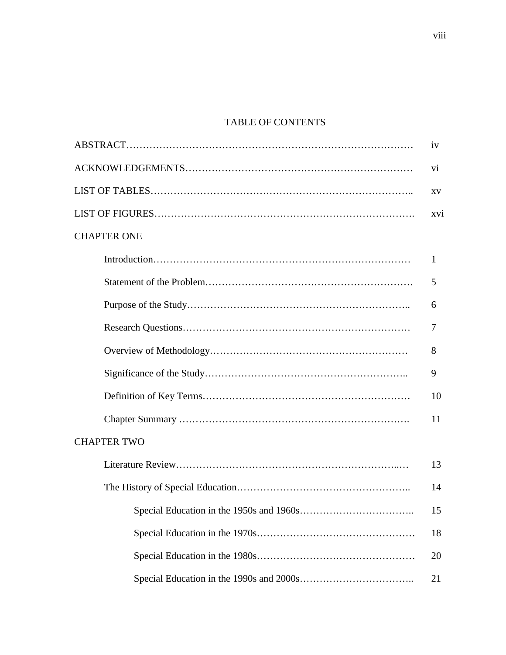# TABLE OF CONTENTS

|                                          | 1V              |
|------------------------------------------|-----------------|
|                                          | V1              |
|                                          | XV              |
|                                          | XV <sub>i</sub> |
| <b>CHAPTER ONE</b>                       |                 |
|                                          | $\mathbf{1}$    |
|                                          | 5               |
|                                          | 6               |
|                                          | 7               |
|                                          | 8               |
|                                          | 9               |
|                                          | 10              |
|                                          | 11              |
| <b>CHAPTER TWO</b>                       |                 |
|                                          | 13              |
|                                          | 14              |
| Special Education in the 1950s and 1960s | 15              |
|                                          | 18              |
|                                          | 20              |
|                                          | 21              |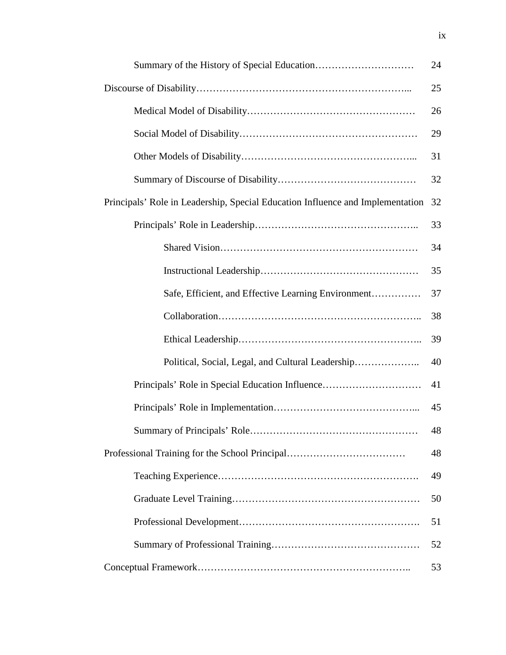|                                                                                | 24 |
|--------------------------------------------------------------------------------|----|
|                                                                                | 25 |
|                                                                                | 26 |
|                                                                                | 29 |
|                                                                                | 31 |
|                                                                                | 32 |
| Principals' Role in Leadership, Special Education Influence and Implementation | 32 |
|                                                                                | 33 |
|                                                                                | 34 |
|                                                                                | 35 |
| Safe, Efficient, and Effective Learning Environment                            | 37 |
|                                                                                | 38 |
|                                                                                | 39 |
| Political, Social, Legal, and Cultural Leadership                              | 40 |
| Principals' Role in Special Education Influence                                | 41 |
|                                                                                | 45 |
|                                                                                | 48 |
| Professional Training for the School Principal                                 | 48 |
|                                                                                | 49 |
|                                                                                | 50 |
|                                                                                | 51 |
|                                                                                | 52 |
|                                                                                | 53 |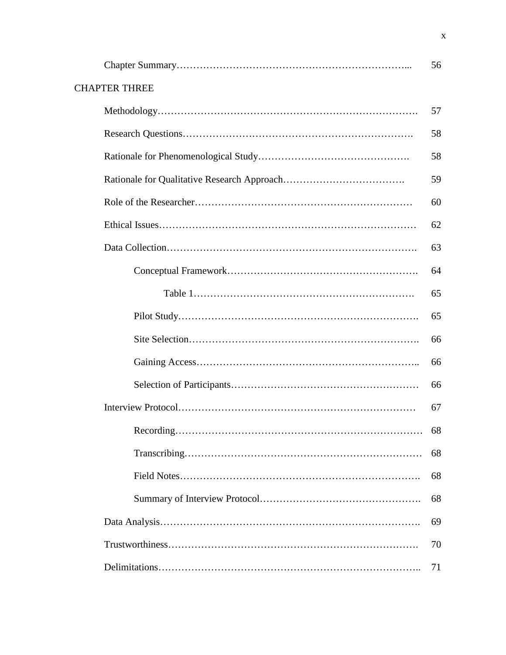|                      | 56 |
|----------------------|----|
| <b>CHAPTER THREE</b> |    |
|                      | 57 |
|                      | 58 |
|                      | 58 |
|                      | 59 |
|                      | 60 |
|                      | 62 |
|                      | 63 |
|                      | 64 |
|                      | 65 |
|                      | 65 |
|                      | 66 |
|                      | 66 |
|                      | 66 |
|                      | 67 |
|                      | 68 |
|                      | 68 |
|                      | 68 |
|                      | 68 |
|                      | 69 |
|                      | 70 |
|                      | 71 |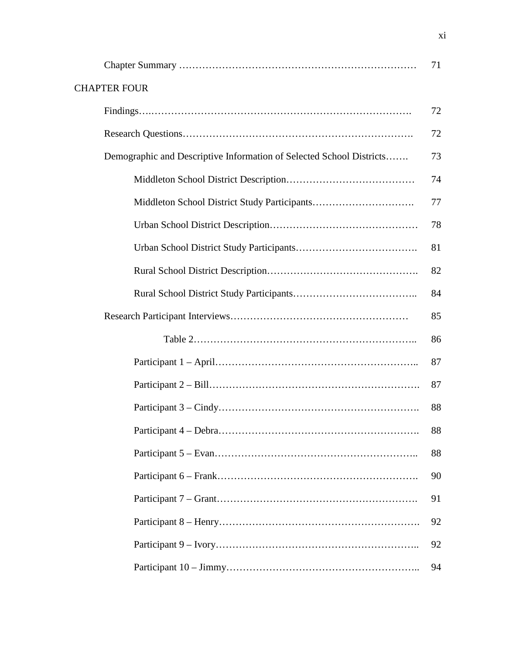|                                                                      | 71 |
|----------------------------------------------------------------------|----|
| <b>CHAPTER FOUR</b>                                                  |    |
|                                                                      | 72 |
|                                                                      | 72 |
| Demographic and Descriptive Information of Selected School Districts | 73 |
|                                                                      | 74 |
|                                                                      | 77 |
|                                                                      | 78 |
|                                                                      | 81 |
|                                                                      | 82 |
|                                                                      | 84 |
|                                                                      | 85 |
|                                                                      | 86 |
|                                                                      | 87 |
|                                                                      | 87 |
|                                                                      | 88 |
|                                                                      | 88 |
|                                                                      | 88 |
|                                                                      | 90 |
|                                                                      | 91 |
|                                                                      | 92 |
|                                                                      | 92 |
|                                                                      | 94 |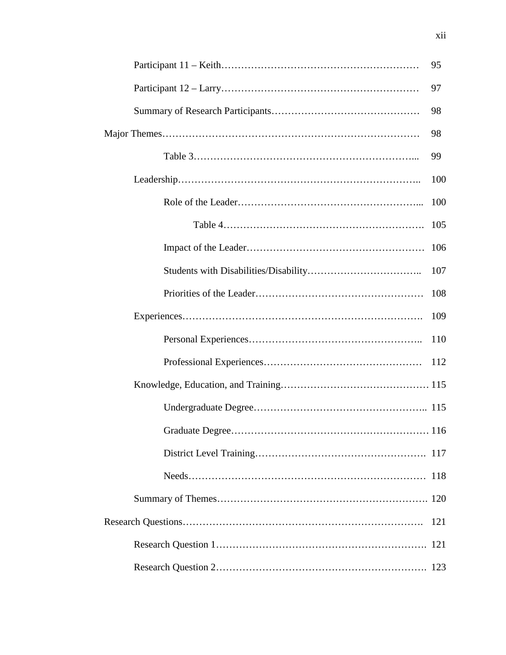| 95  |
|-----|
| 97  |
| 98  |
| 98  |
| 99  |
| 100 |
| 100 |
| 105 |
| 106 |
| 107 |
| 108 |
| 109 |
| 110 |
| 112 |
|     |
|     |
|     |
|     |
|     |
|     |
| 121 |
|     |
|     |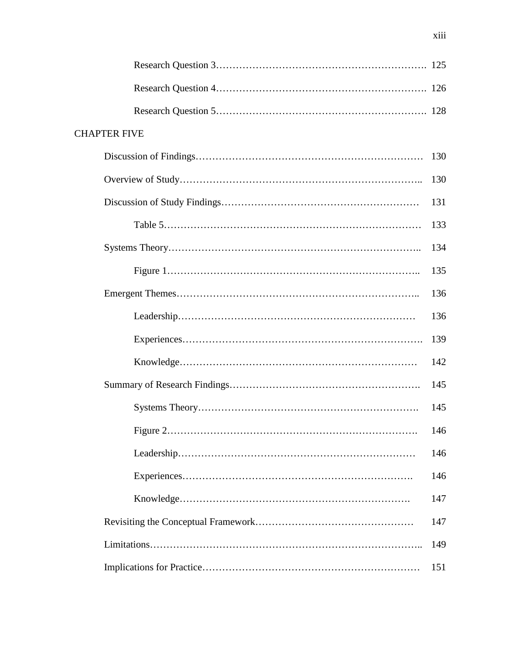| <b>CHAPTER FIVE</b> |     |
|---------------------|-----|
|                     | 130 |
|                     | 130 |
|                     | 131 |
|                     | 133 |
|                     | 134 |
|                     | 135 |
|                     | 136 |
|                     | 136 |
|                     | 139 |
|                     | 142 |
|                     | 145 |
|                     | 145 |
|                     | 146 |
|                     | 146 |
|                     | 146 |
|                     | 147 |
|                     | 147 |
|                     | 149 |
|                     | 151 |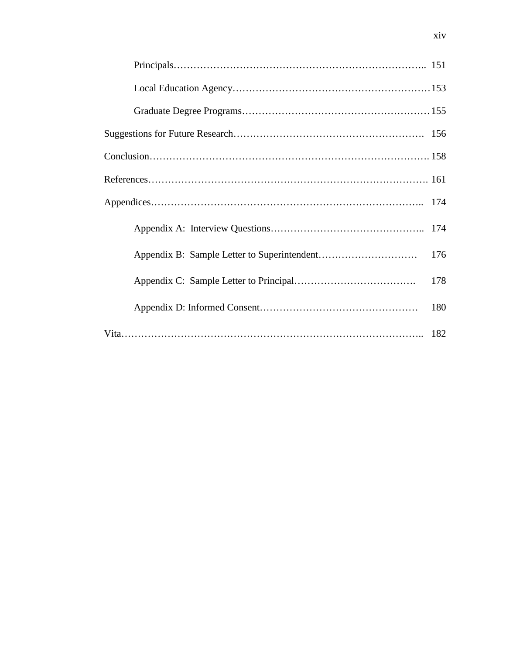| 176 |
|-----|
| 178 |
| 180 |
|     |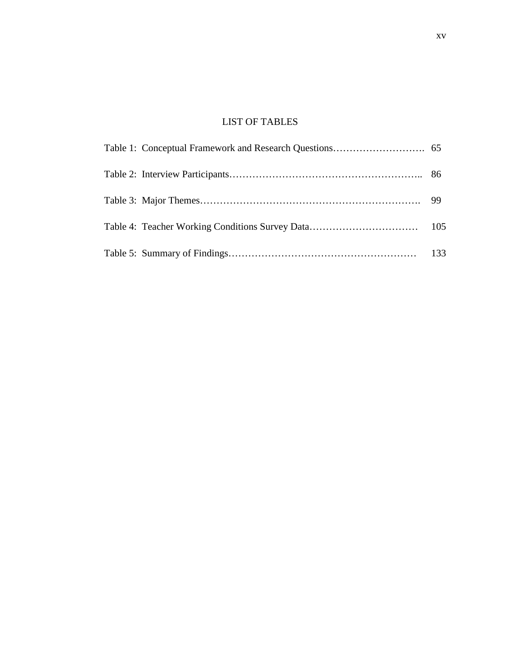# LIST OF TABLES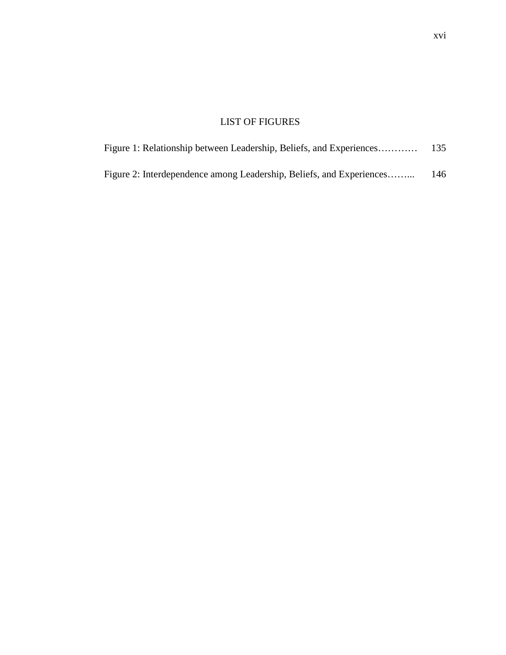# LIST OF FIGURES

| Figure 1: Relationship between Leadership, Beliefs, and Experiences  |     |
|----------------------------------------------------------------------|-----|
| Figure 2: Interdependence among Leadership, Beliefs, and Experiences | 146 |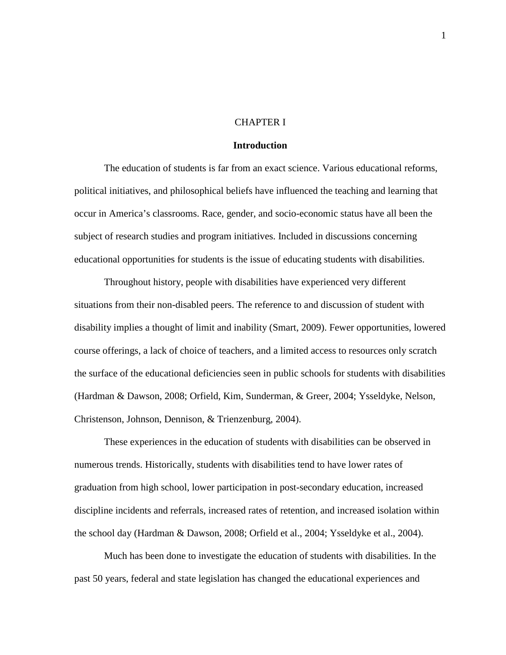## CHAPTER I

# **Introduction**

The education of students is far from an exact science. Various educational reforms, political initiatives, and philosophical beliefs have influenced the teaching and learning that occur in America's classrooms. Race, gender, and socio-economic status have all been the subject of research studies and program initiatives. Included in discussions concerning educational opportunities for students is the issue of educating students with disabilities.

Throughout history, people with disabilities have experienced very different situations from their non-disabled peers. The reference to and discussion of student with disability implies a thought of limit and inability (Smart, 2009). Fewer opportunities, lowered course offerings, a lack of choice of teachers, and a limited access to resources only scratch the surface of the educational deficiencies seen in public schools for students with disabilities (Hardman & Dawson, 2008; Orfield, Kim, Sunderman, & Greer, 2004; Ysseldyke, Nelson, Christenson, Johnson, Dennison, & Trienzenburg, 2004).

These experiences in the education of students with disabilities can be observed in numerous trends. Historically, students with disabilities tend to have lower rates of graduation from high school, lower participation in post-secondary education, increased discipline incidents and referrals, increased rates of retention, and increased isolation within the school day (Hardman & Dawson, 2008; Orfield et al., 2004; Ysseldyke et al., 2004).

Much has been done to investigate the education of students with disabilities. In the past 50 years, federal and state legislation has changed the educational experiences and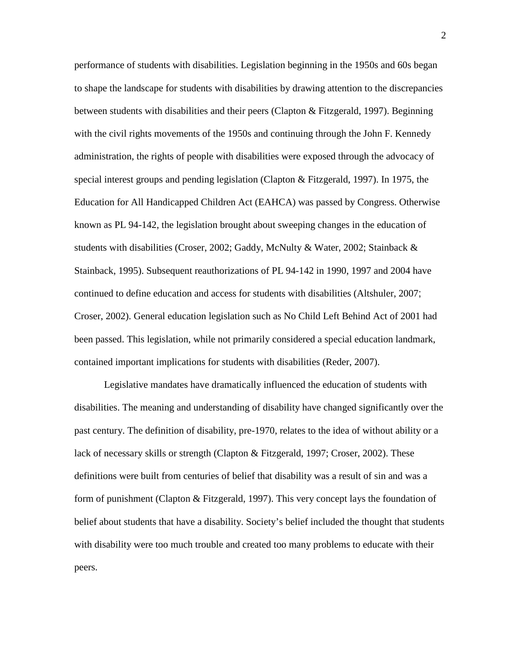performance of students with disabilities. Legislation beginning in the 1950s and 60s began to shape the landscape for students with disabilities by drawing attention to the discrepancies between students with disabilities and their peers (Clapton & Fitzgerald, 1997). Beginning with the civil rights movements of the 1950s and continuing through the John F. Kennedy administration, the rights of people with disabilities were exposed through the advocacy of special interest groups and pending legislation (Clapton & Fitzgerald, 1997). In 1975, the Education for All Handicapped Children Act (EAHCA) was passed by Congress. Otherwise known as PL 94-142, the legislation brought about sweeping changes in the education of students with disabilities (Croser, 2002; Gaddy, McNulty & Water, 2002; Stainback & Stainback, 1995). Subsequent reauthorizations of PL 94-142 in 1990, 1997 and 2004 have continued to define education and access for students with disabilities (Altshuler, 2007; Croser, 2002). General education legislation such as No Child Left Behind Act of 2001 had been passed. This legislation, while not primarily considered a special education landmark, contained important implications for students with disabilities (Reder, 2007).

Legislative mandates have dramatically influenced the education of students with disabilities. The meaning and understanding of disability have changed significantly over the past century. The definition of disability, pre-1970, relates to the idea of without ability or a lack of necessary skills or strength (Clapton & Fitzgerald, 1997; Croser, 2002). These definitions were built from centuries of belief that disability was a result of sin and was a form of punishment (Clapton & Fitzgerald, 1997). This very concept lays the foundation of belief about students that have a disability. Society's belief included the thought that students with disability were too much trouble and created too many problems to educate with their peers.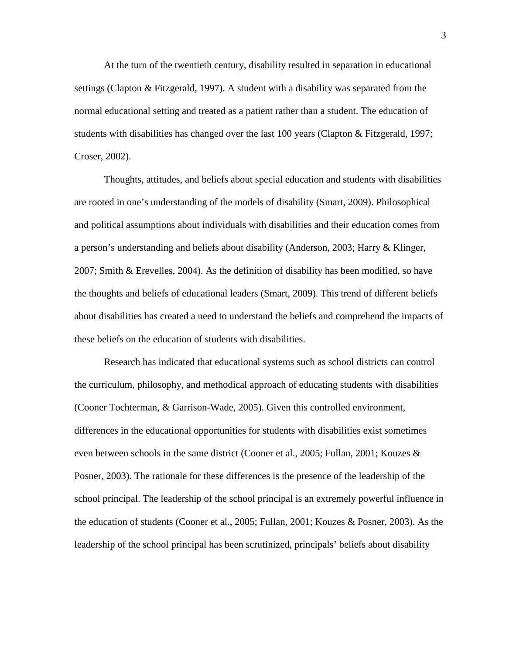At the turn of the twentieth century, disability resulted in separation in educational settings (Clapton & Fitzgerald, 1997). A student with a disability was separated from the normal educational setting and treated as a patient rather than a student. The education of students with disabilities has changed over the last 100 years (Clapton & Fitzgerald, 1997; Croser, 2002).

Thoughts, attitudes, and beliefs about special education and students with disabilities are rooted in one's understanding of the models of disability (Smart, 2009). Philosophical and political assumptions about individuals with disabilities and their education comes from a person's understanding and beliefs about disability (Anderson, 2003; Harry & Klinger, 2007; Smith & Erevelles, 2004). As the definition of disability has been modified, so have the thoughts and beliefs of educational leaders (Smart, 2009). This trend of different beliefs about disabilities has created a need to understand the beliefs and comprehend the impacts of these beliefs on the education of students with disabilities.

Research has indicated that educational systems such as school districts can control the curriculum, philosophy, and methodical approach of educating students with disabilities (Cooner Tochterman, & Garrison-Wade, 2005). Given this controlled environment, differences in the educational opportunities for students with disabilities exist sometimes even between schools in the same district (Cooner et al., 2005; Fullan, 2001; Kouzes  $\&$ Posner, 2003). The rationale for these differences is the presence of the leadership of the school principal. The leadership of the school principal is an extremely powerful influence in the education of students (Cooner et al., 2005; Fullan, 2001; Kouzes & Posner, 2003). As the leadership of the school principal has been scrutinized, principals' beliefs about disability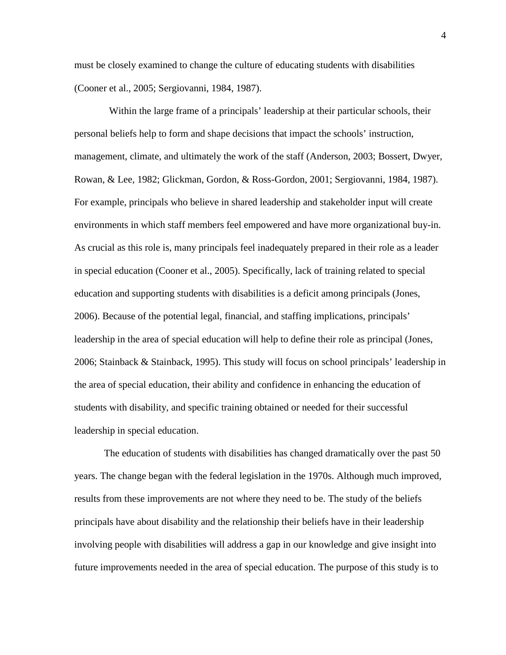must be closely examined to change the culture of educating students with disabilities (Cooner et al., 2005; Sergiovanni, 1984, 1987).

Within the large frame of a principals' leadership at their particular schools, their personal beliefs help to form and shape decisions that impact the schools' instruction, management, climate, and ultimately the work of the staff (Anderson, 2003; Bossert, Dwyer, Rowan, & Lee, 1982; Glickman, Gordon, & Ross-Gordon, 2001; Sergiovanni, 1984, 1987). For example, principals who believe in shared leadership and stakeholder input will create environments in which staff members feel empowered and have more organizational buy-in. As crucial as this role is, many principals feel inadequately prepared in their role as a leader in special education (Cooner et al., 2005). Specifically, lack of training related to special education and supporting students with disabilities is a deficit among principals (Jones, 2006). Because of the potential legal, financial, and staffing implications, principals' leadership in the area of special education will help to define their role as principal (Jones, 2006; Stainback & Stainback, 1995). This study will focus on school principals' leadership in the area of special education, their ability and confidence in enhancing the education of students with disability, and specific training obtained or needed for their successful leadership in special education.

The education of students with disabilities has changed dramatically over the past 50 years. The change began with the federal legislation in the 1970s. Although much improved, results from these improvements are not where they need to be. The study of the beliefs principals have about disability and the relationship their beliefs have in their leadership involving people with disabilities will address a gap in our knowledge and give insight into future improvements needed in the area of special education. The purpose of this study is to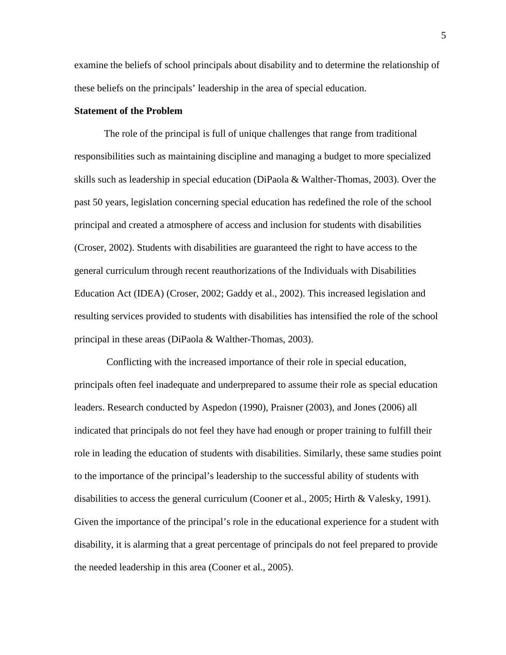examine the beliefs of school principals about disability and to determine the relationship of these beliefs on the principals' leadership in the area of special education.

## **Statement of the Problem**

The role of the principal is full of unique challenges that range from traditional responsibilities such as maintaining discipline and managing a budget to more specialized skills such as leadership in special education (DiPaola & Walther-Thomas, 2003). Over the past 50 years, legislation concerning special education has redefined the role of the school principal and created a atmosphere of access and inclusion for students with disabilities (Croser, 2002). Students with disabilities are guaranteed the right to have access to the general curriculum through recent reauthorizations of the Individuals with Disabilities Education Act (IDEA) (Croser, 2002; Gaddy et al., 2002). This increased legislation and resulting services provided to students with disabilities has intensified the role of the school principal in these areas (DiPaola & Walther-Thomas, 2003).

Conflicting with the increased importance of their role in special education, principals often feel inadequate and underprepared to assume their role as special education leaders. Research conducted by Aspedon (1990), Praisner (2003), and Jones (2006) all indicated that principals do not feel they have had enough or proper training to fulfill their role in leading the education of students with disabilities. Similarly, these same studies point to the importance of the principal's leadership to the successful ability of students with disabilities to access the general curriculum (Cooner et al., 2005; Hirth & Valesky, 1991). Given the importance of the principal's role in the educational experience for a student with disability, it is alarming that a great percentage of principals do not feel prepared to provide the needed leadership in this area (Cooner et al., 2005).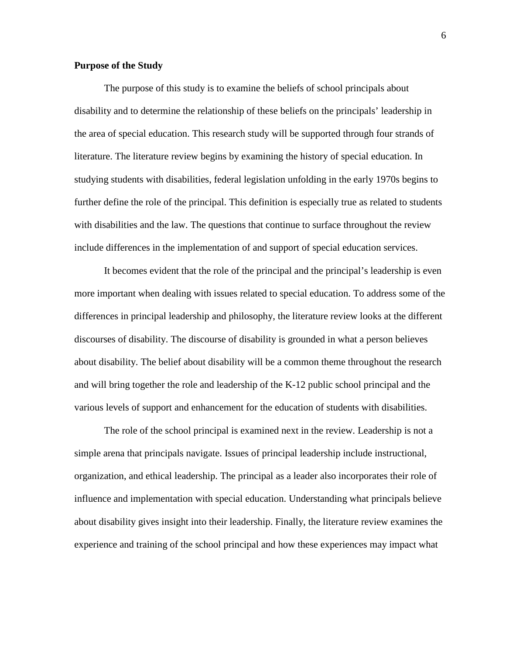# **Purpose of the Study**

The purpose of this study is to examine the beliefs of school principals about disability and to determine the relationship of these beliefs on the principals' leadership in the area of special education. This research study will be supported through four strands of literature. The literature review begins by examining the history of special education. In studying students with disabilities, federal legislation unfolding in the early 1970s begins to further define the role of the principal. This definition is especially true as related to students with disabilities and the law. The questions that continue to surface throughout the review include differences in the implementation of and support of special education services.

It becomes evident that the role of the principal and the principal's leadership is even more important when dealing with issues related to special education. To address some of the differences in principal leadership and philosophy, the literature review looks at the different discourses of disability. The discourse of disability is grounded in what a person believes about disability. The belief about disability will be a common theme throughout the research and will bring together the role and leadership of the K-12 public school principal and the various levels of support and enhancement for the education of students with disabilities.

The role of the school principal is examined next in the review. Leadership is not a simple arena that principals navigate. Issues of principal leadership include instructional, organization, and ethical leadership. The principal as a leader also incorporates their role of influence and implementation with special education. Understanding what principals believe about disability gives insight into their leadership. Finally, the literature review examines the experience and training of the school principal and how these experiences may impact what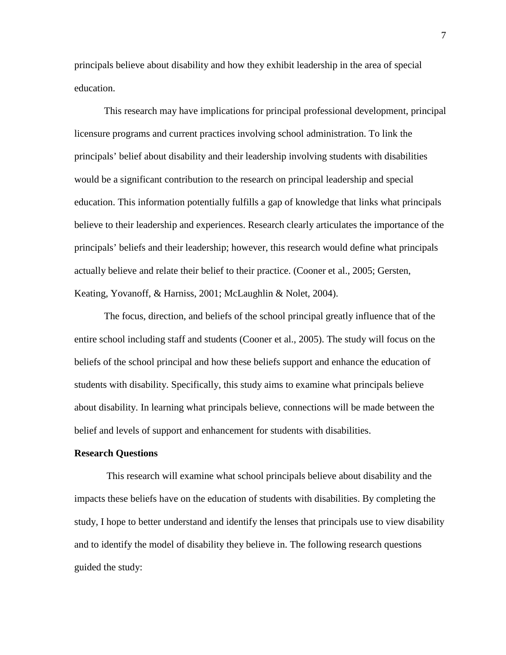principals believe about disability and how they exhibit leadership in the area of special education.

This research may have implications for principal professional development, principal licensure programs and current practices involving school administration. To link the principals' belief about disability and their leadership involving students with disabilities would be a significant contribution to the research on principal leadership and special education. This information potentially fulfills a gap of knowledge that links what principals believe to their leadership and experiences. Research clearly articulates the importance of the principals' beliefs and their leadership; however, this research would define what principals actually believe and relate their belief to their practice. (Cooner et al., 2005; Gersten, Keating, Yovanoff, & Harniss, 2001; McLaughlin & Nolet, 2004).

The focus, direction, and beliefs of the school principal greatly influence that of the entire school including staff and students (Cooner et al., 2005). The study will focus on the beliefs of the school principal and how these beliefs support and enhance the education of students with disability. Specifically, this study aims to examine what principals believe about disability. In learning what principals believe, connections will be made between the belief and levels of support and enhancement for students with disabilities.

## **Research Questions**

This research will examine what school principals believe about disability and the impacts these beliefs have on the education of students with disabilities. By completing the study, I hope to better understand and identify the lenses that principals use to view disability and to identify the model of disability they believe in. The following research questions guided the study: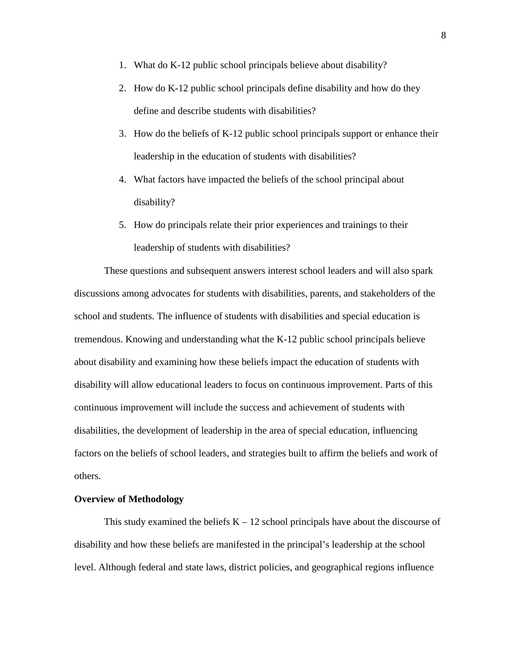- 1. What do K-12 public school principals believe about disability?
- 2. How do K-12 public school principals define disability and how do they define and describe students with disabilities?
- 3. How do the beliefs of K-12 public school principals support or enhance their leadership in the education of students with disabilities?
- 4. What factors have impacted the beliefs of the school principal about disability?
- 5. How do principals relate their prior experiences and trainings to their leadership of students with disabilities?

These questions and subsequent answers interest school leaders and will also spark discussions among advocates for students with disabilities, parents, and stakeholders of the school and students. The influence of students with disabilities and special education is tremendous. Knowing and understanding what the K-12 public school principals believe about disability and examining how these beliefs impact the education of students with disability will allow educational leaders to focus on continuous improvement. Parts of this continuous improvement will include the success and achievement of students with disabilities, the development of leadership in the area of special education, influencing factors on the beliefs of school leaders, and strategies built to affirm the beliefs and work of others.

## **Overview of Methodology**

This study examined the beliefs  $K - 12$  school principals have about the discourse of disability and how these beliefs are manifested in the principal's leadership at the school level. Although federal and state laws, district policies, and geographical regions influence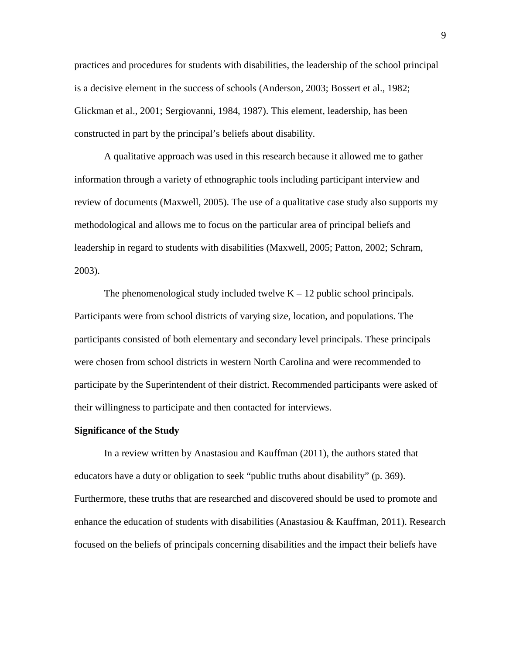practices and procedures for students with disabilities, the leadership of the school principal is a decisive element in the success of schools (Anderson, 2003; Bossert et al., 1982; Glickman et al., 2001; Sergiovanni, 1984, 1987). This element, leadership, has been constructed in part by the principal's beliefs about disability.

A qualitative approach was used in this research because it allowed me to gather information through a variety of ethnographic tools including participant interview and review of documents (Maxwell, 2005). The use of a qualitative case study also supports my methodological and allows me to focus on the particular area of principal beliefs and leadership in regard to students with disabilities (Maxwell, 2005; Patton, 2002; Schram, 2003).

The phenomenological study included twelve  $K - 12$  public school principals. Participants were from school districts of varying size, location, and populations. The participants consisted of both elementary and secondary level principals. These principals were chosen from school districts in western North Carolina and were recommended to participate by the Superintendent of their district. Recommended participants were asked of their willingness to participate and then contacted for interviews.

## **Significance of the Study**

In a review written by Anastasiou and Kauffman (2011), the authors stated that educators have a duty or obligation to seek "public truths about disability" (p. 369). Furthermore, these truths that are researched and discovered should be used to promote and enhance the education of students with disabilities (Anastasiou & Kauffman, 2011). Research focused on the beliefs of principals concerning disabilities and the impact their beliefs have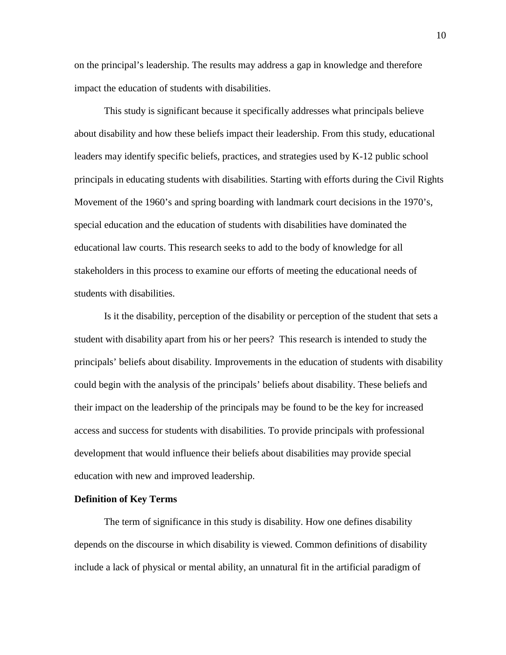on the principal's leadership. The results may address a gap in knowledge and therefore impact the education of students with disabilities.

This study is significant because it specifically addresses what principals believe about disability and how these beliefs impact their leadership. From this study, educational leaders may identify specific beliefs, practices, and strategies used by K-12 public school principals in educating students with disabilities. Starting with efforts during the Civil Rights Movement of the 1960's and spring boarding with landmark court decisions in the 1970's, special education and the education of students with disabilities have dominated the educational law courts. This research seeks to add to the body of knowledge for all stakeholders in this process to examine our efforts of meeting the educational needs of students with disabilities.

Is it the disability, perception of the disability or perception of the student that sets a student with disability apart from his or her peers? This research is intended to study the principals' beliefs about disability. Improvements in the education of students with disability could begin with the analysis of the principals' beliefs about disability. These beliefs and their impact on the leadership of the principals may be found to be the key for increased access and success for students with disabilities. To provide principals with professional development that would influence their beliefs about disabilities may provide special education with new and improved leadership.

### **Definition of Key Terms**

The term of significance in this study is disability. How one defines disability depends on the discourse in which disability is viewed. Common definitions of disability include a lack of physical or mental ability, an unnatural fit in the artificial paradigm of

10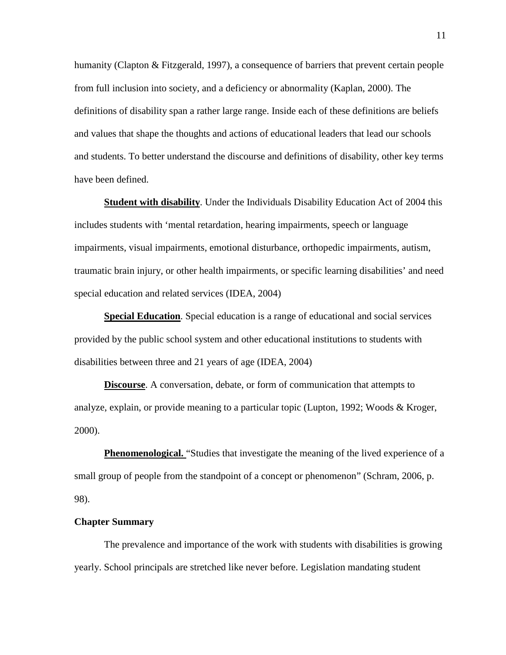humanity (Clapton & Fitzgerald, 1997), a consequence of barriers that prevent certain people from full inclusion into society, and a deficiency or abnormality (Kaplan, 2000). The definitions of disability span a rather large range. Inside each of these definitions are beliefs and values that shape the thoughts and actions of educational leaders that lead our schools and students. To better understand the discourse and definitions of disability, other key terms have been defined.

**Student with disability**. Under the Individuals Disability Education Act of 2004 this includes students with 'mental retardation, hearing impairments, speech or language impairments, visual impairments, emotional disturbance, orthopedic impairments, autism, traumatic brain injury, or other health impairments, or specific learning disabilities' and need special education and related services (IDEA, 2004)

**Special Education**. Special education is a range of educational and social services provided by the public school system and other educational institutions to students with disabilities between three and 21 years of age (IDEA, 2004)

**Discourse**. A conversation, debate, or form of communication that attempts to analyze, explain, or provide meaning to a particular topic (Lupton, 1992; Woods & Kroger, 2000).

**Phenomenological.** "Studies that investigate the meaning of the lived experience of a small group of people from the standpoint of a concept or phenomenon" (Schram, 2006, p. 98).

## **Chapter Summary**

The prevalence and importance of the work with students with disabilities is growing yearly. School principals are stretched like never before. Legislation mandating student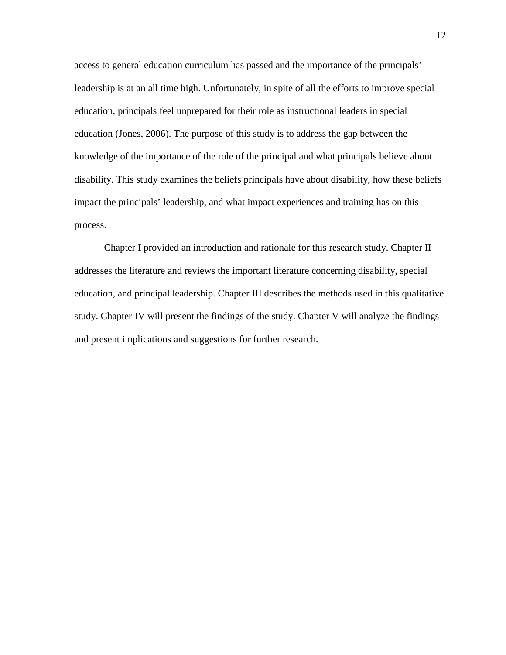access to general education curriculum has passed and the importance of the principals' leadership is at an all time high. Unfortunately, in spite of all the efforts to improve special education, principals feel unprepared for their role as instructional leaders in special education (Jones, 2006). The purpose of this study is to address the gap between the knowledge of the importance of the role of the principal and what principals believe about disability. This study examines the beliefs principals have about disability, how these beliefs impact the principals' leadership, and what impact experiences and training has on this process.

Chapter I provided an introduction and rationale for this research study. Chapter II addresses the literature and reviews the important literature concerning disability, special education, and principal leadership. Chapter III describes the methods used in this qualitative study. Chapter IV will present the findings of the study. Chapter V will analyze the findings and present implications and suggestions for further research.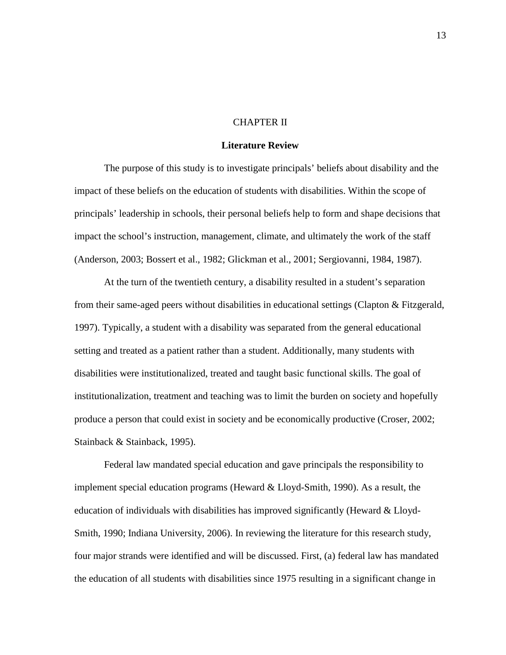## CHAPTER II

## **Literature Review**

The purpose of this study is to investigate principals' beliefs about disability and the impact of these beliefs on the education of students with disabilities. Within the scope of principals' leadership in schools, their personal beliefs help to form and shape decisions that impact the school's instruction, management, climate, and ultimately the work of the staff (Anderson, 2003; Bossert et al., 1982; Glickman et al., 2001; Sergiovanni, 1984, 1987).

At the turn of the twentieth century, a disability resulted in a student's separation from their same-aged peers without disabilities in educational settings (Clapton & Fitzgerald, 1997). Typically, a student with a disability was separated from the general educational setting and treated as a patient rather than a student. Additionally, many students with disabilities were institutionalized, treated and taught basic functional skills. The goal of institutionalization, treatment and teaching was to limit the burden on society and hopefully produce a person that could exist in society and be economically productive (Croser, 2002; Stainback & Stainback, 1995).

Federal law mandated special education and gave principals the responsibility to implement special education programs (Heward & Lloyd-Smith, 1990). As a result, the education of individuals with disabilities has improved significantly (Heward & Lloyd-Smith, 1990; Indiana University, 2006). In reviewing the literature for this research study, four major strands were identified and will be discussed. First, (a) federal law has mandated the education of all students with disabilities since 1975 resulting in a significant change in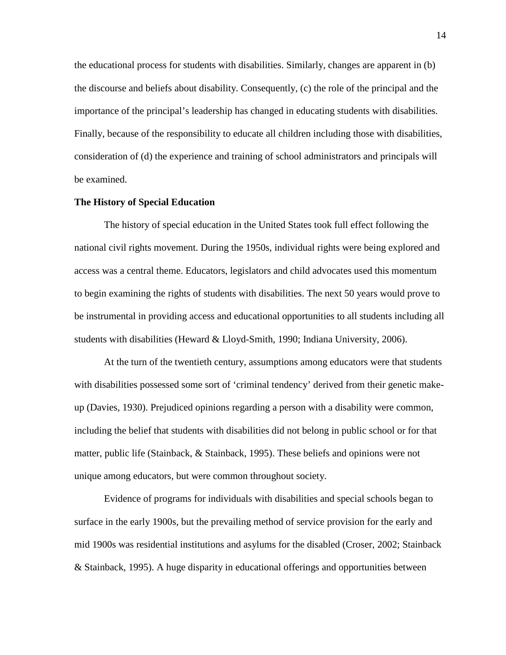the educational process for students with disabilities. Similarly, changes are apparent in (b) the discourse and beliefs about disability. Consequently, (c) the role of the principal and the importance of the principal's leadership has changed in educating students with disabilities. Finally, because of the responsibility to educate all children including those with disabilities, consideration of (d) the experience and training of school administrators and principals will be examined.

## **The History of Special Education**

The history of special education in the United States took full effect following the national civil rights movement. During the 1950s, individual rights were being explored and access was a central theme. Educators, legislators and child advocates used this momentum to begin examining the rights of students with disabilities. The next 50 years would prove to be instrumental in providing access and educational opportunities to all students including all students with disabilities (Heward & Lloyd-Smith, 1990; Indiana University, 2006).

At the turn of the twentieth century, assumptions among educators were that students with disabilities possessed some sort of 'criminal tendency' derived from their genetic makeup (Davies, 1930). Prejudiced opinions regarding a person with a disability were common, including the belief that students with disabilities did not belong in public school or for that matter, public life (Stainback, & Stainback, 1995). These beliefs and opinions were not unique among educators, but were common throughout society.

Evidence of programs for individuals with disabilities and special schools began to surface in the early 1900s, but the prevailing method of service provision for the early and mid 1900s was residential institutions and asylums for the disabled (Croser, 2002; Stainback & Stainback, 1995). A huge disparity in educational offerings and opportunities between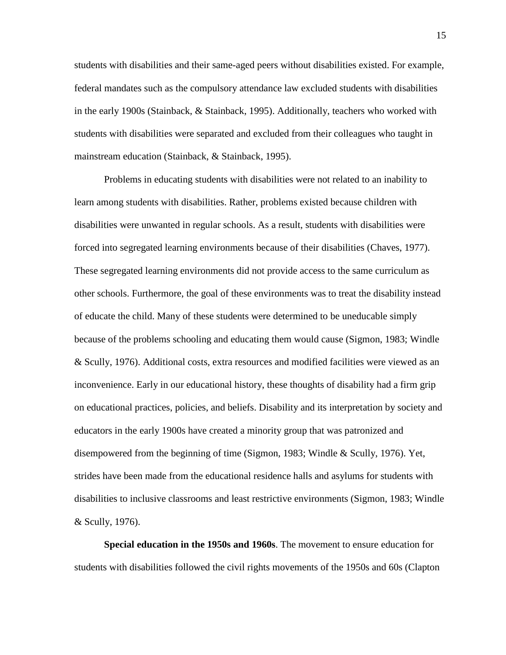students with disabilities and their same-aged peers without disabilities existed. For example, federal mandates such as the compulsory attendance law excluded students with disabilities in the early 1900s (Stainback, & Stainback, 1995). Additionally, teachers who worked with students with disabilities were separated and excluded from their colleagues who taught in mainstream education (Stainback, & Stainback, 1995).

Problems in educating students with disabilities were not related to an inability to learn among students with disabilities. Rather, problems existed because children with disabilities were unwanted in regular schools. As a result, students with disabilities were forced into segregated learning environments because of their disabilities (Chaves, 1977). These segregated learning environments did not provide access to the same curriculum as other schools. Furthermore, the goal of these environments was to treat the disability instead of educate the child. Many of these students were determined to be uneducable simply because of the problems schooling and educating them would cause (Sigmon, 1983; Windle & Scully, 1976). Additional costs, extra resources and modified facilities were viewed as an inconvenience. Early in our educational history, these thoughts of disability had a firm grip on educational practices, policies, and beliefs. Disability and its interpretation by society and educators in the early 1900s have created a minority group that was patronized and disempowered from the beginning of time (Sigmon, 1983; Windle & Scully, 1976). Yet, strides have been made from the educational residence halls and asylums for students with disabilities to inclusive classrooms and least restrictive environments (Sigmon, 1983; Windle & Scully, 1976).

**Special education in the 1950s and 1960s**. The movement to ensure education for students with disabilities followed the civil rights movements of the 1950s and 60s (Clapton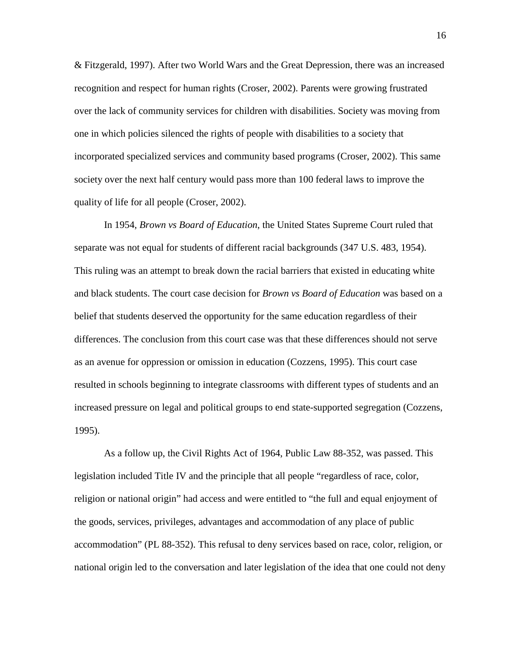& Fitzgerald, 1997). After two World Wars and the Great Depression, there was an increased recognition and respect for human rights (Croser, 2002). Parents were growing frustrated over the lack of community services for children with disabilities. Society was moving from one in which policies silenced the rights of people with disabilities to a society that incorporated specialized services and community based programs (Croser, 2002). This same society over the next half century would pass more than 100 federal laws to improve the quality of life for all people (Croser, 2002).

In 1954, *Brown vs Board of Education*, the United States Supreme Court ruled that separate was not equal for students of different racial backgrounds (347 U.S. 483, 1954). This ruling was an attempt to break down the racial barriers that existed in educating white and black students. The court case decision for *Brown vs Board of Education* was based on a belief that students deserved the opportunity for the same education regardless of their differences. The conclusion from this court case was that these differences should not serve as an avenue for oppression or omission in education (Cozzens, 1995). This court case resulted in schools beginning to integrate classrooms with different types of students and an increased pressure on legal and political groups to end state-supported segregation (Cozzens, 1995).

As a follow up, the Civil Rights Act of 1964, Public Law 88-352, was passed. This legislation included Title IV and the principle that all people "regardless of race, color, religion or national origin" had access and were entitled to "the full and equal enjoyment of the goods, services, privileges, advantages and accommodation of any place of public accommodation" (PL 88-352). This refusal to deny services based on race, color, religion, or national origin led to the conversation and later legislation of the idea that one could not deny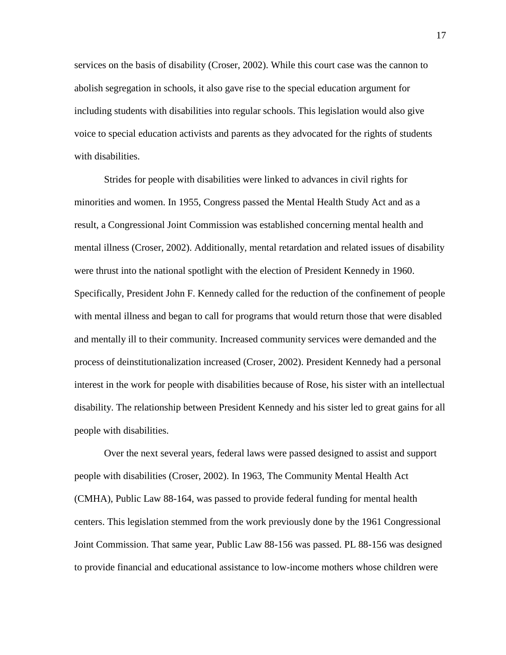services on the basis of disability (Croser, 2002). While this court case was the cannon to abolish segregation in schools, it also gave rise to the special education argument for including students with disabilities into regular schools. This legislation would also give voice to special education activists and parents as they advocated for the rights of students with disabilities.

Strides for people with disabilities were linked to advances in civil rights for minorities and women. In 1955, Congress passed the Mental Health Study Act and as a result, a Congressional Joint Commission was established concerning mental health and mental illness (Croser, 2002). Additionally, mental retardation and related issues of disability were thrust into the national spotlight with the election of President Kennedy in 1960. Specifically, President John F. Kennedy called for the reduction of the confinement of people with mental illness and began to call for programs that would return those that were disabled and mentally ill to their community. Increased community services were demanded and the process of deinstitutionalization increased (Croser, 2002). President Kennedy had a personal interest in the work for people with disabilities because of Rose, his sister with an intellectual disability. The relationship between President Kennedy and his sister led to great gains for all people with disabilities.

Over the next several years, federal laws were passed designed to assist and support people with disabilities (Croser, 2002). In 1963, The Community Mental Health Act (CMHA), Public Law 88-164, was passed to provide federal funding for mental health centers. This legislation stemmed from the work previously done by the 1961 Congressional Joint Commission. That same year, Public Law 88-156 was passed. PL 88-156 was designed to provide financial and educational assistance to low-income mothers whose children were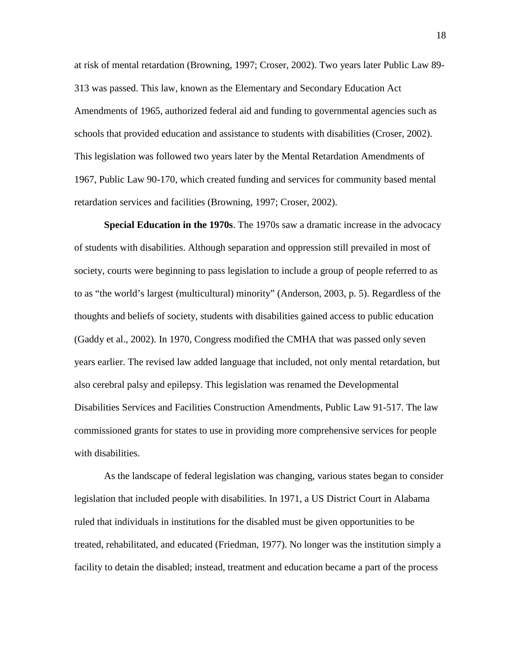at risk of mental retardation (Browning, 1997; Croser, 2002). Two years later Public Law 89- 313 was passed. This law, known as the Elementary and Secondary Education Act Amendments of 1965, authorized federal aid and funding to governmental agencies such as schools that provided education and assistance to students with disabilities (Croser, 2002). This legislation was followed two years later by the Mental Retardation Amendments of 1967, Public Law 90-170, which created funding and services for community based mental retardation services and facilities (Browning, 1997; Croser, 2002).

**Special Education in the 1970s**. The 1970s saw a dramatic increase in the advocacy of students with disabilities. Although separation and oppression still prevailed in most of society, courts were beginning to pass legislation to include a group of people referred to as to as "the world's largest (multicultural) minority" (Anderson, 2003, p. 5). Regardless of the thoughts and beliefs of society, students with disabilities gained access to public education (Gaddy et al., 2002). In 1970, Congress modified the CMHA that was passed only seven years earlier. The revised law added language that included, not only mental retardation, but also cerebral palsy and epilepsy. This legislation was renamed the Developmental Disabilities Services and Facilities Construction Amendments, Public Law 91-517. The law commissioned grants for states to use in providing more comprehensive services for people with disabilities.

As the landscape of federal legislation was changing, various states began to consider legislation that included people with disabilities. In 1971, a US District Court in Alabama ruled that individuals in institutions for the disabled must be given opportunities to be treated, rehabilitated, and educated (Friedman, 1977). No longer was the institution simply a facility to detain the disabled; instead, treatment and education became a part of the process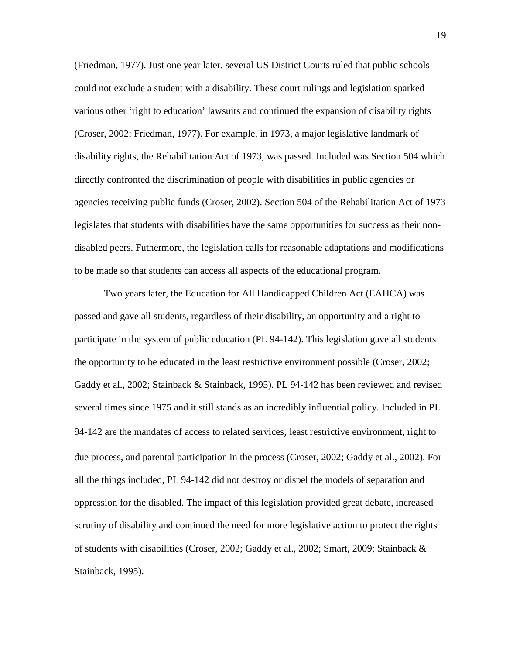(Friedman, 1977). Just one year later, several US District Courts ruled that public schools could not exclude a student with a disability. These court rulings and legislation sparked various other 'right to education' lawsuits and continued the expansion of disability rights (Croser, 2002; Friedman, 1977). For example, in 1973, a major legislative landmark of disability rights, the Rehabilitation Act of 1973, was passed. Included was Section 504 which directly confronted the discrimination of people with disabilities in public agencies or agencies receiving public funds (Croser, 2002). Section 504 of the Rehabilitation Act of 1973 legislates that students with disabilities have the same opportunities for success as their nondisabled peers. Futhermore, the legislation calls for reasonable adaptations and modifications to be made so that students can access all aspects of the educational program.

Two years later, the Education for All Handicapped Children Act (EAHCA) was passed and gave all students, regardless of their disability, an opportunity and a right to participate in the system of public education (PL 94-142). This legislation gave all students the opportunity to be educated in the least restrictive environment possible (Croser, 2002; Gaddy et al., 2002; Stainback & Stainback, 1995). PL 94-142 has been reviewed and revised several times since 1975 and it still stands as an incredibly influential policy. Included in PL 94-142 are the mandates of access to related services, least restrictive environment, right to due process, and parental participation in the process (Croser, 2002; Gaddy et al., 2002). For all the things included, PL 94-142 did not destroy or dispel the models of separation and oppression for the disabled. The impact of this legislation provided great debate, increased scrutiny of disability and continued the need for more legislative action to protect the rights of students with disabilities (Croser, 2002; Gaddy et al., 2002; Smart, 2009; Stainback & Stainback, 1995).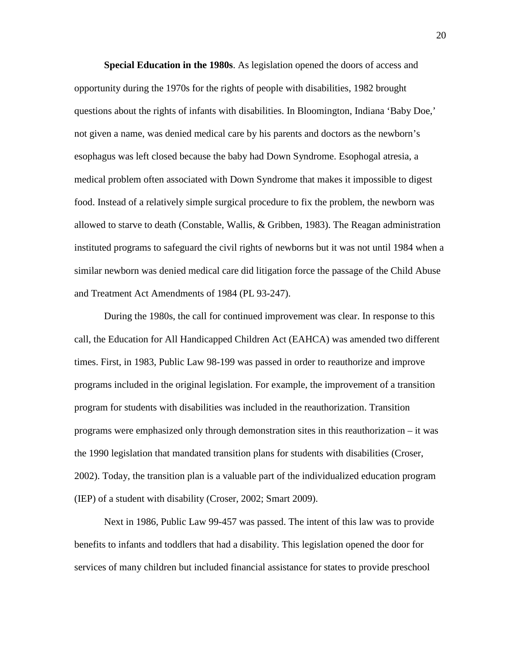**Special Education in the 1980s**. As legislation opened the doors of access and opportunity during the 1970s for the rights of people with disabilities, 1982 brought questions about the rights of infants with disabilities. In Bloomington, Indiana 'Baby Doe,' not given a name, was denied medical care by his parents and doctors as the newborn's esophagus was left closed because the baby had Down Syndrome. Esophogal atresia, a medical problem often associated with Down Syndrome that makes it impossible to digest food. Instead of a relatively simple surgical procedure to fix the problem, the newborn was allowed to starve to death (Constable, Wallis, & Gribben, 1983). The Reagan administration instituted programs to safeguard the civil rights of newborns but it was not until 1984 when a similar newborn was denied medical care did litigation force the passage of the Child Abuse and Treatment Act Amendments of 1984 (PL 93-247).

During the 1980s, the call for continued improvement was clear. In response to this call, the Education for All Handicapped Children Act (EAHCA) was amended two different times. First, in 1983, Public Law 98-199 was passed in order to reauthorize and improve programs included in the original legislation. For example, the improvement of a transition program for students with disabilities was included in the reauthorization. Transition programs were emphasized only through demonstration sites in this reauthorization – it was the 1990 legislation that mandated transition plans for students with disabilities (Croser, 2002). Today, the transition plan is a valuable part of the individualized education program (IEP) of a student with disability (Croser, 2002; Smart 2009).

Next in 1986, Public Law 99-457 was passed. The intent of this law was to provide benefits to infants and toddlers that had a disability. This legislation opened the door for services of many children but included financial assistance for states to provide preschool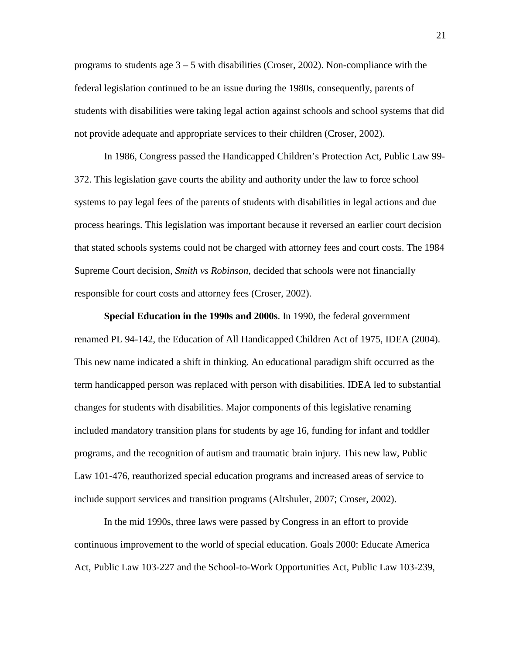programs to students age  $3 - 5$  with disabilities (Croser, 2002). Non-compliance with the federal legislation continued to be an issue during the 1980s, consequently, parents of students with disabilities were taking legal action against schools and school systems that did not provide adequate and appropriate services to their children (Croser, 2002).

In 1986, Congress passed the Handicapped Children's Protection Act, Public Law 99- 372. This legislation gave courts the ability and authority under the law to force school systems to pay legal fees of the parents of students with disabilities in legal actions and due process hearings. This legislation was important because it reversed an earlier court decision that stated schools systems could not be charged with attorney fees and court costs. The 1984 Supreme Court decision, *Smith vs Robinson*, decided that schools were not financially responsible for court costs and attorney fees (Croser, 2002).

**Special Education in the 1990s and 2000s**. In 1990, the federal government renamed PL 94-142, the Education of All Handicapped Children Act of 1975, IDEA (2004). This new name indicated a shift in thinking. An educational paradigm shift occurred as the term handicapped person was replaced with person with disabilities. IDEA led to substantial changes for students with disabilities. Major components of this legislative renaming included mandatory transition plans for students by age 16, funding for infant and toddler programs, and the recognition of autism and traumatic brain injury. This new law, Public Law 101-476, reauthorized special education programs and increased areas of service to include support services and transition programs (Altshuler, 2007; Croser, 2002).

In the mid 1990s, three laws were passed by Congress in an effort to provide continuous improvement to the world of special education. Goals 2000: Educate America Act, Public Law 103-227 and the School-to-Work Opportunities Act, Public Law 103-239,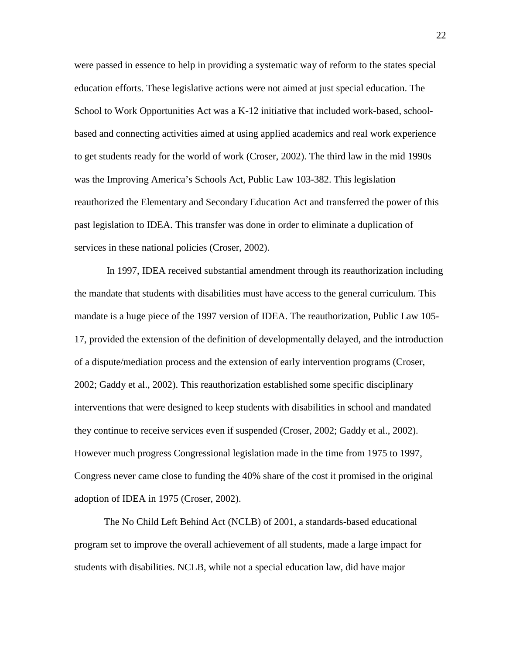were passed in essence to help in providing a systematic way of reform to the states special education efforts. These legislative actions were not aimed at just special education. The School to Work Opportunities Act was a K-12 initiative that included work-based, schoolbased and connecting activities aimed at using applied academics and real work experience to get students ready for the world of work (Croser, 2002). The third law in the mid 1990s was the Improving America's Schools Act, Public Law 103-382. This legislation reauthorized the Elementary and Secondary Education Act and transferred the power of this past legislation to IDEA. This transfer was done in order to eliminate a duplication of services in these national policies (Croser, 2002).

In 1997, IDEA received substantial amendment through its reauthorization including the mandate that students with disabilities must have access to the general curriculum. This mandate is a huge piece of the 1997 version of IDEA. The reauthorization, Public Law 105- 17, provided the extension of the definition of developmentally delayed, and the introduction of a dispute/mediation process and the extension of early intervention programs (Croser, 2002; Gaddy et al., 2002). This reauthorization established some specific disciplinary interventions that were designed to keep students with disabilities in school and mandated they continue to receive services even if suspended (Croser, 2002; Gaddy et al., 2002). However much progress Congressional legislation made in the time from 1975 to 1997, Congress never came close to funding the 40% share of the cost it promised in the original adoption of IDEA in 1975 (Croser, 2002).

The No Child Left Behind Act (NCLB) of 2001, a standards-based educational program set to improve the overall achievement of all students, made a large impact for students with disabilities. NCLB, while not a special education law, did have major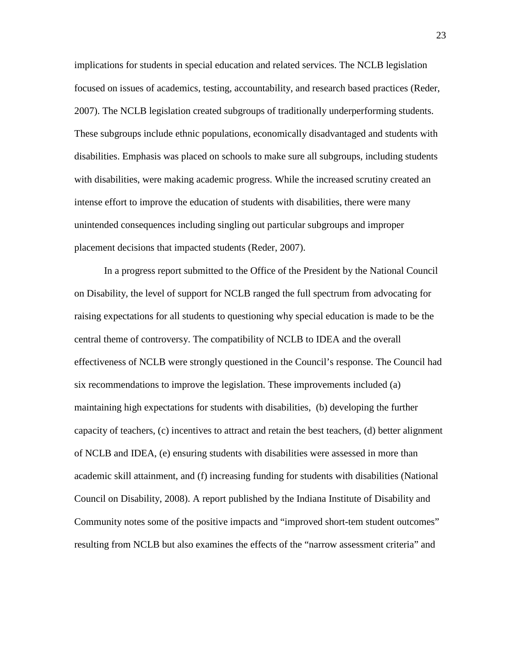implications for students in special education and related services. The NCLB legislation focused on issues of academics, testing, accountability, and research based practices (Reder, 2007). The NCLB legislation created subgroups of traditionally underperforming students. These subgroups include ethnic populations, economically disadvantaged and students with disabilities. Emphasis was placed on schools to make sure all subgroups, including students with disabilities, were making academic progress. While the increased scrutiny created an intense effort to improve the education of students with disabilities, there were many unintended consequences including singling out particular subgroups and improper placement decisions that impacted students (Reder, 2007).

In a progress report submitted to the Office of the President by the National Council on Disability, the level of support for NCLB ranged the full spectrum from advocating for raising expectations for all students to questioning why special education is made to be the central theme of controversy. The compatibility of NCLB to IDEA and the overall effectiveness of NCLB were strongly questioned in the Council's response. The Council had six recommendations to improve the legislation. These improvements included (a) maintaining high expectations for students with disabilities, (b) developing the further capacity of teachers, (c) incentives to attract and retain the best teachers, (d) better alignment of NCLB and IDEA, (e) ensuring students with disabilities were assessed in more than academic skill attainment, and (f) increasing funding for students with disabilities (National Council on Disability, 2008). A report published by the Indiana Institute of Disability and Community notes some of the positive impacts and "improved short-tem student outcomes" resulting from NCLB but also examines the effects of the "narrow assessment criteria" and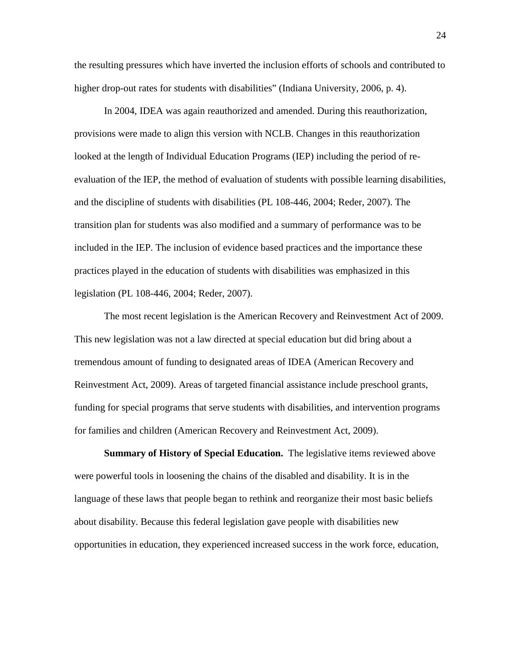the resulting pressures which have inverted the inclusion efforts of schools and contributed to higher drop-out rates for students with disabilities" (Indiana University, 2006, p. 4).

In 2004, IDEA was again reauthorized and amended. During this reauthorization, provisions were made to align this version with NCLB. Changes in this reauthorization looked at the length of Individual Education Programs (IEP) including the period of reevaluation of the IEP, the method of evaluation of students with possible learning disabilities, and the discipline of students with disabilities (PL 108-446, 2004; Reder, 2007). The transition plan for students was also modified and a summary of performance was to be included in the IEP. The inclusion of evidence based practices and the importance these practices played in the education of students with disabilities was emphasized in this legislation (PL 108-446, 2004; Reder, 2007).

The most recent legislation is the American Recovery and Reinvestment Act of 2009. This new legislation was not a law directed at special education but did bring about a tremendous amount of funding to designated areas of IDEA (American Recovery and Reinvestment Act, 2009). Areas of targeted financial assistance include preschool grants, funding for special programs that serve students with disabilities, and intervention programs for families and children (American Recovery and Reinvestment Act, 2009).

**Summary of History of Special Education.** The legislative items reviewed above were powerful tools in loosening the chains of the disabled and disability. It is in the language of these laws that people began to rethink and reorganize their most basic beliefs about disability. Because this federal legislation gave people with disabilities new opportunities in education, they experienced increased success in the work force, education,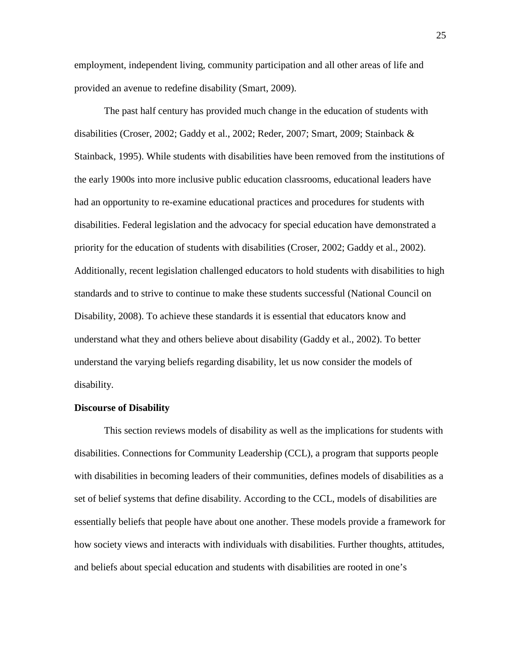employment, independent living, community participation and all other areas of life and provided an avenue to redefine disability (Smart, 2009).

The past half century has provided much change in the education of students with disabilities (Croser, 2002; Gaddy et al., 2002; Reder, 2007; Smart, 2009; Stainback & Stainback, 1995). While students with disabilities have been removed from the institutions of the early 1900s into more inclusive public education classrooms, educational leaders have had an opportunity to re-examine educational practices and procedures for students with disabilities. Federal legislation and the advocacy for special education have demonstrated a priority for the education of students with disabilities (Croser, 2002; Gaddy et al., 2002). Additionally, recent legislation challenged educators to hold students with disabilities to high standards and to strive to continue to make these students successful (National Council on Disability, 2008). To achieve these standards it is essential that educators know and understand what they and others believe about disability (Gaddy et al., 2002). To better understand the varying beliefs regarding disability, let us now consider the models of disability.

# **Discourse of Disability**

This section reviews models of disability as well as the implications for students with disabilities. Connections for Community Leadership (CCL), a program that supports people with disabilities in becoming leaders of their communities, defines models of disabilities as a set of belief systems that define disability. According to the CCL, models of disabilities are essentially beliefs that people have about one another. These models provide a framework for how society views and interacts with individuals with disabilities. Further thoughts, attitudes, and beliefs about special education and students with disabilities are rooted in one's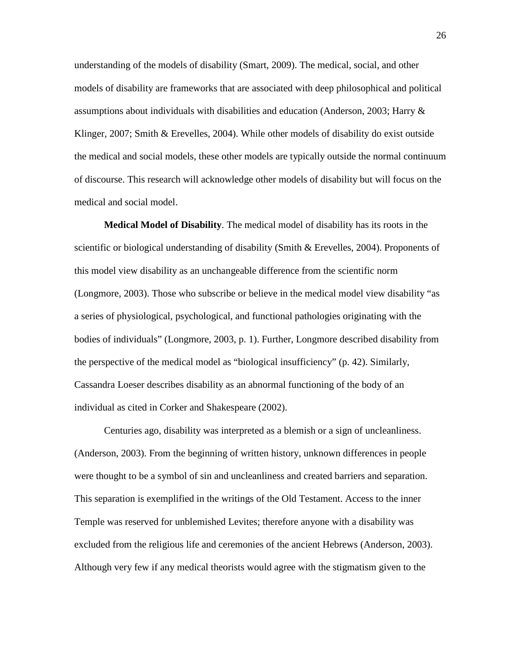understanding of the models of disability (Smart, 2009). The medical, social, and other models of disability are frameworks that are associated with deep philosophical and political assumptions about individuals with disabilities and education (Anderson, 2003; Harry  $\&$ Klinger, 2007; Smith & Erevelles, 2004). While other models of disability do exist outside the medical and social models, these other models are typically outside the normal continuum of discourse. This research will acknowledge other models of disability but will focus on the medical and social model.

**Medical Model of Disability**. The medical model of disability has its roots in the scientific or biological understanding of disability (Smith & Erevelles, 2004). Proponents of this model view disability as an unchangeable difference from the scientific norm (Longmore, 2003). Those who subscribe or believe in the medical model view disability "as a series of physiological, psychological, and functional pathologies originating with the bodies of individuals" (Longmore, 2003, p. 1). Further, Longmore described disability from the perspective of the medical model as "biological insufficiency" (p. 42). Similarly, Cassandra Loeser describes disability as an abnormal functioning of the body of an individual as cited in Corker and Shakespeare (2002).

Centuries ago, disability was interpreted as a blemish or a sign of uncleanliness. (Anderson, 2003). From the beginning of written history, unknown differences in people were thought to be a symbol of sin and uncleanliness and created barriers and separation. This separation is exemplified in the writings of the Old Testament. Access to the inner Temple was reserved for unblemished Levites; therefore anyone with a disability was excluded from the religious life and ceremonies of the ancient Hebrews (Anderson, 2003). Although very few if any medical theorists would agree with the stigmatism given to the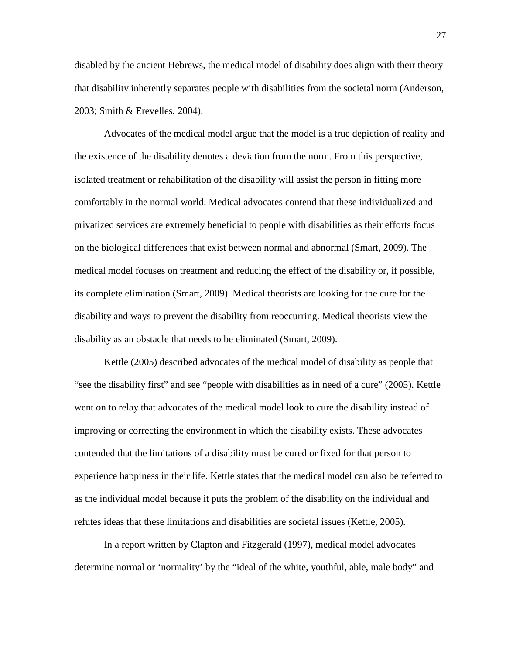disabled by the ancient Hebrews, the medical model of disability does align with their theory that disability inherently separates people with disabilities from the societal norm (Anderson, 2003; Smith & Erevelles, 2004).

Advocates of the medical model argue that the model is a true depiction of reality and the existence of the disability denotes a deviation from the norm. From this perspective, isolated treatment or rehabilitation of the disability will assist the person in fitting more comfortably in the normal world. Medical advocates contend that these individualized and privatized services are extremely beneficial to people with disabilities as their efforts focus on the biological differences that exist between normal and abnormal (Smart, 2009). The medical model focuses on treatment and reducing the effect of the disability or, if possible, its complete elimination (Smart, 2009). Medical theorists are looking for the cure for the disability and ways to prevent the disability from reoccurring. Medical theorists view the disability as an obstacle that needs to be eliminated (Smart, 2009).

Kettle (2005) described advocates of the medical model of disability as people that "see the disability first" and see "people with disabilities as in need of a cure" (2005). Kettle went on to relay that advocates of the medical model look to cure the disability instead of improving or correcting the environment in which the disability exists. These advocates contended that the limitations of a disability must be cured or fixed for that person to experience happiness in their life. Kettle states that the medical model can also be referred to as the individual model because it puts the problem of the disability on the individual and refutes ideas that these limitations and disabilities are societal issues (Kettle, 2005).

In a report written by Clapton and Fitzgerald (1997), medical model advocates determine normal or 'normality' by the "ideal of the white, youthful, able, male body" and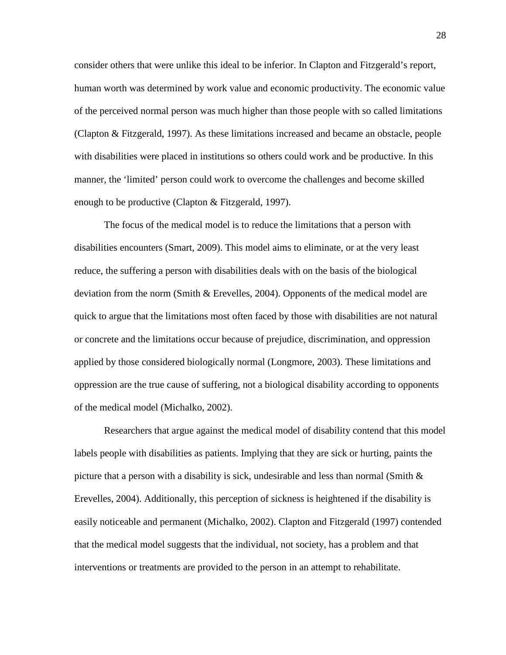consider others that were unlike this ideal to be inferior. In Clapton and Fitzgerald's report, human worth was determined by work value and economic productivity. The economic value of the perceived normal person was much higher than those people with so called limitations (Clapton & Fitzgerald, 1997). As these limitations increased and became an obstacle, people with disabilities were placed in institutions so others could work and be productive. In this manner, the 'limited' person could work to overcome the challenges and become skilled enough to be productive (Clapton & Fitzgerald, 1997).

The focus of the medical model is to reduce the limitations that a person with disabilities encounters (Smart, 2009). This model aims to eliminate, or at the very least reduce, the suffering a person with disabilities deals with on the basis of the biological deviation from the norm (Smith & Erevelles, 2004). Opponents of the medical model are quick to argue that the limitations most often faced by those with disabilities are not natural or concrete and the limitations occur because of prejudice, discrimination, and oppression applied by those considered biologically normal (Longmore, 2003). These limitations and oppression are the true cause of suffering, not a biological disability according to opponents of the medical model (Michalko, 2002).

Researchers that argue against the medical model of disability contend that this model labels people with disabilities as patients. Implying that they are sick or hurting, paints the picture that a person with a disability is sick, undesirable and less than normal (Smith  $\&$ Erevelles, 2004). Additionally, this perception of sickness is heightened if the disability is easily noticeable and permanent (Michalko, 2002). Clapton and Fitzgerald (1997) contended that the medical model suggests that the individual, not society, has a problem and that interventions or treatments are provided to the person in an attempt to rehabilitate.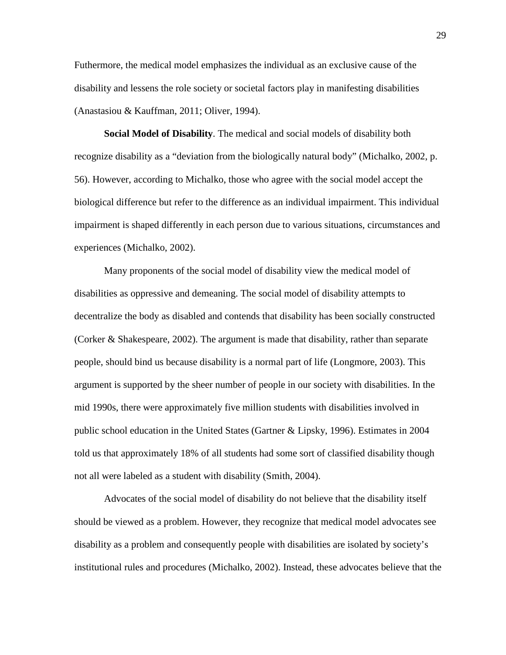Futhermore, the medical model emphasizes the individual as an exclusive cause of the disability and lessens the role society or societal factors play in manifesting disabilities (Anastasiou & Kauffman, 2011; Oliver, 1994).

**Social Model of Disability**. The medical and social models of disability both recognize disability as a "deviation from the biologically natural body" (Michalko, 2002, p. 56). However, according to Michalko, those who agree with the social model accept the biological difference but refer to the difference as an individual impairment. This individual impairment is shaped differently in each person due to various situations, circumstances and experiences (Michalko, 2002).

Many proponents of the social model of disability view the medical model of disabilities as oppressive and demeaning. The social model of disability attempts to decentralize the body as disabled and contends that disability has been socially constructed (Corker & Shakespeare, 2002). The argument is made that disability, rather than separate people, should bind us because disability is a normal part of life (Longmore, 2003). This argument is supported by the sheer number of people in our society with disabilities. In the mid 1990s, there were approximately five million students with disabilities involved in public school education in the United States (Gartner & Lipsky, 1996). Estimates in 2004 told us that approximately 18% of all students had some sort of classified disability though not all were labeled as a student with disability (Smith, 2004).

Advocates of the social model of disability do not believe that the disability itself should be viewed as a problem. However, they recognize that medical model advocates see disability as a problem and consequently people with disabilities are isolated by society's institutional rules and procedures (Michalko, 2002). Instead, these advocates believe that the

29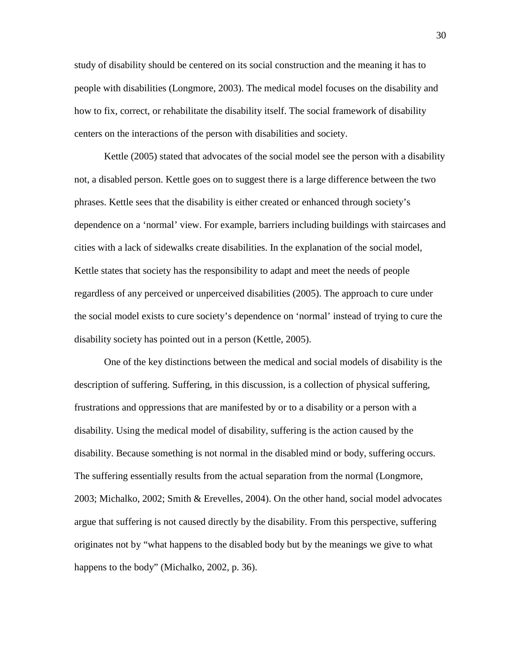study of disability should be centered on its social construction and the meaning it has to people with disabilities (Longmore, 2003). The medical model focuses on the disability and how to fix, correct, or rehabilitate the disability itself. The social framework of disability centers on the interactions of the person with disabilities and society.

Kettle (2005) stated that advocates of the social model see the person with a disability not, a disabled person. Kettle goes on to suggest there is a large difference between the two phrases. Kettle sees that the disability is either created or enhanced through society's dependence on a 'normal' view. For example, barriers including buildings with staircases and cities with a lack of sidewalks create disabilities. In the explanation of the social model, Kettle states that society has the responsibility to adapt and meet the needs of people regardless of any perceived or unperceived disabilities (2005). The approach to cure under the social model exists to cure society's dependence on 'normal' instead of trying to cure the disability society has pointed out in a person (Kettle, 2005).

One of the key distinctions between the medical and social models of disability is the description of suffering. Suffering, in this discussion, is a collection of physical suffering, frustrations and oppressions that are manifested by or to a disability or a person with a disability. Using the medical model of disability, suffering is the action caused by the disability. Because something is not normal in the disabled mind or body, suffering occurs. The suffering essentially results from the actual separation from the normal (Longmore, 2003; Michalko, 2002; Smith & Erevelles, 2004). On the other hand, social model advocates argue that suffering is not caused directly by the disability. From this perspective, suffering originates not by "what happens to the disabled body but by the meanings we give to what happens to the body" (Michalko, 2002, p. 36).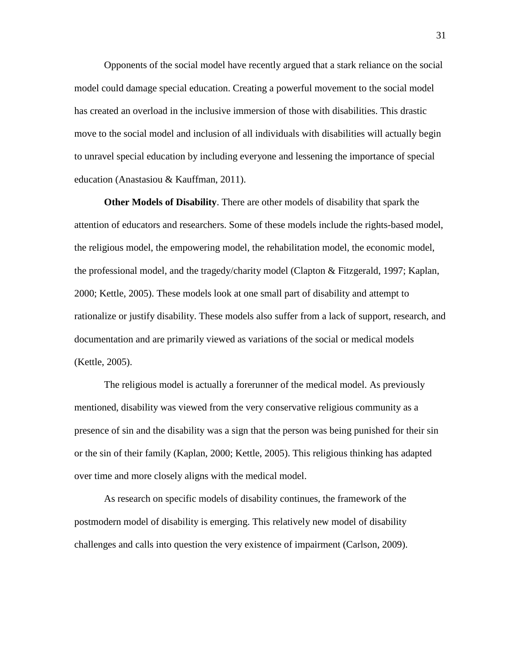Opponents of the social model have recently argued that a stark reliance on the social model could damage special education. Creating a powerful movement to the social model has created an overload in the inclusive immersion of those with disabilities. This drastic move to the social model and inclusion of all individuals with disabilities will actually begin to unravel special education by including everyone and lessening the importance of special education (Anastasiou & Kauffman, 2011).

**Other Models of Disability**. There are other models of disability that spark the attention of educators and researchers. Some of these models include the rights-based model, the religious model, the empowering model, the rehabilitation model, the economic model, the professional model, and the tragedy/charity model (Clapton & Fitzgerald, 1997; Kaplan, 2000; Kettle, 2005). These models look at one small part of disability and attempt to rationalize or justify disability. These models also suffer from a lack of support, research, and documentation and are primarily viewed as variations of the social or medical models (Kettle, 2005).

The religious model is actually a forerunner of the medical model. As previously mentioned, disability was viewed from the very conservative religious community as a presence of sin and the disability was a sign that the person was being punished for their sin or the sin of their family (Kaplan, 2000; Kettle, 2005). This religious thinking has adapted over time and more closely aligns with the medical model.

As research on specific models of disability continues, the framework of the postmodern model of disability is emerging. This relatively new model of disability challenges and calls into question the very existence of impairment (Carlson, 2009).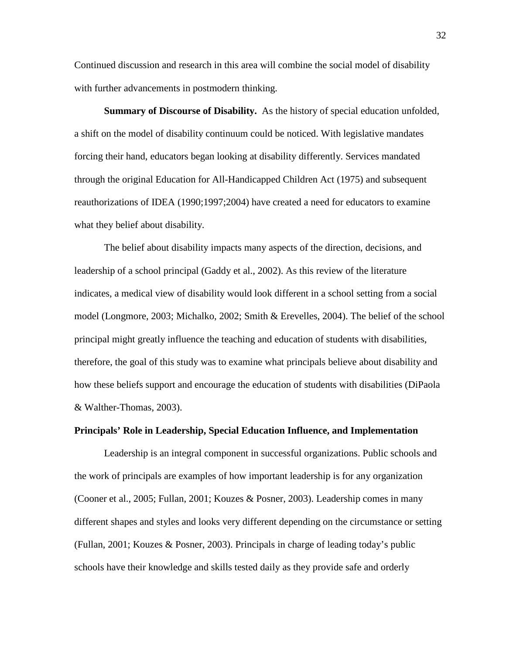Continued discussion and research in this area will combine the social model of disability with further advancements in postmodern thinking.

**Summary of Discourse of Disability.** As the history of special education unfolded, a shift on the model of disability continuum could be noticed. With legislative mandates forcing their hand, educators began looking at disability differently. Services mandated through the original Education for All-Handicapped Children Act (1975) and subsequent reauthorizations of IDEA (1990;1997;2004) have created a need for educators to examine what they belief about disability.

The belief about disability impacts many aspects of the direction, decisions, and leadership of a school principal (Gaddy et al., 2002). As this review of the literature indicates, a medical view of disability would look different in a school setting from a social model (Longmore, 2003; Michalko, 2002; Smith & Erevelles, 2004). The belief of the school principal might greatly influence the teaching and education of students with disabilities, therefore, the goal of this study was to examine what principals believe about disability and how these beliefs support and encourage the education of students with disabilities (DiPaola & Walther-Thomas, 2003).

## **Principals' Role in Leadership, Special Education Influence, and Implementation**

Leadership is an integral component in successful organizations. Public schools and the work of principals are examples of how important leadership is for any organization (Cooner et al., 2005; Fullan, 2001; Kouzes & Posner, 2003). Leadership comes in many different shapes and styles and looks very different depending on the circumstance or setting (Fullan, 2001; Kouzes & Posner, 2003). Principals in charge of leading today's public schools have their knowledge and skills tested daily as they provide safe and orderly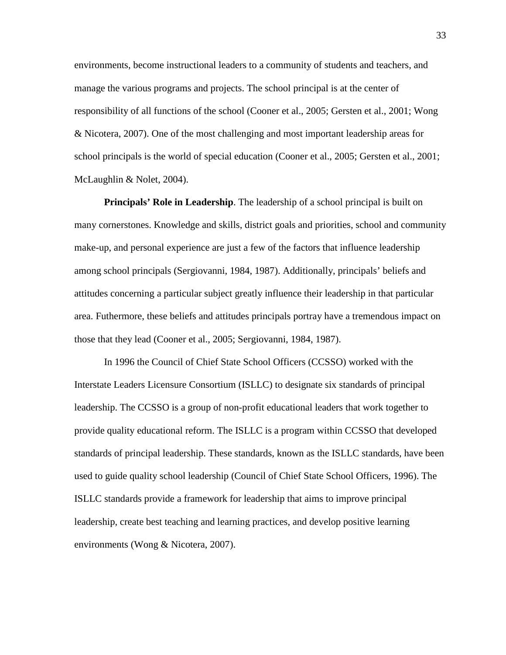environments, become instructional leaders to a community of students and teachers, and manage the various programs and projects. The school principal is at the center of responsibility of all functions of the school (Cooner et al., 2005; Gersten et al., 2001; Wong & Nicotera, 2007). One of the most challenging and most important leadership areas for school principals is the world of special education (Cooner et al., 2005; Gersten et al., 2001; McLaughlin & Nolet, 2004).

**Principals' Role in Leadership**. The leadership of a school principal is built on many cornerstones. Knowledge and skills, district goals and priorities, school and community make-up, and personal experience are just a few of the factors that influence leadership among school principals (Sergiovanni, 1984, 1987). Additionally, principals' beliefs and attitudes concerning a particular subject greatly influence their leadership in that particular area. Futhermore, these beliefs and attitudes principals portray have a tremendous impact on those that they lead (Cooner et al., 2005; Sergiovanni, 1984, 1987).

In 1996 the Council of Chief State School Officers (CCSSO) worked with the Interstate Leaders Licensure Consortium (ISLLC) to designate six standards of principal leadership. The CCSSO is a group of non-profit educational leaders that work together to provide quality educational reform. The ISLLC is a program within CCSSO that developed standards of principal leadership. These standards, known as the ISLLC standards, have been used to guide quality school leadership (Council of Chief State School Officers, 1996). The ISLLC standards provide a framework for leadership that aims to improve principal leadership, create best teaching and learning practices, and develop positive learning environments (Wong & Nicotera, 2007).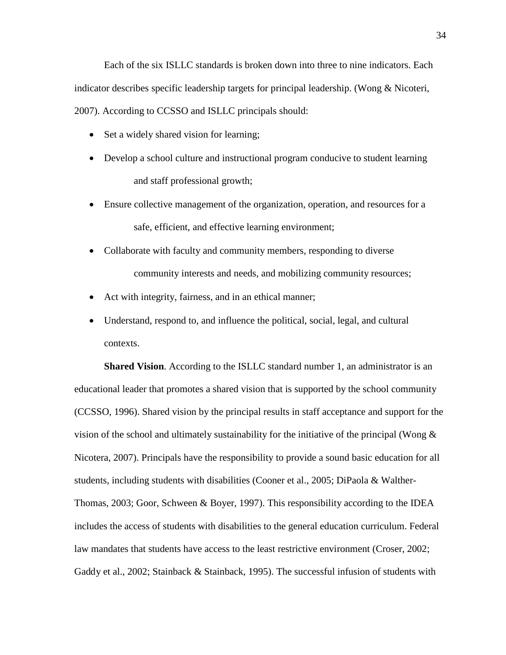Each of the six ISLLC standards is broken down into three to nine indicators. Each indicator describes specific leadership targets for principal leadership. (Wong & Nicoteri, 2007). According to CCSSO and ISLLC principals should:

- Set a widely shared vision for learning;
- Develop a school culture and instructional program conducive to student learning and staff professional growth;
- Ensure collective management of the organization, operation, and resources for a safe, efficient, and effective learning environment;
- Collaborate with faculty and community members, responding to diverse community interests and needs, and mobilizing community resources;
- Act with integrity, fairness, and in an ethical manner;
- Understand, respond to, and influence the political, social, legal, and cultural contexts.

**Shared Vision.** According to the ISLLC standard number 1, an administrator is an educational leader that promotes a shared vision that is supported by the school community (CCSSO, 1996). Shared vision by the principal results in staff acceptance and support for the vision of the school and ultimately sustainability for the initiative of the principal (Wong  $\&$ Nicotera, 2007). Principals have the responsibility to provide a sound basic education for all students, including students with disabilities (Cooner et al., 2005; DiPaola & Walther-Thomas, 2003; Goor, Schween & Boyer, 1997). This responsibility according to the IDEA includes the access of students with disabilities to the general education curriculum. Federal law mandates that students have access to the least restrictive environment (Croser, 2002; Gaddy et al., 2002; Stainback & Stainback, 1995). The successful infusion of students with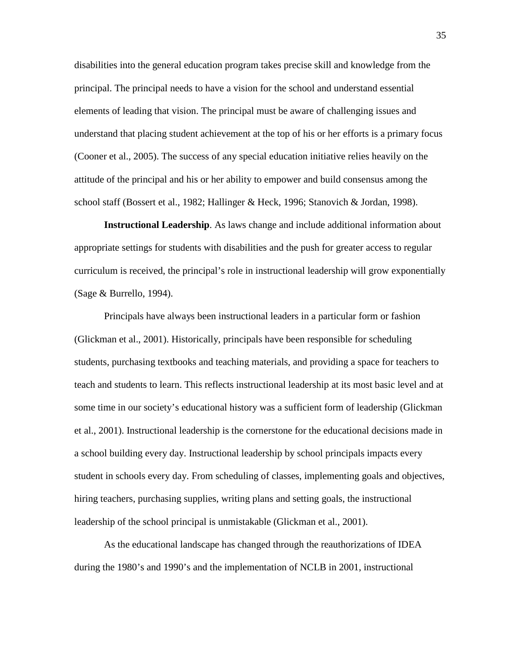disabilities into the general education program takes precise skill and knowledge from the principal. The principal needs to have a vision for the school and understand essential elements of leading that vision. The principal must be aware of challenging issues and understand that placing student achievement at the top of his or her efforts is a primary focus (Cooner et al., 2005). The success of any special education initiative relies heavily on the attitude of the principal and his or her ability to empower and build consensus among the school staff (Bossert et al., 1982; Hallinger & Heck, 1996; Stanovich & Jordan, 1998).

**Instructional Leadership**. As laws change and include additional information about appropriate settings for students with disabilities and the push for greater access to regular curriculum is received, the principal's role in instructional leadership will grow exponentially (Sage & Burrello, 1994).

Principals have always been instructional leaders in a particular form or fashion (Glickman et al., 2001). Historically, principals have been responsible for scheduling students, purchasing textbooks and teaching materials, and providing a space for teachers to teach and students to learn. This reflects instructional leadership at its most basic level and at some time in our society's educational history was a sufficient form of leadership (Glickman et al., 2001). Instructional leadership is the cornerstone for the educational decisions made in a school building every day. Instructional leadership by school principals impacts every student in schools every day. From scheduling of classes, implementing goals and objectives, hiring teachers, purchasing supplies, writing plans and setting goals, the instructional leadership of the school principal is unmistakable (Glickman et al., 2001).

As the educational landscape has changed through the reauthorizations of IDEA during the 1980's and 1990's and the implementation of NCLB in 2001, instructional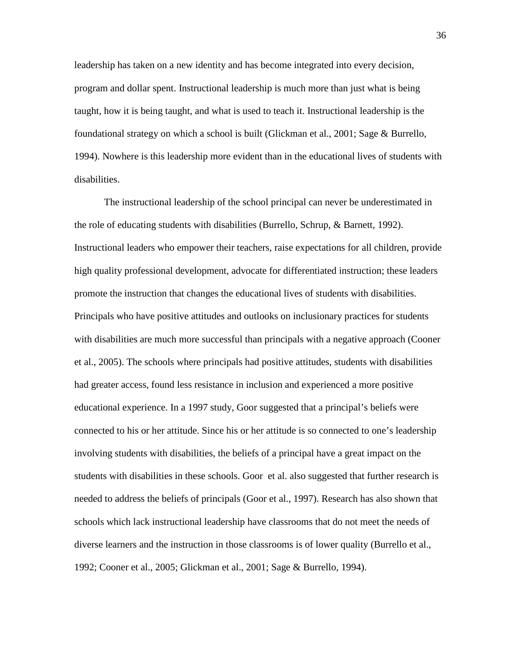leadership has taken on a new identity and has become integrated into every decision, program and dollar spent. Instructional leadership is much more than just what is being taught, how it is being taught, and what is used to teach it. Instructional leadership is the foundational strategy on which a school is built (Glickman et al., 2001; Sage & Burrello, 1994). Nowhere is this leadership more evident than in the educational lives of students with disabilities.

The instructional leadership of the school principal can never be underestimated in the role of educating students with disabilities (Burrello, Schrup, & Barnett, 1992). Instructional leaders who empower their teachers, raise expectations for all children, provide high quality professional development, advocate for differentiated instruction; these leaders promote the instruction that changes the educational lives of students with disabilities. Principals who have positive attitudes and outlooks on inclusionary practices for students with disabilities are much more successful than principals with a negative approach (Cooner et al., 2005). The schools where principals had positive attitudes, students with disabilities had greater access, found less resistance in inclusion and experienced a more positive educational experience. In a 1997 study, Goor suggested that a principal's beliefs were connected to his or her attitude. Since his or her attitude is so connected to one's leadership involving students with disabilities, the beliefs of a principal have a great impact on the students with disabilities in these schools. Goor et al. also suggested that further research is needed to address the beliefs of principals (Goor et al., 1997). Research has also shown that schools which lack instructional leadership have classrooms that do not meet the needs of diverse learners and the instruction in those classrooms is of lower quality (Burrello et al., 1992; Cooner et al., 2005; Glickman et al., 2001; Sage & Burrello, 1994).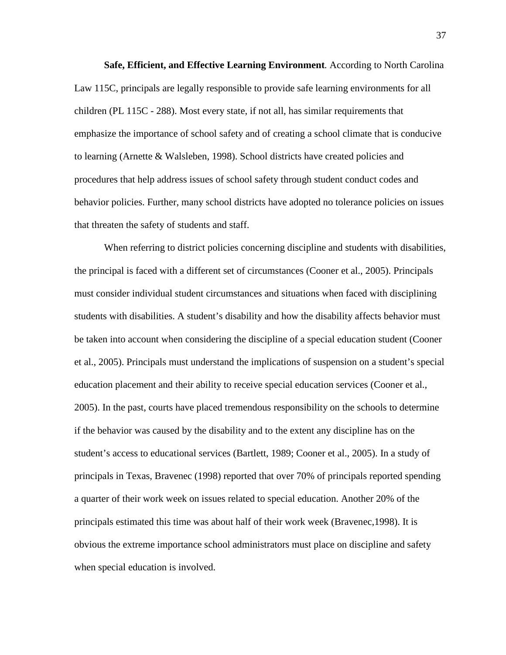**Safe, Efficient, and Effective Learning Environment***.* According to North Carolina Law 115C, principals are legally responsible to provide safe learning environments for all children (PL 115C - 288). Most every state, if not all, has similar requirements that emphasize the importance of school safety and of creating a school climate that is conducive to learning (Arnette & Walsleben, 1998). School districts have created policies and procedures that help address issues of school safety through student conduct codes and behavior policies. Further, many school districts have adopted no tolerance policies on issues that threaten the safety of students and staff.

When referring to district policies concerning discipline and students with disabilities, the principal is faced with a different set of circumstances (Cooner et al., 2005). Principals must consider individual student circumstances and situations when faced with disciplining students with disabilities. A student's disability and how the disability affects behavior must be taken into account when considering the discipline of a special education student (Cooner et al., 2005). Principals must understand the implications of suspension on a student's special education placement and their ability to receive special education services (Cooner et al., 2005). In the past, courts have placed tremendous responsibility on the schools to determine if the behavior was caused by the disability and to the extent any discipline has on the student's access to educational services (Bartlett, 1989; Cooner et al., 2005). In a study of principals in Texas, Bravenec (1998) reported that over 70% of principals reported spending a quarter of their work week on issues related to special education. Another 20% of the principals estimated this time was about half of their work week (Bravenec,1998). It is obvious the extreme importance school administrators must place on discipline and safety when special education is involved.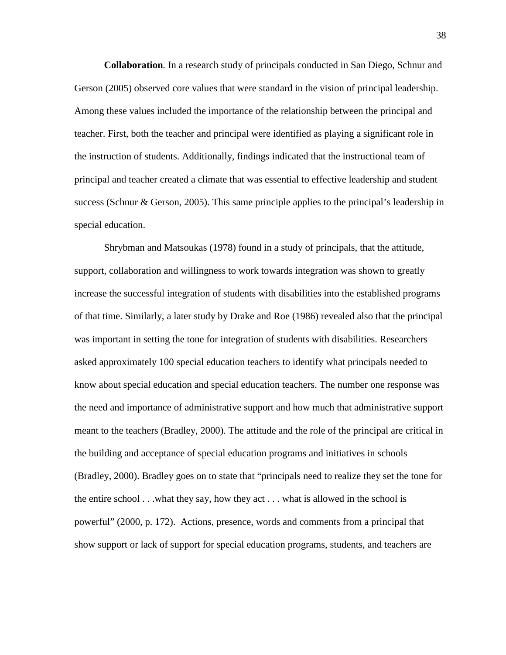**Collaboration***.* In a research study of principals conducted in San Diego, Schnur and Gerson (2005) observed core values that were standard in the vision of principal leadership. Among these values included the importance of the relationship between the principal and teacher. First, both the teacher and principal were identified as playing a significant role in the instruction of students. Additionally, findings indicated that the instructional team of principal and teacher created a climate that was essential to effective leadership and student success (Schnur & Gerson, 2005). This same principle applies to the principal's leadership in special education.

Shrybman and Matsoukas (1978) found in a study of principals, that the attitude, support, collaboration and willingness to work towards integration was shown to greatly increase the successful integration of students with disabilities into the established programs of that time. Similarly, a later study by Drake and Roe (1986) revealed also that the principal was important in setting the tone for integration of students with disabilities. Researchers asked approximately 100 special education teachers to identify what principals needed to know about special education and special education teachers. The number one response was the need and importance of administrative support and how much that administrative support meant to the teachers (Bradley, 2000). The attitude and the role of the principal are critical in the building and acceptance of special education programs and initiatives in schools (Bradley, 2000). Bradley goes on to state that "principals need to realize they set the tone for the entire school . . .what they say, how they act . . . what is allowed in the school is powerful" (2000, p. 172). Actions, presence, words and comments from a principal that show support or lack of support for special education programs, students, and teachers are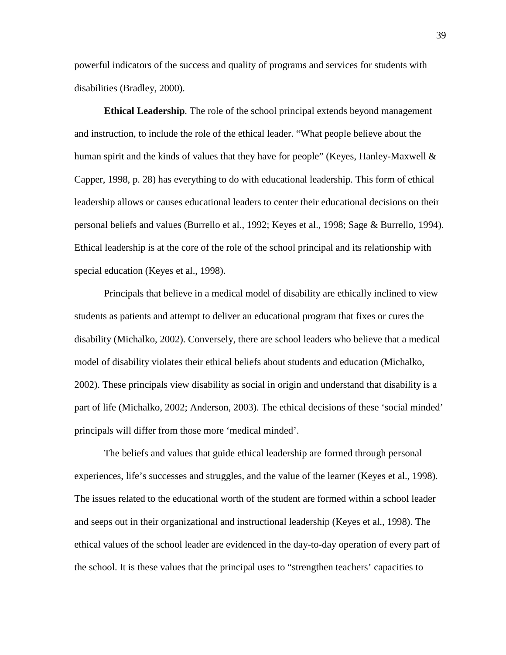powerful indicators of the success and quality of programs and services for students with disabilities (Bradley, 2000).

**Ethical Leadership***.* The role of the school principal extends beyond management and instruction, to include the role of the ethical leader. "What people believe about the human spirit and the kinds of values that they have for people" (Keyes, Hanley-Maxwell  $\&$ Capper, 1998, p. 28) has everything to do with educational leadership. This form of ethical leadership allows or causes educational leaders to center their educational decisions on their personal beliefs and values (Burrello et al., 1992; Keyes et al., 1998; Sage & Burrello, 1994). Ethical leadership is at the core of the role of the school principal and its relationship with special education (Keyes et al., 1998).

Principals that believe in a medical model of disability are ethically inclined to view students as patients and attempt to deliver an educational program that fixes or cures the disability (Michalko, 2002). Conversely, there are school leaders who believe that a medical model of disability violates their ethical beliefs about students and education (Michalko, 2002). These principals view disability as social in origin and understand that disability is a part of life (Michalko, 2002; Anderson, 2003). The ethical decisions of these 'social minded' principals will differ from those more 'medical minded'.

The beliefs and values that guide ethical leadership are formed through personal experiences, life's successes and struggles, and the value of the learner (Keyes et al., 1998). The issues related to the educational worth of the student are formed within a school leader and seeps out in their organizational and instructional leadership (Keyes et al., 1998). The ethical values of the school leader are evidenced in the day-to-day operation of every part of the school. It is these values that the principal uses to "strengthen teachers' capacities to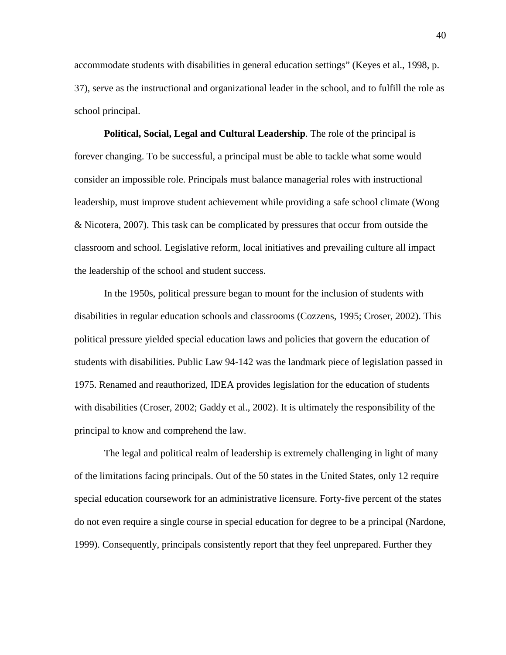accommodate students with disabilities in general education settings" (Keyes et al., 1998, p. 37), serve as the instructional and organizational leader in the school, and to fulfill the role as school principal.

**Political, Social, Legal and Cultural Leadership**. The role of the principal is forever changing. To be successful, a principal must be able to tackle what some would consider an impossible role. Principals must balance managerial roles with instructional leadership, must improve student achievement while providing a safe school climate (Wong & Nicotera, 2007). This task can be complicated by pressures that occur from outside the classroom and school. Legislative reform, local initiatives and prevailing culture all impact the leadership of the school and student success.

In the 1950s, political pressure began to mount for the inclusion of students with disabilities in regular education schools and classrooms (Cozzens, 1995; Croser, 2002). This political pressure yielded special education laws and policies that govern the education of students with disabilities. Public Law 94-142 was the landmark piece of legislation passed in 1975. Renamed and reauthorized, IDEA provides legislation for the education of students with disabilities (Croser, 2002; Gaddy et al., 2002). It is ultimately the responsibility of the principal to know and comprehend the law.

The legal and political realm of leadership is extremely challenging in light of many of the limitations facing principals. Out of the 50 states in the United States, only 12 require special education coursework for an administrative licensure. Forty-five percent of the states do not even require a single course in special education for degree to be a principal (Nardone, 1999). Consequently, principals consistently report that they feel unprepared. Further they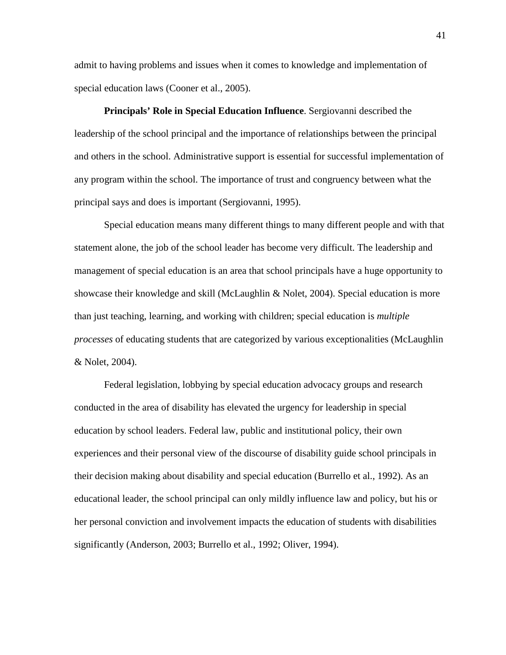admit to having problems and issues when it comes to knowledge and implementation of special education laws (Cooner et al., 2005).

**Principals' Role in Special Education Influence**. Sergiovanni described the leadership of the school principal and the importance of relationships between the principal and others in the school. Administrative support is essential for successful implementation of any program within the school. The importance of trust and congruency between what the principal says and does is important (Sergiovanni, 1995).

Special education means many different things to many different people and with that statement alone, the job of the school leader has become very difficult. The leadership and management of special education is an area that school principals have a huge opportunity to showcase their knowledge and skill (McLaughlin & Nolet, 2004). Special education is more than just teaching, learning, and working with children; special education is *multiple processes* of educating students that are categorized by various exceptionalities (McLaughlin & Nolet, 2004).

Federal legislation, lobbying by special education advocacy groups and research conducted in the area of disability has elevated the urgency for leadership in special education by school leaders. Federal law, public and institutional policy, their own experiences and their personal view of the discourse of disability guide school principals in their decision making about disability and special education (Burrello et al., 1992). As an educational leader, the school principal can only mildly influence law and policy, but his or her personal conviction and involvement impacts the education of students with disabilities significantly (Anderson, 2003; Burrello et al., 1992; Oliver, 1994).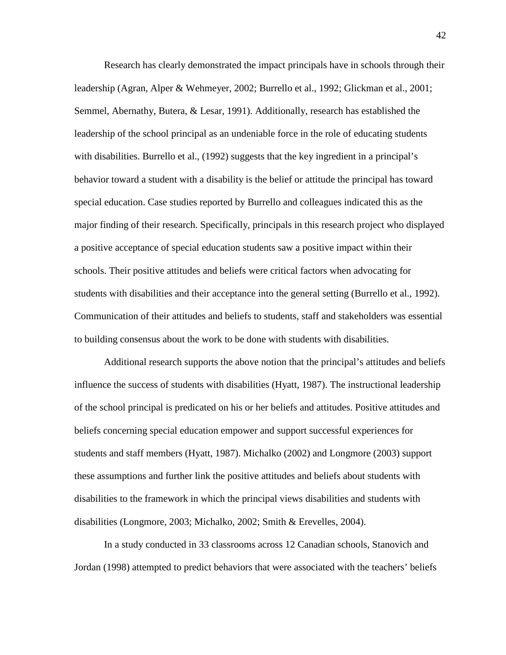Research has clearly demonstrated the impact principals have in schools through their leadership (Agran, Alper & Wehmeyer, 2002; Burrello et al., 1992; Glickman et al., 2001; Semmel, Abernathy, Butera, & Lesar, 1991). Additionally, research has established the leadership of the school principal as an undeniable force in the role of educating students with disabilities. Burrello et al., (1992) suggests that the key ingredient in a principal's behavior toward a student with a disability is the belief or attitude the principal has toward special education. Case studies reported by Burrello and colleagues indicated this as the major finding of their research. Specifically, principals in this research project who displayed a positive acceptance of special education students saw a positive impact within their schools. Their positive attitudes and beliefs were critical factors when advocating for students with disabilities and their acceptance into the general setting (Burrello et al., 1992). Communication of their attitudes and beliefs to students, staff and stakeholders was essential to building consensus about the work to be done with students with disabilities.

Additional research supports the above notion that the principal's attitudes and beliefs influence the success of students with disabilities (Hyatt, 1987). The instructional leadership of the school principal is predicated on his or her beliefs and attitudes. Positive attitudes and beliefs concerning special education empower and support successful experiences for students and staff members (Hyatt, 1987). Michalko (2002) and Longmore (2003) support these assumptions and further link the positive attitudes and beliefs about students with disabilities to the framework in which the principal views disabilities and students with disabilities (Longmore, 2003; Michalko, 2002; Smith & Erevelles, 2004).

In a study conducted in 33 classrooms across 12 Canadian schools, Stanovich and Jordan (1998) attempted to predict behaviors that were associated with the teachers' beliefs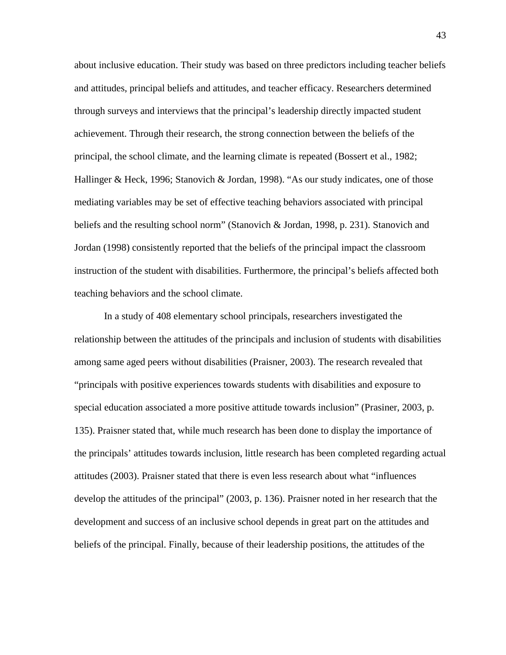about inclusive education. Their study was based on three predictors including teacher beliefs and attitudes, principal beliefs and attitudes, and teacher efficacy. Researchers determined through surveys and interviews that the principal's leadership directly impacted student achievement. Through their research, the strong connection between the beliefs of the principal, the school climate, and the learning climate is repeated (Bossert et al., 1982; Hallinger & Heck, 1996; Stanovich & Jordan, 1998). "As our study indicates, one of those mediating variables may be set of effective teaching behaviors associated with principal beliefs and the resulting school norm" (Stanovich & Jordan, 1998, p. 231). Stanovich and Jordan (1998) consistently reported that the beliefs of the principal impact the classroom instruction of the student with disabilities. Furthermore, the principal's beliefs affected both teaching behaviors and the school climate.

In a study of 408 elementary school principals, researchers investigated the relationship between the attitudes of the principals and inclusion of students with disabilities among same aged peers without disabilities (Praisner, 2003). The research revealed that "principals with positive experiences towards students with disabilities and exposure to special education associated a more positive attitude towards inclusion" (Prasiner, 2003, p. 135). Praisner stated that, while much research has been done to display the importance of the principals' attitudes towards inclusion, little research has been completed regarding actual attitudes (2003). Praisner stated that there is even less research about what "influences develop the attitudes of the principal" (2003, p. 136). Praisner noted in her research that the development and success of an inclusive school depends in great part on the attitudes and beliefs of the principal. Finally, because of their leadership positions, the attitudes of the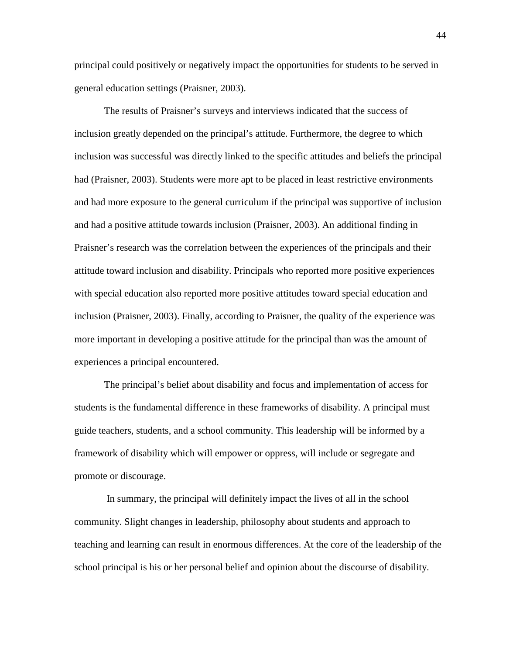principal could positively or negatively impact the opportunities for students to be served in general education settings (Praisner, 2003).

The results of Praisner's surveys and interviews indicated that the success of inclusion greatly depended on the principal's attitude. Furthermore, the degree to which inclusion was successful was directly linked to the specific attitudes and beliefs the principal had (Praisner, 2003). Students were more apt to be placed in least restrictive environments and had more exposure to the general curriculum if the principal was supportive of inclusion and had a positive attitude towards inclusion (Praisner, 2003). An additional finding in Praisner's research was the correlation between the experiences of the principals and their attitude toward inclusion and disability. Principals who reported more positive experiences with special education also reported more positive attitudes toward special education and inclusion (Praisner, 2003). Finally, according to Praisner, the quality of the experience was more important in developing a positive attitude for the principal than was the amount of experiences a principal encountered.

The principal's belief about disability and focus and implementation of access for students is the fundamental difference in these frameworks of disability. A principal must guide teachers, students, and a school community. This leadership will be informed by a framework of disability which will empower or oppress, will include or segregate and promote or discourage.

In summary, the principal will definitely impact the lives of all in the school community. Slight changes in leadership, philosophy about students and approach to teaching and learning can result in enormous differences. At the core of the leadership of the school principal is his or her personal belief and opinion about the discourse of disability.

44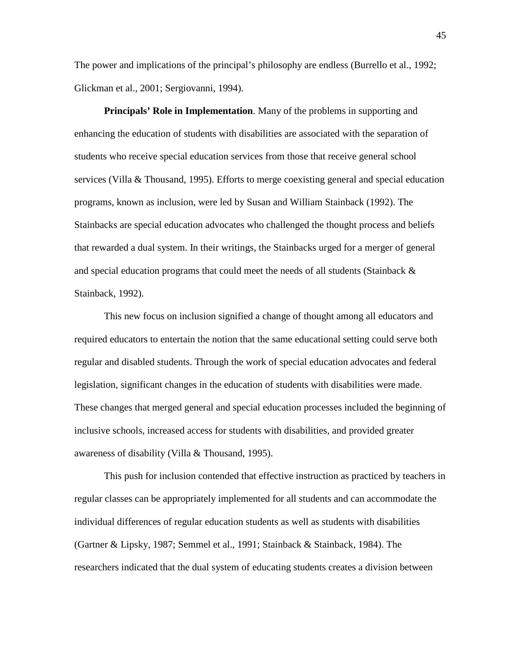The power and implications of the principal's philosophy are endless (Burrello et al., 1992; Glickman et al., 2001; Sergiovanni, 1994).

**Principals' Role in Implementation**. Many of the problems in supporting and enhancing the education of students with disabilities are associated with the separation of students who receive special education services from those that receive general school services (Villa & Thousand, 1995). Efforts to merge coexisting general and special education programs, known as inclusion, were led by Susan and William Stainback (1992). The Stainbacks are special education advocates who challenged the thought process and beliefs that rewarded a dual system. In their writings, the Stainbacks urged for a merger of general and special education programs that could meet the needs of all students (Stainback  $\&$ Stainback, 1992).

This new focus on inclusion signified a change of thought among all educators and required educators to entertain the notion that the same educational setting could serve both regular and disabled students. Through the work of special education advocates and federal legislation, significant changes in the education of students with disabilities were made. These changes that merged general and special education processes included the beginning of inclusive schools, increased access for students with disabilities, and provided greater awareness of disability (Villa & Thousand, 1995).

This push for inclusion contended that effective instruction as practiced by teachers in regular classes can be appropriately implemented for all students and can accommodate the individual differences of regular education students as well as students with disabilities (Gartner & Lipsky, 1987; Semmel et al., 1991; Stainback & Stainback, 1984). The researchers indicated that the dual system of educating students creates a division between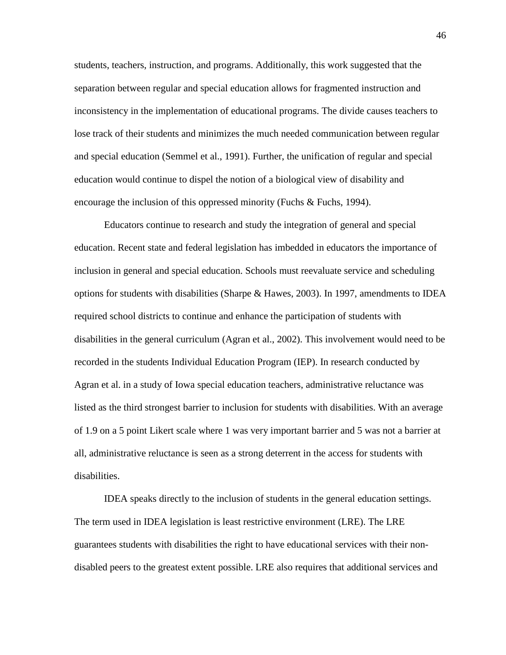students, teachers, instruction, and programs. Additionally, this work suggested that the separation between regular and special education allows for fragmented instruction and inconsistency in the implementation of educational programs. The divide causes teachers to lose track of their students and minimizes the much needed communication between regular and special education (Semmel et al., 1991). Further, the unification of regular and special education would continue to dispel the notion of a biological view of disability and encourage the inclusion of this oppressed minority (Fuchs & Fuchs, 1994).

Educators continue to research and study the integration of general and special education. Recent state and federal legislation has imbedded in educators the importance of inclusion in general and special education. Schools must reevaluate service and scheduling options for students with disabilities (Sharpe & Hawes, 2003). In 1997, amendments to IDEA required school districts to continue and enhance the participation of students with disabilities in the general curriculum (Agran et al., 2002). This involvement would need to be recorded in the students Individual Education Program (IEP). In research conducted by Agran et al. in a study of Iowa special education teachers, administrative reluctance was listed as the third strongest barrier to inclusion for students with disabilities. With an average of 1.9 on a 5 point Likert scale where 1 was very important barrier and 5 was not a barrier at all, administrative reluctance is seen as a strong deterrent in the access for students with disabilities.

IDEA speaks directly to the inclusion of students in the general education settings. The term used in IDEA legislation is least restrictive environment (LRE). The LRE guarantees students with disabilities the right to have educational services with their nondisabled peers to the greatest extent possible. LRE also requires that additional services and

46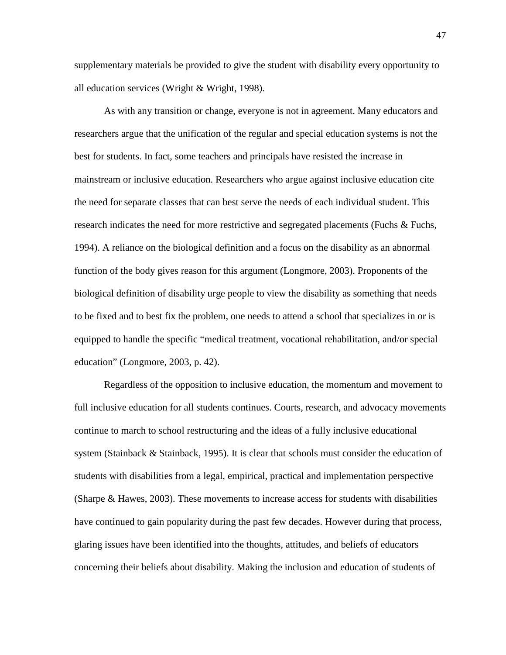supplementary materials be provided to give the student with disability every opportunity to all education services (Wright & Wright, 1998).

As with any transition or change, everyone is not in agreement. Many educators and researchers argue that the unification of the regular and special education systems is not the best for students. In fact, some teachers and principals have resisted the increase in mainstream or inclusive education. Researchers who argue against inclusive education cite the need for separate classes that can best serve the needs of each individual student. This research indicates the need for more restrictive and segregated placements (Fuchs & Fuchs, 1994). A reliance on the biological definition and a focus on the disability as an abnormal function of the body gives reason for this argument (Longmore, 2003). Proponents of the biological definition of disability urge people to view the disability as something that needs to be fixed and to best fix the problem, one needs to attend a school that specializes in or is equipped to handle the specific "medical treatment, vocational rehabilitation, and/or special education" (Longmore, 2003, p. 42).

Regardless of the opposition to inclusive education, the momentum and movement to full inclusive education for all students continues. Courts, research, and advocacy movements continue to march to school restructuring and the ideas of a fully inclusive educational system (Stainback & Stainback, 1995). It is clear that schools must consider the education of students with disabilities from a legal, empirical, practical and implementation perspective (Sharpe & Hawes, 2003). These movements to increase access for students with disabilities have continued to gain popularity during the past few decades. However during that process, glaring issues have been identified into the thoughts, attitudes, and beliefs of educators concerning their beliefs about disability. Making the inclusion and education of students of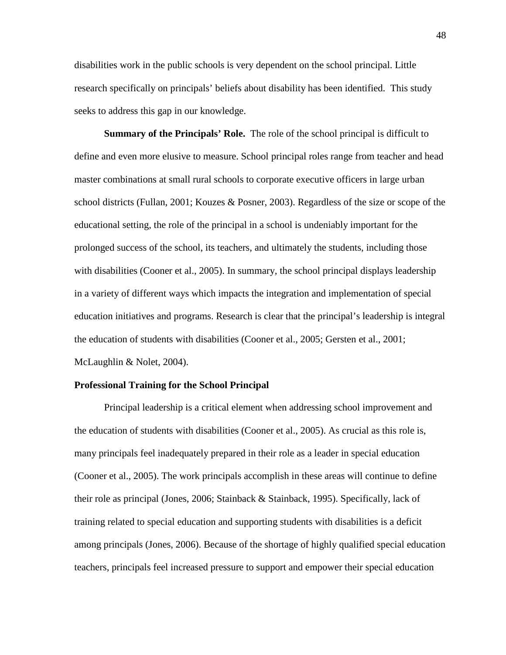disabilities work in the public schools is very dependent on the school principal. Little research specifically on principals' beliefs about disability has been identified. This study seeks to address this gap in our knowledge.

**Summary of the Principals' Role.** The role of the school principal is difficult to define and even more elusive to measure. School principal roles range from teacher and head master combinations at small rural schools to corporate executive officers in large urban school districts (Fullan, 2001; Kouzes & Posner, 2003). Regardless of the size or scope of the educational setting, the role of the principal in a school is undeniably important for the prolonged success of the school, its teachers, and ultimately the students, including those with disabilities (Cooner et al., 2005). In summary, the school principal displays leadership in a variety of different ways which impacts the integration and implementation of special education initiatives and programs. Research is clear that the principal's leadership is integral the education of students with disabilities (Cooner et al., 2005; Gersten et al., 2001; McLaughlin & Nolet, 2004).

### **Professional Training for the School Principal**

Principal leadership is a critical element when addressing school improvement and the education of students with disabilities (Cooner et al., 2005). As crucial as this role is, many principals feel inadequately prepared in their role as a leader in special education (Cooner et al., 2005). The work principals accomplish in these areas will continue to define their role as principal (Jones, 2006; Stainback & Stainback, 1995). Specifically, lack of training related to special education and supporting students with disabilities is a deficit among principals (Jones, 2006). Because of the shortage of highly qualified special education teachers, principals feel increased pressure to support and empower their special education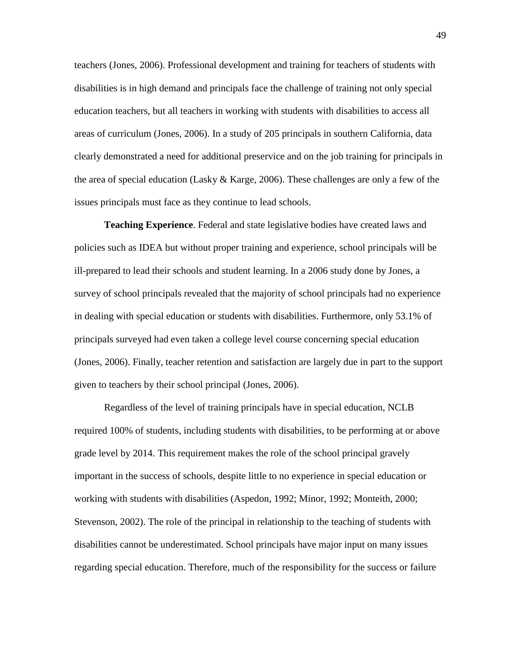teachers (Jones, 2006). Professional development and training for teachers of students with disabilities is in high demand and principals face the challenge of training not only special education teachers, but all teachers in working with students with disabilities to access all areas of curriculum (Jones, 2006). In a study of 205 principals in southern California, data clearly demonstrated a need for additional preservice and on the job training for principals in the area of special education (Lasky & Karge, 2006). These challenges are only a few of the issues principals must face as they continue to lead schools.

**Teaching Experience**. Federal and state legislative bodies have created laws and policies such as IDEA but without proper training and experience, school principals will be ill-prepared to lead their schools and student learning. In a 2006 study done by Jones, a survey of school principals revealed that the majority of school principals had no experience in dealing with special education or students with disabilities. Furthermore, only 53.1% of principals surveyed had even taken a college level course concerning special education (Jones, 2006). Finally, teacher retention and satisfaction are largely due in part to the support given to teachers by their school principal (Jones, 2006).

Regardless of the level of training principals have in special education, NCLB required 100% of students, including students with disabilities, to be performing at or above grade level by 2014. This requirement makes the role of the school principal gravely important in the success of schools, despite little to no experience in special education or working with students with disabilities (Aspedon, 1992; Minor, 1992; Monteith, 2000; Stevenson, 2002). The role of the principal in relationship to the teaching of students with disabilities cannot be underestimated. School principals have major input on many issues regarding special education. Therefore, much of the responsibility for the success or failure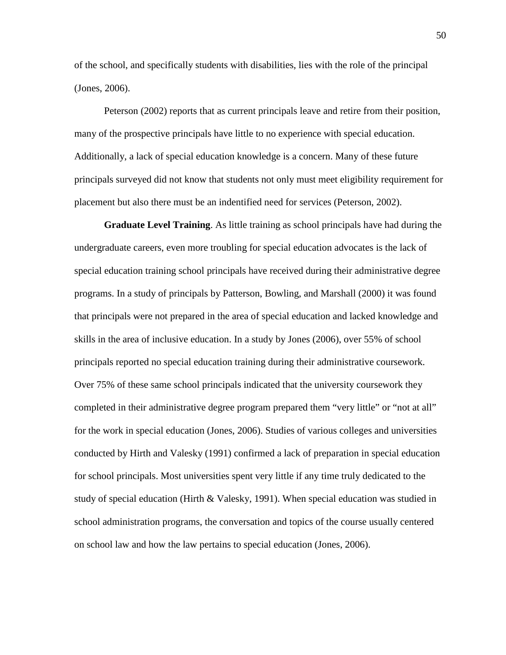of the school, and specifically students with disabilities, lies with the role of the principal (Jones, 2006).

Peterson (2002) reports that as current principals leave and retire from their position, many of the prospective principals have little to no experience with special education. Additionally, a lack of special education knowledge is a concern. Many of these future principals surveyed did not know that students not only must meet eligibility requirement for placement but also there must be an indentified need for services (Peterson, 2002).

**Graduate Level Training**. As little training as school principals have had during the undergraduate careers, even more troubling for special education advocates is the lack of special education training school principals have received during their administrative degree programs. In a study of principals by Patterson, Bowling, and Marshall (2000) it was found that principals were not prepared in the area of special education and lacked knowledge and skills in the area of inclusive education. In a study by Jones (2006), over 55% of school principals reported no special education training during their administrative coursework. Over 75% of these same school principals indicated that the university coursework they completed in their administrative degree program prepared them "very little" or "not at all" for the work in special education (Jones, 2006). Studies of various colleges and universities conducted by Hirth and Valesky (1991) confirmed a lack of preparation in special education for school principals. Most universities spent very little if any time truly dedicated to the study of special education (Hirth  $\&$  Valesky, 1991). When special education was studied in school administration programs, the conversation and topics of the course usually centered on school law and how the law pertains to special education (Jones, 2006).

50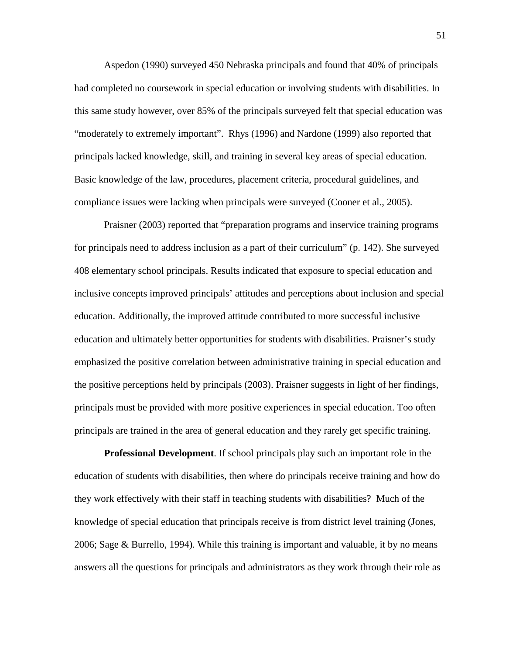Aspedon (1990) surveyed 450 Nebraska principals and found that 40% of principals had completed no coursework in special education or involving students with disabilities. In this same study however, over 85% of the principals surveyed felt that special education was "moderately to extremely important". Rhys (1996) and Nardone (1999) also reported that principals lacked knowledge, skill, and training in several key areas of special education. Basic knowledge of the law, procedures, placement criteria, procedural guidelines, and compliance issues were lacking when principals were surveyed (Cooner et al., 2005).

Praisner (2003) reported that "preparation programs and inservice training programs for principals need to address inclusion as a part of their curriculum" (p. 142). She surveyed 408 elementary school principals. Results indicated that exposure to special education and inclusive concepts improved principals' attitudes and perceptions about inclusion and special education. Additionally, the improved attitude contributed to more successful inclusive education and ultimately better opportunities for students with disabilities. Praisner's study emphasized the positive correlation between administrative training in special education and the positive perceptions held by principals (2003). Praisner suggests in light of her findings, principals must be provided with more positive experiences in special education. Too often principals are trained in the area of general education and they rarely get specific training.

**Professional Development**. If school principals play such an important role in the education of students with disabilities, then where do principals receive training and how do they work effectively with their staff in teaching students with disabilities? Much of the knowledge of special education that principals receive is from district level training (Jones, 2006; Sage & Burrello, 1994). While this training is important and valuable, it by no means answers all the questions for principals and administrators as they work through their role as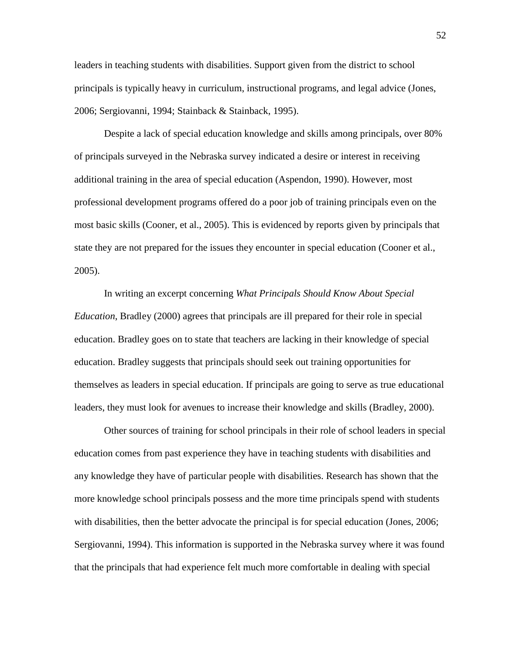leaders in teaching students with disabilities. Support given from the district to school principals is typically heavy in curriculum, instructional programs, and legal advice (Jones, 2006; Sergiovanni, 1994; Stainback & Stainback, 1995).

Despite a lack of special education knowledge and skills among principals, over 80% of principals surveyed in the Nebraska survey indicated a desire or interest in receiving additional training in the area of special education (Aspendon, 1990). However, most professional development programs offered do a poor job of training principals even on the most basic skills (Cooner, et al., 2005). This is evidenced by reports given by principals that state they are not prepared for the issues they encounter in special education (Cooner et al., 2005).

In writing an excerpt concerning *What Principals Should Know About Special Education*, Bradley (2000) agrees that principals are ill prepared for their role in special education. Bradley goes on to state that teachers are lacking in their knowledge of special education. Bradley suggests that principals should seek out training opportunities for themselves as leaders in special education. If principals are going to serve as true educational leaders, they must look for avenues to increase their knowledge and skills (Bradley, 2000).

Other sources of training for school principals in their role of school leaders in special education comes from past experience they have in teaching students with disabilities and any knowledge they have of particular people with disabilities. Research has shown that the more knowledge school principals possess and the more time principals spend with students with disabilities, then the better advocate the principal is for special education (Jones, 2006; Sergiovanni, 1994). This information is supported in the Nebraska survey where it was found that the principals that had experience felt much more comfortable in dealing with special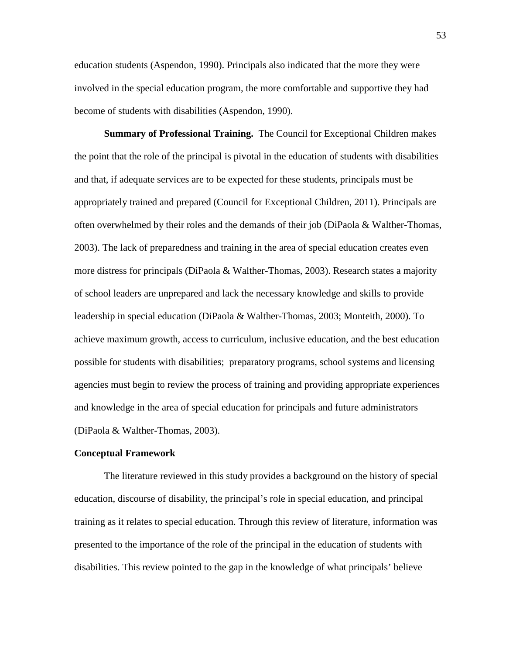education students (Aspendon, 1990). Principals also indicated that the more they were involved in the special education program, the more comfortable and supportive they had become of students with disabilities (Aspendon, 1990).

**Summary of Professional Training.** The Council for Exceptional Children makes the point that the role of the principal is pivotal in the education of students with disabilities and that, if adequate services are to be expected for these students, principals must be appropriately trained and prepared (Council for Exceptional Children, 2011). Principals are often overwhelmed by their roles and the demands of their job (DiPaola & Walther-Thomas, 2003). The lack of preparedness and training in the area of special education creates even more distress for principals (DiPaola & Walther-Thomas, 2003). Research states a majority of school leaders are unprepared and lack the necessary knowledge and skills to provide leadership in special education (DiPaola & Walther-Thomas, 2003; Monteith, 2000). To achieve maximum growth, access to curriculum, inclusive education, and the best education possible for students with disabilities; preparatory programs, school systems and licensing agencies must begin to review the process of training and providing appropriate experiences and knowledge in the area of special education for principals and future administrators (DiPaola & Walther-Thomas, 2003).

## **Conceptual Framework**

The literature reviewed in this study provides a background on the history of special education, discourse of disability, the principal's role in special education, and principal training as it relates to special education. Through this review of literature, information was presented to the importance of the role of the principal in the education of students with disabilities. This review pointed to the gap in the knowledge of what principals' believe

53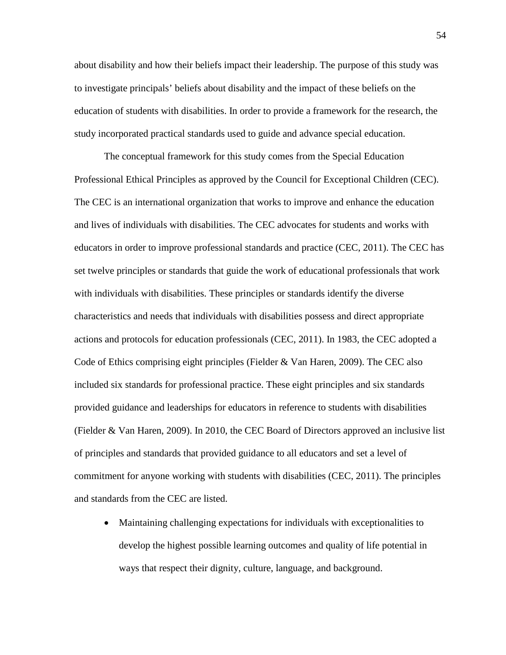about disability and how their beliefs impact their leadership. The purpose of this study was to investigate principals' beliefs about disability and the impact of these beliefs on the education of students with disabilities. In order to provide a framework for the research, the study incorporated practical standards used to guide and advance special education.

The conceptual framework for this study comes from the Special Education Professional Ethical Principles as approved by the Council for Exceptional Children (CEC). The CEC is an international organization that works to improve and enhance the education and lives of individuals with disabilities. The CEC advocates for students and works with educators in order to improve professional standards and practice (CEC, 2011). The CEC has set twelve principles or standards that guide the work of educational professionals that work with individuals with disabilities. These principles or standards identify the diverse characteristics and needs that individuals with disabilities possess and direct appropriate actions and protocols for education professionals (CEC, 2011). In 1983, the CEC adopted a Code of Ethics comprising eight principles (Fielder & Van Haren, 2009). The CEC also included six standards for professional practice. These eight principles and six standards provided guidance and leaderships for educators in reference to students with disabilities (Fielder & Van Haren, 2009). In 2010, the CEC Board of Directors approved an inclusive list of principles and standards that provided guidance to all educators and set a level of commitment for anyone working with students with disabilities (CEC, 2011). The principles and standards from the CEC are listed.

• Maintaining challenging expectations for individuals with exceptionalities to develop the highest possible learning outcomes and quality of life potential in ways that respect their dignity, culture, language, and background.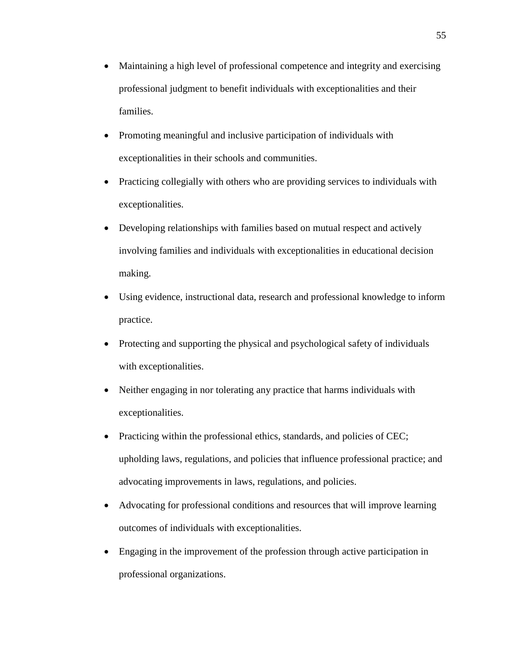- Maintaining a high level of professional competence and integrity and exercising professional judgment to benefit individuals with exceptionalities and their families.
- Promoting meaningful and inclusive participation of individuals with exceptionalities in their schools and communities.
- Practicing collegially with others who are providing services to individuals with exceptionalities.
- Developing relationships with families based on mutual respect and actively involving families and individuals with exceptionalities in educational decision making.
- Using evidence, instructional data, research and professional knowledge to inform practice.
- Protecting and supporting the physical and psychological safety of individuals with exceptionalities.
- Neither engaging in nor tolerating any practice that harms individuals with exceptionalities.
- Practicing within the professional ethics, standards, and policies of CEC; upholding laws, regulations, and policies that influence professional practice; and advocating improvements in laws, regulations, and policies.
- Advocating for professional conditions and resources that will improve learning outcomes of individuals with exceptionalities.
- Engaging in the improvement of the profession through active participation in professional organizations.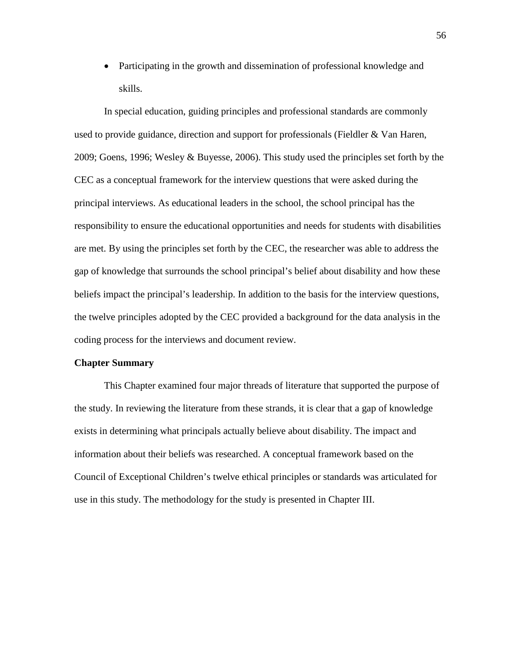• Participating in the growth and dissemination of professional knowledge and skills.

In special education, guiding principles and professional standards are commonly used to provide guidance, direction and support for professionals (Fieldler & Van Haren, 2009; Goens, 1996; Wesley & Buyesse, 2006). This study used the principles set forth by the CEC as a conceptual framework for the interview questions that were asked during the principal interviews. As educational leaders in the school, the school principal has the responsibility to ensure the educational opportunities and needs for students with disabilities are met. By using the principles set forth by the CEC, the researcher was able to address the gap of knowledge that surrounds the school principal's belief about disability and how these beliefs impact the principal's leadership. In addition to the basis for the interview questions, the twelve principles adopted by the CEC provided a background for the data analysis in the coding process for the interviews and document review.

#### **Chapter Summary**

This Chapter examined four major threads of literature that supported the purpose of the study. In reviewing the literature from these strands, it is clear that a gap of knowledge exists in determining what principals actually believe about disability. The impact and information about their beliefs was researched. A conceptual framework based on the Council of Exceptional Children's twelve ethical principles or standards was articulated for use in this study. The methodology for the study is presented in Chapter III.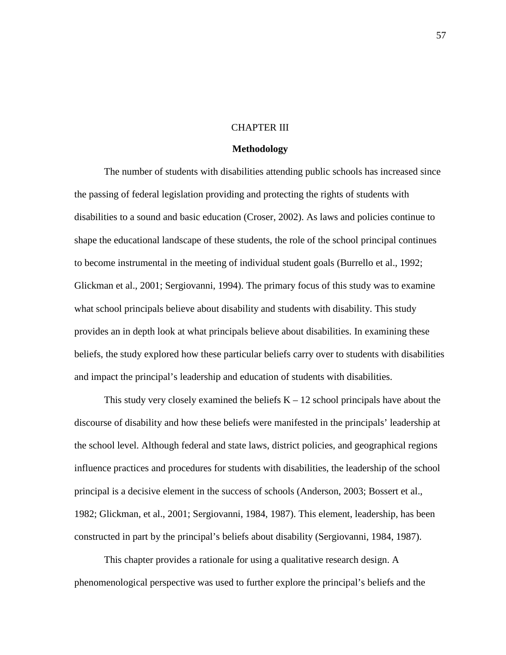## CHAPTER III

#### **Methodology**

The number of students with disabilities attending public schools has increased since the passing of federal legislation providing and protecting the rights of students with disabilities to a sound and basic education (Croser, 2002). As laws and policies continue to shape the educational landscape of these students, the role of the school principal continues to become instrumental in the meeting of individual student goals (Burrello et al., 1992; Glickman et al., 2001; Sergiovanni, 1994). The primary focus of this study was to examine what school principals believe about disability and students with disability. This study provides an in depth look at what principals believe about disabilities. In examining these beliefs, the study explored how these particular beliefs carry over to students with disabilities and impact the principal's leadership and education of students with disabilities.

This study very closely examined the beliefs  $K - 12$  school principals have about the discourse of disability and how these beliefs were manifested in the principals' leadership at the school level. Although federal and state laws, district policies, and geographical regions influence practices and procedures for students with disabilities, the leadership of the school principal is a decisive element in the success of schools (Anderson, 2003; Bossert et al., 1982; Glickman, et al., 2001; Sergiovanni, 1984, 1987). This element, leadership, has been constructed in part by the principal's beliefs about disability (Sergiovanni, 1984, 1987).

This chapter provides a rationale for using a qualitative research design. A phenomenological perspective was used to further explore the principal's beliefs and the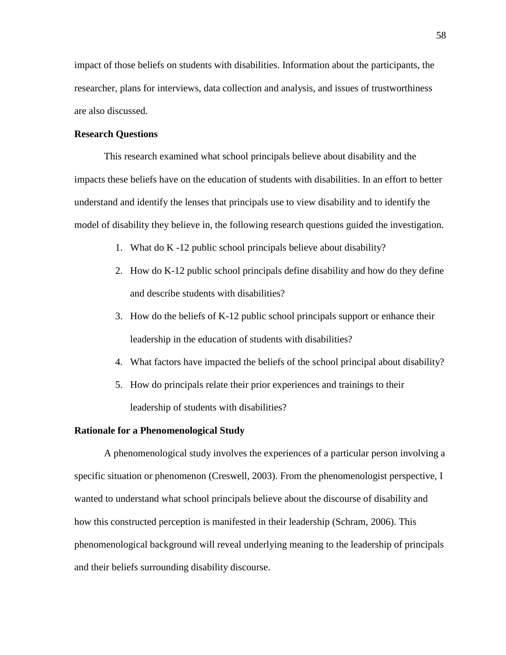impact of those beliefs on students with disabilities. Information about the participants, the researcher, plans for interviews, data collection and analysis, and issues of trustworthiness are also discussed.

## **Research Questions**

This research examined what school principals believe about disability and the impacts these beliefs have on the education of students with disabilities. In an effort to better understand and identify the lenses that principals use to view disability and to identify the model of disability they believe in, the following research questions guided the investigation.

- 1. What do K -12 public school principals believe about disability?
- 2. How do K-12 public school principals define disability and how do they define and describe students with disabilities?
- 3. How do the beliefs of K-12 public school principals support or enhance their leadership in the education of students with disabilities?
- 4. What factors have impacted the beliefs of the school principal about disability?
- 5. How do principals relate their prior experiences and trainings to their leadership of students with disabilities?

## **Rationale for a Phenomenological Study**

A phenomenological study involves the experiences of a particular person involving a specific situation or phenomenon (Creswell, 2003). From the phenomenologist perspective, I wanted to understand what school principals believe about the discourse of disability and how this constructed perception is manifested in their leadership (Schram, 2006). This phenomenological background will reveal underlying meaning to the leadership of principals and their beliefs surrounding disability discourse.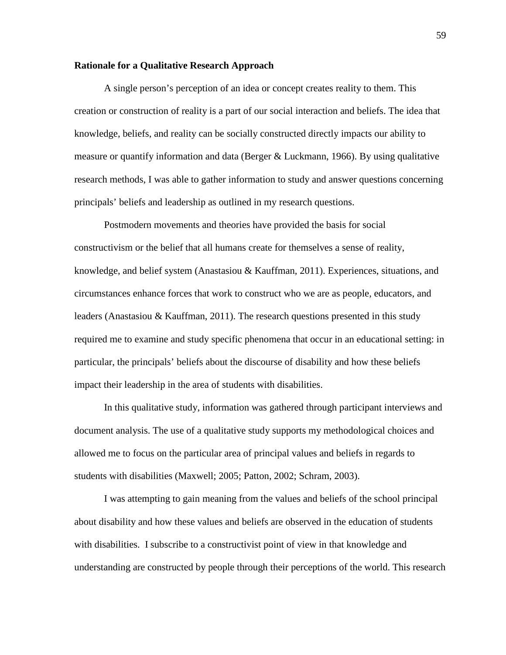## **Rationale for a Qualitative Research Approach**

A single person's perception of an idea or concept creates reality to them. This creation or construction of reality is a part of our social interaction and beliefs. The idea that knowledge, beliefs, and reality can be socially constructed directly impacts our ability to measure or quantify information and data (Berger & Luckmann, 1966). By using qualitative research methods, I was able to gather information to study and answer questions concerning principals' beliefs and leadership as outlined in my research questions.

Postmodern movements and theories have provided the basis for social constructivism or the belief that all humans create for themselves a sense of reality, knowledge, and belief system (Anastasiou & Kauffman, 2011). Experiences, situations, and circumstances enhance forces that work to construct who we are as people, educators, and leaders (Anastasiou & Kauffman, 2011). The research questions presented in this study required me to examine and study specific phenomena that occur in an educational setting: in particular, the principals' beliefs about the discourse of disability and how these beliefs impact their leadership in the area of students with disabilities.

In this qualitative study, information was gathered through participant interviews and document analysis. The use of a qualitative study supports my methodological choices and allowed me to focus on the particular area of principal values and beliefs in regards to students with disabilities (Maxwell; 2005; Patton, 2002; Schram, 2003).

I was attempting to gain meaning from the values and beliefs of the school principal about disability and how these values and beliefs are observed in the education of students with disabilities. I subscribe to a constructivist point of view in that knowledge and understanding are constructed by people through their perceptions of the world. This research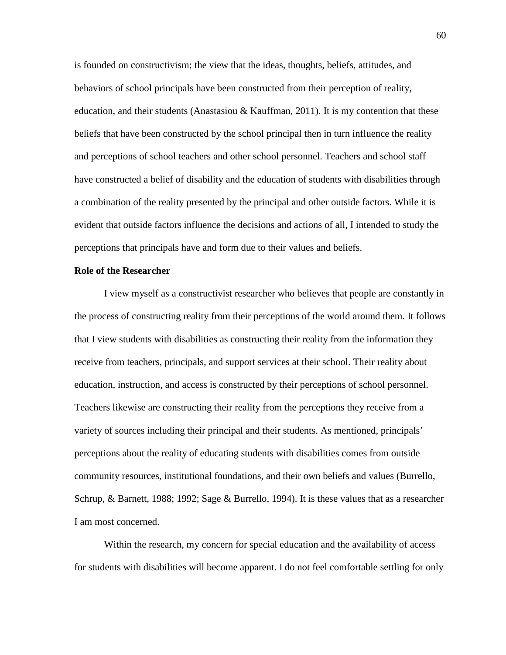is founded on constructivism; the view that the ideas, thoughts, beliefs, attitudes, and behaviors of school principals have been constructed from their perception of reality, education, and their students (Anastasiou & Kauffman, 2011). It is my contention that these beliefs that have been constructed by the school principal then in turn influence the reality and perceptions of school teachers and other school personnel. Teachers and school staff have constructed a belief of disability and the education of students with disabilities through a combination of the reality presented by the principal and other outside factors. While it is evident that outside factors influence the decisions and actions of all, I intended to study the perceptions that principals have and form due to their values and beliefs.

## **Role of the Researcher**

I view myself as a constructivist researcher who believes that people are constantly in the process of constructing reality from their perceptions of the world around them. It follows that I view students with disabilities as constructing their reality from the information they receive from teachers, principals, and support services at their school. Their reality about education, instruction, and access is constructed by their perceptions of school personnel. Teachers likewise are constructing their reality from the perceptions they receive from a variety of sources including their principal and their students. As mentioned, principals' perceptions about the reality of educating students with disabilities comes from outside community resources, institutional foundations, and their own beliefs and values (Burrello, Schrup, & Barnett, 1988; 1992; Sage & Burrello, 1994). It is these values that as a researcher I am most concerned.

Within the research, my concern for special education and the availability of access for students with disabilities will become apparent. I do not feel comfortable settling for only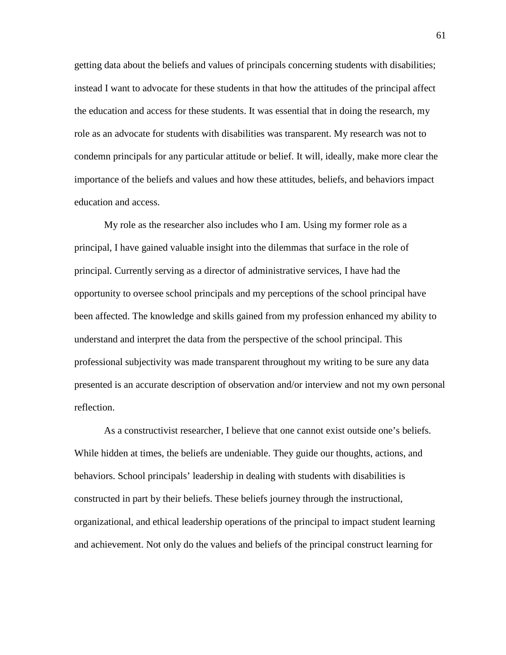getting data about the beliefs and values of principals concerning students with disabilities; instead I want to advocate for these students in that how the attitudes of the principal affect the education and access for these students. It was essential that in doing the research, my role as an advocate for students with disabilities was transparent. My research was not to condemn principals for any particular attitude or belief. It will, ideally, make more clear the importance of the beliefs and values and how these attitudes, beliefs, and behaviors impact education and access.

My role as the researcher also includes who I am. Using my former role as a principal, I have gained valuable insight into the dilemmas that surface in the role of principal. Currently serving as a director of administrative services, I have had the opportunity to oversee school principals and my perceptions of the school principal have been affected. The knowledge and skills gained from my profession enhanced my ability to understand and interpret the data from the perspective of the school principal. This professional subjectivity was made transparent throughout my writing to be sure any data presented is an accurate description of observation and/or interview and not my own personal reflection.

As a constructivist researcher, I believe that one cannot exist outside one's beliefs. While hidden at times, the beliefs are undeniable. They guide our thoughts, actions, and behaviors. School principals' leadership in dealing with students with disabilities is constructed in part by their beliefs. These beliefs journey through the instructional, organizational, and ethical leadership operations of the principal to impact student learning and achievement. Not only do the values and beliefs of the principal construct learning for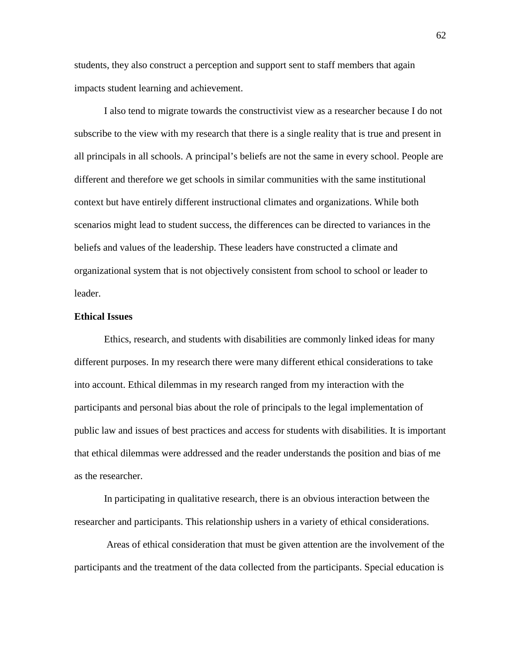students, they also construct a perception and support sent to staff members that again impacts student learning and achievement.

I also tend to migrate towards the constructivist view as a researcher because I do not subscribe to the view with my research that there is a single reality that is true and present in all principals in all schools. A principal's beliefs are not the same in every school. People are different and therefore we get schools in similar communities with the same institutional context but have entirely different instructional climates and organizations. While both scenarios might lead to student success, the differences can be directed to variances in the beliefs and values of the leadership. These leaders have constructed a climate and organizational system that is not objectively consistent from school to school or leader to leader.

## **Ethical Issues**

Ethics, research, and students with disabilities are commonly linked ideas for many different purposes. In my research there were many different ethical considerations to take into account. Ethical dilemmas in my research ranged from my interaction with the participants and personal bias about the role of principals to the legal implementation of public law and issues of best practices and access for students with disabilities. It is important that ethical dilemmas were addressed and the reader understands the position and bias of me as the researcher.

In participating in qualitative research, there is an obvious interaction between the researcher and participants. This relationship ushers in a variety of ethical considerations.

Areas of ethical consideration that must be given attention are the involvement of the participants and the treatment of the data collected from the participants. Special education is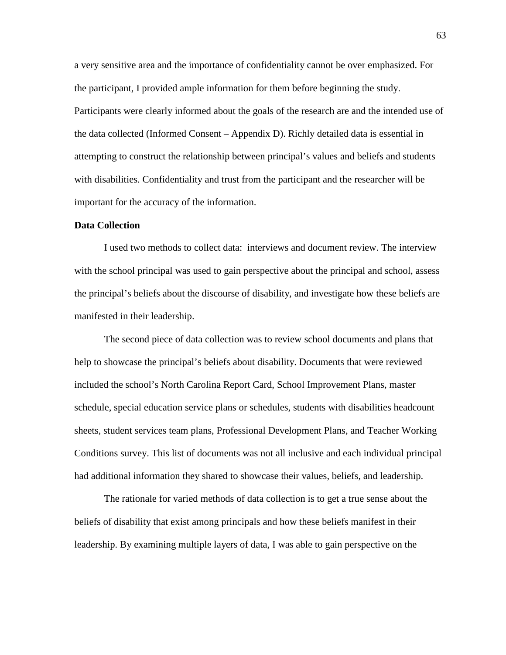a very sensitive area and the importance of confidentiality cannot be over emphasized. For the participant, I provided ample information for them before beginning the study. Participants were clearly informed about the goals of the research are and the intended use of the data collected (Informed Consent – Appendix D). Richly detailed data is essential in attempting to construct the relationship between principal's values and beliefs and students with disabilities. Confidentiality and trust from the participant and the researcher will be important for the accuracy of the information.

## **Data Collection**

I used two methods to collect data: interviews and document review. The interview with the school principal was used to gain perspective about the principal and school, assess the principal's beliefs about the discourse of disability, and investigate how these beliefs are manifested in their leadership.

The second piece of data collection was to review school documents and plans that help to showcase the principal's beliefs about disability. Documents that were reviewed included the school's North Carolina Report Card, School Improvement Plans, master schedule, special education service plans or schedules, students with disabilities headcount sheets, student services team plans, Professional Development Plans, and Teacher Working Conditions survey. This list of documents was not all inclusive and each individual principal had additional information they shared to showcase their values, beliefs, and leadership.

The rationale for varied methods of data collection is to get a true sense about the beliefs of disability that exist among principals and how these beliefs manifest in their leadership. By examining multiple layers of data, I was able to gain perspective on the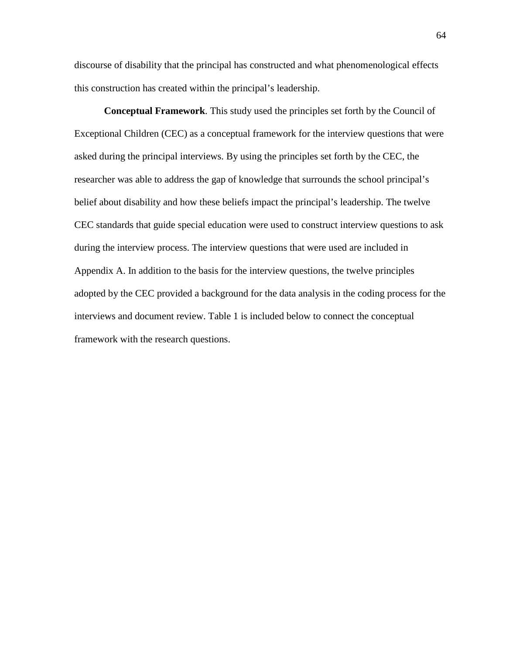discourse of disability that the principal has constructed and what phenomenological effects this construction has created within the principal's leadership.

**Conceptual Framework**. This study used the principles set forth by the Council of Exceptional Children (CEC) as a conceptual framework for the interview questions that were asked during the principal interviews. By using the principles set forth by the CEC, the researcher was able to address the gap of knowledge that surrounds the school principal's belief about disability and how these beliefs impact the principal's leadership. The twelve CEC standards that guide special education were used to construct interview questions to ask during the interview process. The interview questions that were used are included in Appendix A. In addition to the basis for the interview questions, the twelve principles adopted by the CEC provided a background for the data analysis in the coding process for the interviews and document review. Table 1 is included below to connect the conceptual framework with the research questions.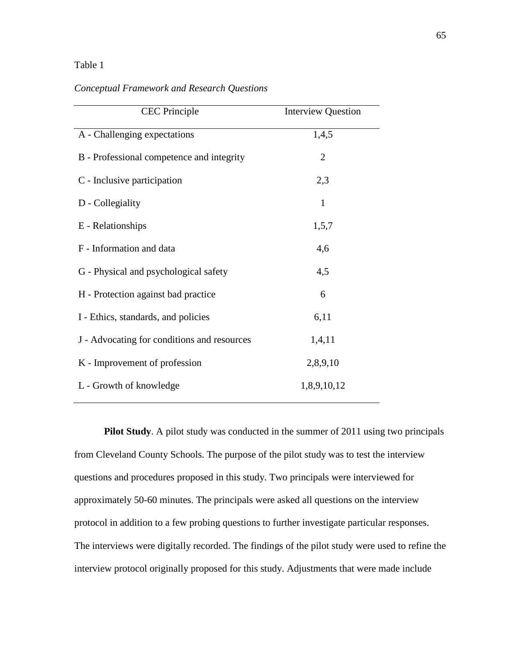## Table 1

## *Conceptual Framework and Research Questions*

| <b>CEC</b> Principle                        | <b>Interview Question</b> |
|---------------------------------------------|---------------------------|
| A - Challenging expectations                | 1,4,5                     |
| B - Professional competence and integrity   | $\overline{2}$            |
| C - Inclusive participation                 | 2,3                       |
| D - Collegiality                            | 1                         |
| E - Relationships                           | 1,5,7                     |
| F - Information and data                    | 4,6                       |
| G - Physical and psychological safety       | 4,5                       |
| H - Protection against bad practice         | 6                         |
| I - Ethics, standards, and policies         | 6,11                      |
| J - Advocating for conditions and resources | 1,4,11                    |
| K - Improvement of profession               | 2,8,9,10                  |
| L - Growth of knowledge                     | 1,8,9,10,12               |

**Pilot Study**. A pilot study was conducted in the summer of 2011 using two principals from Cleveland County Schools. The purpose of the pilot study was to test the interview questions and procedures proposed in this study. Two principals were interviewed for approximately 50-60 minutes. The principals were asked all questions on the interview protocol in addition to a few probing questions to further investigate particular responses. The interviews were digitally recorded. The findings of the pilot study were used to refine the interview protocol originally proposed for this study. Adjustments that were made include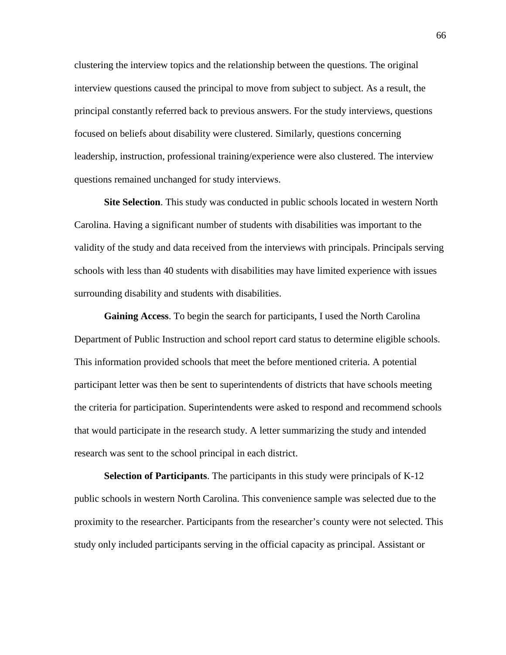clustering the interview topics and the relationship between the questions. The original interview questions caused the principal to move from subject to subject. As a result, the principal constantly referred back to previous answers. For the study interviews, questions focused on beliefs about disability were clustered. Similarly, questions concerning leadership, instruction, professional training/experience were also clustered. The interview questions remained unchanged for study interviews.

**Site Selection**. This study was conducted in public schools located in western North Carolina. Having a significant number of students with disabilities was important to the validity of the study and data received from the interviews with principals. Principals serving schools with less than 40 students with disabilities may have limited experience with issues surrounding disability and students with disabilities.

**Gaining Access**. To begin the search for participants, I used the North Carolina Department of Public Instruction and school report card status to determine eligible schools. This information provided schools that meet the before mentioned criteria. A potential participant letter was then be sent to superintendents of districts that have schools meeting the criteria for participation. Superintendents were asked to respond and recommend schools that would participate in the research study. A letter summarizing the study and intended research was sent to the school principal in each district.

**Selection of Participants**. The participants in this study were principals of K-12 public schools in western North Carolina. This convenience sample was selected due to the proximity to the researcher. Participants from the researcher's county were not selected. This study only included participants serving in the official capacity as principal. Assistant or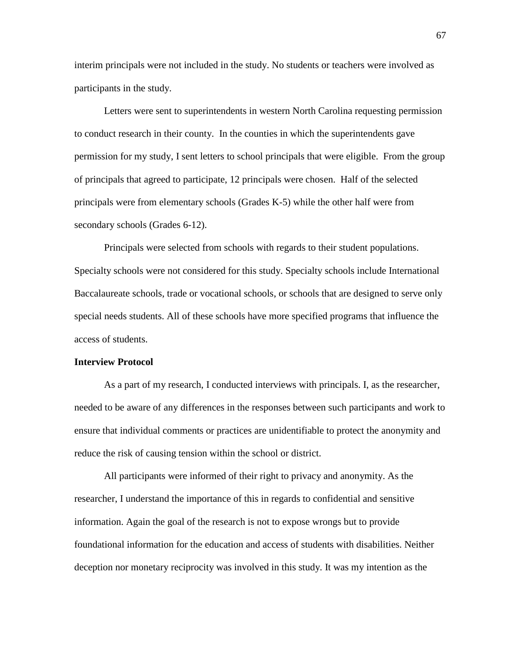interim principals were not included in the study. No students or teachers were involved as participants in the study.

Letters were sent to superintendents in western North Carolina requesting permission to conduct research in their county. In the counties in which the superintendents gave permission for my study, I sent letters to school principals that were eligible. From the group of principals that agreed to participate, 12 principals were chosen. Half of the selected principals were from elementary schools (Grades K-5) while the other half were from secondary schools (Grades 6-12).

Principals were selected from schools with regards to their student populations. Specialty schools were not considered for this study. Specialty schools include International Baccalaureate schools, trade or vocational schools, or schools that are designed to serve only special needs students. All of these schools have more specified programs that influence the access of students.

#### **Interview Protocol**

As a part of my research, I conducted interviews with principals. I, as the researcher, needed to be aware of any differences in the responses between such participants and work to ensure that individual comments or practices are unidentifiable to protect the anonymity and reduce the risk of causing tension within the school or district.

All participants were informed of their right to privacy and anonymity. As the researcher, I understand the importance of this in regards to confidential and sensitive information. Again the goal of the research is not to expose wrongs but to provide foundational information for the education and access of students with disabilities. Neither deception nor monetary reciprocity was involved in this study. It was my intention as the

67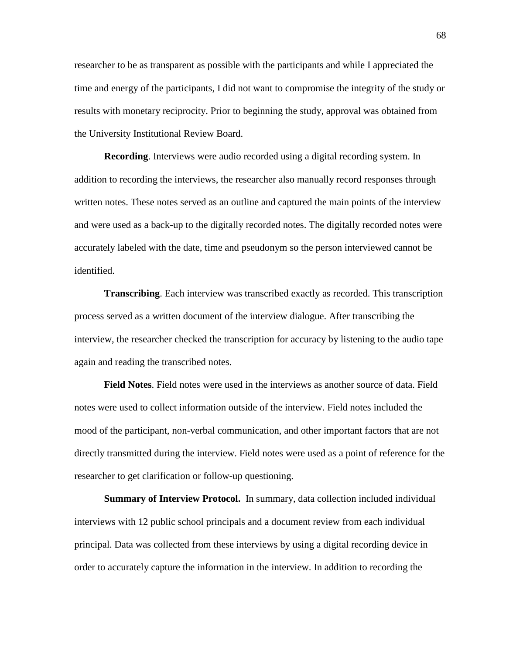researcher to be as transparent as possible with the participants and while I appreciated the time and energy of the participants, I did not want to compromise the integrity of the study or results with monetary reciprocity. Prior to beginning the study, approval was obtained from the University Institutional Review Board.

**Recording**. Interviews were audio recorded using a digital recording system. In addition to recording the interviews, the researcher also manually record responses through written notes. These notes served as an outline and captured the main points of the interview and were used as a back-up to the digitally recorded notes. The digitally recorded notes were accurately labeled with the date, time and pseudonym so the person interviewed cannot be identified.

**Transcribing**. Each interview was transcribed exactly as recorded. This transcription process served as a written document of the interview dialogue. After transcribing the interview, the researcher checked the transcription for accuracy by listening to the audio tape again and reading the transcribed notes.

**Field Notes**. Field notes were used in the interviews as another source of data. Field notes were used to collect information outside of the interview. Field notes included the mood of the participant, non-verbal communication, and other important factors that are not directly transmitted during the interview. Field notes were used as a point of reference for the researcher to get clarification or follow-up questioning.

**Summary of Interview Protocol.** In summary, data collection included individual interviews with 12 public school principals and a document review from each individual principal. Data was collected from these interviews by using a digital recording device in order to accurately capture the information in the interview. In addition to recording the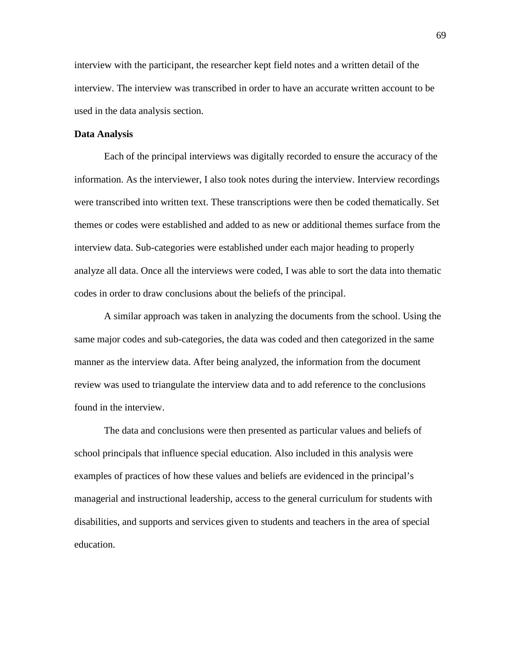interview with the participant, the researcher kept field notes and a written detail of the interview. The interview was transcribed in order to have an accurate written account to be used in the data analysis section.

## **Data Analysis**

Each of the principal interviews was digitally recorded to ensure the accuracy of the information. As the interviewer, I also took notes during the interview. Interview recordings were transcribed into written text. These transcriptions were then be coded thematically. Set themes or codes were established and added to as new or additional themes surface from the interview data. Sub-categories were established under each major heading to properly analyze all data. Once all the interviews were coded, I was able to sort the data into thematic codes in order to draw conclusions about the beliefs of the principal.

A similar approach was taken in analyzing the documents from the school. Using the same major codes and sub-categories, the data was coded and then categorized in the same manner as the interview data. After being analyzed, the information from the document review was used to triangulate the interview data and to add reference to the conclusions found in the interview.

The data and conclusions were then presented as particular values and beliefs of school principals that influence special education. Also included in this analysis were examples of practices of how these values and beliefs are evidenced in the principal's managerial and instructional leadership, access to the general curriculum for students with disabilities, and supports and services given to students and teachers in the area of special education.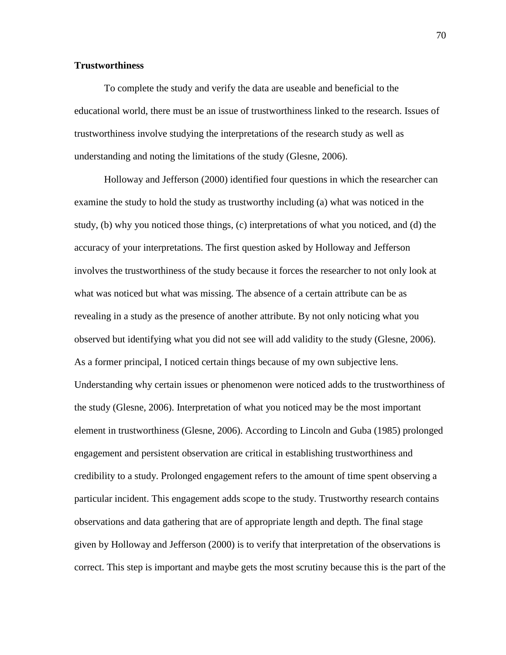## **Trustworthiness**

To complete the study and verify the data are useable and beneficial to the educational world, there must be an issue of trustworthiness linked to the research. Issues of trustworthiness involve studying the interpretations of the research study as well as understanding and noting the limitations of the study (Glesne, 2006).

Holloway and Jefferson (2000) identified four questions in which the researcher can examine the study to hold the study as trustworthy including (a) what was noticed in the study, (b) why you noticed those things, (c) interpretations of what you noticed, and (d) the accuracy of your interpretations. The first question asked by Holloway and Jefferson involves the trustworthiness of the study because it forces the researcher to not only look at what was noticed but what was missing. The absence of a certain attribute can be as revealing in a study as the presence of another attribute. By not only noticing what you observed but identifying what you did not see will add validity to the study (Glesne, 2006). As a former principal, I noticed certain things because of my own subjective lens. Understanding why certain issues or phenomenon were noticed adds to the trustworthiness of the study (Glesne, 2006). Interpretation of what you noticed may be the most important element in trustworthiness (Glesne, 2006). According to Lincoln and Guba (1985) prolonged engagement and persistent observation are critical in establishing trustworthiness and credibility to a study. Prolonged engagement refers to the amount of time spent observing a particular incident. This engagement adds scope to the study. Trustworthy research contains observations and data gathering that are of appropriate length and depth. The final stage given by Holloway and Jefferson (2000) is to verify that interpretation of the observations is correct. This step is important and maybe gets the most scrutiny because this is the part of the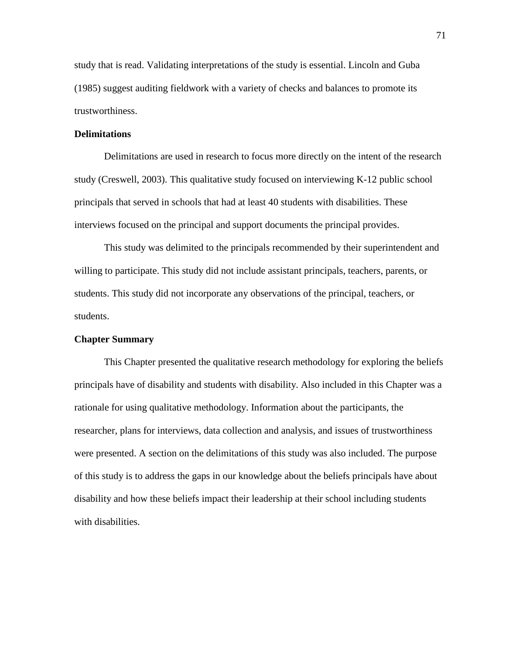study that is read. Validating interpretations of the study is essential. Lincoln and Guba (1985) suggest auditing fieldwork with a variety of checks and balances to promote its trustworthiness.

## **Delimitations**

Delimitations are used in research to focus more directly on the intent of the research study (Creswell, 2003). This qualitative study focused on interviewing K-12 public school principals that served in schools that had at least 40 students with disabilities. These interviews focused on the principal and support documents the principal provides.

This study was delimited to the principals recommended by their superintendent and willing to participate. This study did not include assistant principals, teachers, parents, or students. This study did not incorporate any observations of the principal, teachers, or students.

## **Chapter Summary**

This Chapter presented the qualitative research methodology for exploring the beliefs principals have of disability and students with disability. Also included in this Chapter was a rationale for using qualitative methodology. Information about the participants, the researcher, plans for interviews, data collection and analysis, and issues of trustworthiness were presented. A section on the delimitations of this study was also included. The purpose of this study is to address the gaps in our knowledge about the beliefs principals have about disability and how these beliefs impact their leadership at their school including students with disabilities.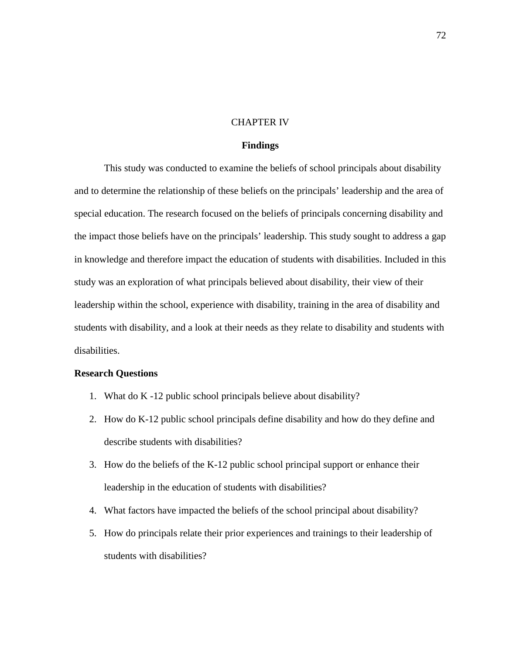## CHAPTER IV

## **Findings**

This study was conducted to examine the beliefs of school principals about disability and to determine the relationship of these beliefs on the principals' leadership and the area of special education. The research focused on the beliefs of principals concerning disability and the impact those beliefs have on the principals' leadership. This study sought to address a gap in knowledge and therefore impact the education of students with disabilities. Included in this study was an exploration of what principals believed about disability, their view of their leadership within the school, experience with disability, training in the area of disability and students with disability, and a look at their needs as they relate to disability and students with disabilities.

## **Research Questions**

- 1. What do K -12 public school principals believe about disability?
- 2. How do K-12 public school principals define disability and how do they define and describe students with disabilities?
- 3. How do the beliefs of the K-12 public school principal support or enhance their leadership in the education of students with disabilities?
- 4. What factors have impacted the beliefs of the school principal about disability?
- 5. How do principals relate their prior experiences and trainings to their leadership of students with disabilities?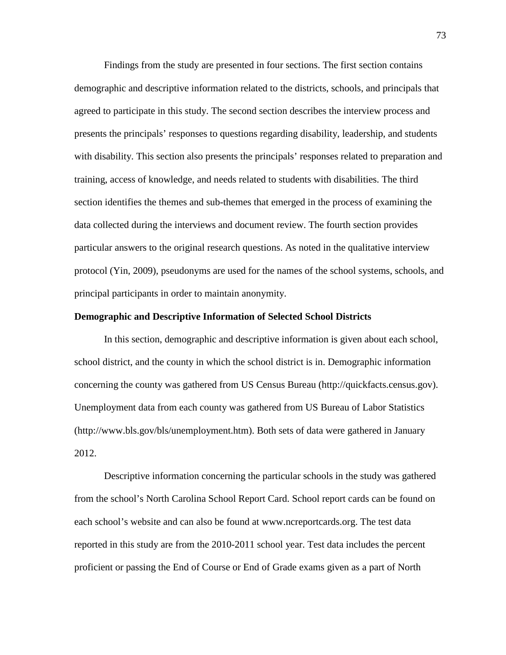Findings from the study are presented in four sections. The first section contains demographic and descriptive information related to the districts, schools, and principals that agreed to participate in this study. The second section describes the interview process and presents the principals' responses to questions regarding disability, leadership, and students with disability. This section also presents the principals' responses related to preparation and training, access of knowledge, and needs related to students with disabilities. The third section identifies the themes and sub-themes that emerged in the process of examining the data collected during the interviews and document review. The fourth section provides particular answers to the original research questions. As noted in the qualitative interview protocol (Yin, 2009), pseudonyms are used for the names of the school systems, schools, and principal participants in order to maintain anonymity.

## **Demographic and Descriptive Information of Selected School Districts**

In this section, demographic and descriptive information is given about each school, school district, and the county in which the school district is in. Demographic information concerning the county was gathered from US Census Bureau (http://quickfacts.census.gov). Unemployment data from each county was gathered from US Bureau of Labor Statistics (http://www.bls.gov/bls/unemployment.htm). Both sets of data were gathered in January 2012.

Descriptive information concerning the particular schools in the study was gathered from the school's North Carolina School Report Card. School report cards can be found on each school's website and can also be found at www.ncreportcards.org. The test data reported in this study are from the 2010-2011 school year. Test data includes the percent proficient or passing the End of Course or End of Grade exams given as a part of North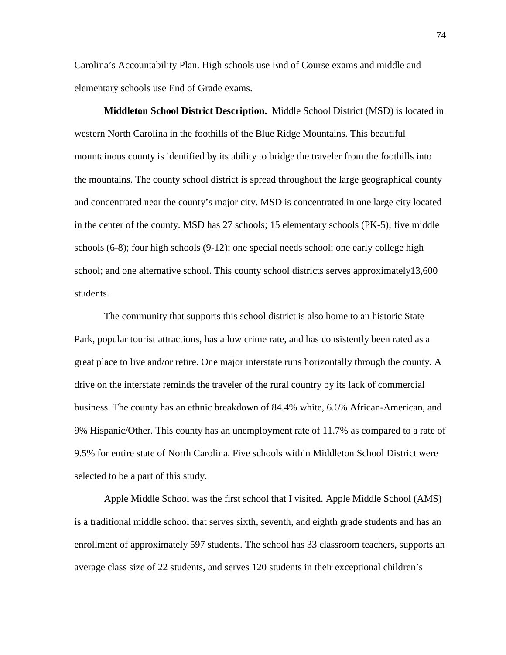Carolina's Accountability Plan. High schools use End of Course exams and middle and elementary schools use End of Grade exams.

**Middleton School District Description.** Middle School District (MSD) is located in western North Carolina in the foothills of the Blue Ridge Mountains. This beautiful mountainous county is identified by its ability to bridge the traveler from the foothills into the mountains. The county school district is spread throughout the large geographical county and concentrated near the county's major city. MSD is concentrated in one large city located in the center of the county. MSD has 27 schools; 15 elementary schools (PK-5); five middle schools (6-8); four high schools (9-12); one special needs school; one early college high school; and one alternative school. This county school districts serves approximately13,600 students.

The community that supports this school district is also home to an historic State Park, popular tourist attractions, has a low crime rate, and has consistently been rated as a great place to live and/or retire. One major interstate runs horizontally through the county. A drive on the interstate reminds the traveler of the rural country by its lack of commercial business. The county has an ethnic breakdown of 84.4% white, 6.6% African-American, and 9% Hispanic/Other. This county has an unemployment rate of 11.7% as compared to a rate of 9.5% for entire state of North Carolina. Five schools within Middleton School District were selected to be a part of this study.

Apple Middle School was the first school that I visited. Apple Middle School (AMS) is a traditional middle school that serves sixth, seventh, and eighth grade students and has an enrollment of approximately 597 students. The school has 33 classroom teachers, supports an average class size of 22 students, and serves 120 students in their exceptional children's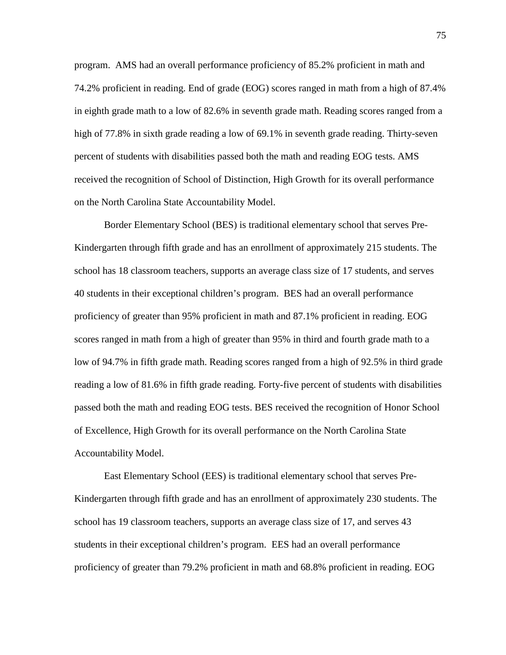program. AMS had an overall performance proficiency of 85.2% proficient in math and 74.2% proficient in reading. End of grade (EOG) scores ranged in math from a high of 87.4% in eighth grade math to a low of 82.6% in seventh grade math. Reading scores ranged from a high of 77.8% in sixth grade reading a low of 69.1% in seventh grade reading. Thirty-seven percent of students with disabilities passed both the math and reading EOG tests. AMS received the recognition of School of Distinction, High Growth for its overall performance on the North Carolina State Accountability Model.

Border Elementary School (BES) is traditional elementary school that serves Pre-Kindergarten through fifth grade and has an enrollment of approximately 215 students. The school has 18 classroom teachers, supports an average class size of 17 students, and serves 40 students in their exceptional children's program. BES had an overall performance proficiency of greater than 95% proficient in math and 87.1% proficient in reading. EOG scores ranged in math from a high of greater than 95% in third and fourth grade math to a low of 94.7% in fifth grade math. Reading scores ranged from a high of 92.5% in third grade reading a low of 81.6% in fifth grade reading. Forty-five percent of students with disabilities passed both the math and reading EOG tests. BES received the recognition of Honor School of Excellence, High Growth for its overall performance on the North Carolina State Accountability Model.

East Elementary School (EES) is traditional elementary school that serves Pre-Kindergarten through fifth grade and has an enrollment of approximately 230 students. The school has 19 classroom teachers, supports an average class size of 17, and serves 43 students in their exceptional children's program. EES had an overall performance proficiency of greater than 79.2% proficient in math and 68.8% proficient in reading. EOG

75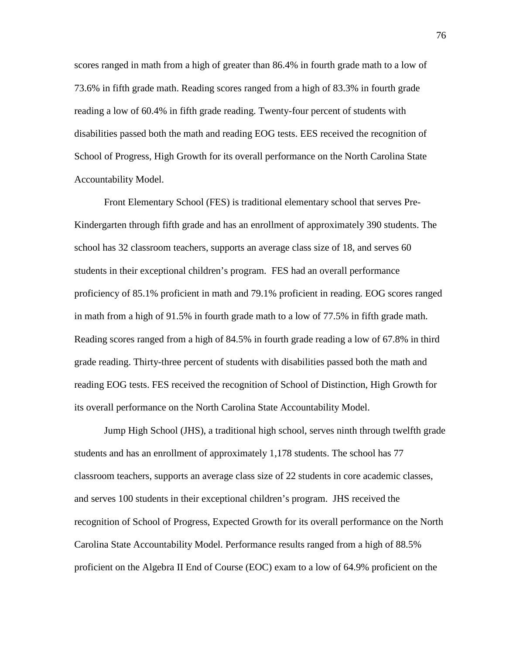scores ranged in math from a high of greater than 86.4% in fourth grade math to a low of 73.6% in fifth grade math. Reading scores ranged from a high of 83.3% in fourth grade reading a low of 60.4% in fifth grade reading. Twenty-four percent of students with disabilities passed both the math and reading EOG tests. EES received the recognition of School of Progress, High Growth for its overall performance on the North Carolina State Accountability Model.

Front Elementary School (FES) is traditional elementary school that serves Pre-Kindergarten through fifth grade and has an enrollment of approximately 390 students. The school has 32 classroom teachers, supports an average class size of 18, and serves 60 students in their exceptional children's program. FES had an overall performance proficiency of 85.1% proficient in math and 79.1% proficient in reading. EOG scores ranged in math from a high of 91.5% in fourth grade math to a low of 77.5% in fifth grade math. Reading scores ranged from a high of 84.5% in fourth grade reading a low of 67.8% in third grade reading. Thirty-three percent of students with disabilities passed both the math and reading EOG tests. FES received the recognition of School of Distinction, High Growth for its overall performance on the North Carolina State Accountability Model.

Jump High School (JHS), a traditional high school, serves ninth through twelfth grade students and has an enrollment of approximately 1,178 students. The school has 77 classroom teachers, supports an average class size of 22 students in core academic classes, and serves 100 students in their exceptional children's program. JHS received the recognition of School of Progress, Expected Growth for its overall performance on the North Carolina State Accountability Model. Performance results ranged from a high of 88.5% proficient on the Algebra II End of Course (EOC) exam to a low of 64.9% proficient on the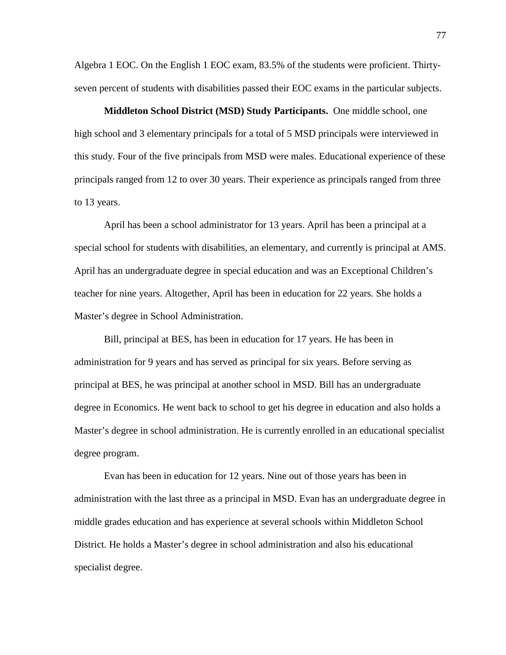Algebra 1 EOC. On the English 1 EOC exam, 83.5% of the students were proficient. Thirtyseven percent of students with disabilities passed their EOC exams in the particular subjects.

**Middleton School District (MSD) Study Participants.** One middle school, one high school and 3 elementary principals for a total of 5 MSD principals were interviewed in this study. Four of the five principals from MSD were males. Educational experience of these principals ranged from 12 to over 30 years. Their experience as principals ranged from three to 13 years.

April has been a school administrator for 13 years. April has been a principal at a special school for students with disabilities, an elementary, and currently is principal at AMS. April has an undergraduate degree in special education and was an Exceptional Children's teacher for nine years. Altogether, April has been in education for 22 years. She holds a Master's degree in School Administration.

Bill, principal at BES, has been in education for 17 years. He has been in administration for 9 years and has served as principal for six years. Before serving as principal at BES, he was principal at another school in MSD. Bill has an undergraduate degree in Economics. He went back to school to get his degree in education and also holds a Master's degree in school administration. He is currently enrolled in an educational specialist degree program.

Evan has been in education for 12 years. Nine out of those years has been in administration with the last three as a principal in MSD. Evan has an undergraduate degree in middle grades education and has experience at several schools within Middleton School District. He holds a Master's degree in school administration and also his educational specialist degree.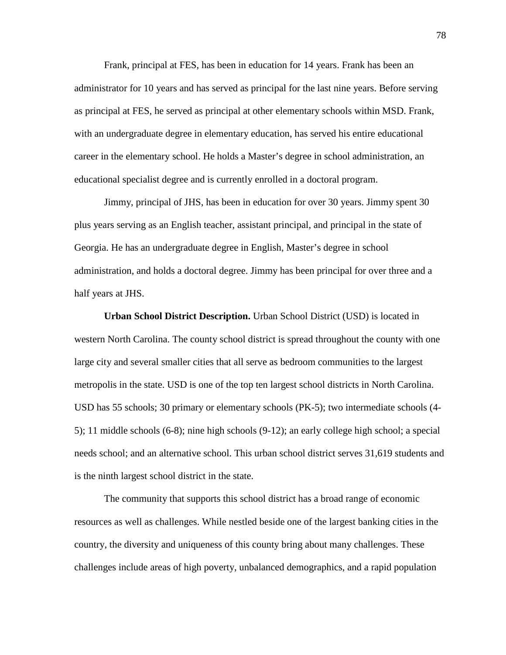Frank, principal at FES, has been in education for 14 years. Frank has been an administrator for 10 years and has served as principal for the last nine years. Before serving as principal at FES, he served as principal at other elementary schools within MSD. Frank, with an undergraduate degree in elementary education, has served his entire educational career in the elementary school. He holds a Master's degree in school administration, an educational specialist degree and is currently enrolled in a doctoral program.

Jimmy, principal of JHS, has been in education for over 30 years. Jimmy spent 30 plus years serving as an English teacher, assistant principal, and principal in the state of Georgia. He has an undergraduate degree in English, Master's degree in school administration, and holds a doctoral degree. Jimmy has been principal for over three and a half years at JHS.

**Urban School District Description.** Urban School District (USD) is located in western North Carolina. The county school district is spread throughout the county with one large city and several smaller cities that all serve as bedroom communities to the largest metropolis in the state. USD is one of the top ten largest school districts in North Carolina. USD has 55 schools; 30 primary or elementary schools (PK-5); two intermediate schools (4- 5); 11 middle schools (6-8); nine high schools (9-12); an early college high school; a special needs school; and an alternative school. This urban school district serves 31,619 students and is the ninth largest school district in the state.

The community that supports this school district has a broad range of economic resources as well as challenges. While nestled beside one of the largest banking cities in the country, the diversity and uniqueness of this county bring about many challenges. These challenges include areas of high poverty, unbalanced demographics, and a rapid population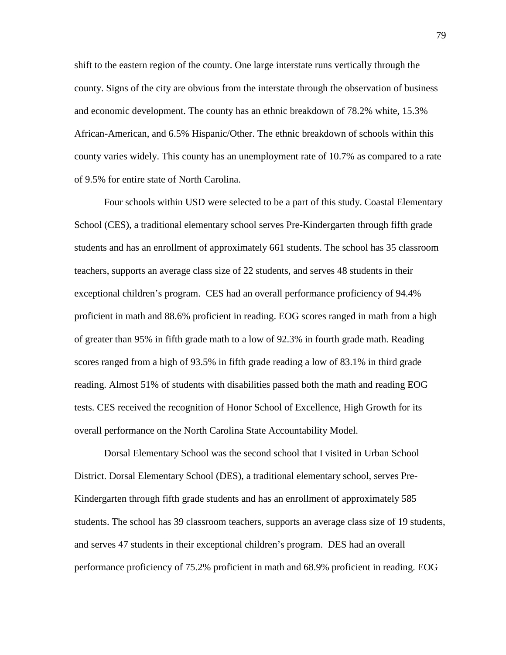shift to the eastern region of the county. One large interstate runs vertically through the county. Signs of the city are obvious from the interstate through the observation of business and economic development. The county has an ethnic breakdown of 78.2% white, 15.3% African-American, and 6.5% Hispanic/Other. The ethnic breakdown of schools within this county varies widely. This county has an unemployment rate of 10.7% as compared to a rate of 9.5% for entire state of North Carolina.

Four schools within USD were selected to be a part of this study. Coastal Elementary School (CES), a traditional elementary school serves Pre-Kindergarten through fifth grade students and has an enrollment of approximately 661 students. The school has 35 classroom teachers, supports an average class size of 22 students, and serves 48 students in their exceptional children's program. CES had an overall performance proficiency of 94.4% proficient in math and 88.6% proficient in reading. EOG scores ranged in math from a high of greater than 95% in fifth grade math to a low of 92.3% in fourth grade math. Reading scores ranged from a high of 93.5% in fifth grade reading a low of 83.1% in third grade reading. Almost 51% of students with disabilities passed both the math and reading EOG tests. CES received the recognition of Honor School of Excellence, High Growth for its overall performance on the North Carolina State Accountability Model.

Dorsal Elementary School was the second school that I visited in Urban School District. Dorsal Elementary School (DES), a traditional elementary school, serves Pre-Kindergarten through fifth grade students and has an enrollment of approximately 585 students. The school has 39 classroom teachers, supports an average class size of 19 students, and serves 47 students in their exceptional children's program. DES had an overall performance proficiency of 75.2% proficient in math and 68.9% proficient in reading. EOG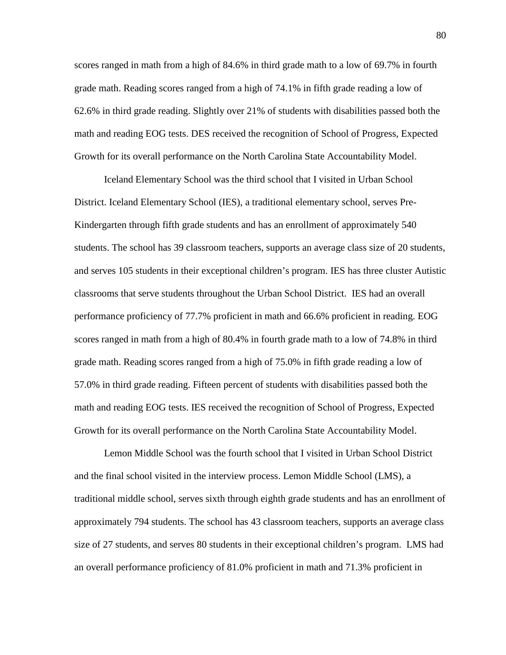scores ranged in math from a high of 84.6% in third grade math to a low of 69.7% in fourth grade math. Reading scores ranged from a high of 74.1% in fifth grade reading a low of 62.6% in third grade reading. Slightly over 21% of students with disabilities passed both the math and reading EOG tests. DES received the recognition of School of Progress, Expected Growth for its overall performance on the North Carolina State Accountability Model.

Iceland Elementary School was the third school that I visited in Urban School District. Iceland Elementary School (IES), a traditional elementary school, serves Pre-Kindergarten through fifth grade students and has an enrollment of approximately 540 students. The school has 39 classroom teachers, supports an average class size of 20 students, and serves 105 students in their exceptional children's program. IES has three cluster Autistic classrooms that serve students throughout the Urban School District. IES had an overall performance proficiency of 77.7% proficient in math and 66.6% proficient in reading. EOG scores ranged in math from a high of 80.4% in fourth grade math to a low of 74.8% in third grade math. Reading scores ranged from a high of 75.0% in fifth grade reading a low of 57.0% in third grade reading. Fifteen percent of students with disabilities passed both the math and reading EOG tests. IES received the recognition of School of Progress, Expected Growth for its overall performance on the North Carolina State Accountability Model.

Lemon Middle School was the fourth school that I visited in Urban School District and the final school visited in the interview process. Lemon Middle School (LMS), a traditional middle school, serves sixth through eighth grade students and has an enrollment of approximately 794 students. The school has 43 classroom teachers, supports an average class size of 27 students, and serves 80 students in their exceptional children's program. LMS had an overall performance proficiency of 81.0% proficient in math and 71.3% proficient in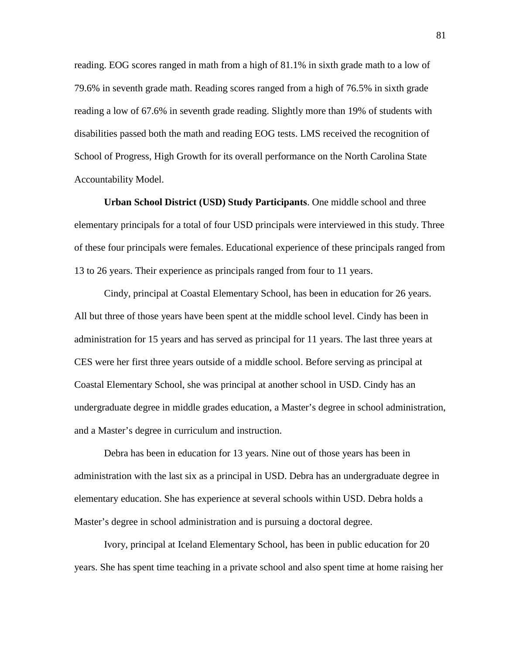reading. EOG scores ranged in math from a high of 81.1% in sixth grade math to a low of 79.6% in seventh grade math. Reading scores ranged from a high of 76.5% in sixth grade reading a low of 67.6% in seventh grade reading. Slightly more than 19% of students with disabilities passed both the math and reading EOG tests. LMS received the recognition of School of Progress, High Growth for its overall performance on the North Carolina State Accountability Model.

**Urban School District (USD) Study Participants**. One middle school and three elementary principals for a total of four USD principals were interviewed in this study. Three of these four principals were females. Educational experience of these principals ranged from 13 to 26 years. Their experience as principals ranged from four to 11 years.

Cindy, principal at Coastal Elementary School, has been in education for 26 years. All but three of those years have been spent at the middle school level. Cindy has been in administration for 15 years and has served as principal for 11 years. The last three years at CES were her first three years outside of a middle school. Before serving as principal at Coastal Elementary School, she was principal at another school in USD. Cindy has an undergraduate degree in middle grades education, a Master's degree in school administration, and a Master's degree in curriculum and instruction.

Debra has been in education for 13 years. Nine out of those years has been in administration with the last six as a principal in USD. Debra has an undergraduate degree in elementary education. She has experience at several schools within USD. Debra holds a Master's degree in school administration and is pursuing a doctoral degree.

Ivory, principal at Iceland Elementary School, has been in public education for 20 years. She has spent time teaching in a private school and also spent time at home raising her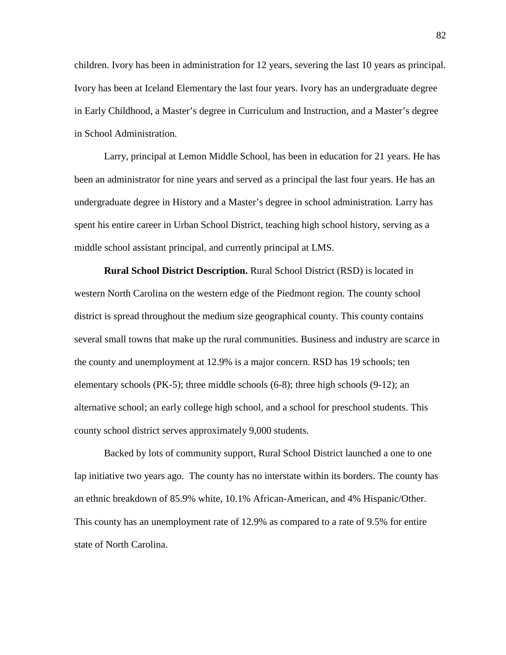children. Ivory has been in administration for 12 years, severing the last 10 years as principal. Ivory has been at Iceland Elementary the last four years. Ivory has an undergraduate degree in Early Childhood, a Master's degree in Curriculum and Instruction, and a Master's degree in School Administration.

Larry, principal at Lemon Middle School, has been in education for 21 years. He has been an administrator for nine years and served as a principal the last four years. He has an undergraduate degree in History and a Master's degree in school administration. Larry has spent his entire career in Urban School District, teaching high school history, serving as a middle school assistant principal, and currently principal at LMS.

**Rural School District Description.** Rural School District (RSD) is located in western North Carolina on the western edge of the Piedmont region. The county school district is spread throughout the medium size geographical county. This county contains several small towns that make up the rural communities. Business and industry are scarce in the county and unemployment at 12.9% is a major concern. RSD has 19 schools; ten elementary schools (PK-5); three middle schools (6-8); three high schools (9-12); an alternative school; an early college high school, and a school for preschool students. This county school district serves approximately 9,000 students.

Backed by lots of community support, Rural School District launched a one to one lap initiative two years ago. The county has no interstate within its borders. The county has an ethnic breakdown of 85.9% white, 10.1% African-American, and 4% Hispanic/Other. This county has an unemployment rate of 12.9% as compared to a rate of 9.5% for entire state of North Carolina.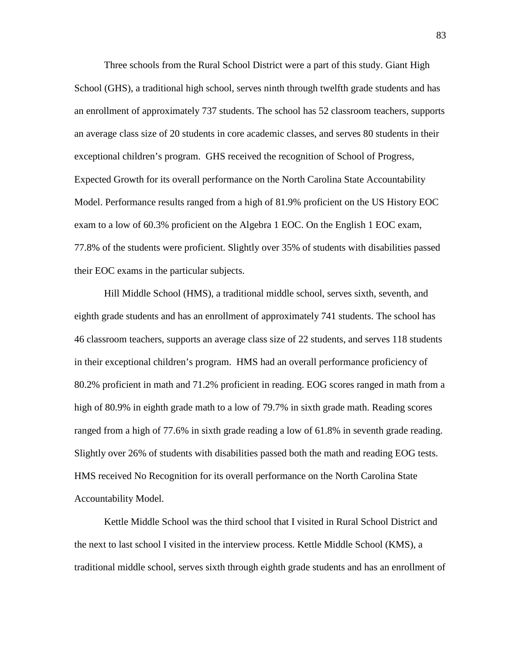Three schools from the Rural School District were a part of this study. Giant High School (GHS), a traditional high school, serves ninth through twelfth grade students and has an enrollment of approximately 737 students. The school has 52 classroom teachers, supports an average class size of 20 students in core academic classes, and serves 80 students in their exceptional children's program. GHS received the recognition of School of Progress, Expected Growth for its overall performance on the North Carolina State Accountability Model. Performance results ranged from a high of 81.9% proficient on the US History EOC exam to a low of 60.3% proficient on the Algebra 1 EOC. On the English 1 EOC exam, 77.8% of the students were proficient. Slightly over 35% of students with disabilities passed their EOC exams in the particular subjects.

Hill Middle School (HMS), a traditional middle school, serves sixth, seventh, and eighth grade students and has an enrollment of approximately 741 students. The school has 46 classroom teachers, supports an average class size of 22 students, and serves 118 students in their exceptional children's program. HMS had an overall performance proficiency of 80.2% proficient in math and 71.2% proficient in reading. EOG scores ranged in math from a high of 80.9% in eighth grade math to a low of 79.7% in sixth grade math. Reading scores ranged from a high of 77.6% in sixth grade reading a low of 61.8% in seventh grade reading. Slightly over 26% of students with disabilities passed both the math and reading EOG tests. HMS received No Recognition for its overall performance on the North Carolina State Accountability Model.

Kettle Middle School was the third school that I visited in Rural School District and the next to last school I visited in the interview process. Kettle Middle School (KMS), a traditional middle school, serves sixth through eighth grade students and has an enrollment of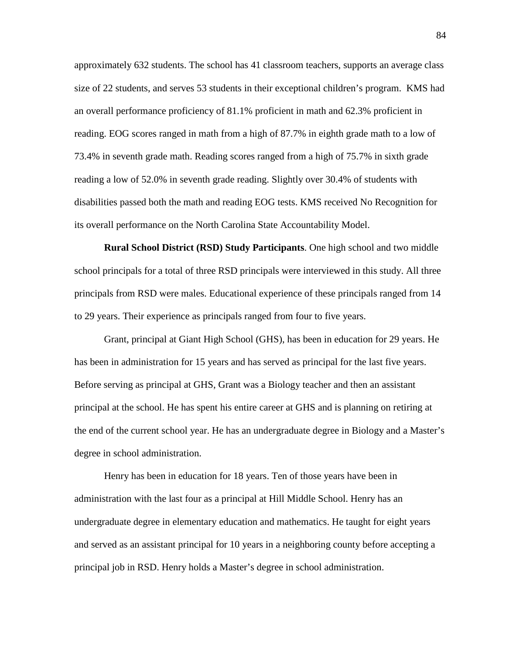approximately 632 students. The school has 41 classroom teachers, supports an average class size of 22 students, and serves 53 students in their exceptional children's program. KMS had an overall performance proficiency of 81.1% proficient in math and 62.3% proficient in reading. EOG scores ranged in math from a high of 87.7% in eighth grade math to a low of 73.4% in seventh grade math. Reading scores ranged from a high of 75.7% in sixth grade reading a low of 52.0% in seventh grade reading. Slightly over 30.4% of students with disabilities passed both the math and reading EOG tests. KMS received No Recognition for its overall performance on the North Carolina State Accountability Model.

**Rural School District (RSD) Study Participants**. One high school and two middle school principals for a total of three RSD principals were interviewed in this study. All three principals from RSD were males. Educational experience of these principals ranged from 14 to 29 years. Their experience as principals ranged from four to five years.

Grant, principal at Giant High School (GHS), has been in education for 29 years. He has been in administration for 15 years and has served as principal for the last five years. Before serving as principal at GHS, Grant was a Biology teacher and then an assistant principal at the school. He has spent his entire career at GHS and is planning on retiring at the end of the current school year. He has an undergraduate degree in Biology and a Master's degree in school administration.

Henry has been in education for 18 years. Ten of those years have been in administration with the last four as a principal at Hill Middle School. Henry has an undergraduate degree in elementary education and mathematics. He taught for eight years and served as an assistant principal for 10 years in a neighboring county before accepting a principal job in RSD. Henry holds a Master's degree in school administration.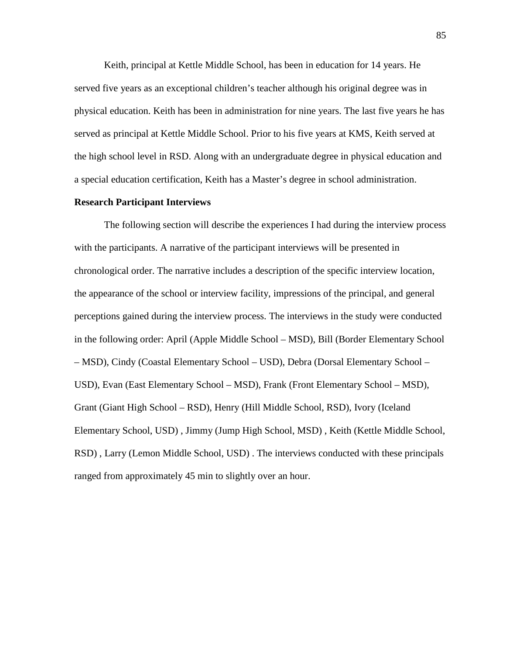Keith, principal at Kettle Middle School, has been in education for 14 years. He served five years as an exceptional children's teacher although his original degree was in physical education. Keith has been in administration for nine years. The last five years he has served as principal at Kettle Middle School. Prior to his five years at KMS, Keith served at the high school level in RSD. Along with an undergraduate degree in physical education and a special education certification, Keith has a Master's degree in school administration.

## **Research Participant Interviews**

The following section will describe the experiences I had during the interview process with the participants. A narrative of the participant interviews will be presented in chronological order. The narrative includes a description of the specific interview location, the appearance of the school or interview facility, impressions of the principal, and general perceptions gained during the interview process. The interviews in the study were conducted in the following order: April (Apple Middle School – MSD), Bill (Border Elementary School – MSD), Cindy (Coastal Elementary School – USD), Debra (Dorsal Elementary School – USD), Evan (East Elementary School – MSD), Frank (Front Elementary School – MSD), Grant (Giant High School – RSD), Henry (Hill Middle School, RSD), Ivory (Iceland Elementary School, USD) , Jimmy (Jump High School, MSD) , Keith (Kettle Middle School, RSD) , Larry (Lemon Middle School, USD) . The interviews conducted with these principals ranged from approximately 45 min to slightly over an hour.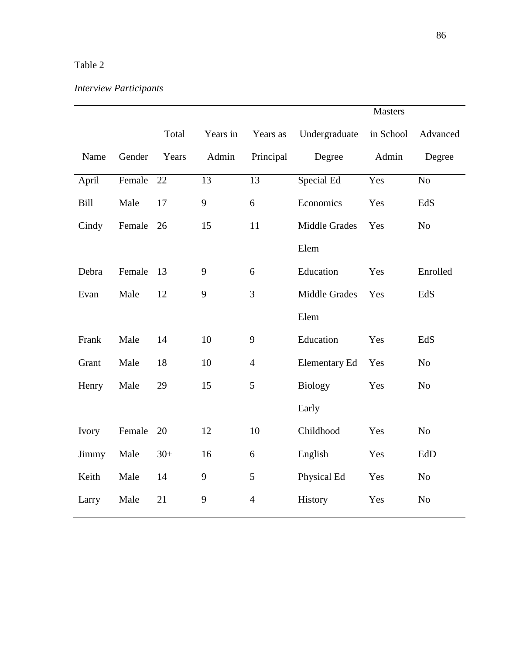## Table 2

# *Interview Participants*

|       |        |       |          |                  | <b>Masters</b>       |           |                |
|-------|--------|-------|----------|------------------|----------------------|-----------|----------------|
|       |        | Total | Years in | Years as         | Undergraduate        | in School | Advanced       |
| Name  | Gender | Years | Admin    | Principal        | Degree               | Admin     | Degree         |
| April | Female | 22    | 13       | 13               | Special Ed           | Yes       | N <sub>o</sub> |
| Bill  | Male   | 17    | 9        | 6                | Economics            | Yes       | EdS            |
| Cindy | Female | 26    | 15       | 11               | Middle Grades        | Yes       | N <sub>o</sub> |
|       |        |       |          |                  | Elem                 |           |                |
| Debra | Female | 13    | 9        | 6                | Education            | Yes       | Enrolled       |
| Evan  | Male   | 12    | 9        | $\overline{3}$   | <b>Middle Grades</b> | Yes       | EdS            |
|       |        |       |          |                  | Elem                 |           |                |
| Frank | Male   | 14    | 10       | $\boldsymbol{9}$ | Education            | Yes       | EdS            |
| Grant | Male   | 18    | 10       | $\overline{4}$   | <b>Elementary Ed</b> | Yes       | No             |
| Henry | Male   | 29    | 15       | 5                | <b>Biology</b>       | Yes       | N <sub>o</sub> |
|       |        |       |          |                  | Early                |           |                |
| Ivory | Female | 20    | 12       | 10               | Childhood            | Yes       | No             |
| Jimmy | Male   | $30+$ | 16       | 6                | English              | Yes       | EdD            |
| Keith | Male   | 14    | 9        | 5                | Physical Ed          | Yes       | No             |
| Larry | Male   | 21    | 9        | $\overline{4}$   | History              | Yes       | N <sub>o</sub> |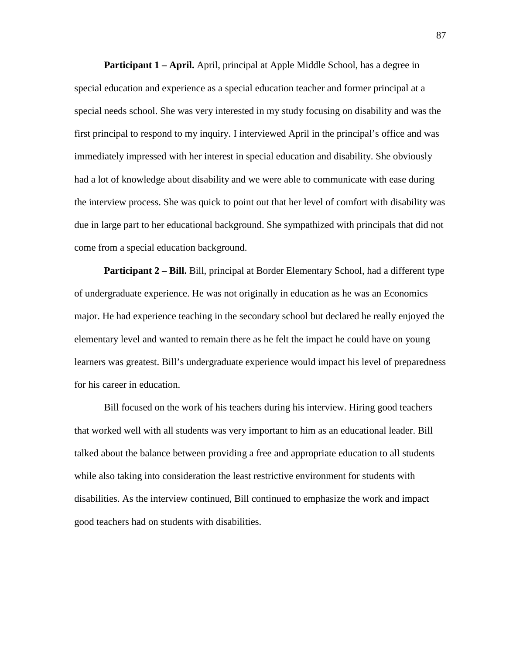**Participant 1 – April.** April, principal at Apple Middle School, has a degree in special education and experience as a special education teacher and former principal at a special needs school. She was very interested in my study focusing on disability and was the first principal to respond to my inquiry. I interviewed April in the principal's office and was immediately impressed with her interest in special education and disability. She obviously had a lot of knowledge about disability and we were able to communicate with ease during the interview process. She was quick to point out that her level of comfort with disability was due in large part to her educational background. She sympathized with principals that did not come from a special education background.

**Participant 2 – Bill.** Bill, principal at Border Elementary School, had a different type of undergraduate experience. He was not originally in education as he was an Economics major. He had experience teaching in the secondary school but declared he really enjoyed the elementary level and wanted to remain there as he felt the impact he could have on young learners was greatest. Bill's undergraduate experience would impact his level of preparedness for his career in education.

Bill focused on the work of his teachers during his interview. Hiring good teachers that worked well with all students was very important to him as an educational leader. Bill talked about the balance between providing a free and appropriate education to all students while also taking into consideration the least restrictive environment for students with disabilities. As the interview continued, Bill continued to emphasize the work and impact good teachers had on students with disabilities.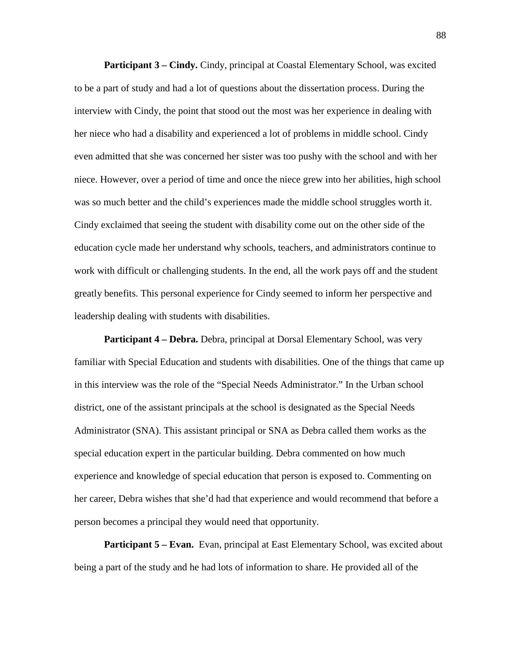**Participant 3 – Cindy.** Cindy, principal at Coastal Elementary School, was excited to be a part of study and had a lot of questions about the dissertation process. During the interview with Cindy, the point that stood out the most was her experience in dealing with her niece who had a disability and experienced a lot of problems in middle school. Cindy even admitted that she was concerned her sister was too pushy with the school and with her niece. However, over a period of time and once the niece grew into her abilities, high school was so much better and the child's experiences made the middle school struggles worth it. Cindy exclaimed that seeing the student with disability come out on the other side of the education cycle made her understand why schools, teachers, and administrators continue to work with difficult or challenging students. In the end, all the work pays off and the student greatly benefits. This personal experience for Cindy seemed to inform her perspective and leadership dealing with students with disabilities.

**Participant 4 – Debra.** Debra, principal at Dorsal Elementary School, was very familiar with Special Education and students with disabilities. One of the things that came up in this interview was the role of the "Special Needs Administrator." In the Urban school district, one of the assistant principals at the school is designated as the Special Needs Administrator (SNA). This assistant principal or SNA as Debra called them works as the special education expert in the particular building. Debra commented on how much experience and knowledge of special education that person is exposed to. Commenting on her career, Debra wishes that she'd had that experience and would recommend that before a person becomes a principal they would need that opportunity.

**Participant 5 – Evan.** Evan, principal at East Elementary School, was excited about being a part of the study and he had lots of information to share. He provided all of the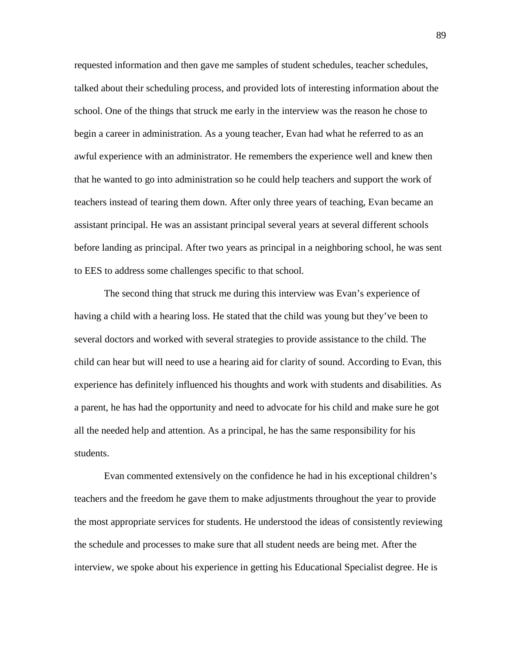requested information and then gave me samples of student schedules, teacher schedules, talked about their scheduling process, and provided lots of interesting information about the school. One of the things that struck me early in the interview was the reason he chose to begin a career in administration. As a young teacher, Evan had what he referred to as an awful experience with an administrator. He remembers the experience well and knew then that he wanted to go into administration so he could help teachers and support the work of teachers instead of tearing them down. After only three years of teaching, Evan became an assistant principal. He was an assistant principal several years at several different schools before landing as principal. After two years as principal in a neighboring school, he was sent to EES to address some challenges specific to that school.

The second thing that struck me during this interview was Evan's experience of having a child with a hearing loss. He stated that the child was young but they've been to several doctors and worked with several strategies to provide assistance to the child. The child can hear but will need to use a hearing aid for clarity of sound. According to Evan, this experience has definitely influenced his thoughts and work with students and disabilities. As a parent, he has had the opportunity and need to advocate for his child and make sure he got all the needed help and attention. As a principal, he has the same responsibility for his students.

Evan commented extensively on the confidence he had in his exceptional children's teachers and the freedom he gave them to make adjustments throughout the year to provide the most appropriate services for students. He understood the ideas of consistently reviewing the schedule and processes to make sure that all student needs are being met. After the interview, we spoke about his experience in getting his Educational Specialist degree. He is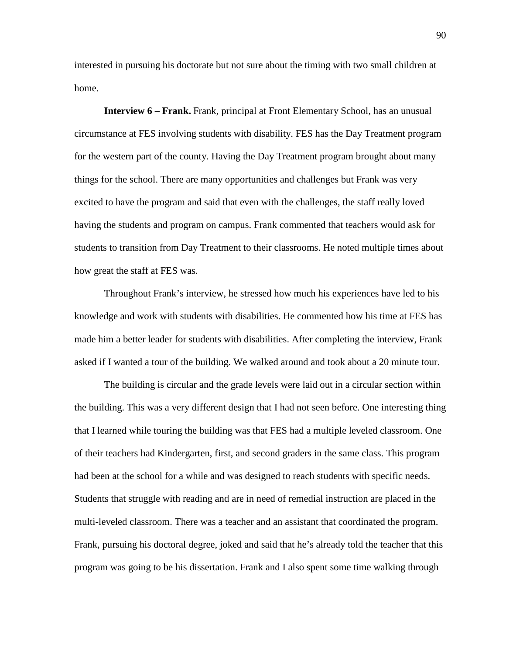interested in pursuing his doctorate but not sure about the timing with two small children at home.

**Interview 6 – Frank.** Frank, principal at Front Elementary School, has an unusual circumstance at FES involving students with disability. FES has the Day Treatment program for the western part of the county. Having the Day Treatment program brought about many things for the school. There are many opportunities and challenges but Frank was very excited to have the program and said that even with the challenges, the staff really loved having the students and program on campus. Frank commented that teachers would ask for students to transition from Day Treatment to their classrooms. He noted multiple times about how great the staff at FES was.

Throughout Frank's interview, he stressed how much his experiences have led to his knowledge and work with students with disabilities. He commented how his time at FES has made him a better leader for students with disabilities. After completing the interview, Frank asked if I wanted a tour of the building. We walked around and took about a 20 minute tour.

The building is circular and the grade levels were laid out in a circular section within the building. This was a very different design that I had not seen before. One interesting thing that I learned while touring the building was that FES had a multiple leveled classroom. One of their teachers had Kindergarten, first, and second graders in the same class. This program had been at the school for a while and was designed to reach students with specific needs. Students that struggle with reading and are in need of remedial instruction are placed in the multi-leveled classroom. There was a teacher and an assistant that coordinated the program. Frank, pursuing his doctoral degree, joked and said that he's already told the teacher that this program was going to be his dissertation. Frank and I also spent some time walking through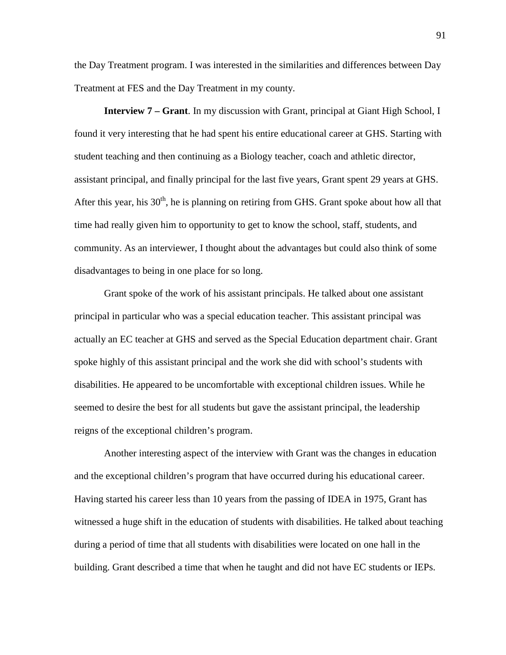the Day Treatment program. I was interested in the similarities and differences between Day Treatment at FES and the Day Treatment in my county.

**Interview 7 – Grant**. In my discussion with Grant, principal at Giant High School, I found it very interesting that he had spent his entire educational career at GHS. Starting with student teaching and then continuing as a Biology teacher, coach and athletic director, assistant principal, and finally principal for the last five years, Grant spent 29 years at GHS. After this year, his  $30<sup>th</sup>$ , he is planning on retiring from GHS. Grant spoke about how all that time had really given him to opportunity to get to know the school, staff, students, and community. As an interviewer, I thought about the advantages but could also think of some disadvantages to being in one place for so long.

Grant spoke of the work of his assistant principals. He talked about one assistant principal in particular who was a special education teacher. This assistant principal was actually an EC teacher at GHS and served as the Special Education department chair. Grant spoke highly of this assistant principal and the work she did with school's students with disabilities. He appeared to be uncomfortable with exceptional children issues. While he seemed to desire the best for all students but gave the assistant principal, the leadership reigns of the exceptional children's program.

Another interesting aspect of the interview with Grant was the changes in education and the exceptional children's program that have occurred during his educational career. Having started his career less than 10 years from the passing of IDEA in 1975, Grant has witnessed a huge shift in the education of students with disabilities. He talked about teaching during a period of time that all students with disabilities were located on one hall in the building. Grant described a time that when he taught and did not have EC students or IEPs.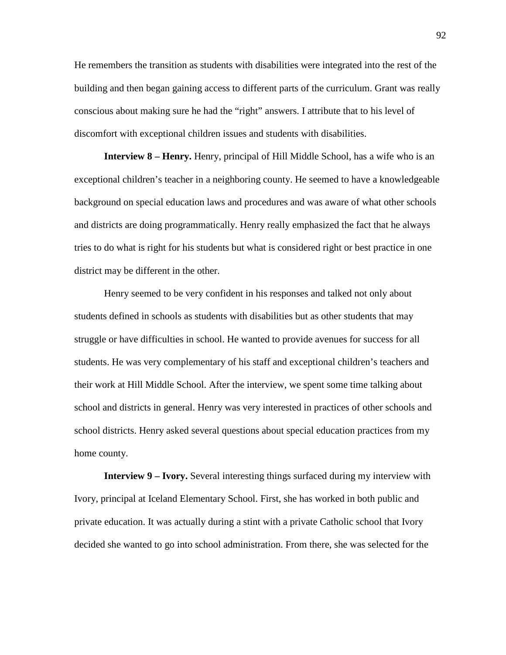He remembers the transition as students with disabilities were integrated into the rest of the building and then began gaining access to different parts of the curriculum. Grant was really conscious about making sure he had the "right" answers. I attribute that to his level of discomfort with exceptional children issues and students with disabilities.

**Interview 8 – Henry.** Henry, principal of Hill Middle School, has a wife who is an exceptional children's teacher in a neighboring county. He seemed to have a knowledgeable background on special education laws and procedures and was aware of what other schools and districts are doing programmatically. Henry really emphasized the fact that he always tries to do what is right for his students but what is considered right or best practice in one district may be different in the other.

Henry seemed to be very confident in his responses and talked not only about students defined in schools as students with disabilities but as other students that may struggle or have difficulties in school. He wanted to provide avenues for success for all students. He was very complementary of his staff and exceptional children's teachers and their work at Hill Middle School. After the interview, we spent some time talking about school and districts in general. Henry was very interested in practices of other schools and school districts. Henry asked several questions about special education practices from my home county.

**Interview 9 – Ivory.** Several interesting things surfaced during my interview with Ivory, principal at Iceland Elementary School. First, she has worked in both public and private education. It was actually during a stint with a private Catholic school that Ivory decided she wanted to go into school administration. From there, she was selected for the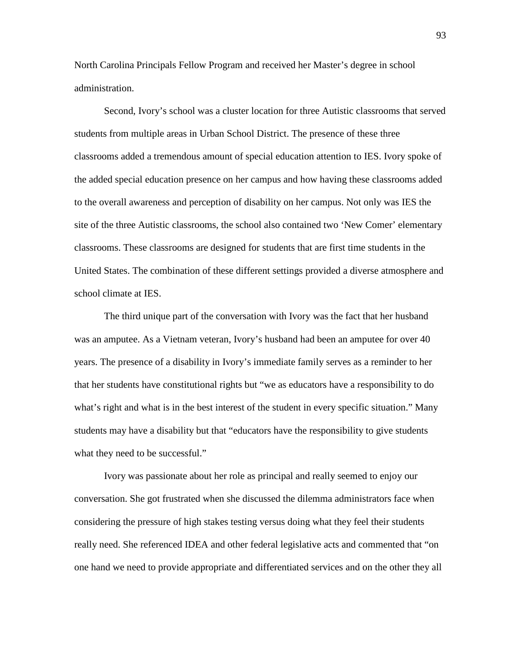North Carolina Principals Fellow Program and received her Master's degree in school administration.

Second, Ivory's school was a cluster location for three Autistic classrooms that served students from multiple areas in Urban School District. The presence of these three classrooms added a tremendous amount of special education attention to IES. Ivory spoke of the added special education presence on her campus and how having these classrooms added to the overall awareness and perception of disability on her campus. Not only was IES the site of the three Autistic classrooms, the school also contained two 'New Comer' elementary classrooms. These classrooms are designed for students that are first time students in the United States. The combination of these different settings provided a diverse atmosphere and school climate at IES.

The third unique part of the conversation with Ivory was the fact that her husband was an amputee. As a Vietnam veteran, Ivory's husband had been an amputee for over 40 years. The presence of a disability in Ivory's immediate family serves as a reminder to her that her students have constitutional rights but "we as educators have a responsibility to do what's right and what is in the best interest of the student in every specific situation." Many students may have a disability but that "educators have the responsibility to give students what they need to be successful."

Ivory was passionate about her role as principal and really seemed to enjoy our conversation. She got frustrated when she discussed the dilemma administrators face when considering the pressure of high stakes testing versus doing what they feel their students really need. She referenced IDEA and other federal legislative acts and commented that "on one hand we need to provide appropriate and differentiated services and on the other they all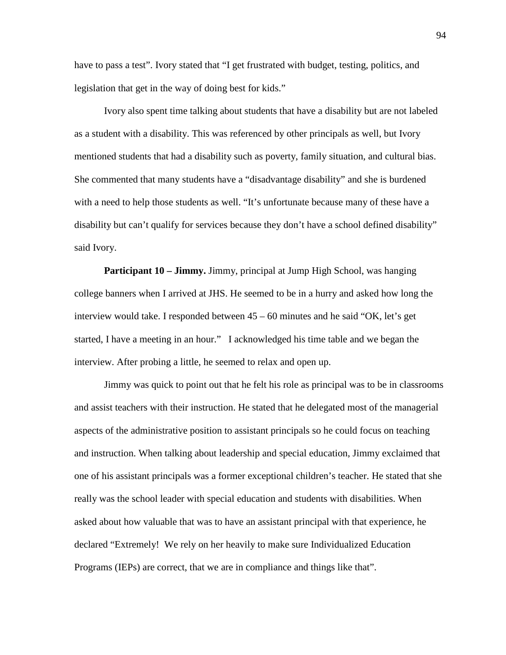have to pass a test". Ivory stated that "I get frustrated with budget, testing, politics, and legislation that get in the way of doing best for kids."

Ivory also spent time talking about students that have a disability but are not labeled as a student with a disability. This was referenced by other principals as well, but Ivory mentioned students that had a disability such as poverty, family situation, and cultural bias. She commented that many students have a "disadvantage disability" and she is burdened with a need to help those students as well. "It's unfortunate because many of these have a disability but can't qualify for services because they don't have a school defined disability" said Ivory.

**Participant 10 – Jimmy.** Jimmy, principal at Jump High School, was hanging college banners when I arrived at JHS. He seemed to be in a hurry and asked how long the interview would take. I responded between 45 – 60 minutes and he said "OK, let's get started, I have a meeting in an hour." I acknowledged his time table and we began the interview. After probing a little, he seemed to relax and open up.

Jimmy was quick to point out that he felt his role as principal was to be in classrooms and assist teachers with their instruction. He stated that he delegated most of the managerial aspects of the administrative position to assistant principals so he could focus on teaching and instruction. When talking about leadership and special education, Jimmy exclaimed that one of his assistant principals was a former exceptional children's teacher. He stated that she really was the school leader with special education and students with disabilities. When asked about how valuable that was to have an assistant principal with that experience, he declared "Extremely! We rely on her heavily to make sure Individualized Education Programs (IEPs) are correct, that we are in compliance and things like that".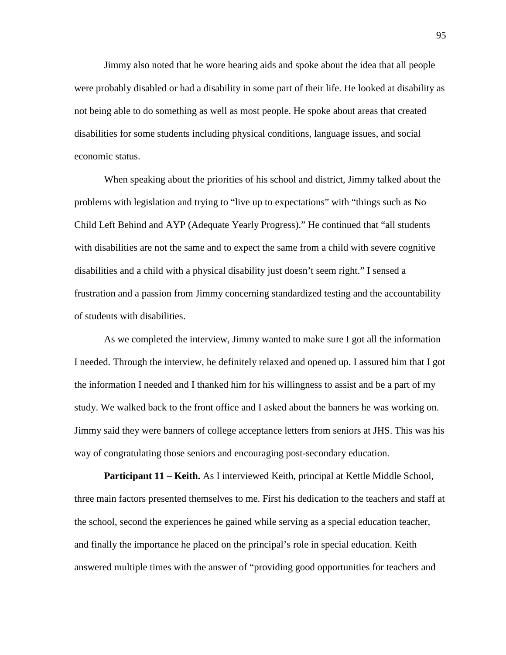Jimmy also noted that he wore hearing aids and spoke about the idea that all people were probably disabled or had a disability in some part of their life. He looked at disability as not being able to do something as well as most people. He spoke about areas that created disabilities for some students including physical conditions, language issues, and social economic status.

When speaking about the priorities of his school and district, Jimmy talked about the problems with legislation and trying to "live up to expectations" with "things such as No Child Left Behind and AYP (Adequate Yearly Progress)." He continued that "all students with disabilities are not the same and to expect the same from a child with severe cognitive disabilities and a child with a physical disability just doesn't seem right." I sensed a frustration and a passion from Jimmy concerning standardized testing and the accountability of students with disabilities.

As we completed the interview, Jimmy wanted to make sure I got all the information I needed. Through the interview, he definitely relaxed and opened up. I assured him that I got the information I needed and I thanked him for his willingness to assist and be a part of my study. We walked back to the front office and I asked about the banners he was working on. Jimmy said they were banners of college acceptance letters from seniors at JHS. This was his way of congratulating those seniors and encouraging post-secondary education.

**Participant 11 – Keith.** As I interviewed Keith, principal at Kettle Middle School, three main factors presented themselves to me. First his dedication to the teachers and staff at the school, second the experiences he gained while serving as a special education teacher, and finally the importance he placed on the principal's role in special education. Keith answered multiple times with the answer of "providing good opportunities for teachers and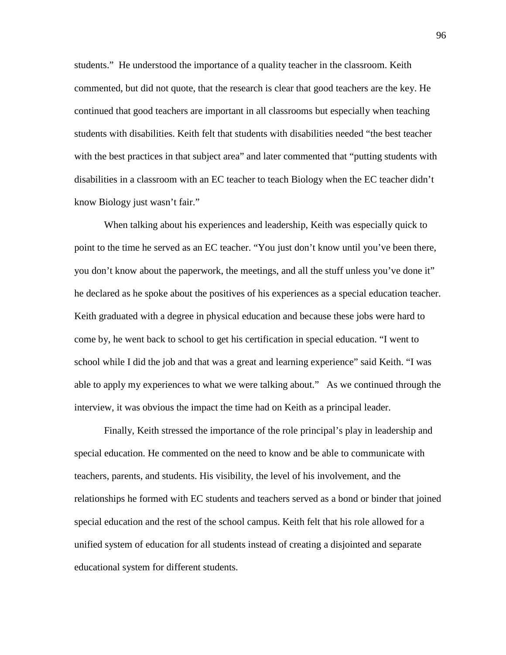students." He understood the importance of a quality teacher in the classroom. Keith commented, but did not quote, that the research is clear that good teachers are the key. He continued that good teachers are important in all classrooms but especially when teaching students with disabilities. Keith felt that students with disabilities needed "the best teacher with the best practices in that subject area" and later commented that "putting students with disabilities in a classroom with an EC teacher to teach Biology when the EC teacher didn't know Biology just wasn't fair."

When talking about his experiences and leadership, Keith was especially quick to point to the time he served as an EC teacher. "You just don't know until you've been there, you don't know about the paperwork, the meetings, and all the stuff unless you've done it" he declared as he spoke about the positives of his experiences as a special education teacher. Keith graduated with a degree in physical education and because these jobs were hard to come by, he went back to school to get his certification in special education. "I went to school while I did the job and that was a great and learning experience" said Keith. "I was able to apply my experiences to what we were talking about." As we continued through the interview, it was obvious the impact the time had on Keith as a principal leader.

Finally, Keith stressed the importance of the role principal's play in leadership and special education. He commented on the need to know and be able to communicate with teachers, parents, and students. His visibility, the level of his involvement, and the relationships he formed with EC students and teachers served as a bond or binder that joined special education and the rest of the school campus. Keith felt that his role allowed for a unified system of education for all students instead of creating a disjointed and separate educational system for different students.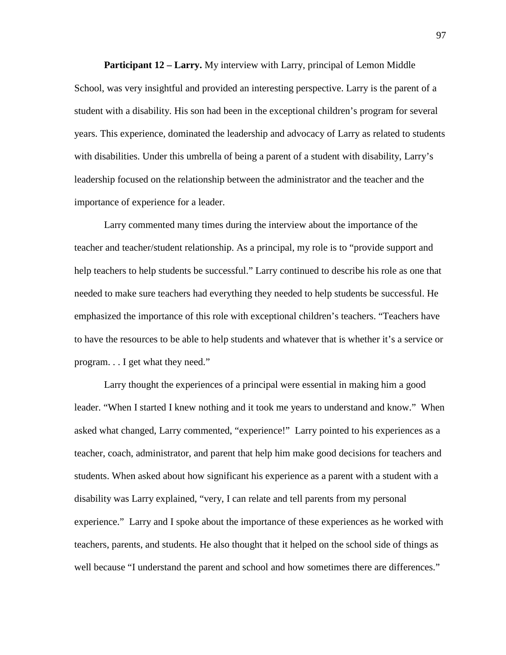**Participant 12 – Larry.** My interview with Larry, principal of Lemon Middle School, was very insightful and provided an interesting perspective. Larry is the parent of a student with a disability. His son had been in the exceptional children's program for several years. This experience, dominated the leadership and advocacy of Larry as related to students with disabilities. Under this umbrella of being a parent of a student with disability, Larry's leadership focused on the relationship between the administrator and the teacher and the importance of experience for a leader.

Larry commented many times during the interview about the importance of the teacher and teacher/student relationship. As a principal, my role is to "provide support and help teachers to help students be successful." Larry continued to describe his role as one that needed to make sure teachers had everything they needed to help students be successful. He emphasized the importance of this role with exceptional children's teachers. "Teachers have to have the resources to be able to help students and whatever that is whether it's a service or program. . . I get what they need."

Larry thought the experiences of a principal were essential in making him a good leader. "When I started I knew nothing and it took me years to understand and know." When asked what changed, Larry commented, "experience!" Larry pointed to his experiences as a teacher, coach, administrator, and parent that help him make good decisions for teachers and students. When asked about how significant his experience as a parent with a student with a disability was Larry explained, "very, I can relate and tell parents from my personal experience." Larry and I spoke about the importance of these experiences as he worked with teachers, parents, and students. He also thought that it helped on the school side of things as well because "I understand the parent and school and how sometimes there are differences."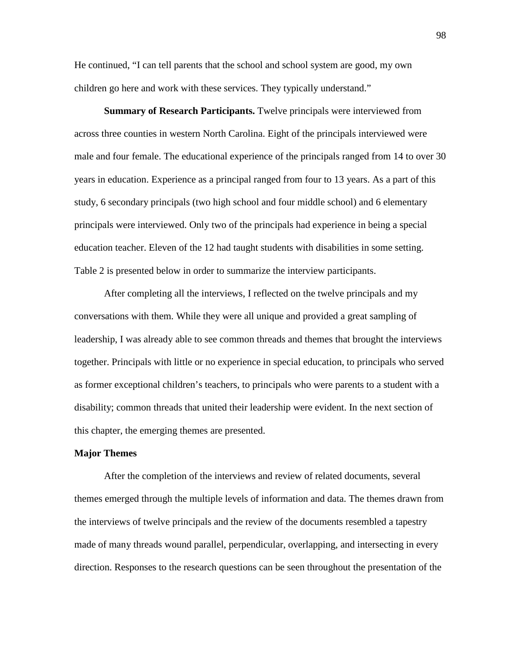He continued, "I can tell parents that the school and school system are good, my own children go here and work with these services. They typically understand."

**Summary of Research Participants.** Twelve principals were interviewed from across three counties in western North Carolina. Eight of the principals interviewed were male and four female. The educational experience of the principals ranged from 14 to over 30 years in education. Experience as a principal ranged from four to 13 years. As a part of this study, 6 secondary principals (two high school and four middle school) and 6 elementary principals were interviewed. Only two of the principals had experience in being a special education teacher. Eleven of the 12 had taught students with disabilities in some setting. Table 2 is presented below in order to summarize the interview participants.

After completing all the interviews, I reflected on the twelve principals and my conversations with them. While they were all unique and provided a great sampling of leadership, I was already able to see common threads and themes that brought the interviews together. Principals with little or no experience in special education, to principals who served as former exceptional children's teachers, to principals who were parents to a student with a disability; common threads that united their leadership were evident. In the next section of this chapter, the emerging themes are presented.

## **Major Themes**

After the completion of the interviews and review of related documents, several themes emerged through the multiple levels of information and data. The themes drawn from the interviews of twelve principals and the review of the documents resembled a tapestry made of many threads wound parallel, perpendicular, overlapping, and intersecting in every direction. Responses to the research questions can be seen throughout the presentation of the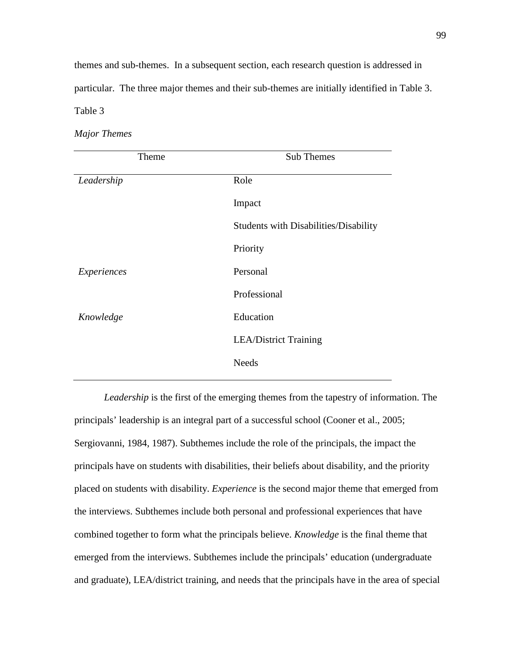themes and sub-themes. In a subsequent section, each research question is addressed in particular. The three major themes and their sub-themes are initially identified in Table 3. Table 3

*Major Themes*

| Theme       | Sub Themes                            |  |
|-------------|---------------------------------------|--|
| Leadership  | Role                                  |  |
|             | Impact                                |  |
|             | Students with Disabilities/Disability |  |
|             | Priority                              |  |
| Experiences | Personal                              |  |
|             | Professional                          |  |
| Knowledge   | Education                             |  |
|             | <b>LEA/District Training</b>          |  |
|             | <b>Needs</b>                          |  |

*Leadership* is the first of the emerging themes from the tapestry of information. The principals' leadership is an integral part of a successful school (Cooner et al., 2005; Sergiovanni, 1984, 1987). Subthemes include the role of the principals, the impact the principals have on students with disabilities, their beliefs about disability, and the priority placed on students with disability. *Experience* is the second major theme that emerged from the interviews. Subthemes include both personal and professional experiences that have combined together to form what the principals believe. *Knowledge* is the final theme that emerged from the interviews. Subthemes include the principals' education (undergraduate and graduate), LEA/district training, and needs that the principals have in the area of special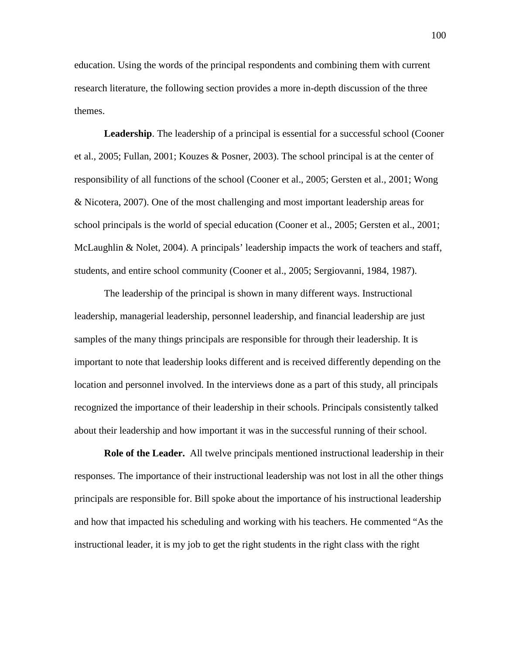education. Using the words of the principal respondents and combining them with current research literature, the following section provides a more in-depth discussion of the three themes.

**Leadership**. The leadership of a principal is essential for a successful school (Cooner et al., 2005; Fullan, 2001; Kouzes & Posner, 2003). The school principal is at the center of responsibility of all functions of the school (Cooner et al., 2005; Gersten et al., 2001; Wong & Nicotera, 2007). One of the most challenging and most important leadership areas for school principals is the world of special education (Cooner et al., 2005; Gersten et al., 2001; McLaughlin & Nolet, 2004). A principals' leadership impacts the work of teachers and staff, students, and entire school community (Cooner et al., 2005; Sergiovanni, 1984, 1987).

The leadership of the principal is shown in many different ways. Instructional leadership, managerial leadership, personnel leadership, and financial leadership are just samples of the many things principals are responsible for through their leadership. It is important to note that leadership looks different and is received differently depending on the location and personnel involved. In the interviews done as a part of this study, all principals recognized the importance of their leadership in their schools. Principals consistently talked about their leadership and how important it was in the successful running of their school.

**Role of the Leader.** All twelve principals mentioned instructional leadership in their responses. The importance of their instructional leadership was not lost in all the other things principals are responsible for. Bill spoke about the importance of his instructional leadership and how that impacted his scheduling and working with his teachers. He commented "As the instructional leader, it is my job to get the right students in the right class with the right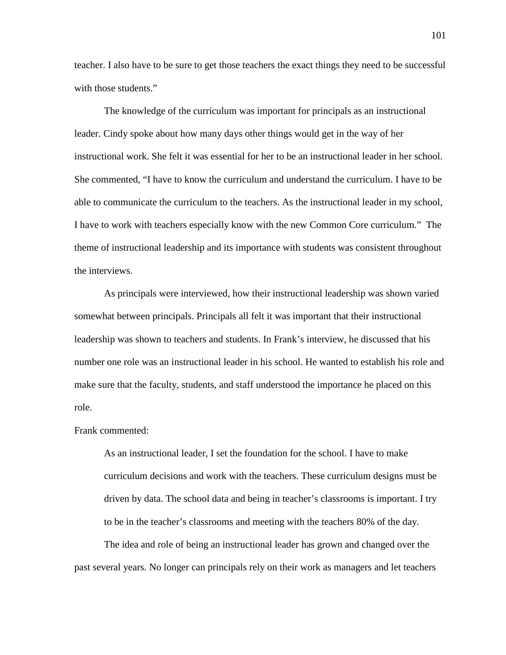teacher. I also have to be sure to get those teachers the exact things they need to be successful with those students."

The knowledge of the curriculum was important for principals as an instructional leader. Cindy spoke about how many days other things would get in the way of her instructional work. She felt it was essential for her to be an instructional leader in her school. She commented, "I have to know the curriculum and understand the curriculum. I have to be able to communicate the curriculum to the teachers. As the instructional leader in my school, I have to work with teachers especially know with the new Common Core curriculum." The theme of instructional leadership and its importance with students was consistent throughout the interviews.

As principals were interviewed, how their instructional leadership was shown varied somewhat between principals. Principals all felt it was important that their instructional leadership was shown to teachers and students. In Frank's interview, he discussed that his number one role was an instructional leader in his school. He wanted to establish his role and make sure that the faculty, students, and staff understood the importance he placed on this role.

Frank commented:

As an instructional leader, I set the foundation for the school. I have to make curriculum decisions and work with the teachers. These curriculum designs must be driven by data. The school data and being in teacher's classrooms is important. I try to be in the teacher's classrooms and meeting with the teachers 80% of the day.

The idea and role of being an instructional leader has grown and changed over the past several years. No longer can principals rely on their work as managers and let teachers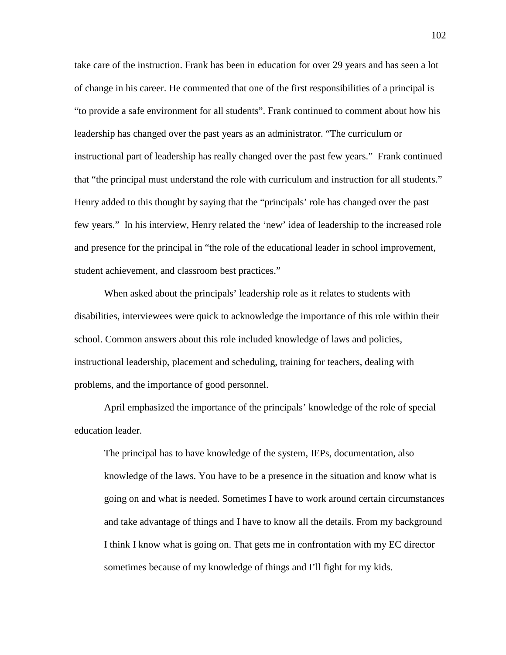take care of the instruction. Frank has been in education for over 29 years and has seen a lot of change in his career. He commented that one of the first responsibilities of a principal is "to provide a safe environment for all students". Frank continued to comment about how his leadership has changed over the past years as an administrator. "The curriculum or instructional part of leadership has really changed over the past few years." Frank continued that "the principal must understand the role with curriculum and instruction for all students." Henry added to this thought by saying that the "principals' role has changed over the past few years." In his interview, Henry related the 'new' idea of leadership to the increased role and presence for the principal in "the role of the educational leader in school improvement, student achievement, and classroom best practices."

When asked about the principals' leadership role as it relates to students with disabilities, interviewees were quick to acknowledge the importance of this role within their school. Common answers about this role included knowledge of laws and policies, instructional leadership, placement and scheduling, training for teachers, dealing with problems, and the importance of good personnel.

April emphasized the importance of the principals' knowledge of the role of special education leader.

The principal has to have knowledge of the system, IEPs, documentation, also knowledge of the laws. You have to be a presence in the situation and know what is going on and what is needed. Sometimes I have to work around certain circumstances and take advantage of things and I have to know all the details. From my background I think I know what is going on. That gets me in confrontation with my EC director sometimes because of my knowledge of things and I'll fight for my kids.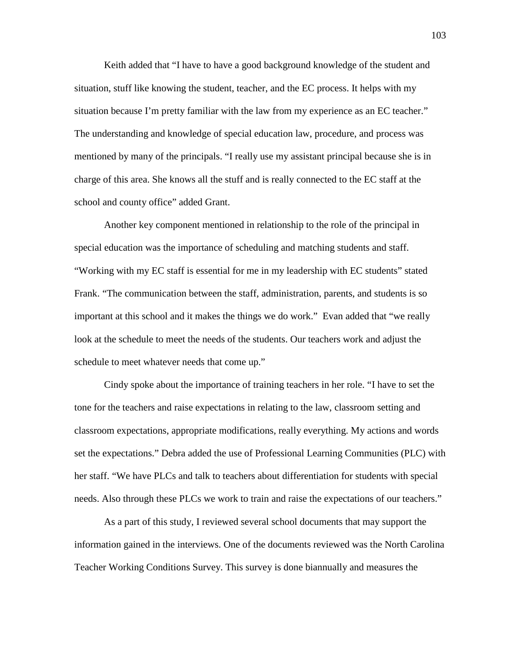Keith added that "I have to have a good background knowledge of the student and situation, stuff like knowing the student, teacher, and the EC process. It helps with my situation because I'm pretty familiar with the law from my experience as an EC teacher." The understanding and knowledge of special education law, procedure, and process was mentioned by many of the principals. "I really use my assistant principal because she is in charge of this area. She knows all the stuff and is really connected to the EC staff at the school and county office" added Grant.

Another key component mentioned in relationship to the role of the principal in special education was the importance of scheduling and matching students and staff. "Working with my EC staff is essential for me in my leadership with EC students" stated Frank. "The communication between the staff, administration, parents, and students is so important at this school and it makes the things we do work." Evan added that "we really look at the schedule to meet the needs of the students. Our teachers work and adjust the schedule to meet whatever needs that come up."

Cindy spoke about the importance of training teachers in her role. "I have to set the tone for the teachers and raise expectations in relating to the law, classroom setting and classroom expectations, appropriate modifications, really everything. My actions and words set the expectations." Debra added the use of Professional Learning Communities (PLC) with her staff. "We have PLCs and talk to teachers about differentiation for students with special needs. Also through these PLCs we work to train and raise the expectations of our teachers."

As a part of this study, I reviewed several school documents that may support the information gained in the interviews. One of the documents reviewed was the North Carolina Teacher Working Conditions Survey. This survey is done biannually and measures the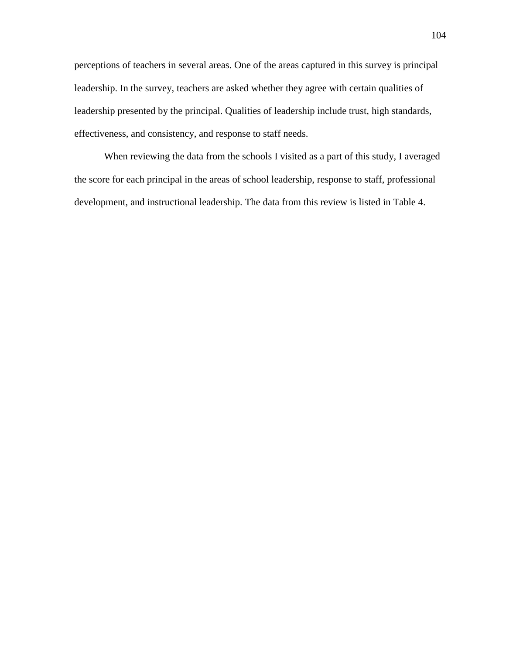perceptions of teachers in several areas. One of the areas captured in this survey is principal leadership. In the survey, teachers are asked whether they agree with certain qualities of leadership presented by the principal. Qualities of leadership include trust, high standards, effectiveness, and consistency, and response to staff needs.

When reviewing the data from the schools I visited as a part of this study, I averaged the score for each principal in the areas of school leadership, response to staff, professional development, and instructional leadership. The data from this review is listed in Table 4.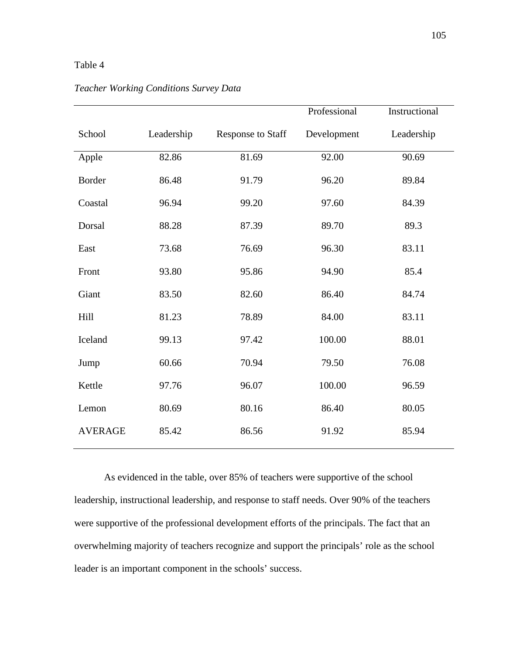## Table 4

|                |            |                          | Professional | Instructional |
|----------------|------------|--------------------------|--------------|---------------|
| School         | Leadership | <b>Response to Staff</b> | Development  | Leadership    |
| Apple          | 82.86      | 81.69                    | 92.00        | 90.69         |
| Border         | 86.48      | 91.79                    | 96.20        | 89.84         |
| Coastal        | 96.94      | 99.20                    | 97.60        | 84.39         |
| Dorsal         | 88.28      | 87.39                    | 89.70        | 89.3          |
| East           | 73.68      | 76.69                    | 96.30        | 83.11         |
| Front          | 93.80      | 95.86                    | 94.90        | 85.4          |
| Giant          | 83.50      | 82.60                    | 86.40        | 84.74         |
| Hill           | 81.23      | 78.89                    | 84.00        | 83.11         |
| Iceland        | 99.13      | 97.42                    | 100.00       | 88.01         |
| Jump           | 60.66      | 70.94                    | 79.50        | 76.08         |
| Kettle         | 97.76      | 96.07                    | 100.00       | 96.59         |
| Lemon          | 80.69      | 80.16                    | 86.40        | 80.05         |
| <b>AVERAGE</b> | 85.42      | 86.56                    | 91.92        | 85.94         |

# *Teacher Working Conditions Survey Data*

As evidenced in the table, over 85% of teachers were supportive of the school leadership, instructional leadership, and response to staff needs. Over 90% of the teachers were supportive of the professional development efforts of the principals. The fact that an overwhelming majority of teachers recognize and support the principals' role as the school leader is an important component in the schools' success.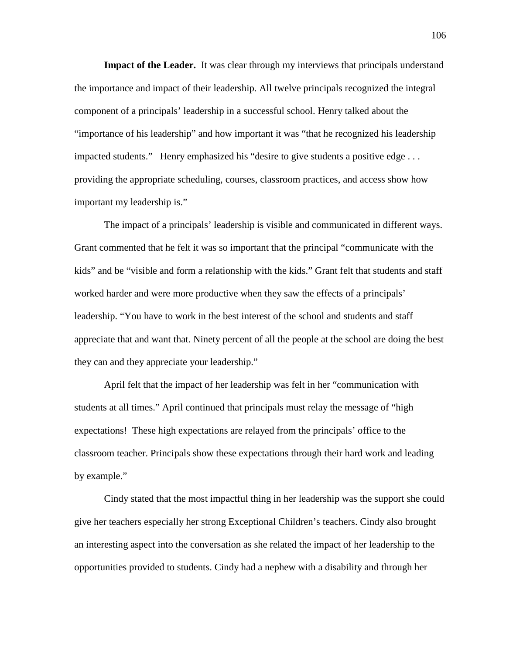**Impact of the Leader.** It was clear through my interviews that principals understand the importance and impact of their leadership. All twelve principals recognized the integral component of a principals' leadership in a successful school. Henry talked about the "importance of his leadership" and how important it was "that he recognized his leadership impacted students." Henry emphasized his "desire to give students a positive edge . . . providing the appropriate scheduling, courses, classroom practices, and access show how important my leadership is."

The impact of a principals' leadership is visible and communicated in different ways. Grant commented that he felt it was so important that the principal "communicate with the kids" and be "visible and form a relationship with the kids." Grant felt that students and staff worked harder and were more productive when they saw the effects of a principals' leadership. "You have to work in the best interest of the school and students and staff appreciate that and want that. Ninety percent of all the people at the school are doing the best they can and they appreciate your leadership."

April felt that the impact of her leadership was felt in her "communication with students at all times." April continued that principals must relay the message of "high expectations! These high expectations are relayed from the principals' office to the classroom teacher. Principals show these expectations through their hard work and leading by example."

Cindy stated that the most impactful thing in her leadership was the support she could give her teachers especially her strong Exceptional Children's teachers. Cindy also brought an interesting aspect into the conversation as she related the impact of her leadership to the opportunities provided to students. Cindy had a nephew with a disability and through her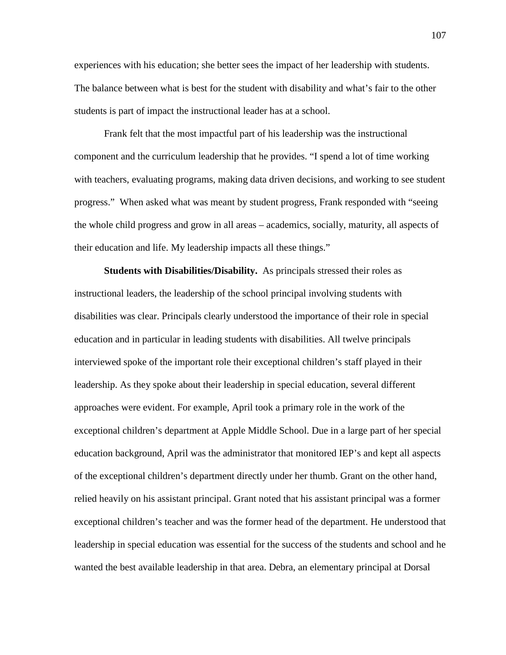experiences with his education; she better sees the impact of her leadership with students. The balance between what is best for the student with disability and what's fair to the other students is part of impact the instructional leader has at a school.

Frank felt that the most impactful part of his leadership was the instructional component and the curriculum leadership that he provides. "I spend a lot of time working with teachers, evaluating programs, making data driven decisions, and working to see student progress." When asked what was meant by student progress, Frank responded with "seeing the whole child progress and grow in all areas – academics, socially, maturity, all aspects of their education and life. My leadership impacts all these things."

**Students with Disabilities/Disability.** As principals stressed their roles as instructional leaders, the leadership of the school principal involving students with disabilities was clear. Principals clearly understood the importance of their role in special education and in particular in leading students with disabilities. All twelve principals interviewed spoke of the important role their exceptional children's staff played in their leadership. As they spoke about their leadership in special education, several different approaches were evident. For example, April took a primary role in the work of the exceptional children's department at Apple Middle School. Due in a large part of her special education background, April was the administrator that monitored IEP's and kept all aspects of the exceptional children's department directly under her thumb. Grant on the other hand, relied heavily on his assistant principal. Grant noted that his assistant principal was a former exceptional children's teacher and was the former head of the department. He understood that leadership in special education was essential for the success of the students and school and he wanted the best available leadership in that area. Debra, an elementary principal at Dorsal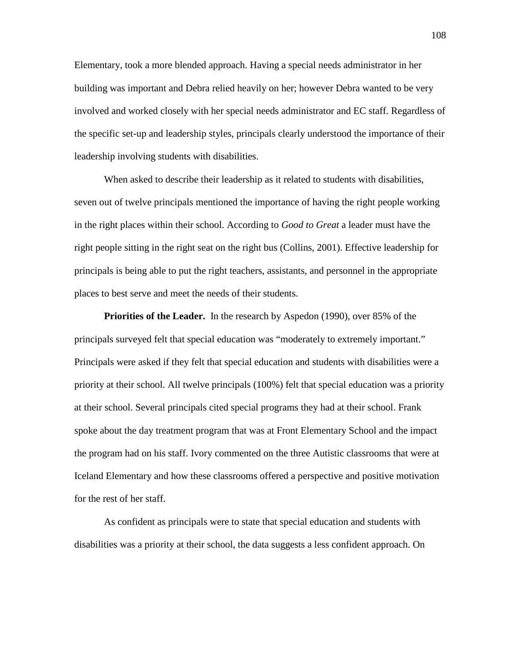Elementary, took a more blended approach. Having a special needs administrator in her building was important and Debra relied heavily on her; however Debra wanted to be very involved and worked closely with her special needs administrator and EC staff. Regardless of the specific set-up and leadership styles, principals clearly understood the importance of their leadership involving students with disabilities.

When asked to describe their leadership as it related to students with disabilities, seven out of twelve principals mentioned the importance of having the right people working in the right places within their school. According to *Good to Great* a leader must have the right people sitting in the right seat on the right bus (Collins, 2001). Effective leadership for principals is being able to put the right teachers, assistants, and personnel in the appropriate places to best serve and meet the needs of their students.

**Priorities of the Leader.** In the research by Aspedon (1990), over 85% of the principals surveyed felt that special education was "moderately to extremely important." Principals were asked if they felt that special education and students with disabilities were a priority at their school. All twelve principals (100%) felt that special education was a priority at their school. Several principals cited special programs they had at their school. Frank spoke about the day treatment program that was at Front Elementary School and the impact the program had on his staff. Ivory commented on the three Autistic classrooms that were at Iceland Elementary and how these classrooms offered a perspective and positive motivation for the rest of her staff.

As confident as principals were to state that special education and students with disabilities was a priority at their school, the data suggests a less confident approach. On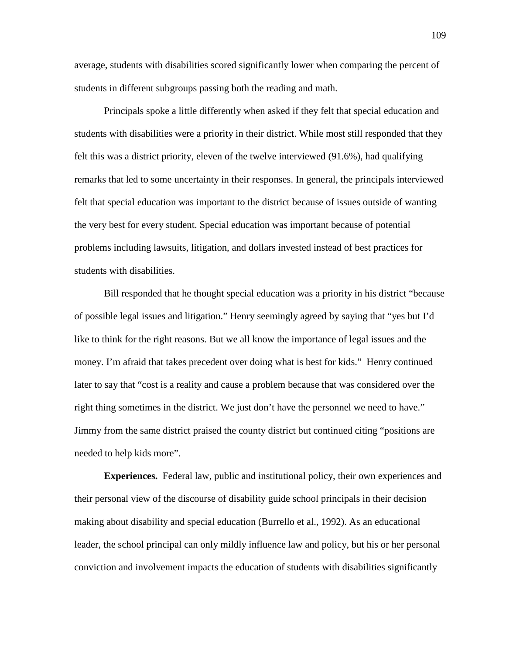average, students with disabilities scored significantly lower when comparing the percent of students in different subgroups passing both the reading and math.

Principals spoke a little differently when asked if they felt that special education and students with disabilities were a priority in their district. While most still responded that they felt this was a district priority, eleven of the twelve interviewed (91.6%), had qualifying remarks that led to some uncertainty in their responses. In general, the principals interviewed felt that special education was important to the district because of issues outside of wanting the very best for every student. Special education was important because of potential problems including lawsuits, litigation, and dollars invested instead of best practices for students with disabilities.

Bill responded that he thought special education was a priority in his district "because of possible legal issues and litigation." Henry seemingly agreed by saying that "yes but I'd like to think for the right reasons. But we all know the importance of legal issues and the money. I'm afraid that takes precedent over doing what is best for kids." Henry continued later to say that "cost is a reality and cause a problem because that was considered over the right thing sometimes in the district. We just don't have the personnel we need to have." Jimmy from the same district praised the county district but continued citing "positions are needed to help kids more".

**Experiences.** Federal law, public and institutional policy, their own experiences and their personal view of the discourse of disability guide school principals in their decision making about disability and special education (Burrello et al., 1992). As an educational leader, the school principal can only mildly influence law and policy, but his or her personal conviction and involvement impacts the education of students with disabilities significantly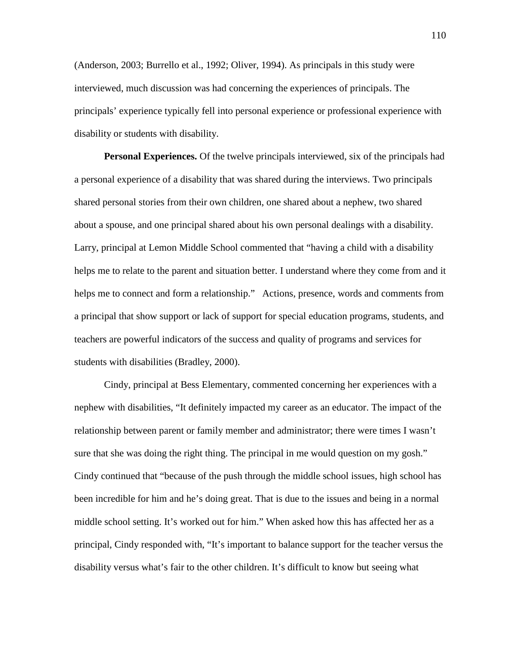(Anderson, 2003; Burrello et al., 1992; Oliver, 1994). As principals in this study were interviewed, much discussion was had concerning the experiences of principals. The principals' experience typically fell into personal experience or professional experience with disability or students with disability.

**Personal Experiences.** Of the twelve principals interviewed, six of the principals had a personal experience of a disability that was shared during the interviews. Two principals shared personal stories from their own children, one shared about a nephew, two shared about a spouse, and one principal shared about his own personal dealings with a disability. Larry, principal at Lemon Middle School commented that "having a child with a disability helps me to relate to the parent and situation better. I understand where they come from and it helps me to connect and form a relationship." Actions, presence, words and comments from a principal that show support or lack of support for special education programs, students, and teachers are powerful indicators of the success and quality of programs and services for students with disabilities (Bradley, 2000).

Cindy, principal at Bess Elementary, commented concerning her experiences with a nephew with disabilities, "It definitely impacted my career as an educator. The impact of the relationship between parent or family member and administrator; there were times I wasn't sure that she was doing the right thing. The principal in me would question on my gosh." Cindy continued that "because of the push through the middle school issues, high school has been incredible for him and he's doing great. That is due to the issues and being in a normal middle school setting. It's worked out for him." When asked how this has affected her as a principal, Cindy responded with, "It's important to balance support for the teacher versus the disability versus what's fair to the other children. It's difficult to know but seeing what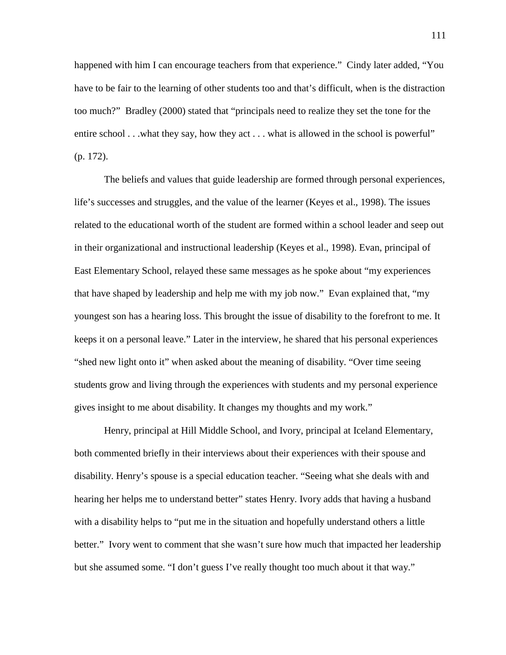happened with him I can encourage teachers from that experience." Cindy later added, "You have to be fair to the learning of other students too and that's difficult, when is the distraction too much?" Bradley (2000) stated that "principals need to realize they set the tone for the entire school . . .what they say, how they act . . . what is allowed in the school is powerful" (p. 172).

The beliefs and values that guide leadership are formed through personal experiences, life's successes and struggles, and the value of the learner (Keyes et al., 1998). The issues related to the educational worth of the student are formed within a school leader and seep out in their organizational and instructional leadership (Keyes et al., 1998). Evan, principal of East Elementary School, relayed these same messages as he spoke about "my experiences that have shaped by leadership and help me with my job now." Evan explained that, "my youngest son has a hearing loss. This brought the issue of disability to the forefront to me. It keeps it on a personal leave." Later in the interview, he shared that his personal experiences "shed new light onto it" when asked about the meaning of disability. "Over time seeing students grow and living through the experiences with students and my personal experience gives insight to me about disability. It changes my thoughts and my work."

Henry, principal at Hill Middle School, and Ivory, principal at Iceland Elementary, both commented briefly in their interviews about their experiences with their spouse and disability. Henry's spouse is a special education teacher. "Seeing what she deals with and hearing her helps me to understand better" states Henry. Ivory adds that having a husband with a disability helps to "put me in the situation and hopefully understand others a little better." Ivory went to comment that she wasn't sure how much that impacted her leadership but she assumed some. "I don't guess I've really thought too much about it that way."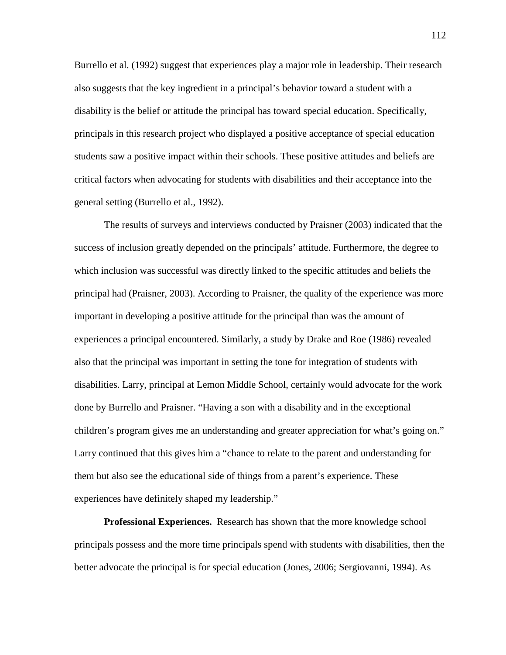Burrello et al. (1992) suggest that experiences play a major role in leadership. Their research also suggests that the key ingredient in a principal's behavior toward a student with a disability is the belief or attitude the principal has toward special education. Specifically, principals in this research project who displayed a positive acceptance of special education students saw a positive impact within their schools. These positive attitudes and beliefs are critical factors when advocating for students with disabilities and their acceptance into the general setting (Burrello et al., 1992).

The results of surveys and interviews conducted by Praisner (2003) indicated that the success of inclusion greatly depended on the principals' attitude. Furthermore, the degree to which inclusion was successful was directly linked to the specific attitudes and beliefs the principal had (Praisner, 2003). According to Praisner, the quality of the experience was more important in developing a positive attitude for the principal than was the amount of experiences a principal encountered. Similarly, a study by Drake and Roe (1986) revealed also that the principal was important in setting the tone for integration of students with disabilities. Larry, principal at Lemon Middle School, certainly would advocate for the work done by Burrello and Praisner. "Having a son with a disability and in the exceptional children's program gives me an understanding and greater appreciation for what's going on." Larry continued that this gives him a "chance to relate to the parent and understanding for them but also see the educational side of things from a parent's experience. These experiences have definitely shaped my leadership."

**Professional Experiences.** Research has shown that the more knowledge school principals possess and the more time principals spend with students with disabilities, then the better advocate the principal is for special education (Jones, 2006; Sergiovanni, 1994). As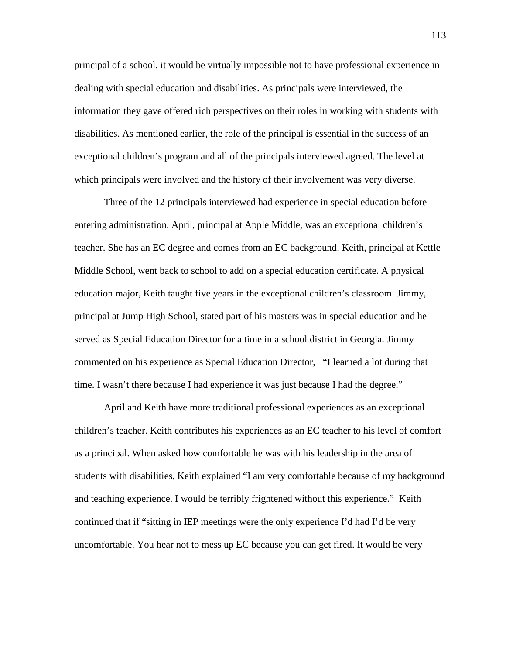principal of a school, it would be virtually impossible not to have professional experience in dealing with special education and disabilities. As principals were interviewed, the information they gave offered rich perspectives on their roles in working with students with disabilities. As mentioned earlier, the role of the principal is essential in the success of an exceptional children's program and all of the principals interviewed agreed. The level at which principals were involved and the history of their involvement was very diverse.

Three of the 12 principals interviewed had experience in special education before entering administration. April, principal at Apple Middle, was an exceptional children's teacher. She has an EC degree and comes from an EC background. Keith, principal at Kettle Middle School, went back to school to add on a special education certificate. A physical education major, Keith taught five years in the exceptional children's classroom. Jimmy, principal at Jump High School, stated part of his masters was in special education and he served as Special Education Director for a time in a school district in Georgia. Jimmy commented on his experience as Special Education Director, "I learned a lot during that time. I wasn't there because I had experience it was just because I had the degree."

April and Keith have more traditional professional experiences as an exceptional children's teacher. Keith contributes his experiences as an EC teacher to his level of comfort as a principal. When asked how comfortable he was with his leadership in the area of students with disabilities, Keith explained "I am very comfortable because of my background and teaching experience. I would be terribly frightened without this experience." Keith continued that if "sitting in IEP meetings were the only experience I'd had I'd be very uncomfortable. You hear not to mess up EC because you can get fired. It would be very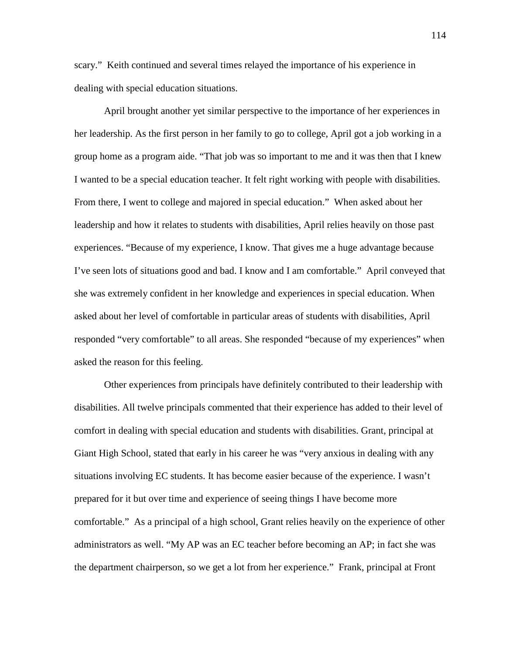scary." Keith continued and several times relayed the importance of his experience in dealing with special education situations.

April brought another yet similar perspective to the importance of her experiences in her leadership. As the first person in her family to go to college, April got a job working in a group home as a program aide. "That job was so important to me and it was then that I knew I wanted to be a special education teacher. It felt right working with people with disabilities. From there, I went to college and majored in special education." When asked about her leadership and how it relates to students with disabilities, April relies heavily on those past experiences. "Because of my experience, I know. That gives me a huge advantage because I've seen lots of situations good and bad. I know and I am comfortable." April conveyed that she was extremely confident in her knowledge and experiences in special education. When asked about her level of comfortable in particular areas of students with disabilities, April responded "very comfortable" to all areas. She responded "because of my experiences" when asked the reason for this feeling.

Other experiences from principals have definitely contributed to their leadership with disabilities. All twelve principals commented that their experience has added to their level of comfort in dealing with special education and students with disabilities. Grant, principal at Giant High School, stated that early in his career he was "very anxious in dealing with any situations involving EC students. It has become easier because of the experience. I wasn't prepared for it but over time and experience of seeing things I have become more comfortable." As a principal of a high school, Grant relies heavily on the experience of other administrators as well. "My AP was an EC teacher before becoming an AP; in fact she was the department chairperson, so we get a lot from her experience." Frank, principal at Front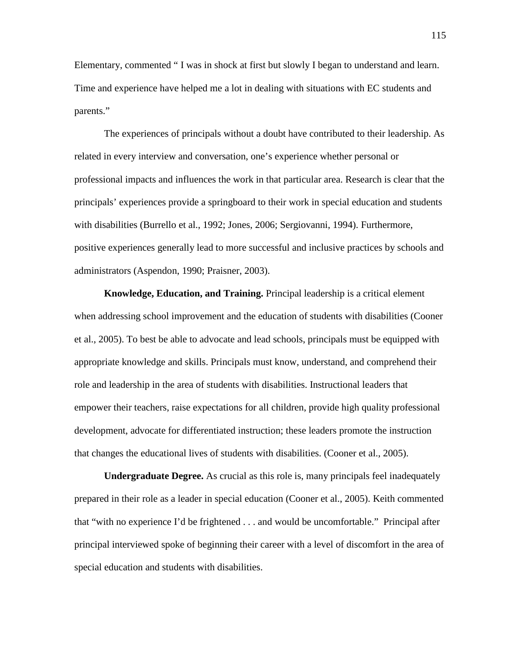Elementary, commented " I was in shock at first but slowly I began to understand and learn. Time and experience have helped me a lot in dealing with situations with EC students and parents."

The experiences of principals without a doubt have contributed to their leadership. As related in every interview and conversation, one's experience whether personal or professional impacts and influences the work in that particular area. Research is clear that the principals' experiences provide a springboard to their work in special education and students with disabilities (Burrello et al., 1992; Jones, 2006; Sergiovanni, 1994). Furthermore, positive experiences generally lead to more successful and inclusive practices by schools and administrators (Aspendon, 1990; Praisner, 2003).

**Knowledge, Education, and Training.** Principal leadership is a critical element when addressing school improvement and the education of students with disabilities (Cooner et al., 2005). To best be able to advocate and lead schools, principals must be equipped with appropriate knowledge and skills. Principals must know, understand, and comprehend their role and leadership in the area of students with disabilities. Instructional leaders that empower their teachers, raise expectations for all children, provide high quality professional development, advocate for differentiated instruction; these leaders promote the instruction that changes the educational lives of students with disabilities. (Cooner et al., 2005).

**Undergraduate Degree.** As crucial as this role is, many principals feel inadequately prepared in their role as a leader in special education (Cooner et al., 2005). Keith commented that "with no experience I'd be frightened . . . and would be uncomfortable." Principal after principal interviewed spoke of beginning their career with a level of discomfort in the area of special education and students with disabilities.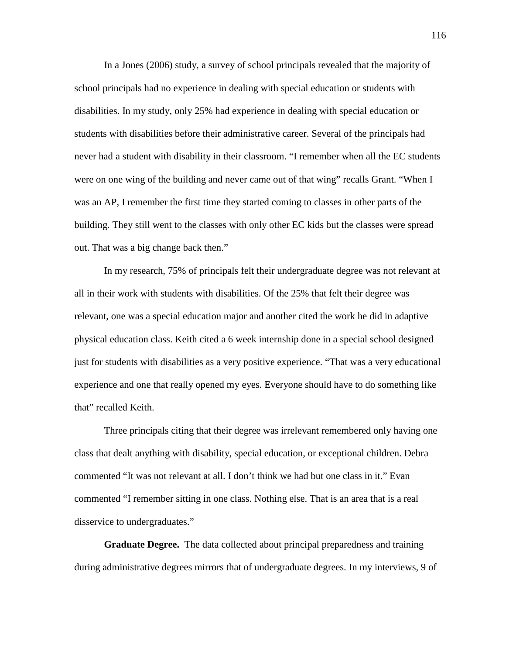In a Jones (2006) study, a survey of school principals revealed that the majority of school principals had no experience in dealing with special education or students with disabilities. In my study, only 25% had experience in dealing with special education or students with disabilities before their administrative career. Several of the principals had never had a student with disability in their classroom. "I remember when all the EC students were on one wing of the building and never came out of that wing" recalls Grant. "When I was an AP, I remember the first time they started coming to classes in other parts of the building. They still went to the classes with only other EC kids but the classes were spread out. That was a big change back then."

In my research, 75% of principals felt their undergraduate degree was not relevant at all in their work with students with disabilities. Of the 25% that felt their degree was relevant, one was a special education major and another cited the work he did in adaptive physical education class. Keith cited a 6 week internship done in a special school designed just for students with disabilities as a very positive experience. "That was a very educational experience and one that really opened my eyes. Everyone should have to do something like that" recalled Keith.

Three principals citing that their degree was irrelevant remembered only having one class that dealt anything with disability, special education, or exceptional children. Debra commented "It was not relevant at all. I don't think we had but one class in it." Evan commented "I remember sitting in one class. Nothing else. That is an area that is a real disservice to undergraduates."

**Graduate Degree.** The data collected about principal preparedness and training during administrative degrees mirrors that of undergraduate degrees. In my interviews, 9 of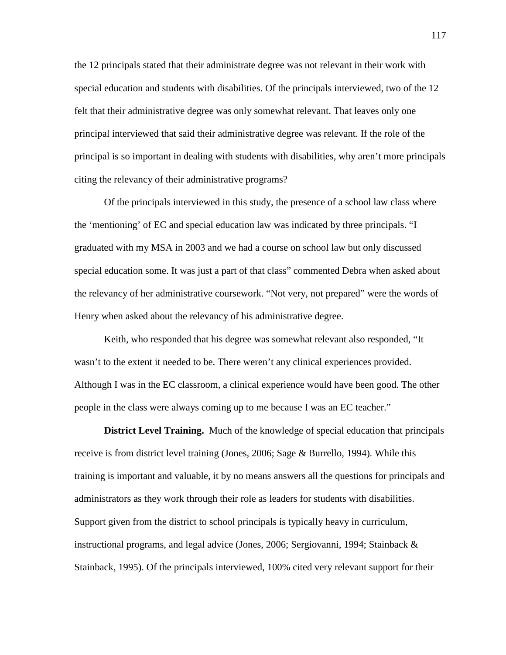the 12 principals stated that their administrate degree was not relevant in their work with special education and students with disabilities. Of the principals interviewed, two of the 12 felt that their administrative degree was only somewhat relevant. That leaves only one principal interviewed that said their administrative degree was relevant. If the role of the principal is so important in dealing with students with disabilities, why aren't more principals citing the relevancy of their administrative programs?

Of the principals interviewed in this study, the presence of a school law class where the 'mentioning' of EC and special education law was indicated by three principals. "I graduated with my MSA in 2003 and we had a course on school law but only discussed special education some. It was just a part of that class" commented Debra when asked about the relevancy of her administrative coursework. "Not very, not prepared" were the words of Henry when asked about the relevancy of his administrative degree.

Keith, who responded that his degree was somewhat relevant also responded, "It wasn't to the extent it needed to be. There weren't any clinical experiences provided. Although I was in the EC classroom, a clinical experience would have been good. The other people in the class were always coming up to me because I was an EC teacher."

**District Level Training.** Much of the knowledge of special education that principals receive is from district level training (Jones, 2006; Sage & Burrello, 1994). While this training is important and valuable, it by no means answers all the questions for principals and administrators as they work through their role as leaders for students with disabilities. Support given from the district to school principals is typically heavy in curriculum, instructional programs, and legal advice (Jones, 2006; Sergiovanni, 1994; Stainback & Stainback, 1995). Of the principals interviewed, 100% cited very relevant support for their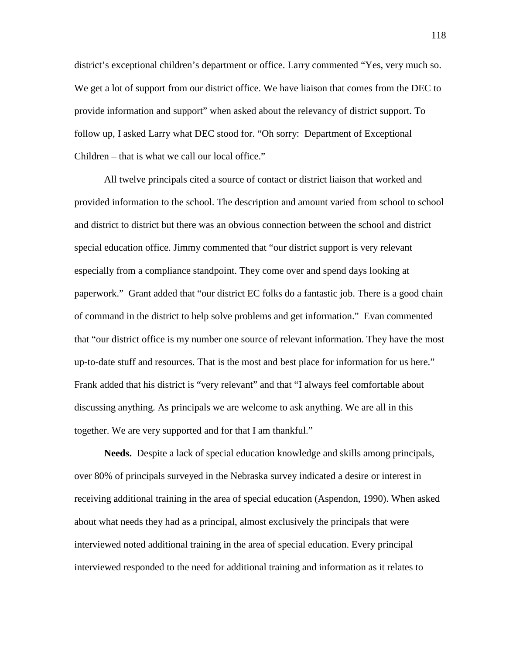district's exceptional children's department or office. Larry commented "Yes, very much so. We get a lot of support from our district office. We have liaison that comes from the DEC to provide information and support" when asked about the relevancy of district support. To follow up, I asked Larry what DEC stood for. "Oh sorry: Department of Exceptional Children – that is what we call our local office."

All twelve principals cited a source of contact or district liaison that worked and provided information to the school. The description and amount varied from school to school and district to district but there was an obvious connection between the school and district special education office. Jimmy commented that "our district support is very relevant especially from a compliance standpoint. They come over and spend days looking at paperwork." Grant added that "our district EC folks do a fantastic job. There is a good chain of command in the district to help solve problems and get information." Evan commented that "our district office is my number one source of relevant information. They have the most up-to-date stuff and resources. That is the most and best place for information for us here." Frank added that his district is "very relevant" and that "I always feel comfortable about discussing anything. As principals we are welcome to ask anything. We are all in this together. We are very supported and for that I am thankful."

**Needs.** Despite a lack of special education knowledge and skills among principals, over 80% of principals surveyed in the Nebraska survey indicated a desire or interest in receiving additional training in the area of special education (Aspendon, 1990). When asked about what needs they had as a principal, almost exclusively the principals that were interviewed noted additional training in the area of special education. Every principal interviewed responded to the need for additional training and information as it relates to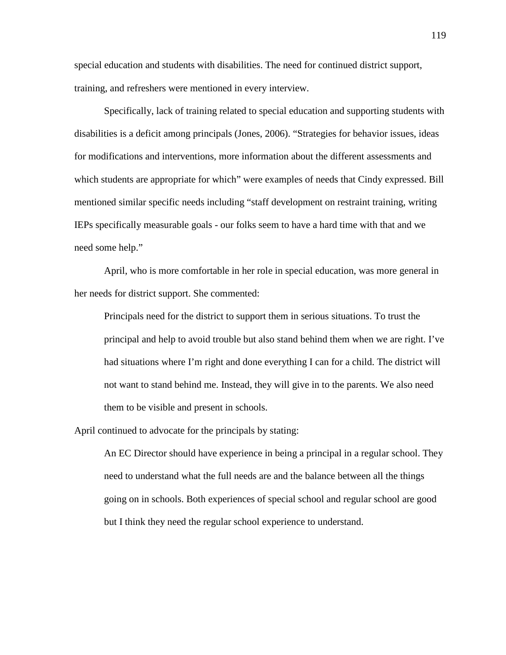special education and students with disabilities. The need for continued district support, training, and refreshers were mentioned in every interview.

Specifically, lack of training related to special education and supporting students with disabilities is a deficit among principals (Jones, 2006). "Strategies for behavior issues, ideas for modifications and interventions, more information about the different assessments and which students are appropriate for which" were examples of needs that Cindy expressed. Bill mentioned similar specific needs including "staff development on restraint training, writing IEPs specifically measurable goals - our folks seem to have a hard time with that and we need some help."

April, who is more comfortable in her role in special education, was more general in her needs for district support. She commented:

Principals need for the district to support them in serious situations. To trust the principal and help to avoid trouble but also stand behind them when we are right. I've had situations where I'm right and done everything I can for a child. The district will not want to stand behind me. Instead, they will give in to the parents. We also need them to be visible and present in schools.

April continued to advocate for the principals by stating:

An EC Director should have experience in being a principal in a regular school. They need to understand what the full needs are and the balance between all the things going on in schools. Both experiences of special school and regular school are good but I think they need the regular school experience to understand.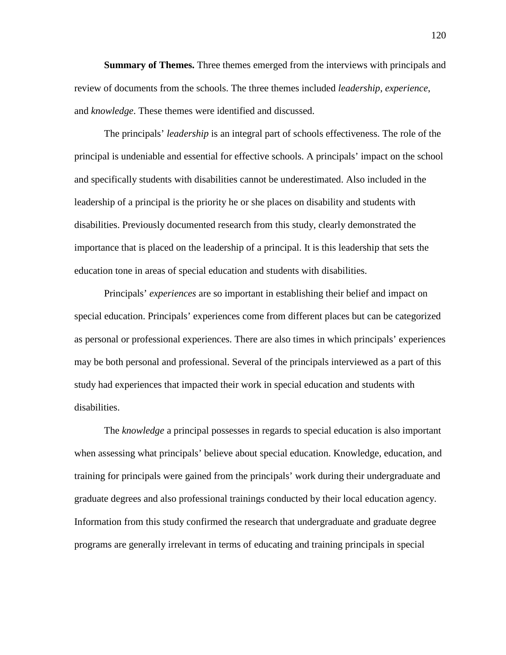**Summary of Themes.** Three themes emerged from the interviews with principals and review of documents from the schools. The three themes included *leadership*, *experience*, and *knowledge*. These themes were identified and discussed.

The principals' *leadership* is an integral part of schools effectiveness. The role of the principal is undeniable and essential for effective schools. A principals' impact on the school and specifically students with disabilities cannot be underestimated. Also included in the leadership of a principal is the priority he or she places on disability and students with disabilities. Previously documented research from this study, clearly demonstrated the importance that is placed on the leadership of a principal. It is this leadership that sets the education tone in areas of special education and students with disabilities.

Principals' *experiences* are so important in establishing their belief and impact on special education. Principals' experiences come from different places but can be categorized as personal or professional experiences. There are also times in which principals' experiences may be both personal and professional. Several of the principals interviewed as a part of this study had experiences that impacted their work in special education and students with disabilities.

The *knowledge* a principal possesses in regards to special education is also important when assessing what principals' believe about special education. Knowledge, education, and training for principals were gained from the principals' work during their undergraduate and graduate degrees and also professional trainings conducted by their local education agency. Information from this study confirmed the research that undergraduate and graduate degree programs are generally irrelevant in terms of educating and training principals in special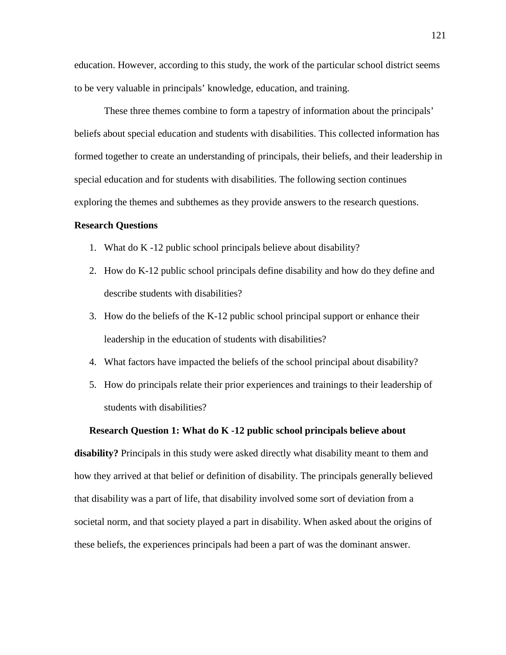education. However, according to this study, the work of the particular school district seems to be very valuable in principals' knowledge, education, and training.

These three themes combine to form a tapestry of information about the principals' beliefs about special education and students with disabilities. This collected information has formed together to create an understanding of principals, their beliefs, and their leadership in special education and for students with disabilities. The following section continues exploring the themes and subthemes as they provide answers to the research questions.

#### **Research Questions**

- 1. What do K -12 public school principals believe about disability?
- 2. How do K-12 public school principals define disability and how do they define and describe students with disabilities?
- 3. How do the beliefs of the K-12 public school principal support or enhance their leadership in the education of students with disabilities?
- 4. What factors have impacted the beliefs of the school principal about disability?
- 5. How do principals relate their prior experiences and trainings to their leadership of students with disabilities?

## **Research Question 1: What do K -12 public school principals believe about**

**disability?** Principals in this study were asked directly what disability meant to them and how they arrived at that belief or definition of disability. The principals generally believed that disability was a part of life, that disability involved some sort of deviation from a societal norm, and that society played a part in disability. When asked about the origins of these beliefs, the experiences principals had been a part of was the dominant answer.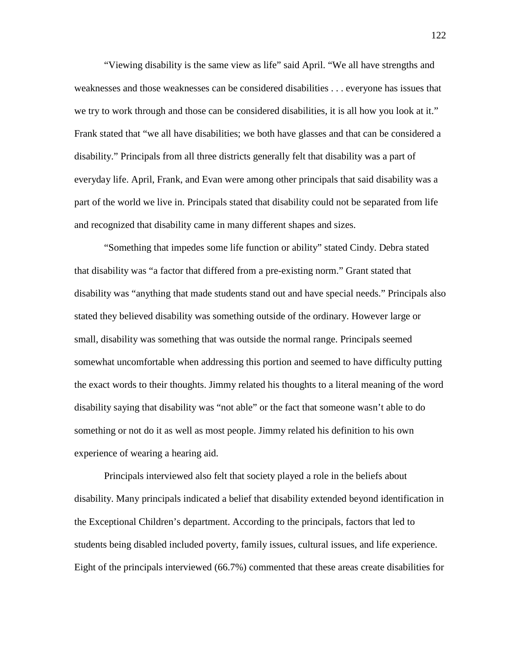"Viewing disability is the same view as life" said April. "We all have strengths and weaknesses and those weaknesses can be considered disabilities . . . everyone has issues that we try to work through and those can be considered disabilities, it is all how you look at it." Frank stated that "we all have disabilities; we both have glasses and that can be considered a disability." Principals from all three districts generally felt that disability was a part of everyday life. April, Frank, and Evan were among other principals that said disability was a part of the world we live in. Principals stated that disability could not be separated from life and recognized that disability came in many different shapes and sizes.

"Something that impedes some life function or ability" stated Cindy. Debra stated that disability was "a factor that differed from a pre-existing norm." Grant stated that disability was "anything that made students stand out and have special needs." Principals also stated they believed disability was something outside of the ordinary. However large or small, disability was something that was outside the normal range. Principals seemed somewhat uncomfortable when addressing this portion and seemed to have difficulty putting the exact words to their thoughts. Jimmy related his thoughts to a literal meaning of the word disability saying that disability was "not able" or the fact that someone wasn't able to do something or not do it as well as most people. Jimmy related his definition to his own experience of wearing a hearing aid.

Principals interviewed also felt that society played a role in the beliefs about disability. Many principals indicated a belief that disability extended beyond identification in the Exceptional Children's department. According to the principals, factors that led to students being disabled included poverty, family issues, cultural issues, and life experience. Eight of the principals interviewed (66.7%) commented that these areas create disabilities for

122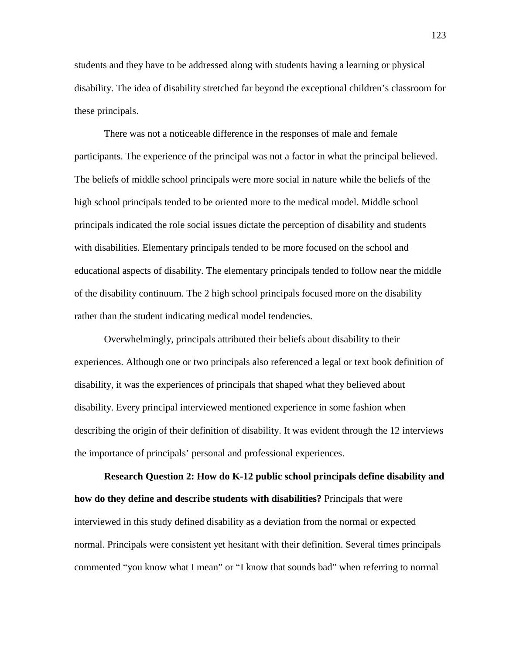students and they have to be addressed along with students having a learning or physical disability. The idea of disability stretched far beyond the exceptional children's classroom for these principals.

There was not a noticeable difference in the responses of male and female participants. The experience of the principal was not a factor in what the principal believed. The beliefs of middle school principals were more social in nature while the beliefs of the high school principals tended to be oriented more to the medical model. Middle school principals indicated the role social issues dictate the perception of disability and students with disabilities. Elementary principals tended to be more focused on the school and educational aspects of disability. The elementary principals tended to follow near the middle of the disability continuum. The 2 high school principals focused more on the disability rather than the student indicating medical model tendencies.

Overwhelmingly, principals attributed their beliefs about disability to their experiences. Although one or two principals also referenced a legal or text book definition of disability, it was the experiences of principals that shaped what they believed about disability. Every principal interviewed mentioned experience in some fashion when describing the origin of their definition of disability. It was evident through the 12 interviews the importance of principals' personal and professional experiences.

**Research Question 2: How do K-12 public school principals define disability and how do they define and describe students with disabilities?** Principals that were interviewed in this study defined disability as a deviation from the normal or expected normal. Principals were consistent yet hesitant with their definition. Several times principals commented "you know what I mean" or "I know that sounds bad" when referring to normal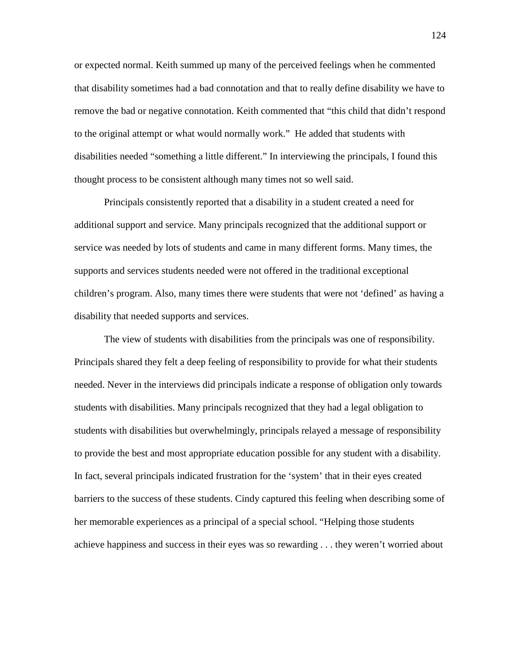or expected normal. Keith summed up many of the perceived feelings when he commented that disability sometimes had a bad connotation and that to really define disability we have to remove the bad or negative connotation. Keith commented that "this child that didn't respond to the original attempt or what would normally work." He added that students with disabilities needed "something a little different." In interviewing the principals, I found this thought process to be consistent although many times not so well said.

Principals consistently reported that a disability in a student created a need for additional support and service. Many principals recognized that the additional support or service was needed by lots of students and came in many different forms. Many times, the supports and services students needed were not offered in the traditional exceptional children's program. Also, many times there were students that were not 'defined' as having a disability that needed supports and services.

The view of students with disabilities from the principals was one of responsibility. Principals shared they felt a deep feeling of responsibility to provide for what their students needed. Never in the interviews did principals indicate a response of obligation only towards students with disabilities. Many principals recognized that they had a legal obligation to students with disabilities but overwhelmingly, principals relayed a message of responsibility to provide the best and most appropriate education possible for any student with a disability. In fact, several principals indicated frustration for the 'system' that in their eyes created barriers to the success of these students. Cindy captured this feeling when describing some of her memorable experiences as a principal of a special school. "Helping those students achieve happiness and success in their eyes was so rewarding . . . they weren't worried about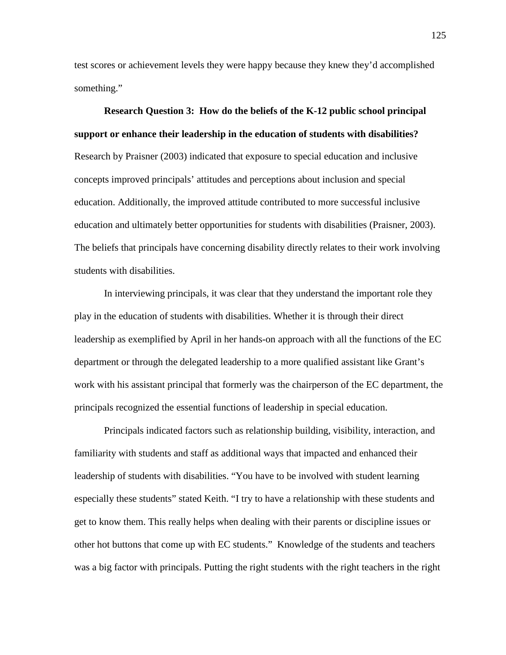test scores or achievement levels they were happy because they knew they'd accomplished something."

**Research Question 3: How do the beliefs of the K-12 public school principal support or enhance their leadership in the education of students with disabilities?** Research by Praisner (2003) indicated that exposure to special education and inclusive concepts improved principals' attitudes and perceptions about inclusion and special education. Additionally, the improved attitude contributed to more successful inclusive education and ultimately better opportunities for students with disabilities (Praisner, 2003). The beliefs that principals have concerning disability directly relates to their work involving students with disabilities.

In interviewing principals, it was clear that they understand the important role they play in the education of students with disabilities. Whether it is through their direct leadership as exemplified by April in her hands-on approach with all the functions of the EC department or through the delegated leadership to a more qualified assistant like Grant's work with his assistant principal that formerly was the chairperson of the EC department, the principals recognized the essential functions of leadership in special education.

Principals indicated factors such as relationship building, visibility, interaction, and familiarity with students and staff as additional ways that impacted and enhanced their leadership of students with disabilities. "You have to be involved with student learning especially these students" stated Keith. "I try to have a relationship with these students and get to know them. This really helps when dealing with their parents or discipline issues or other hot buttons that come up with EC students." Knowledge of the students and teachers was a big factor with principals. Putting the right students with the right teachers in the right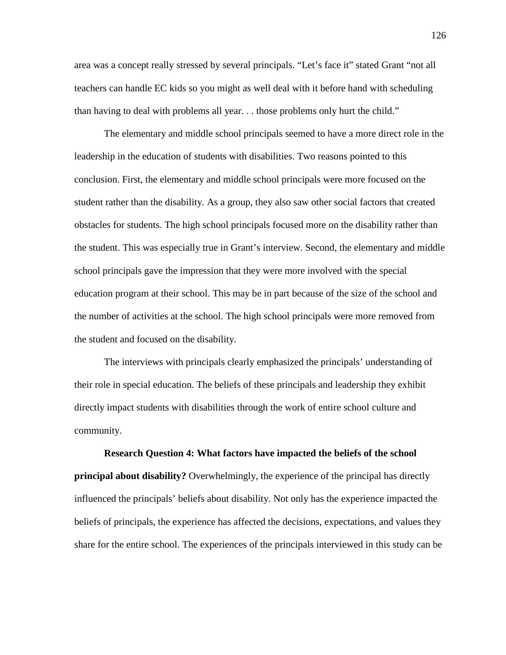area was a concept really stressed by several principals. "Let's face it" stated Grant "not all teachers can handle EC kids so you might as well deal with it before hand with scheduling than having to deal with problems all year. . . those problems only hurt the child."

The elementary and middle school principals seemed to have a more direct role in the leadership in the education of students with disabilities. Two reasons pointed to this conclusion. First, the elementary and middle school principals were more focused on the student rather than the disability. As a group, they also saw other social factors that created obstacles for students. The high school principals focused more on the disability rather than the student. This was especially true in Grant's interview. Second, the elementary and middle school principals gave the impression that they were more involved with the special education program at their school. This may be in part because of the size of the school and the number of activities at the school. The high school principals were more removed from the student and focused on the disability.

The interviews with principals clearly emphasized the principals' understanding of their role in special education. The beliefs of these principals and leadership they exhibit directly impact students with disabilities through the work of entire school culture and community.

**Research Question 4: What factors have impacted the beliefs of the school principal about disability?** Overwhelmingly, the experience of the principal has directly influenced the principals' beliefs about disability. Not only has the experience impacted the beliefs of principals, the experience has affected the decisions, expectations, and values they share for the entire school. The experiences of the principals interviewed in this study can be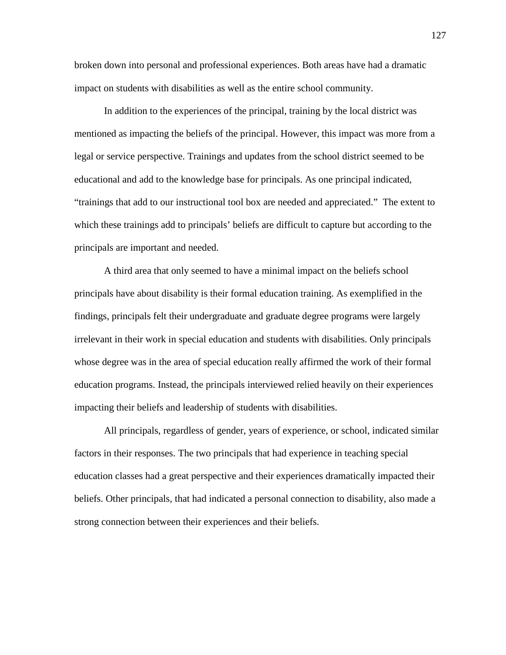broken down into personal and professional experiences. Both areas have had a dramatic impact on students with disabilities as well as the entire school community.

In addition to the experiences of the principal, training by the local district was mentioned as impacting the beliefs of the principal. However, this impact was more from a legal or service perspective. Trainings and updates from the school district seemed to be educational and add to the knowledge base for principals. As one principal indicated, "trainings that add to our instructional tool box are needed and appreciated." The extent to which these trainings add to principals' beliefs are difficult to capture but according to the principals are important and needed.

A third area that only seemed to have a minimal impact on the beliefs school principals have about disability is their formal education training. As exemplified in the findings, principals felt their undergraduate and graduate degree programs were largely irrelevant in their work in special education and students with disabilities. Only principals whose degree was in the area of special education really affirmed the work of their formal education programs. Instead, the principals interviewed relied heavily on their experiences impacting their beliefs and leadership of students with disabilities.

All principals, regardless of gender, years of experience, or school, indicated similar factors in their responses. The two principals that had experience in teaching special education classes had a great perspective and their experiences dramatically impacted their beliefs. Other principals, that had indicated a personal connection to disability, also made a strong connection between their experiences and their beliefs.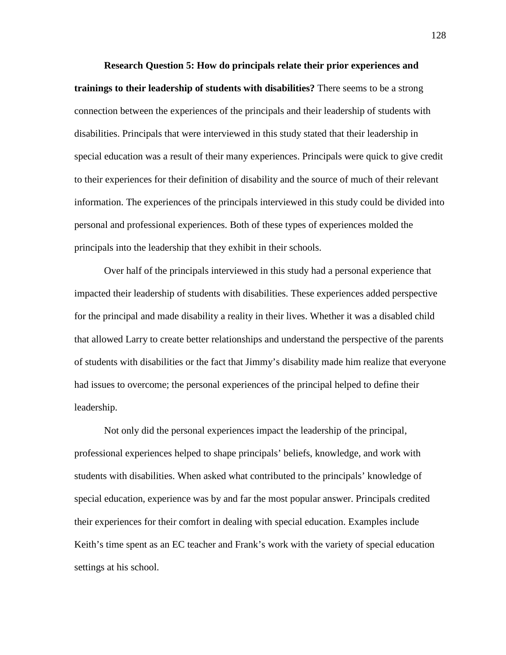**Research Question 5: How do principals relate their prior experiences and trainings to their leadership of students with disabilities?** There seems to be a strong connection between the experiences of the principals and their leadership of students with disabilities. Principals that were interviewed in this study stated that their leadership in special education was a result of their many experiences. Principals were quick to give credit to their experiences for their definition of disability and the source of much of their relevant information. The experiences of the principals interviewed in this study could be divided into personal and professional experiences. Both of these types of experiences molded the principals into the leadership that they exhibit in their schools.

Over half of the principals interviewed in this study had a personal experience that impacted their leadership of students with disabilities. These experiences added perspective for the principal and made disability a reality in their lives. Whether it was a disabled child that allowed Larry to create better relationships and understand the perspective of the parents of students with disabilities or the fact that Jimmy's disability made him realize that everyone had issues to overcome; the personal experiences of the principal helped to define their leadership.

Not only did the personal experiences impact the leadership of the principal, professional experiences helped to shape principals' beliefs, knowledge, and work with students with disabilities. When asked what contributed to the principals' knowledge of special education, experience was by and far the most popular answer. Principals credited their experiences for their comfort in dealing with special education. Examples include Keith's time spent as an EC teacher and Frank's work with the variety of special education settings at his school.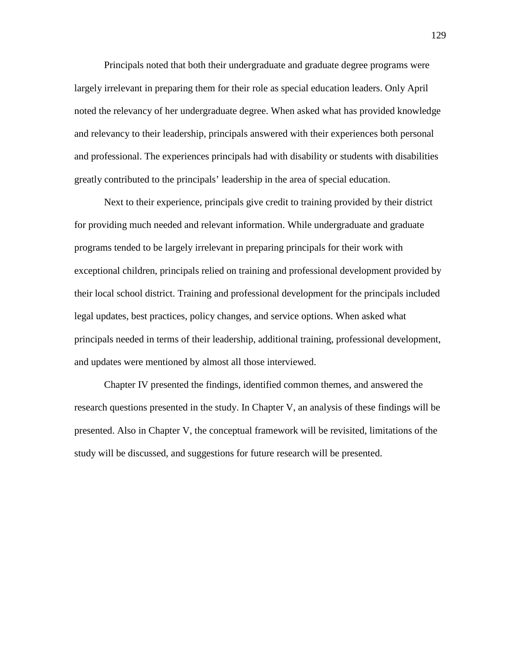Principals noted that both their undergraduate and graduate degree programs were largely irrelevant in preparing them for their role as special education leaders. Only April noted the relevancy of her undergraduate degree. When asked what has provided knowledge and relevancy to their leadership, principals answered with their experiences both personal and professional. The experiences principals had with disability or students with disabilities greatly contributed to the principals' leadership in the area of special education.

Next to their experience, principals give credit to training provided by their district for providing much needed and relevant information. While undergraduate and graduate programs tended to be largely irrelevant in preparing principals for their work with exceptional children, principals relied on training and professional development provided by their local school district. Training and professional development for the principals included legal updates, best practices, policy changes, and service options. When asked what principals needed in terms of their leadership, additional training, professional development, and updates were mentioned by almost all those interviewed.

Chapter IV presented the findings, identified common themes, and answered the research questions presented in the study. In Chapter V, an analysis of these findings will be presented. Also in Chapter V, the conceptual framework will be revisited, limitations of the study will be discussed, and suggestions for future research will be presented.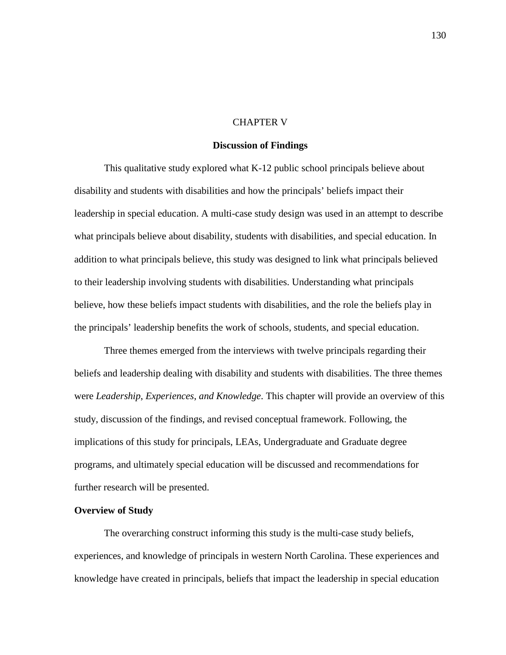#### CHAPTER V

### **Discussion of Findings**

This qualitative study explored what K-12 public school principals believe about disability and students with disabilities and how the principals' beliefs impact their leadership in special education. A multi-case study design was used in an attempt to describe what principals believe about disability, students with disabilities, and special education. In addition to what principals believe, this study was designed to link what principals believed to their leadership involving students with disabilities. Understanding what principals believe, how these beliefs impact students with disabilities, and the role the beliefs play in the principals' leadership benefits the work of schools, students, and special education.

Three themes emerged from the interviews with twelve principals regarding their beliefs and leadership dealing with disability and students with disabilities. The three themes were *Leadership*, *Experiences*, *and Knowledge*. This chapter will provide an overview of this study, discussion of the findings, and revised conceptual framework. Following, the implications of this study for principals, LEAs, Undergraduate and Graduate degree programs, and ultimately special education will be discussed and recommendations for further research will be presented.

#### **Overview of Study**

The overarching construct informing this study is the multi-case study beliefs, experiences, and knowledge of principals in western North Carolina. These experiences and knowledge have created in principals, beliefs that impact the leadership in special education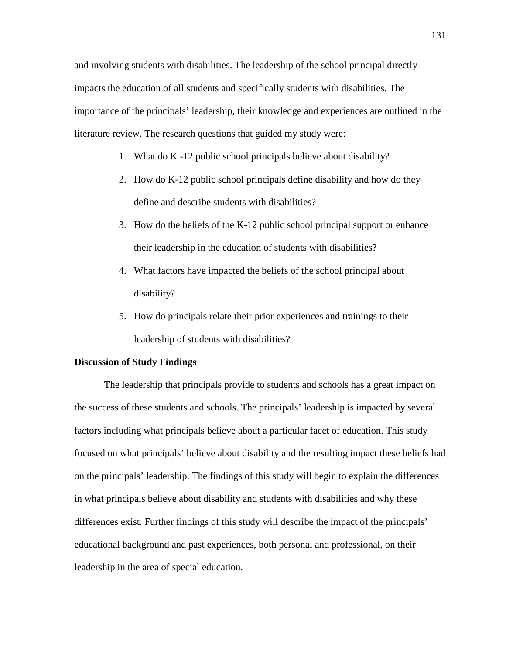and involving students with disabilities. The leadership of the school principal directly impacts the education of all students and specifically students with disabilities. The importance of the principals' leadership, their knowledge and experiences are outlined in the literature review. The research questions that guided my study were:

- 1. What do K -12 public school principals believe about disability?
- 2. How do K-12 public school principals define disability and how do they define and describe students with disabilities?
- 3. How do the beliefs of the K-12 public school principal support or enhance their leadership in the education of students with disabilities?
- 4. What factors have impacted the beliefs of the school principal about disability?
- 5. How do principals relate their prior experiences and trainings to their leadership of students with disabilities?

#### **Discussion of Study Findings**

The leadership that principals provide to students and schools has a great impact on the success of these students and schools. The principals' leadership is impacted by several factors including what principals believe about a particular facet of education. This study focused on what principals' believe about disability and the resulting impact these beliefs had on the principals' leadership. The findings of this study will begin to explain the differences in what principals believe about disability and students with disabilities and why these differences exist. Further findings of this study will describe the impact of the principals' educational background and past experiences, both personal and professional, on their leadership in the area of special education.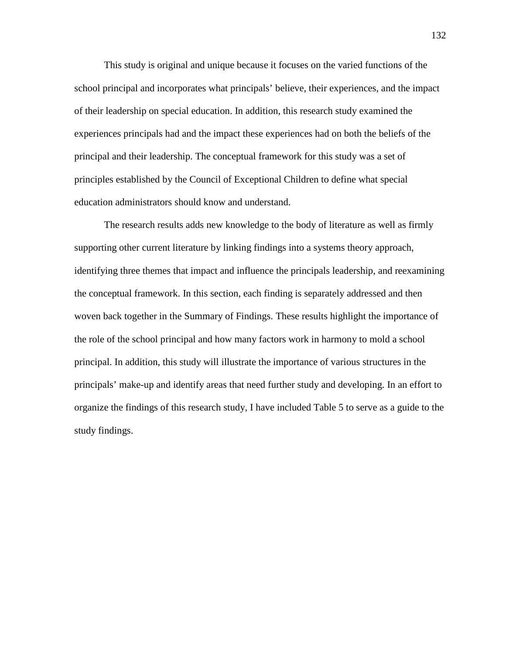This study is original and unique because it focuses on the varied functions of the school principal and incorporates what principals' believe, their experiences, and the impact of their leadership on special education. In addition, this research study examined the experiences principals had and the impact these experiences had on both the beliefs of the principal and their leadership. The conceptual framework for this study was a set of principles established by the Council of Exceptional Children to define what special education administrators should know and understand.

The research results adds new knowledge to the body of literature as well as firmly supporting other current literature by linking findings into a systems theory approach, identifying three themes that impact and influence the principals leadership, and reexamining the conceptual framework. In this section, each finding is separately addressed and then woven back together in the Summary of Findings. These results highlight the importance of the role of the school principal and how many factors work in harmony to mold a school principal. In addition, this study will illustrate the importance of various structures in the principals' make-up and identify areas that need further study and developing. In an effort to organize the findings of this research study, I have included Table 5 to serve as a guide to the study findings.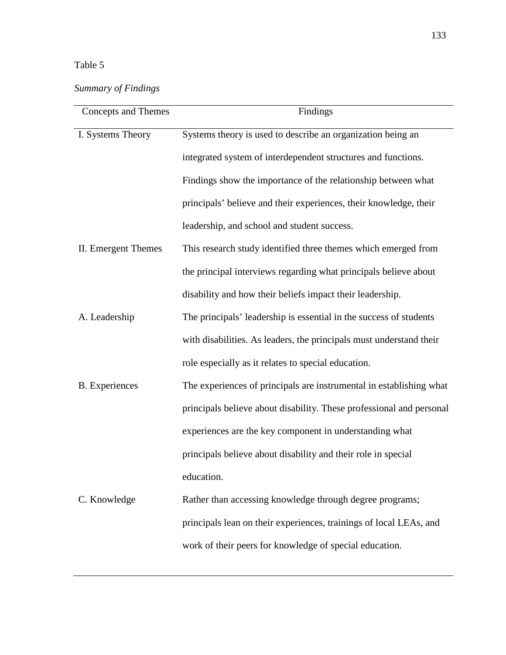## Table 5

# *Summary of Findings*

| Concepts and Themes   | Findings                                                             |
|-----------------------|----------------------------------------------------------------------|
| I. Systems Theory     | Systems theory is used to describe an organization being an          |
|                       | integrated system of interdependent structures and functions.        |
|                       | Findings show the importance of the relationship between what        |
|                       | principals' believe and their experiences, their knowledge, their    |
|                       | leadership, and school and student success.                          |
| II. Emergent Themes   | This research study identified three themes which emerged from       |
|                       | the principal interviews regarding what principals believe about     |
|                       | disability and how their beliefs impact their leadership.            |
| A. Leadership         | The principals' leadership is essential in the success of students   |
|                       | with disabilities. As leaders, the principals must understand their  |
|                       | role especially as it relates to special education.                  |
| <b>B.</b> Experiences | The experiences of principals are instrumental in establishing what  |
|                       | principals believe about disability. These professional and personal |
|                       | experiences are the key component in understanding what              |
|                       | principals believe about disability and their role in special        |
|                       | education.                                                           |
| C. Knowledge          | Rather than accessing knowledge through degree programs;             |
|                       | principals lean on their experiences, trainings of local LEAs, and   |
|                       | work of their peers for knowledge of special education.              |
|                       |                                                                      |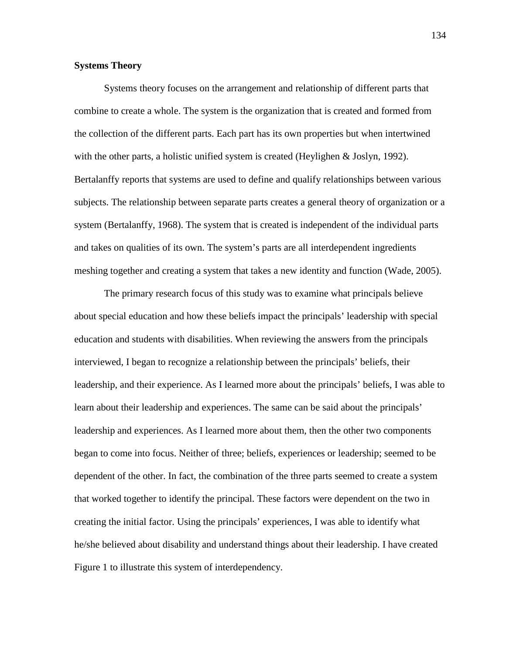#### **Systems Theory**

Systems theory focuses on the arrangement and relationship of different parts that combine to create a whole. The system is the organization that is created and formed from the collection of the different parts. Each part has its own properties but when intertwined with the other parts, a holistic unified system is created (Heylighen & Joslyn, 1992). Bertalanffy reports that systems are used to define and qualify relationships between various subjects. The relationship between separate parts creates a general theory of organization or a system (Bertalanffy, 1968). The system that is created is independent of the individual parts and takes on qualities of its own. The system's parts are all interdependent ingredients meshing together and creating a system that takes a new identity and function (Wade, 2005).

The primary research focus of this study was to examine what principals believe about special education and how these beliefs impact the principals' leadership with special education and students with disabilities. When reviewing the answers from the principals interviewed, I began to recognize a relationship between the principals' beliefs, their leadership, and their experience. As I learned more about the principals' beliefs, I was able to learn about their leadership and experiences. The same can be said about the principals' leadership and experiences. As I learned more about them, then the other two components began to come into focus. Neither of three; beliefs, experiences or leadership; seemed to be dependent of the other. In fact, the combination of the three parts seemed to create a system that worked together to identify the principal. These factors were dependent on the two in creating the initial factor. Using the principals' experiences, I was able to identify what he/she believed about disability and understand things about their leadership. I have created Figure 1 to illustrate this system of interdependency.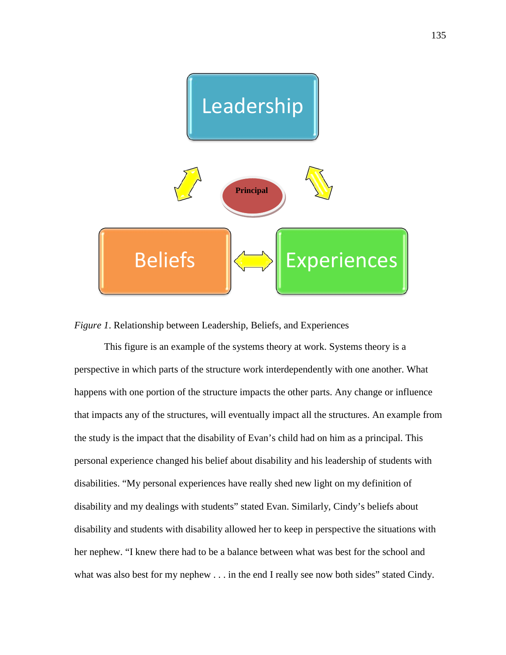

*Figure 1*. Relationship between Leadership, Beliefs, and Experiences

This figure is an example of the systems theory at work. Systems theory is a perspective in which parts of the structure work interdependently with one another. What happens with one portion of the structure impacts the other parts. Any change or influence that impacts any of the structures, will eventually impact all the structures. An example from the study is the impact that the disability of Evan's child had on him as a principal. This personal experience changed his belief about disability and his leadership of students with disabilities. "My personal experiences have really shed new light on my definition of disability and my dealings with students" stated Evan. Similarly, Cindy's beliefs about disability and students with disability allowed her to keep in perspective the situations with her nephew. "I knew there had to be a balance between what was best for the school and what was also best for my nephew . . . in the end I really see now both sides" stated Cindy.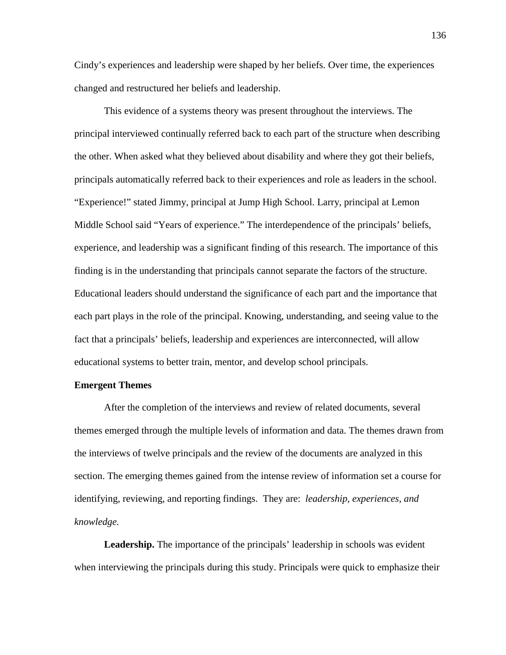Cindy's experiences and leadership were shaped by her beliefs. Over time, the experiences changed and restructured her beliefs and leadership.

This evidence of a systems theory was present throughout the interviews. The principal interviewed continually referred back to each part of the structure when describing the other. When asked what they believed about disability and where they got their beliefs, principals automatically referred back to their experiences and role as leaders in the school. "Experience!" stated Jimmy, principal at Jump High School. Larry, principal at Lemon Middle School said "Years of experience." The interdependence of the principals' beliefs, experience, and leadership was a significant finding of this research. The importance of this finding is in the understanding that principals cannot separate the factors of the structure. Educational leaders should understand the significance of each part and the importance that each part plays in the role of the principal. Knowing, understanding, and seeing value to the fact that a principals' beliefs, leadership and experiences are interconnected, will allow educational systems to better train, mentor, and develop school principals.

#### **Emergent Themes**

After the completion of the interviews and review of related documents, several themes emerged through the multiple levels of information and data. The themes drawn from the interviews of twelve principals and the review of the documents are analyzed in this section. The emerging themes gained from the intense review of information set a course for identifying, reviewing, and reporting findings. They are: *leadership*, *experiences*, *and knowledge.*

Leadership. The importance of the principals' leadership in schools was evident when interviewing the principals during this study. Principals were quick to emphasize their

136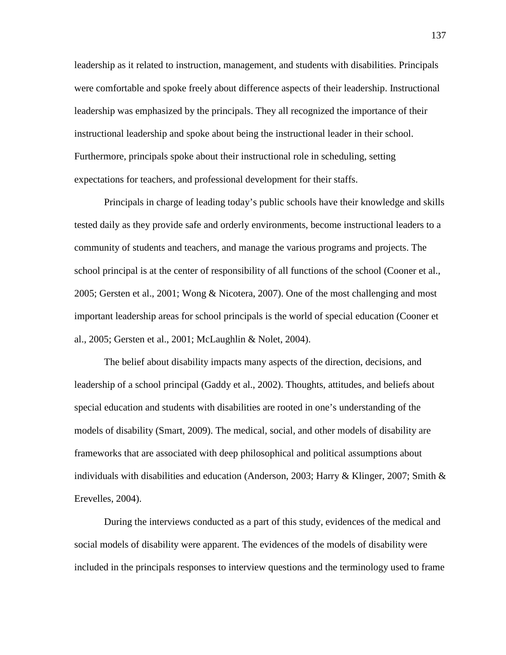leadership as it related to instruction, management, and students with disabilities. Principals were comfortable and spoke freely about difference aspects of their leadership. Instructional leadership was emphasized by the principals. They all recognized the importance of their instructional leadership and spoke about being the instructional leader in their school. Furthermore, principals spoke about their instructional role in scheduling, setting expectations for teachers, and professional development for their staffs.

Principals in charge of leading today's public schools have their knowledge and skills tested daily as they provide safe and orderly environments, become instructional leaders to a community of students and teachers, and manage the various programs and projects. The school principal is at the center of responsibility of all functions of the school (Cooner et al., 2005; Gersten et al., 2001; Wong & Nicotera, 2007). One of the most challenging and most important leadership areas for school principals is the world of special education (Cooner et al., 2005; Gersten et al., 2001; McLaughlin & Nolet, 2004).

The belief about disability impacts many aspects of the direction, decisions, and leadership of a school principal (Gaddy et al., 2002). Thoughts, attitudes, and beliefs about special education and students with disabilities are rooted in one's understanding of the models of disability (Smart, 2009). The medical, social, and other models of disability are frameworks that are associated with deep philosophical and political assumptions about individuals with disabilities and education (Anderson, 2003; Harry & Klinger, 2007; Smith & Erevelles, 2004).

During the interviews conducted as a part of this study, evidences of the medical and social models of disability were apparent. The evidences of the models of disability were included in the principals responses to interview questions and the terminology used to frame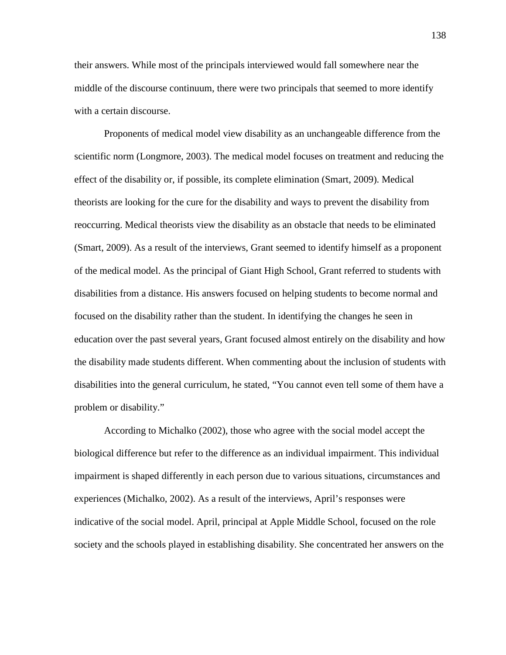their answers. While most of the principals interviewed would fall somewhere near the middle of the discourse continuum, there were two principals that seemed to more identify with a certain discourse.

Proponents of medical model view disability as an unchangeable difference from the scientific norm (Longmore, 2003). The medical model focuses on treatment and reducing the effect of the disability or, if possible, its complete elimination (Smart, 2009). Medical theorists are looking for the cure for the disability and ways to prevent the disability from reoccurring. Medical theorists view the disability as an obstacle that needs to be eliminated (Smart, 2009). As a result of the interviews, Grant seemed to identify himself as a proponent of the medical model. As the principal of Giant High School, Grant referred to students with disabilities from a distance. His answers focused on helping students to become normal and focused on the disability rather than the student. In identifying the changes he seen in education over the past several years, Grant focused almost entirely on the disability and how the disability made students different. When commenting about the inclusion of students with disabilities into the general curriculum, he stated, "You cannot even tell some of them have a problem or disability."

According to Michalko (2002), those who agree with the social model accept the biological difference but refer to the difference as an individual impairment. This individual impairment is shaped differently in each person due to various situations, circumstances and experiences (Michalko, 2002). As a result of the interviews, April's responses were indicative of the social model. April, principal at Apple Middle School, focused on the role society and the schools played in establishing disability. She concentrated her answers on the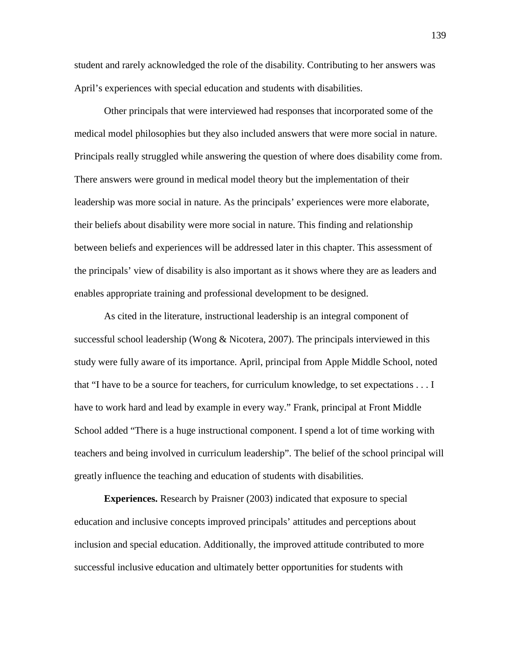student and rarely acknowledged the role of the disability. Contributing to her answers was April's experiences with special education and students with disabilities.

Other principals that were interviewed had responses that incorporated some of the medical model philosophies but they also included answers that were more social in nature. Principals really struggled while answering the question of where does disability come from. There answers were ground in medical model theory but the implementation of their leadership was more social in nature. As the principals' experiences were more elaborate, their beliefs about disability were more social in nature. This finding and relationship between beliefs and experiences will be addressed later in this chapter. This assessment of the principals' view of disability is also important as it shows where they are as leaders and enables appropriate training and professional development to be designed.

As cited in the literature, instructional leadership is an integral component of successful school leadership (Wong & Nicotera, 2007). The principals interviewed in this study were fully aware of its importance. April, principal from Apple Middle School, noted that "I have to be a source for teachers, for curriculum knowledge, to set expectations . . . I have to work hard and lead by example in every way." Frank, principal at Front Middle School added "There is a huge instructional component. I spend a lot of time working with teachers and being involved in curriculum leadership". The belief of the school principal will greatly influence the teaching and education of students with disabilities.

**Experiences.** Research by Praisner (2003) indicated that exposure to special education and inclusive concepts improved principals' attitudes and perceptions about inclusion and special education. Additionally, the improved attitude contributed to more successful inclusive education and ultimately better opportunities for students with

139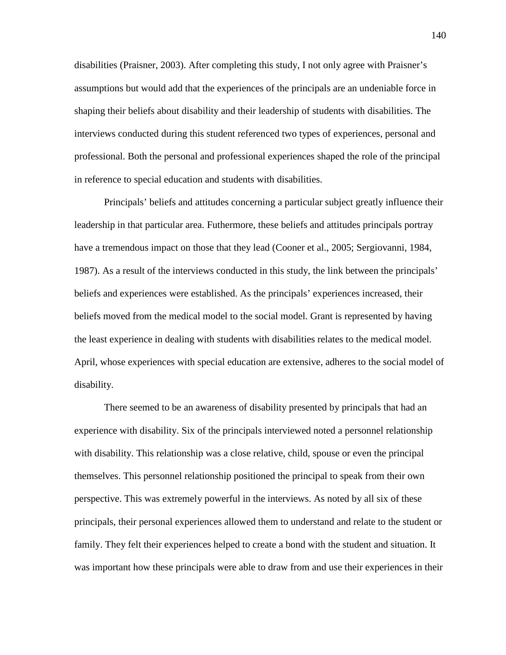disabilities (Praisner, 2003). After completing this study, I not only agree with Praisner's assumptions but would add that the experiences of the principals are an undeniable force in shaping their beliefs about disability and their leadership of students with disabilities. The interviews conducted during this student referenced two types of experiences, personal and professional. Both the personal and professional experiences shaped the role of the principal in reference to special education and students with disabilities.

Principals' beliefs and attitudes concerning a particular subject greatly influence their leadership in that particular area. Futhermore, these beliefs and attitudes principals portray have a tremendous impact on those that they lead (Cooner et al., 2005; Sergiovanni, 1984, 1987). As a result of the interviews conducted in this study, the link between the principals' beliefs and experiences were established. As the principals' experiences increased, their beliefs moved from the medical model to the social model. Grant is represented by having the least experience in dealing with students with disabilities relates to the medical model. April, whose experiences with special education are extensive, adheres to the social model of disability.

There seemed to be an awareness of disability presented by principals that had an experience with disability. Six of the principals interviewed noted a personnel relationship with disability. This relationship was a close relative, child, spouse or even the principal themselves. This personnel relationship positioned the principal to speak from their own perspective. This was extremely powerful in the interviews. As noted by all six of these principals, their personal experiences allowed them to understand and relate to the student or family. They felt their experiences helped to create a bond with the student and situation. It was important how these principals were able to draw from and use their experiences in their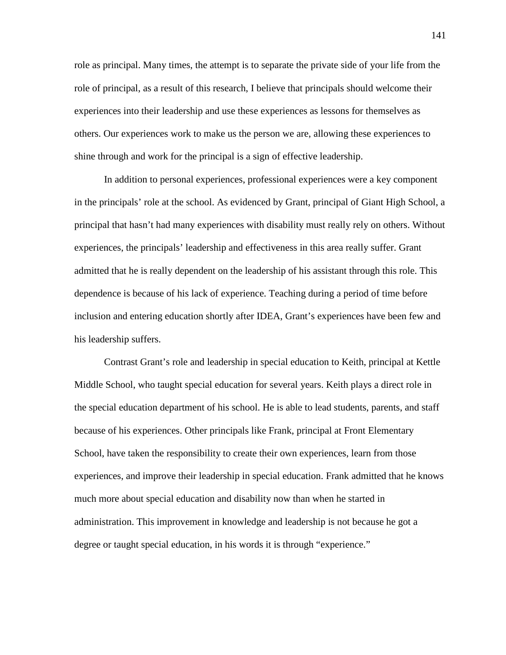role as principal. Many times, the attempt is to separate the private side of your life from the role of principal, as a result of this research, I believe that principals should welcome their experiences into their leadership and use these experiences as lessons for themselves as others. Our experiences work to make us the person we are, allowing these experiences to shine through and work for the principal is a sign of effective leadership.

In addition to personal experiences, professional experiences were a key component in the principals' role at the school. As evidenced by Grant, principal of Giant High School, a principal that hasn't had many experiences with disability must really rely on others. Without experiences, the principals' leadership and effectiveness in this area really suffer. Grant admitted that he is really dependent on the leadership of his assistant through this role. This dependence is because of his lack of experience. Teaching during a period of time before inclusion and entering education shortly after IDEA, Grant's experiences have been few and his leadership suffers.

Contrast Grant's role and leadership in special education to Keith, principal at Kettle Middle School, who taught special education for several years. Keith plays a direct role in the special education department of his school. He is able to lead students, parents, and staff because of his experiences. Other principals like Frank, principal at Front Elementary School, have taken the responsibility to create their own experiences, learn from those experiences, and improve their leadership in special education. Frank admitted that he knows much more about special education and disability now than when he started in administration. This improvement in knowledge and leadership is not because he got a degree or taught special education, in his words it is through "experience."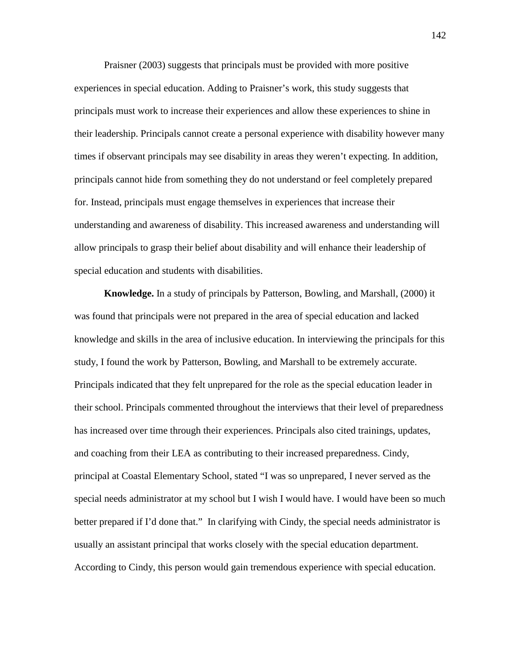Praisner (2003) suggests that principals must be provided with more positive experiences in special education. Adding to Praisner's work, this study suggests that principals must work to increase their experiences and allow these experiences to shine in their leadership. Principals cannot create a personal experience with disability however many times if observant principals may see disability in areas they weren't expecting. In addition, principals cannot hide from something they do not understand or feel completely prepared for. Instead, principals must engage themselves in experiences that increase their understanding and awareness of disability. This increased awareness and understanding will allow principals to grasp their belief about disability and will enhance their leadership of special education and students with disabilities.

**Knowledge.** In a study of principals by Patterson, Bowling, and Marshall, (2000) it was found that principals were not prepared in the area of special education and lacked knowledge and skills in the area of inclusive education. In interviewing the principals for this study, I found the work by Patterson, Bowling, and Marshall to be extremely accurate. Principals indicated that they felt unprepared for the role as the special education leader in their school. Principals commented throughout the interviews that their level of preparedness has increased over time through their experiences. Principals also cited trainings, updates, and coaching from their LEA as contributing to their increased preparedness. Cindy, principal at Coastal Elementary School, stated "I was so unprepared, I never served as the special needs administrator at my school but I wish I would have. I would have been so much better prepared if I'd done that." In clarifying with Cindy, the special needs administrator is usually an assistant principal that works closely with the special education department. According to Cindy, this person would gain tremendous experience with special education.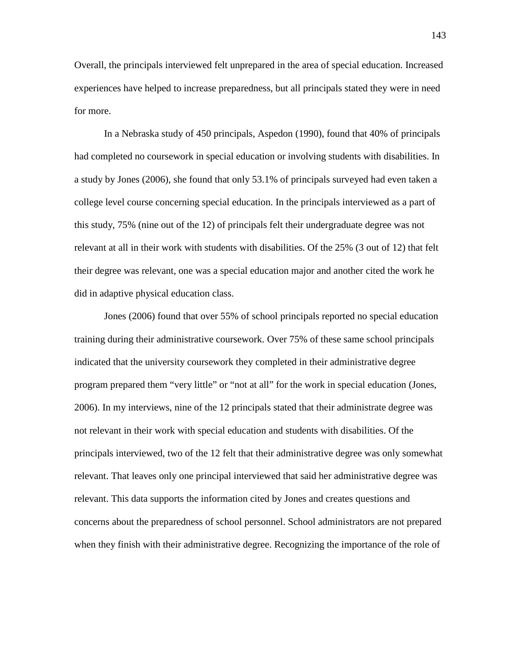Overall, the principals interviewed felt unprepared in the area of special education. Increased experiences have helped to increase preparedness, but all principals stated they were in need for more.

In a Nebraska study of 450 principals, Aspedon (1990), found that 40% of principals had completed no coursework in special education or involving students with disabilities. In a study by Jones (2006), she found that only 53.1% of principals surveyed had even taken a college level course concerning special education. In the principals interviewed as a part of this study, 75% (nine out of the 12) of principals felt their undergraduate degree was not relevant at all in their work with students with disabilities. Of the 25% (3 out of 12) that felt their degree was relevant, one was a special education major and another cited the work he did in adaptive physical education class.

Jones (2006) found that over 55% of school principals reported no special education training during their administrative coursework. Over 75% of these same school principals indicated that the university coursework they completed in their administrative degree program prepared them "very little" or "not at all" for the work in special education (Jones, 2006). In my interviews, nine of the 12 principals stated that their administrate degree was not relevant in their work with special education and students with disabilities. Of the principals interviewed, two of the 12 felt that their administrative degree was only somewhat relevant. That leaves only one principal interviewed that said her administrative degree was relevant. This data supports the information cited by Jones and creates questions and concerns about the preparedness of school personnel. School administrators are not prepared when they finish with their administrative degree. Recognizing the importance of the role of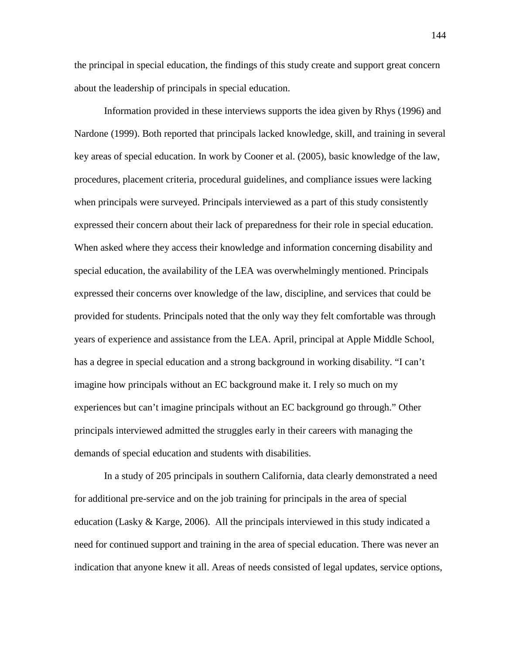the principal in special education, the findings of this study create and support great concern about the leadership of principals in special education.

Information provided in these interviews supports the idea given by Rhys (1996) and Nardone (1999). Both reported that principals lacked knowledge, skill, and training in several key areas of special education. In work by Cooner et al. (2005), basic knowledge of the law, procedures, placement criteria, procedural guidelines, and compliance issues were lacking when principals were surveyed. Principals interviewed as a part of this study consistently expressed their concern about their lack of preparedness for their role in special education. When asked where they access their knowledge and information concerning disability and special education, the availability of the LEA was overwhelmingly mentioned. Principals expressed their concerns over knowledge of the law, discipline, and services that could be provided for students. Principals noted that the only way they felt comfortable was through years of experience and assistance from the LEA. April, principal at Apple Middle School, has a degree in special education and a strong background in working disability. "I can't imagine how principals without an EC background make it. I rely so much on my experiences but can't imagine principals without an EC background go through." Other principals interviewed admitted the struggles early in their careers with managing the demands of special education and students with disabilities.

In a study of 205 principals in southern California, data clearly demonstrated a need for additional pre-service and on the job training for principals in the area of special education (Lasky  $&$  Karge, 2006). All the principals interviewed in this study indicated a need for continued support and training in the area of special education. There was never an indication that anyone knew it all. Areas of needs consisted of legal updates, service options,

144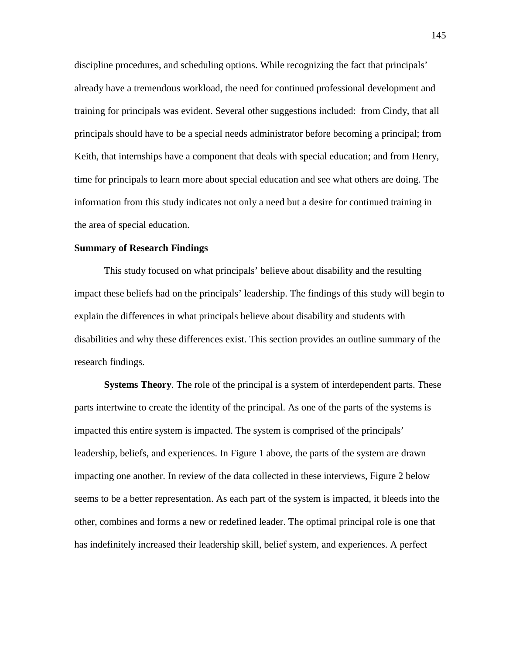discipline procedures, and scheduling options. While recognizing the fact that principals' already have a tremendous workload, the need for continued professional development and training for principals was evident. Several other suggestions included: from Cindy, that all principals should have to be a special needs administrator before becoming a principal; from Keith, that internships have a component that deals with special education; and from Henry, time for principals to learn more about special education and see what others are doing. The information from this study indicates not only a need but a desire for continued training in the area of special education.

#### **Summary of Research Findings**

This study focused on what principals' believe about disability and the resulting impact these beliefs had on the principals' leadership. The findings of this study will begin to explain the differences in what principals believe about disability and students with disabilities and why these differences exist. This section provides an outline summary of the research findings.

**Systems Theory**. The role of the principal is a system of interdependent parts. These parts intertwine to create the identity of the principal. As one of the parts of the systems is impacted this entire system is impacted. The system is comprised of the principals' leadership, beliefs, and experiences. In Figure 1 above, the parts of the system are drawn impacting one another. In review of the data collected in these interviews, Figure 2 below seems to be a better representation. As each part of the system is impacted, it bleeds into the other, combines and forms a new or redefined leader. The optimal principal role is one that has indefinitely increased their leadership skill, belief system, and experiences. A perfect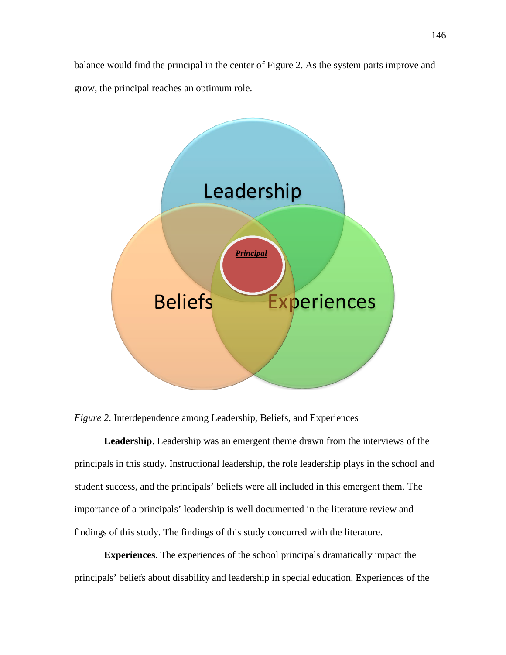balance would find the principal in the center of Figure 2. As the system parts improve and grow, the principal reaches an optimum role.



*Figure 2*. Interdependence among Leadership, Beliefs, and Experiences

**Leadership**. Leadership was an emergent theme drawn from the interviews of the principals in this study. Instructional leadership, the role leadership plays in the school and student success, and the principals' beliefs were all included in this emergent them. The importance of a principals' leadership is well documented in the literature review and findings of this study. The findings of this study concurred with the literature.

**Experiences**. The experiences of the school principals dramatically impact the principals' beliefs about disability and leadership in special education. Experiences of the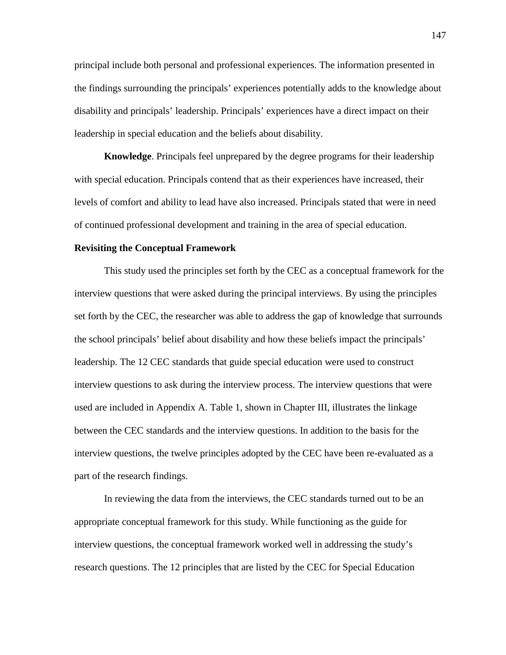principal include both personal and professional experiences. The information presented in the findings surrounding the principals' experiences potentially adds to the knowledge about disability and principals' leadership. Principals' experiences have a direct impact on their leadership in special education and the beliefs about disability.

**Knowledge**. Principals feel unprepared by the degree programs for their leadership with special education. Principals contend that as their experiences have increased, their levels of comfort and ability to lead have also increased. Principals stated that were in need of continued professional development and training in the area of special education.

#### **Revisiting the Conceptual Framework**

This study used the principles set forth by the CEC as a conceptual framework for the interview questions that were asked during the principal interviews. By using the principles set forth by the CEC, the researcher was able to address the gap of knowledge that surrounds the school principals' belief about disability and how these beliefs impact the principals' leadership. The 12 CEC standards that guide special education were used to construct interview questions to ask during the interview process. The interview questions that were used are included in Appendix A. Table 1, shown in Chapter III, illustrates the linkage between the CEC standards and the interview questions. In addition to the basis for the interview questions, the twelve principles adopted by the CEC have been re-evaluated as a part of the research findings.

In reviewing the data from the interviews, the CEC standards turned out to be an appropriate conceptual framework for this study. While functioning as the guide for interview questions, the conceptual framework worked well in addressing the study's research questions. The 12 principles that are listed by the CEC for Special Education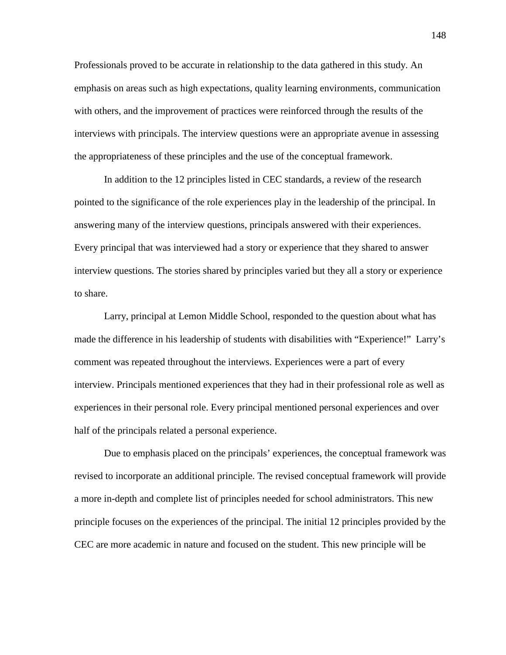Professionals proved to be accurate in relationship to the data gathered in this study. An emphasis on areas such as high expectations, quality learning environments, communication with others, and the improvement of practices were reinforced through the results of the interviews with principals. The interview questions were an appropriate avenue in assessing the appropriateness of these principles and the use of the conceptual framework.

In addition to the 12 principles listed in CEC standards, a review of the research pointed to the significance of the role experiences play in the leadership of the principal. In answering many of the interview questions, principals answered with their experiences. Every principal that was interviewed had a story or experience that they shared to answer interview questions. The stories shared by principles varied but they all a story or experience to share.

Larry, principal at Lemon Middle School, responded to the question about what has made the difference in his leadership of students with disabilities with "Experience!" Larry's comment was repeated throughout the interviews. Experiences were a part of every interview. Principals mentioned experiences that they had in their professional role as well as experiences in their personal role. Every principal mentioned personal experiences and over half of the principals related a personal experience.

Due to emphasis placed on the principals' experiences, the conceptual framework was revised to incorporate an additional principle. The revised conceptual framework will provide a more in-depth and complete list of principles needed for school administrators. This new principle focuses on the experiences of the principal. The initial 12 principles provided by the CEC are more academic in nature and focused on the student. This new principle will be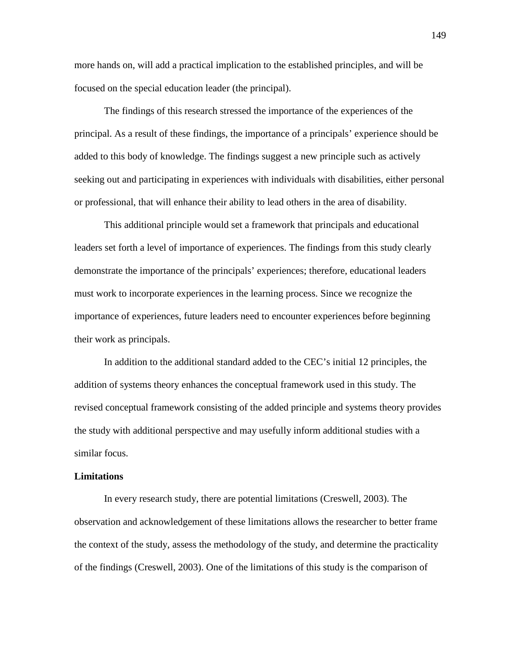more hands on, will add a practical implication to the established principles, and will be focused on the special education leader (the principal).

The findings of this research stressed the importance of the experiences of the principal. As a result of these findings, the importance of a principals' experience should be added to this body of knowledge. The findings suggest a new principle such as actively seeking out and participating in experiences with individuals with disabilities, either personal or professional, that will enhance their ability to lead others in the area of disability.

This additional principle would set a framework that principals and educational leaders set forth a level of importance of experiences. The findings from this study clearly demonstrate the importance of the principals' experiences; therefore, educational leaders must work to incorporate experiences in the learning process. Since we recognize the importance of experiences, future leaders need to encounter experiences before beginning their work as principals.

In addition to the additional standard added to the CEC's initial 12 principles, the addition of systems theory enhances the conceptual framework used in this study. The revised conceptual framework consisting of the added principle and systems theory provides the study with additional perspective and may usefully inform additional studies with a similar focus.

#### **Limitations**

In every research study, there are potential limitations (Creswell, 2003). The observation and acknowledgement of these limitations allows the researcher to better frame the context of the study, assess the methodology of the study, and determine the practicality of the findings (Creswell, 2003). One of the limitations of this study is the comparison of

149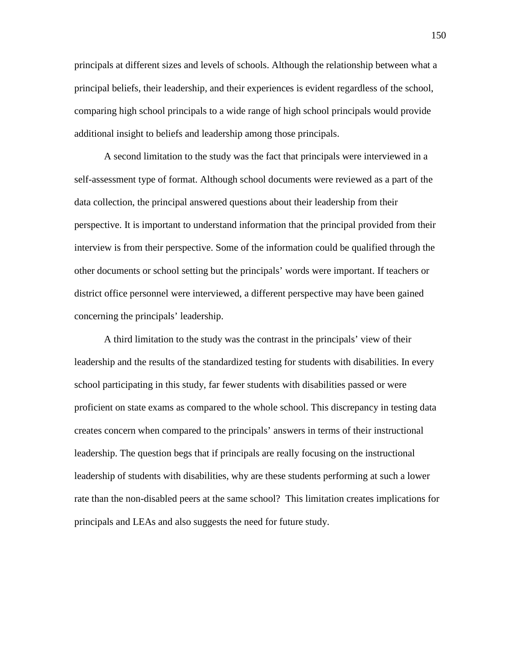principals at different sizes and levels of schools. Although the relationship between what a principal beliefs, their leadership, and their experiences is evident regardless of the school, comparing high school principals to a wide range of high school principals would provide additional insight to beliefs and leadership among those principals.

A second limitation to the study was the fact that principals were interviewed in a self-assessment type of format. Although school documents were reviewed as a part of the data collection, the principal answered questions about their leadership from their perspective. It is important to understand information that the principal provided from their interview is from their perspective. Some of the information could be qualified through the other documents or school setting but the principals' words were important. If teachers or district office personnel were interviewed, a different perspective may have been gained concerning the principals' leadership.

A third limitation to the study was the contrast in the principals' view of their leadership and the results of the standardized testing for students with disabilities. In every school participating in this study, far fewer students with disabilities passed or were proficient on state exams as compared to the whole school. This discrepancy in testing data creates concern when compared to the principals' answers in terms of their instructional leadership. The question begs that if principals are really focusing on the instructional leadership of students with disabilities, why are these students performing at such a lower rate than the non-disabled peers at the same school? This limitation creates implications for principals and LEAs and also suggests the need for future study.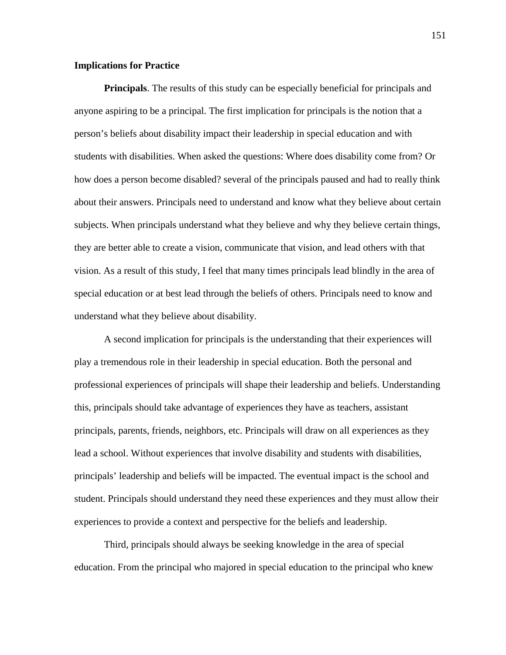#### **Implications for Practice**

**Principals**. The results of this study can be especially beneficial for principals and anyone aspiring to be a principal. The first implication for principals is the notion that a person's beliefs about disability impact their leadership in special education and with students with disabilities. When asked the questions: Where does disability come from? Or how does a person become disabled? several of the principals paused and had to really think about their answers. Principals need to understand and know what they believe about certain subjects. When principals understand what they believe and why they believe certain things, they are better able to create a vision, communicate that vision, and lead others with that vision. As a result of this study, I feel that many times principals lead blindly in the area of special education or at best lead through the beliefs of others. Principals need to know and understand what they believe about disability.

A second implication for principals is the understanding that their experiences will play a tremendous role in their leadership in special education. Both the personal and professional experiences of principals will shape their leadership and beliefs. Understanding this, principals should take advantage of experiences they have as teachers, assistant principals, parents, friends, neighbors, etc. Principals will draw on all experiences as they lead a school. Without experiences that involve disability and students with disabilities, principals' leadership and beliefs will be impacted. The eventual impact is the school and student. Principals should understand they need these experiences and they must allow their experiences to provide a context and perspective for the beliefs and leadership.

Third, principals should always be seeking knowledge in the area of special education. From the principal who majored in special education to the principal who knew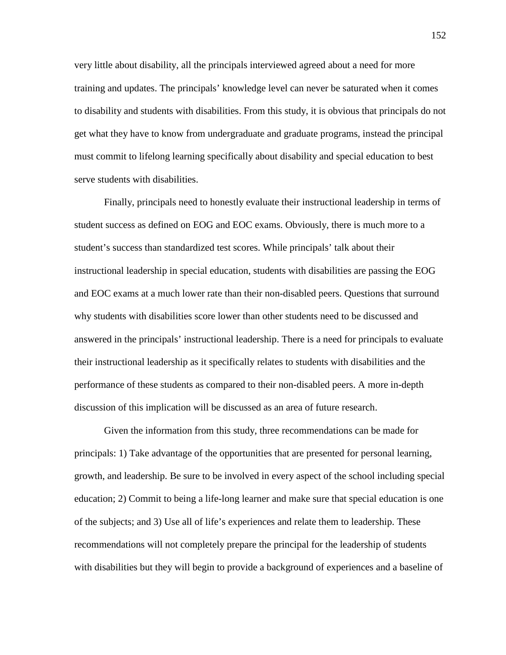very little about disability, all the principals interviewed agreed about a need for more training and updates. The principals' knowledge level can never be saturated when it comes to disability and students with disabilities. From this study, it is obvious that principals do not get what they have to know from undergraduate and graduate programs, instead the principal must commit to lifelong learning specifically about disability and special education to best serve students with disabilities.

Finally, principals need to honestly evaluate their instructional leadership in terms of student success as defined on EOG and EOC exams. Obviously, there is much more to a student's success than standardized test scores. While principals' talk about their instructional leadership in special education, students with disabilities are passing the EOG and EOC exams at a much lower rate than their non-disabled peers. Questions that surround why students with disabilities score lower than other students need to be discussed and answered in the principals' instructional leadership. There is a need for principals to evaluate their instructional leadership as it specifically relates to students with disabilities and the performance of these students as compared to their non-disabled peers. A more in-depth discussion of this implication will be discussed as an area of future research.

Given the information from this study, three recommendations can be made for principals: 1) Take advantage of the opportunities that are presented for personal learning, growth, and leadership. Be sure to be involved in every aspect of the school including special education; 2) Commit to being a life-long learner and make sure that special education is one of the subjects; and 3) Use all of life's experiences and relate them to leadership. These recommendations will not completely prepare the principal for the leadership of students with disabilities but they will begin to provide a background of experiences and a baseline of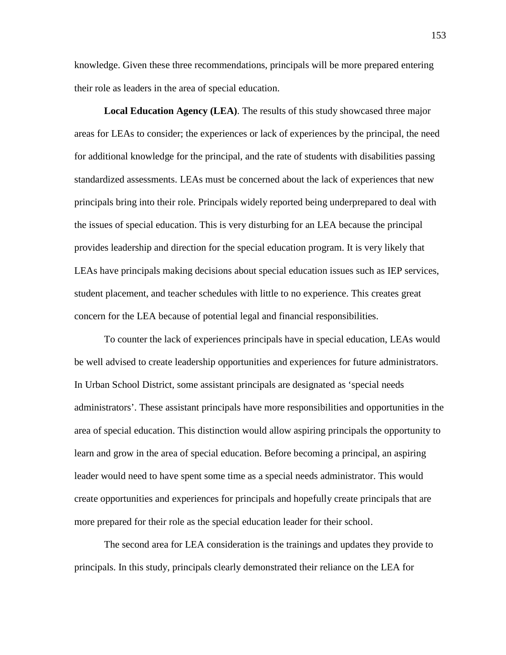knowledge. Given these three recommendations, principals will be more prepared entering their role as leaders in the area of special education.

**Local Education Agency (LEA)**. The results of this study showcased three major areas for LEAs to consider; the experiences or lack of experiences by the principal, the need for additional knowledge for the principal, and the rate of students with disabilities passing standardized assessments. LEAs must be concerned about the lack of experiences that new principals bring into their role. Principals widely reported being underprepared to deal with the issues of special education. This is very disturbing for an LEA because the principal provides leadership and direction for the special education program. It is very likely that LEAs have principals making decisions about special education issues such as IEP services, student placement, and teacher schedules with little to no experience. This creates great concern for the LEA because of potential legal and financial responsibilities.

To counter the lack of experiences principals have in special education, LEAs would be well advised to create leadership opportunities and experiences for future administrators. In Urban School District, some assistant principals are designated as 'special needs administrators'. These assistant principals have more responsibilities and opportunities in the area of special education. This distinction would allow aspiring principals the opportunity to learn and grow in the area of special education. Before becoming a principal, an aspiring leader would need to have spent some time as a special needs administrator. This would create opportunities and experiences for principals and hopefully create principals that are more prepared for their role as the special education leader for their school.

The second area for LEA consideration is the trainings and updates they provide to principals. In this study, principals clearly demonstrated their reliance on the LEA for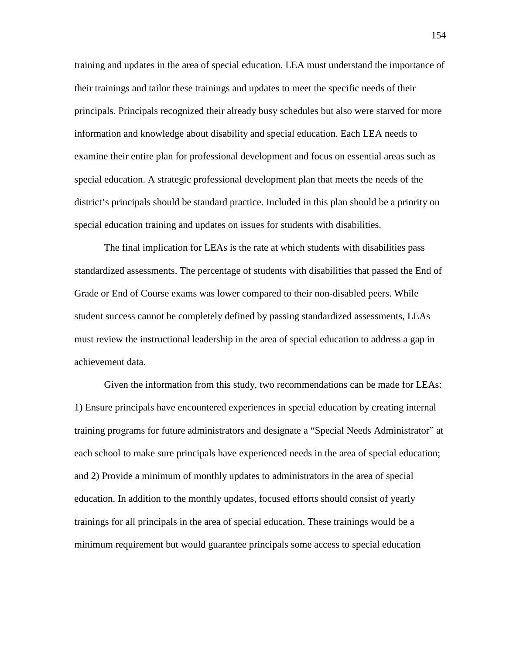training and updates in the area of special education. LEA must understand the importance of their trainings and tailor these trainings and updates to meet the specific needs of their principals. Principals recognized their already busy schedules but also were starved for more information and knowledge about disability and special education. Each LEA needs to examine their entire plan for professional development and focus on essential areas such as special education. A strategic professional development plan that meets the needs of the district's principals should be standard practice. Included in this plan should be a priority on special education training and updates on issues for students with disabilities.

The final implication for LEAs is the rate at which students with disabilities pass standardized assessments. The percentage of students with disabilities that passed the End of Grade or End of Course exams was lower compared to their non-disabled peers. While student success cannot be completely defined by passing standardized assessments, LEAs must review the instructional leadership in the area of special education to address a gap in achievement data.

Given the information from this study, two recommendations can be made for LEAs: 1) Ensure principals have encountered experiences in special education by creating internal training programs for future administrators and designate a "Special Needs Administrator" at each school to make sure principals have experienced needs in the area of special education; and 2) Provide a minimum of monthly updates to administrators in the area of special education. In addition to the monthly updates, focused efforts should consist of yearly trainings for all principals in the area of special education. These trainings would be a minimum requirement but would guarantee principals some access to special education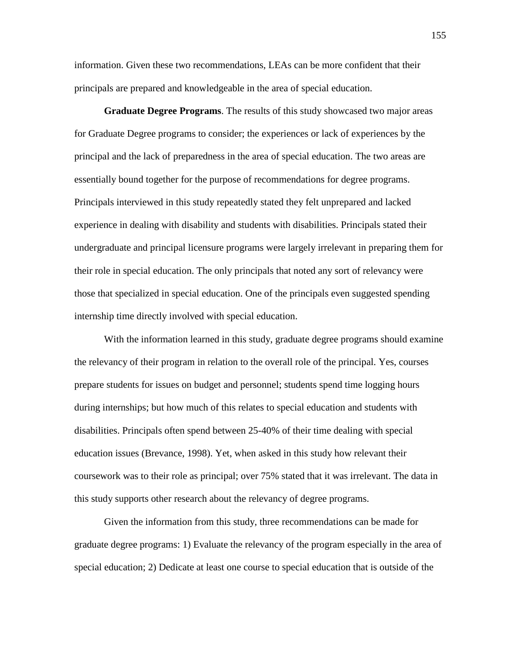information. Given these two recommendations, LEAs can be more confident that their principals are prepared and knowledgeable in the area of special education.

**Graduate Degree Programs**. The results of this study showcased two major areas for Graduate Degree programs to consider; the experiences or lack of experiences by the principal and the lack of preparedness in the area of special education. The two areas are essentially bound together for the purpose of recommendations for degree programs. Principals interviewed in this study repeatedly stated they felt unprepared and lacked experience in dealing with disability and students with disabilities. Principals stated their undergraduate and principal licensure programs were largely irrelevant in preparing them for their role in special education. The only principals that noted any sort of relevancy were those that specialized in special education. One of the principals even suggested spending internship time directly involved with special education.

With the information learned in this study, graduate degree programs should examine the relevancy of their program in relation to the overall role of the principal. Yes, courses prepare students for issues on budget and personnel; students spend time logging hours during internships; but how much of this relates to special education and students with disabilities. Principals often spend between 25-40% of their time dealing with special education issues (Brevance, 1998). Yet, when asked in this study how relevant their coursework was to their role as principal; over 75% stated that it was irrelevant. The data in this study supports other research about the relevancy of degree programs.

Given the information from this study, three recommendations can be made for graduate degree programs: 1) Evaluate the relevancy of the program especially in the area of special education; 2) Dedicate at least one course to special education that is outside of the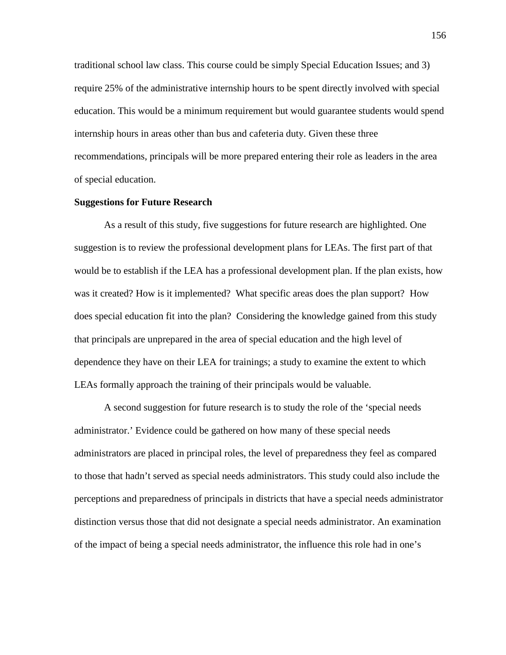traditional school law class. This course could be simply Special Education Issues; and 3) require 25% of the administrative internship hours to be spent directly involved with special education. This would be a minimum requirement but would guarantee students would spend internship hours in areas other than bus and cafeteria duty. Given these three recommendations, principals will be more prepared entering their role as leaders in the area of special education.

#### **Suggestions for Future Research**

As a result of this study, five suggestions for future research are highlighted. One suggestion is to review the professional development plans for LEAs. The first part of that would be to establish if the LEA has a professional development plan. If the plan exists, how was it created? How is it implemented? What specific areas does the plan support? How does special education fit into the plan? Considering the knowledge gained from this study that principals are unprepared in the area of special education and the high level of dependence they have on their LEA for trainings; a study to examine the extent to which LEAs formally approach the training of their principals would be valuable.

A second suggestion for future research is to study the role of the 'special needs administrator.' Evidence could be gathered on how many of these special needs administrators are placed in principal roles, the level of preparedness they feel as compared to those that hadn't served as special needs administrators. This study could also include the perceptions and preparedness of principals in districts that have a special needs administrator distinction versus those that did not designate a special needs administrator. An examination of the impact of being a special needs administrator, the influence this role had in one's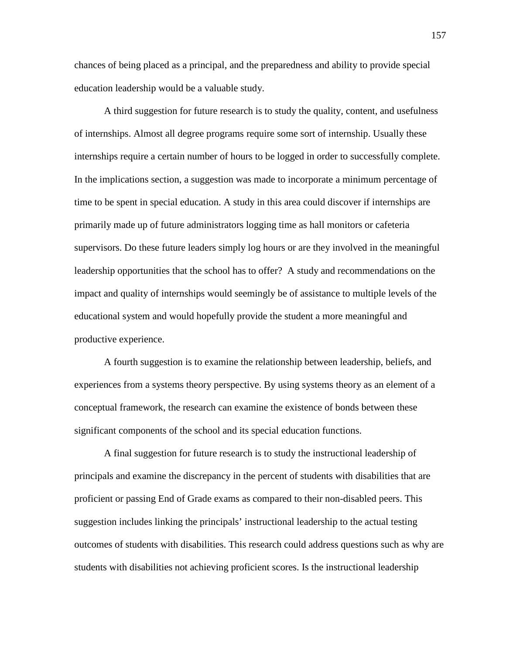chances of being placed as a principal, and the preparedness and ability to provide special education leadership would be a valuable study.

A third suggestion for future research is to study the quality, content, and usefulness of internships. Almost all degree programs require some sort of internship. Usually these internships require a certain number of hours to be logged in order to successfully complete. In the implications section, a suggestion was made to incorporate a minimum percentage of time to be spent in special education. A study in this area could discover if internships are primarily made up of future administrators logging time as hall monitors or cafeteria supervisors. Do these future leaders simply log hours or are they involved in the meaningful leadership opportunities that the school has to offer? A study and recommendations on the impact and quality of internships would seemingly be of assistance to multiple levels of the educational system and would hopefully provide the student a more meaningful and productive experience.

A fourth suggestion is to examine the relationship between leadership, beliefs, and experiences from a systems theory perspective. By using systems theory as an element of a conceptual framework, the research can examine the existence of bonds between these significant components of the school and its special education functions.

A final suggestion for future research is to study the instructional leadership of principals and examine the discrepancy in the percent of students with disabilities that are proficient or passing End of Grade exams as compared to their non-disabled peers. This suggestion includes linking the principals' instructional leadership to the actual testing outcomes of students with disabilities. This research could address questions such as why are students with disabilities not achieving proficient scores. Is the instructional leadership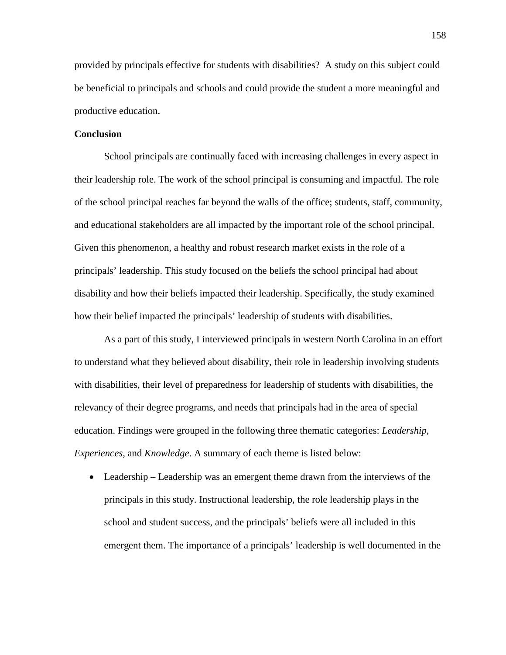provided by principals effective for students with disabilities? A study on this subject could be beneficial to principals and schools and could provide the student a more meaningful and productive education.

#### **Conclusion**

School principals are continually faced with increasing challenges in every aspect in their leadership role. The work of the school principal is consuming and impactful. The role of the school principal reaches far beyond the walls of the office; students, staff, community, and educational stakeholders are all impacted by the important role of the school principal. Given this phenomenon, a healthy and robust research market exists in the role of a principals' leadership. This study focused on the beliefs the school principal had about disability and how their beliefs impacted their leadership. Specifically, the study examined how their belief impacted the principals' leadership of students with disabilities.

As a part of this study, I interviewed principals in western North Carolina in an effort to understand what they believed about disability, their role in leadership involving students with disabilities, their level of preparedness for leadership of students with disabilities, the relevancy of their degree programs, and needs that principals had in the area of special education. Findings were grouped in the following three thematic categories: *Leadership*, *Experiences*, and *Knowledge*. A summary of each theme is listed below:

• Leadership – Leadership was an emergent theme drawn from the interviews of the principals in this study. Instructional leadership, the role leadership plays in the school and student success, and the principals' beliefs were all included in this emergent them. The importance of a principals' leadership is well documented in the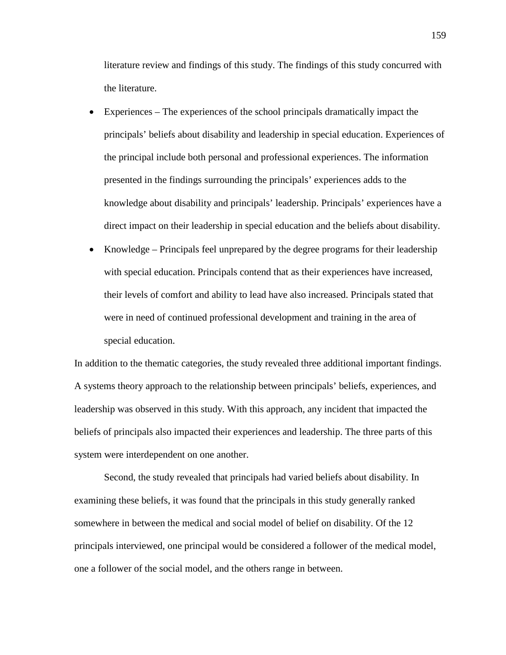literature review and findings of this study. The findings of this study concurred with the literature.

- Experiences The experiences of the school principals dramatically impact the principals' beliefs about disability and leadership in special education. Experiences of the principal include both personal and professional experiences. The information presented in the findings surrounding the principals' experiences adds to the knowledge about disability and principals' leadership. Principals' experiences have a direct impact on their leadership in special education and the beliefs about disability.
- Knowledge Principals feel unprepared by the degree programs for their leadership with special education. Principals contend that as their experiences have increased, their levels of comfort and ability to lead have also increased. Principals stated that were in need of continued professional development and training in the area of special education.

In addition to the thematic categories, the study revealed three additional important findings. A systems theory approach to the relationship between principals' beliefs, experiences, and leadership was observed in this study. With this approach, any incident that impacted the beliefs of principals also impacted their experiences and leadership. The three parts of this system were interdependent on one another.

Second, the study revealed that principals had varied beliefs about disability. In examining these beliefs, it was found that the principals in this study generally ranked somewhere in between the medical and social model of belief on disability. Of the 12 principals interviewed, one principal would be considered a follower of the medical model, one a follower of the social model, and the others range in between.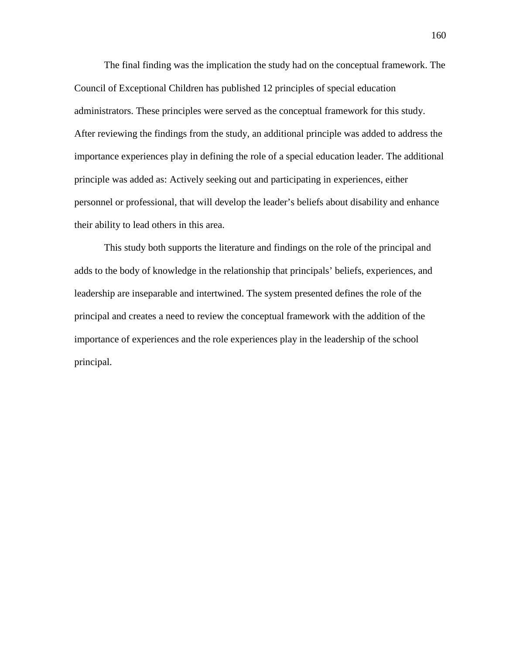The final finding was the implication the study had on the conceptual framework. The Council of Exceptional Children has published 12 principles of special education administrators. These principles were served as the conceptual framework for this study. After reviewing the findings from the study, an additional principle was added to address the importance experiences play in defining the role of a special education leader. The additional principle was added as: Actively seeking out and participating in experiences, either personnel or professional, that will develop the leader's beliefs about disability and enhance their ability to lead others in this area.

This study both supports the literature and findings on the role of the principal and adds to the body of knowledge in the relationship that principals' beliefs, experiences, and leadership are inseparable and intertwined. The system presented defines the role of the principal and creates a need to review the conceptual framework with the addition of the importance of experiences and the role experiences play in the leadership of the school principal.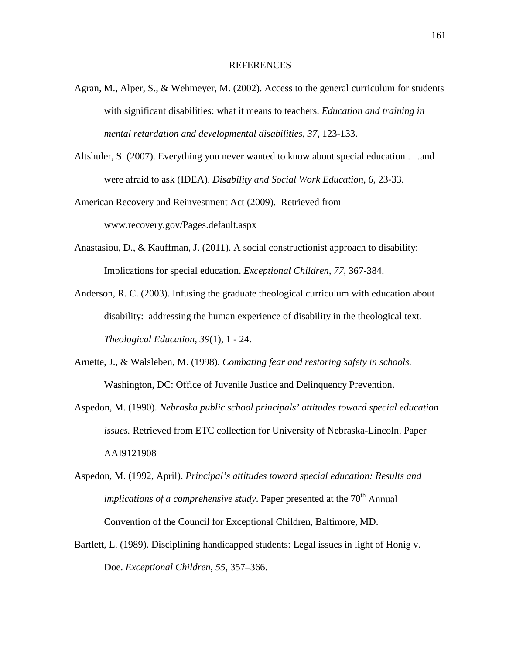#### REFERENCES

- Agran, M., Alper, S., & Wehmeyer, M. (2002). Access to the general curriculum for students with significant disabilities: what it means to teachers. *Education and training in mental retardation and developmental disabilities*, *37*, 123-133.
- Altshuler, S. (2007). Everything you never wanted to know about special education . . .and were afraid to ask (IDEA). *Disability and Social Work Education*, *6*, 23-33.

American Recovery and Reinvestment Act (2009). Retrieved from www.recovery.gov/Pages.default.aspx

- Anastasiou, D., & Kauffman, J. (2011). A social constructionist approach to disability: Implications for special education. *Exceptional Children, 77*, 367-384.
- Anderson, R. C. (2003). Infusing the graduate theological curriculum with education about disability: addressing the human experience of disability in the theological text. *Theological Education*, *39*(1), 1 - 24.
- Arnette, J., & Walsleben, M. (1998). *Combating fear and restoring safety in schools.* Washington, DC: Office of Juvenile Justice and Delinquency Prevention.
- Aspedon, M. (1990). *Nebraska public school principals' attitudes toward special education issues.* Retrieved from ETC collection for University of Nebraska-Lincoln. Paper AAI9121908
- Aspedon, M. (1992, April). *Principal's attitudes toward special education: Results and implications of a comprehensive study*. Paper presented at the 70<sup>th</sup> Annual Convention of the Council for Exceptional Children, Baltimore, MD.
- Bartlett, L. (1989). Disciplining handicapped students: Legal issues in light of Honig v. Doe. *Exceptional Children*, *55*, 357–366.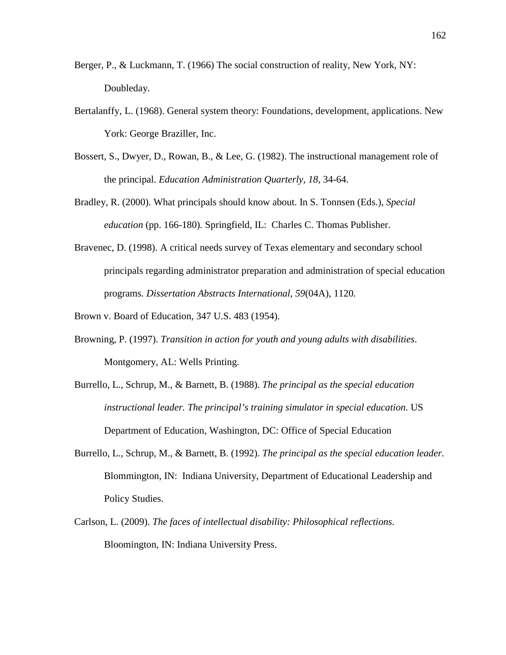- Berger, P., & Luckmann, T. (1966) The social construction of reality, New York, NY: Doubleday.
- Bertalanffy, L. (1968). General system theory: Foundations, development, applications. New York: George Braziller, Inc.
- Bossert, S., Dwyer, D., Rowan, B., & Lee, G. (1982). The instructional management role of the principal. *Education Administration Quarterly*, *18*, 34-64.
- Bradley, R. (2000). What principals should know about. In S. Tonnsen (Eds.), *Special education* (pp. 166-180)*.* Springfield, IL: Charles C. Thomas Publisher.
- Bravenec, D. (1998). A critical needs survey of Texas elementary and secondary school principals regarding administrator preparation and administration of special education programs*. Dissertation Abstracts International*, *59*(04A), 1120*.*

Brown v. Board of Education, 347 U.S. 483 (1954).

- Browning, P. (1997). *Transition in action for youth and young adults with disabilities*. Montgomery, AL: Wells Printing.
- Burrello, L., Schrup, M., & Barnett, B. (1988). *The principal as the special education instructional leader. The principal's training simulator in special education.* US Department of Education, Washington, DC: Office of Special Education
- Burrello, L., Schrup, M., & Barnett, B. (1992). *The principal as the special education leader.*  Blommington, IN: Indiana University, Department of Educational Leadership and Policy Studies.
- Carlson, L. (2009). *The faces of intellectual disability: Philosophical reflections.*  Bloomington, IN: Indiana University Press.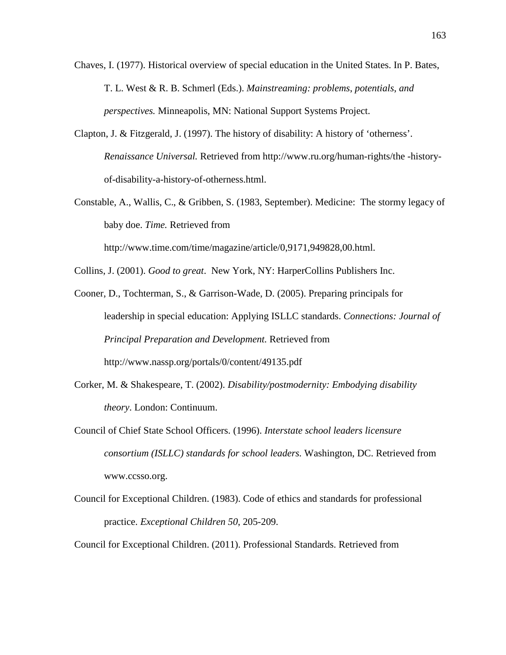- Chaves, I. (1977). Historical overview of special education in the United States. In P. Bates, T. L. West & R. B. Schmerl (Eds.). *Mainstreaming: problems*, *potentials*, *and perspectives.* Minneapolis, MN: National Support Systems Project.
- Clapton, J. & Fitzgerald, J. (1997). The history of disability: A history of 'otherness'. *Renaissance Universal.* Retrieved from http://www.ru.org/human-rights/the -historyof-disability-a-history-of-otherness.html.
- Constable, A., Wallis, C., & Gribben, S. (1983, September). Medicine: The stormy legacy of baby doe. *Time.* Retrieved from

http://www.time.com/time/magazine/article/0,9171,949828,00.html.

Collins, J. (2001). *Good to great*. New York, NY: HarperCollins Publishers Inc.

- Cooner, D., Tochterman, S., & Garrison-Wade, D. (2005). Preparing principals for leadership in special education: Applying ISLLC standards. *Connections: Journal of Principal Preparation and Development.* Retrieved from http://www.nassp.org/portals/0/content/49135.pdf
- Corker, M. & Shakespeare, T. (2002). *Disability/postmodernity: Embodying disability theory*. London: Continuum.
- Council of Chief State School Officers. (1996). *Interstate school leaders licensure consortium (ISLLC) standards for school leaders.* Washington, DC. Retrieved from www.ccsso.org.
- Council for Exceptional Children. (1983). Code of ethics and standards for professional practice. *Exceptional Children 50*, 205-209.

Council for Exceptional Children. (2011). Professional Standards. Retrieved from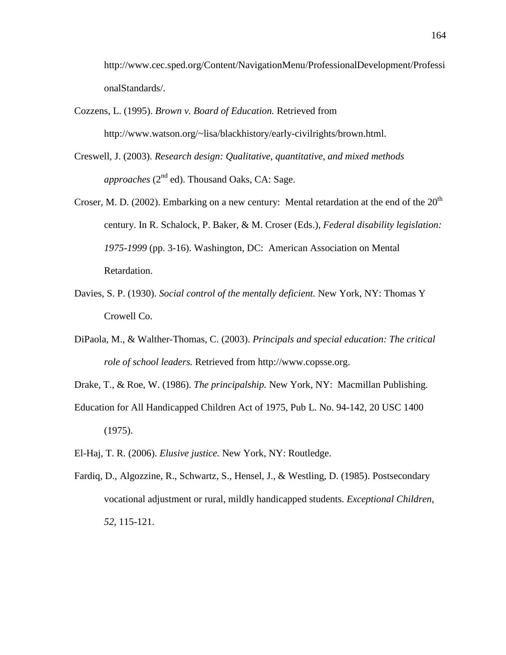http://www.cec.sped.org/Content/NavigationMenu/ProfessionalDevelopment/Professi onalStandards/.

- Cozzens, L. (1995). *Brown v. Board of Education.* Retrieved from http://www.watson.org/~lisa/blackhistory/early-civilrights/brown.html.
- Creswell, J. (2003). *Research design: Qualitative*, *quantitative*, *and mixed methods* approaches (2<sup>nd</sup> ed). Thousand Oaks, CA: Sage.
- Croser, M. D. (2002). Embarking on a new century: Mental retardation at the end of the  $20<sup>th</sup>$ century. In R. Schalock, P. Baker, & M. Croser (Eds.), *Federal disability legislation: 1975-1999* (pp. 3-16). Washington, DC: American Association on Mental Retardation.
- Davies, S. P. (1930). *Social control of the mentally deficient.* New York, NY: Thomas Y Crowell Co.
- DiPaola, M., & Walther-Thomas, C. (2003). *Principals and special education: The critical role of school leaders.* Retrieved from http://www.copsse.org.
- Drake, T., & Roe, W. (1986). *The principalship.* New York, NY: Macmillan Publishing.
- Education for All Handicapped Children Act of 1975, Pub L. No. 94-142, 20 USC 1400 (1975).
- El-Haj, T. R. (2006). *Elusive justice.* New York, NY: Routledge.
- Fardiq, D., Algozzine, R., Schwartz, S., Hensel, J., & Westling, D. (1985). Postsecondary vocational adjustment or rural, mildly handicapped students. *Exceptional Children*, *52*, 115-121.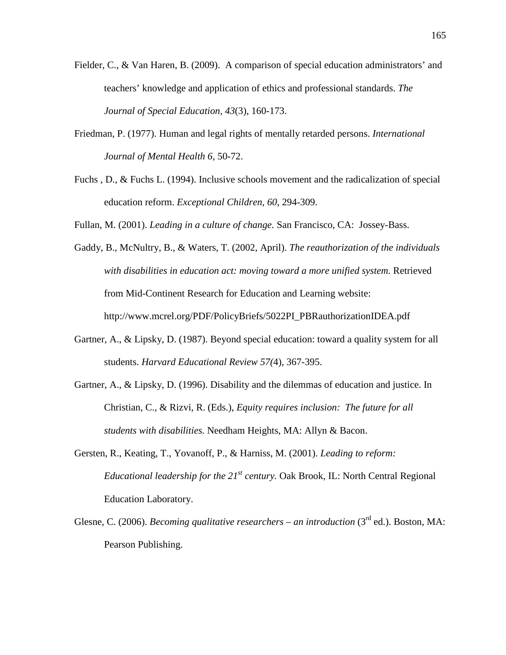- Fielder, C., & Van Haren, B. (2009). A comparison of special education administrators' and teachers' knowledge and application of ethics and professional standards. *The Journal of Special Education, 43*(3), 160-173.
- Friedman, P. (1977). Human and legal rights of mentally retarded persons. *International Journal of Mental Health 6*, 50-72.
- Fuchs , D., & Fuchs L. (1994). Inclusive schools movement and the radicalization of special education reform. *Exceptional Children*, *60*, 294-309.
- Fullan, M. (2001). *Leading in a culture of change.* San Francisco, CA: Jossey-Bass.
- Gaddy, B., McNultry, B., & Waters, T. (2002, April). *The reauthorization of the individuals with disabilities in education act: moving toward a more unified system.* Retrieved from Mid-Continent Research for Education and Learning website: http://www.mcrel.org/PDF/PolicyBriefs/5022PI\_PBRauthorizationIDEA.pdf
- Gartner, A., & Lipsky, D. (1987). Beyond special education: toward a quality system for all students. *Harvard Educational Review 57(*4), 367-395.
- Gartner, A., & Lipsky, D. (1996). Disability and the dilemmas of education and justice. In Christian, C., & Rizvi, R. (Eds.), *Equity requires inclusion: The future for all students with disabilities.* Needham Heights, MA: Allyn & Bacon.
- Gersten, R., Keating, T., Yovanoff, P., & Harniss, M. (2001). *Leading to reform: Educational leadership for the 21st century.* Oak Brook, IL: North Central Regional Education Laboratory.
- Glesne, C. (2006). *Becoming qualitative researchers an introduction* (3<sup>rd</sup> ed.). Boston, MA: Pearson Publishing.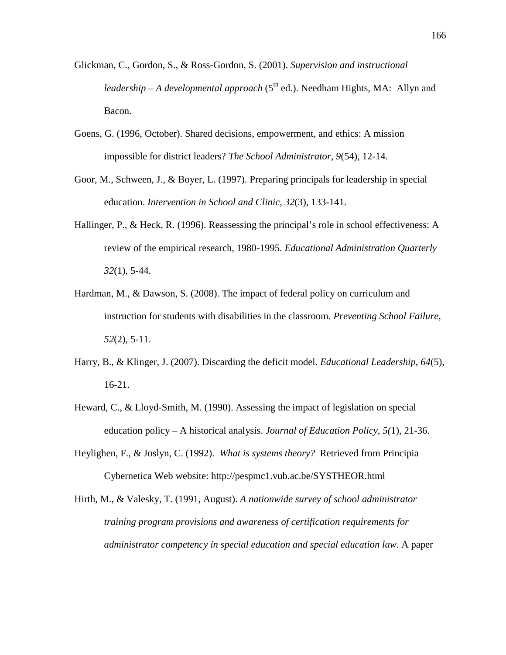- Glickman, C., Gordon, S., & Ross-Gordon, S. (2001). *Supervision and instructional*  leadership – A developmental approach (5<sup>th</sup> ed.). Needham Hights, MA: Allyn and Bacon.
- Goens, G. (1996, October). Shared decisions, empowerment, and ethics: A mission impossible for district leaders? *The School Administrator*, *9*(54), 12-14.
- Goor, M., Schween, J., & Boyer, L. (1997). Preparing principals for leadership in special education. *Intervention in School and Clinic*, *32*(3), 133-141.
- Hallinger, P., & Heck, R. (1996). Reassessing the principal's role in school effectiveness: A review of the empirical research, 1980-1995. *Educational Administration Quarterly 32*(1), 5-44.
- Hardman, M., & Dawson, S. (2008). The impact of federal policy on curriculum and instruction for students with disabilities in the classroom. *Preventing School Failure*, *52*(2), 5-11.
- Harry, B., & Klinger, J. (2007). Discarding the deficit model. *Educational Leadership*, *64*(5), 16-21.
- Heward, C., & Lloyd-Smith, M. (1990). Assessing the impact of legislation on special education policy – A historical analysis. *Journal of Education Policy*, *5(*1), 21-36.
- Heylighen, F., & Joslyn, C. (1992). *What is systems theory?* Retrieved from Principia Cybernetica Web website: http://pespmc1.vub.ac.be/SYSTHEOR.html
- Hirth, M., & Valesky, T. (1991, August). *A nationwide survey of school administrator training program provisions and awareness of certification requirements for administrator competency in special education and special education law.* A paper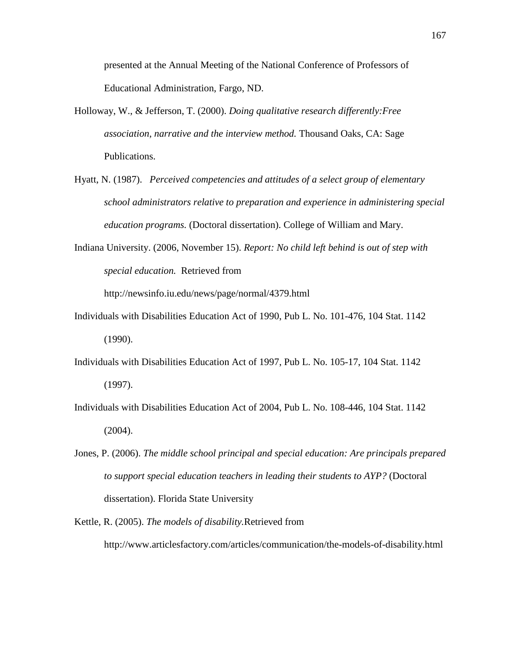presented at the Annual Meeting of the National Conference of Professors of Educational Administration, Fargo, ND.

- Holloway, W., & Jefferson, T. (2000). *Doing qualitative research differently:Free association*, *narrative and the interview method.* Thousand Oaks, CA: Sage Publications.
- Hyatt, N. (1987). *Perceived competencies and attitudes of a select group of elementary school administrators relative to preparation and experience in administering special education programs.* (Doctoral dissertation). College of William and Mary.
- Indiana University. (2006, November 15). *Report: No child left behind is out of step with special education.* Retrieved from

http://newsinfo.iu.edu/news/page/normal/4379.html

- Individuals with Disabilities Education Act of 1990, Pub L. No. 101-476, 104 Stat. 1142 (1990).
- Individuals with Disabilities Education Act of 1997, Pub L. No. 105-17, 104 Stat. 1142 (1997).
- Individuals with Disabilities Education Act of 2004, Pub L. No. 108-446, 104 Stat. 1142  $(2004)$ .
- Jones, P. (2006). *The middle school principal and special education: Are principals prepared to support special education teachers in leading their students to AYP?* (Doctoral dissertation). Florida State University
- Kettle, R. (2005). *The models of disability.*Retrieved from http://www.articlesfactory.com/articles/communication/the-models-of-disability.html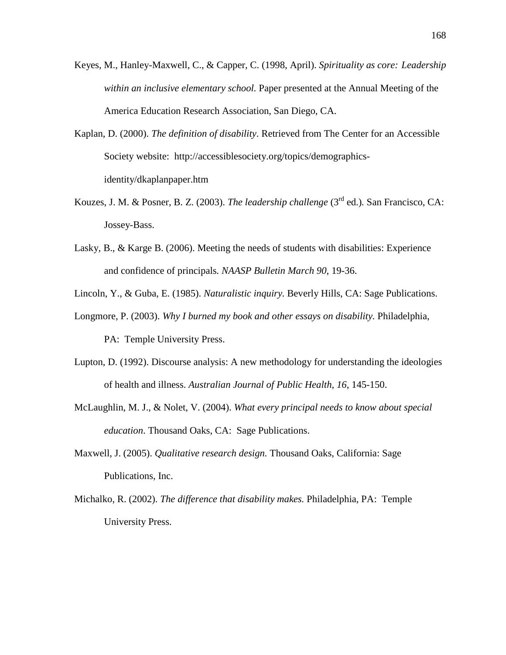- Keyes, M., Hanley-Maxwell, C., & Capper, C. (1998, April). *Spirituality as core: Leadership within an inclusive elementary school.* Paper presented at the Annual Meeting of the America Education Research Association, San Diego, CA.
- Kaplan, D. (2000). *The definition of disability*. Retrieved from The Center for an Accessible Society website: http://accessiblesociety.org/topics/demographicsidentity/dkaplanpaper.htm
- Kouzes, J. M. & Posner, B. Z. (2003). *The leadership challenge* (3<sup>rd</sup> ed.). San Francisco, CA: Jossey-Bass.
- Lasky, B., & Karge B. (2006). Meeting the needs of students with disabilities: Experience and confidence of principals*. NAASP Bulletin March 90*, 19-36.
- Lincoln, Y., & Guba, E. (1985). *Naturalistic inquiry.* Beverly Hills, CA: Sage Publications.
- Longmore, P. (2003). *Why I burned my book and other essays on disability.* Philadelphia, PA: Temple University Press.
- Lupton, D. (1992). Discourse analysis: A new methodology for understanding the ideologies of health and illness. *Australian Journal of Public Health*, *16*, 145-150.
- McLaughlin, M. J., & Nolet, V. (2004). *What every principal needs to know about special education*. Thousand Oaks, CA: Sage Publications.
- Maxwell, J. (2005). *Qualitative research design.* Thousand Oaks, California: Sage Publications, Inc.
- Michalko, R. (2002). *The difference that disability makes.* Philadelphia, PA: Temple University Press.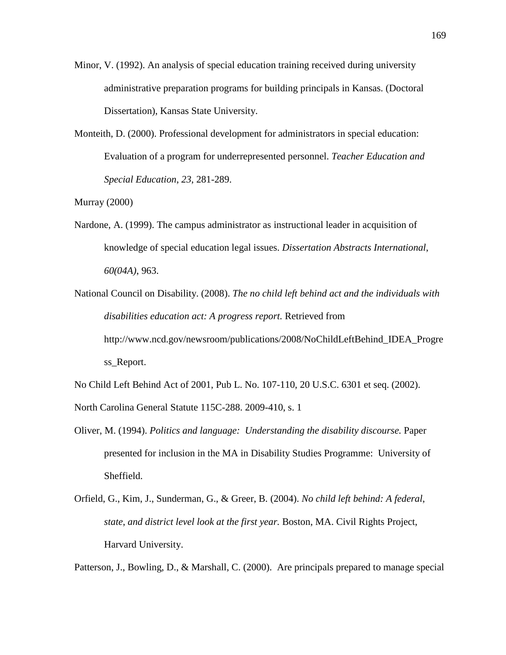- Minor, V. (1992). An analysis of special education training received during university administrative preparation programs for building principals in Kansas. (Doctoral Dissertation), Kansas State University.
- Monteith, D. (2000). Professional development for administrators in special education: Evaluation of a program for underrepresented personnel. *Teacher Education and Special Education*, *23*, 281-289.

Murray (2000)

- Nardone, A. (1999). The campus administrator as instructional leader in acquisition of knowledge of special education legal issues. *Dissertation Abstracts International*, *60(04A)*, 963.
- National Council on Disability. (2008). *The no child left behind act and the individuals with disabilities education act: A progress report.* Retrieved from http://www.ncd.gov/newsroom/publications/2008/NoChildLeftBehind\_IDEA\_Progre ss\_Report.

No Child Left Behind Act of 2001, Pub L. No. 107-110, 20 U.S.C. 6301 et seq. (2002). North Carolina General Statute 115C-288. 2009-410, s. 1

- Oliver, M. (1994). *Politics and language: Understanding the disability discourse.* Paper presented for inclusion in the MA in Disability Studies Programme: University of Sheffield.
- Orfield, G., Kim, J., Sunderman, G., & Greer, B. (2004). *No child left behind: A federal*, *state*, *and district level look at the first year.* Boston, MA. Civil Rights Project, Harvard University.

Patterson, J., Bowling, D., & Marshall, C. (2000). Are principals prepared to manage special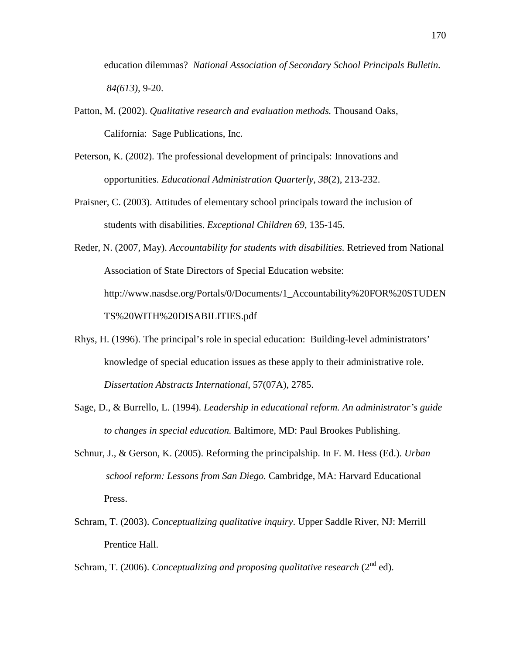education dilemmas? *National Association of Secondary School Principals Bulletin. 84(613),* 9-20.

- Patton, M. (2002). *Qualitative research and evaluation methods.* Thousand Oaks, California: Sage Publications, Inc.
- Peterson, K. (2002). The professional development of principals: Innovations and opportunities. *Educational Administration Quarterly*, *38*(2), 213-232.
- Praisner, C. (2003). Attitudes of elementary school principals toward the inclusion of students with disabilities. *Exceptional Children 69*, 135-145.
- Reder, N. (2007, May). *Accountability for students with disabilities.* Retrieved from National Association of State Directors of Special Education website: http://www.nasdse.org/Portals/0/Documents/1\_Accountability%20FOR%20STUDEN TS%20WITH%20DISABILITIES.pdf
- Rhys, H. (1996). The principal's role in special education: Building-level administrators' knowledge of special education issues as these apply to their administrative role. *Dissertation Abstracts International*, 57(07A), 2785.
- Sage, D., & Burrello, L. (1994). *Leadership in educational reform. An administrator's guide to changes in special education.* Baltimore, MD: Paul Brookes Publishing.
- Schnur, J., & Gerson, K. (2005). Reforming the principalship. In F. M. Hess (Ed.). *Urban school reform: Lessons from San Diego.* Cambridge, MA: Harvard Educational Press.
- Schram, T. (2003). *Conceptualizing qualitative inquiry*. Upper Saddle River, NJ: Merrill Prentice Hall.
- Schram, T. (2006). *Conceptualizing and proposing qualitative research* (2<sup>nd</sup> ed).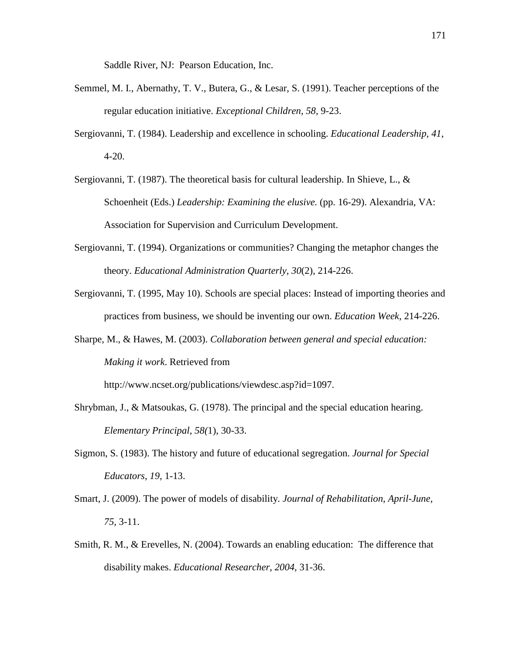Saddle River, NJ: Pearson Education, Inc.

- Semmel, M. I., Abernathy, T. V., Butera, G., & Lesar, S. (1991). Teacher perceptions of the regular education initiative. *Exceptional Children*, *58,* 9-23.
- Sergiovanni, T. (1984). Leadership and excellence in schooling. *Educational Leadership*, *41*, 4-20.
- Sergiovanni, T. (1987). The theoretical basis for cultural leadership. In Shieve, L., & Schoenheit (Eds.) *Leadership: Examining the elusive.* (pp. 16-29). Alexandria, VA: Association for Supervision and Curriculum Development.
- Sergiovanni, T. (1994). Organizations or communities? Changing the metaphor changes the theory. *Educational Administration Quarterly*, *30*(2), 214-226.
- Sergiovanni, T. (1995, May 10). Schools are special places: Instead of importing theories and practices from business, we should be inventing our own. *Education Week*, 214-226.
- Sharpe, M., & Hawes, M. (2003). *Collaboration between general and special education: Making it work*. Retrieved from

http://www.ncset.org/publications/viewdesc.asp?id=1097.

- Shrybman, J., & Matsoukas, G. (1978). The principal and the special education hearing. *Elementary Principal*, *58(*1), 30-33.
- Sigmon, S. (1983). The history and future of educational segregation. *Journal for Special Educators, 19,* 1-13.
- Smart, J. (2009). The power of models of disability*. Journal of Rehabilitation*, *April-June, 75,* 3-11.
- Smith, R. M., & Erevelles, N. (2004). Towards an enabling education: The difference that disability makes. *Educational Researcher*, *2004*, 31-36.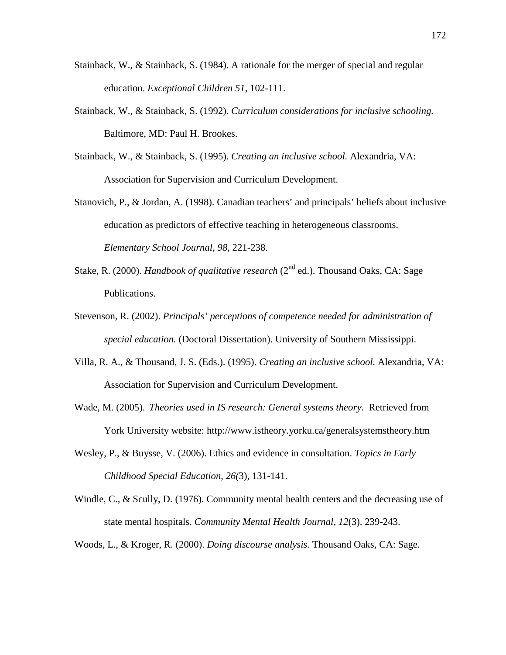- Stainback, W., & Stainback, S. (1984). A rationale for the merger of special and regular education. *Exceptional Children 51*, 102-111.
- Stainback, W., & Stainback, S. (1992). *Curriculum considerations for inclusive schooling.* Baltimore, MD: Paul H. Brookes.
- Stainback, W., & Stainback, S. (1995). *Creating an inclusive school.* Alexandria, VA: Association for Supervision and Curriculum Development.
- Stanovich, P., & Jordan, A. (1998). Canadian teachers' and principals' beliefs about inclusive education as predictors of effective teaching in heterogeneous classrooms. *Elementary School Journal*, *98*, 221-238.
- Stake, R. (2000). *Handbook of qualitative research* (2<sup>nd</sup> ed.). Thousand Oaks, CA: Sage Publications.
- Stevenson, R. (2002). *Principals' perceptions of competence needed for administration of special education.* (Doctoral Dissertation). University of Southern Mississippi.
- Villa, R. A., & Thousand, J. S. (Eds.). (1995). *Creating an inclusive school.* Alexandria, VA: Association for Supervision and Curriculum Development.
- Wade, M. (2005). *Theories used in IS research: General systems theory*. Retrieved from York University website: http://www.istheory.yorku.ca/generalsystemstheory.htm
- Wesley, P., & Buysse, V. (2006). Ethics and evidence in consultation. *Topics in Early Childhood Special Education*, *26(*3), 131-141.
- Windle, C., & Scully, D. (1976). Community mental health centers and the decreasing use of state mental hospitals. *Community Mental Health Journal*, *12*(3). 239-243.
- Woods, L., & Kroger, R. (2000). *Doing discourse analysis.* Thousand Oaks, CA: Sage.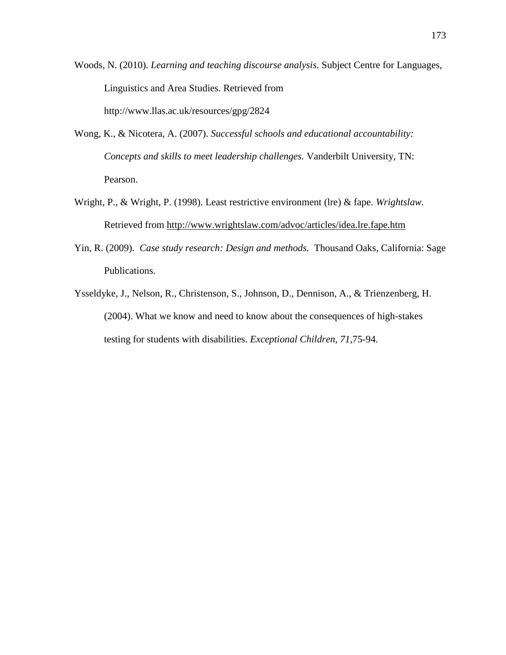Woods, N. (2010). *Learning and teaching discourse analysis*. Subject Centre for Languages, Linguistics and Area Studies. Retrieved from http://www.llas.ac.uk/resources/gpg/2824

- Wong, K., & Nicotera, A. (2007). *Successful schools and educational accountability: Concepts and skills to meet leadership challenges.* Vanderbilt University, TN: Pearson.
- Wright, P., & Wright, P. (1998). Least restrictive environment (lre) & fape. *Wrightslaw.*  Retrieved from<http://www.wrightslaw.com/advoc/articles/idea.lre.fape.htm>
- Yin, R. (2009). *Case study research: Design and methods.* Thousand Oaks, California: Sage Publications.
- Ysseldyke, J., Nelson, R., Christenson, S., Johnson, D., Dennison, A., & Trienzenberg, H. (2004). What we know and need to know about the consequences of high-stakes testing for students with disabilities. *Exceptional Children*, *71*,75-94.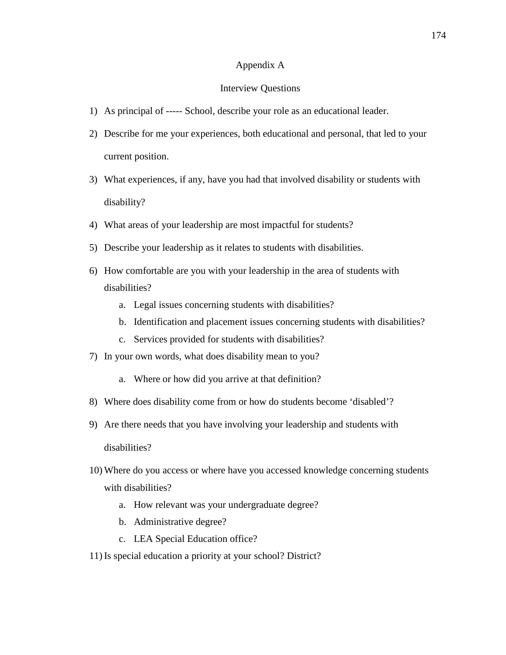### Appendix A

#### Interview Questions

- 1) As principal of ----- School, describe your role as an educational leader.
- 2) Describe for me your experiences, both educational and personal, that led to your current position.
- 3) What experiences, if any, have you had that involved disability or students with disability?
- 4) What areas of your leadership are most impactful for students?
- 5) Describe your leadership as it relates to students with disabilities.
- 6) How comfortable are you with your leadership in the area of students with disabilities?
	- a. Legal issues concerning students with disabilities?
	- b. Identification and placement issues concerning students with disabilities?
	- c. Services provided for students with disabilities?
- 7) In your own words, what does disability mean to you?
	- a. Where or how did you arrive at that definition?
- 8) Where does disability come from or how do students become 'disabled'?
- 9) Are there needs that you have involving your leadership and students with

disabilities?

- 10) Where do you access or where have you accessed knowledge concerning students with disabilities?
	- a. How relevant was your undergraduate degree?
	- b. Administrative degree?
	- c. LEA Special Education office?
- 11) Is special education a priority at your school? District?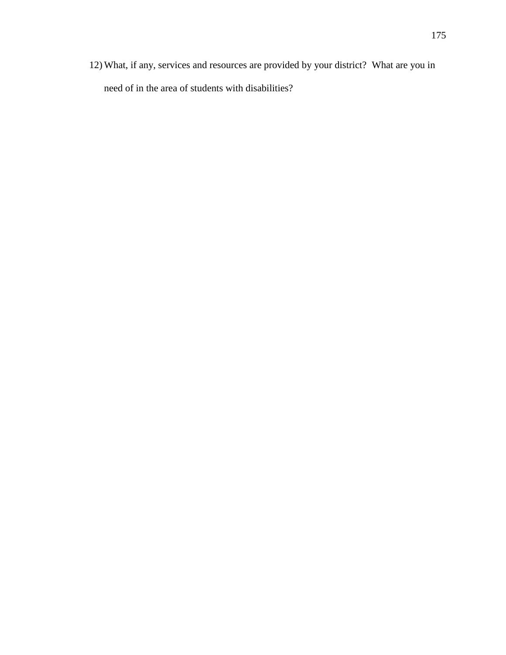12) What, if any, services and resources are provided by your district? What are you in need of in the area of students with disabilities?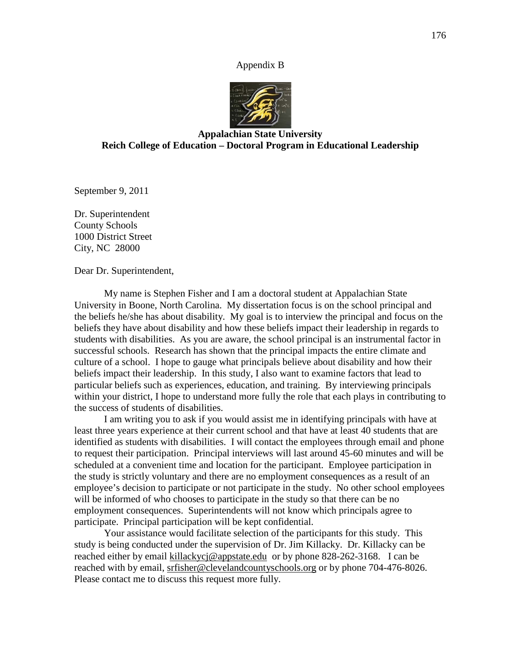#### Appendix B



## **Appalachian State University Reich College of Education – Doctoral Program in Educational Leadership**

September 9, 2011

Dr. Superintendent County Schools 1000 District Street City, NC 28000

Dear Dr. Superintendent,

My name is Stephen Fisher and I am a doctoral student at Appalachian State University in Boone, North Carolina. My dissertation focus is on the school principal and the beliefs he/she has about disability. My goal is to interview the principal and focus on the beliefs they have about disability and how these beliefs impact their leadership in regards to students with disabilities. As you are aware, the school principal is an instrumental factor in successful schools. Research has shown that the principal impacts the entire climate and culture of a school. I hope to gauge what principals believe about disability and how their beliefs impact their leadership. In this study, I also want to examine factors that lead to particular beliefs such as experiences, education, and training. By interviewing principals within your district, I hope to understand more fully the role that each plays in contributing to the success of students of disabilities.

I am writing you to ask if you would assist me in identifying principals with have at least three years experience at their current school and that have at least 40 students that are identified as students with disabilities. I will contact the employees through email and phone to request their participation. Principal interviews will last around 45-60 minutes and will be scheduled at a convenient time and location for the participant. Employee participation in the study is strictly voluntary and there are no employment consequences as a result of an employee's decision to participate or not participate in the study. No other school employees will be informed of who chooses to participate in the study so that there can be no employment consequences. Superintendents will not know which principals agree to participate. Principal participation will be kept confidential.

Your assistance would facilitate selection of the participants for this study. This study is being conducted under the supervision of Dr. Jim Killacky. Dr. Killacky can be reached either by email [killackycj@appstate.edu](mailto:killackycj@appstate.edu) or by phone 828-262-3168. I can be reached with by email, [srfisher@clevelandcountyschools.org](mailto:srfisher@clevelandcountyschools.org) or by phone 704-476-8026. Please contact me to discuss this request more fully.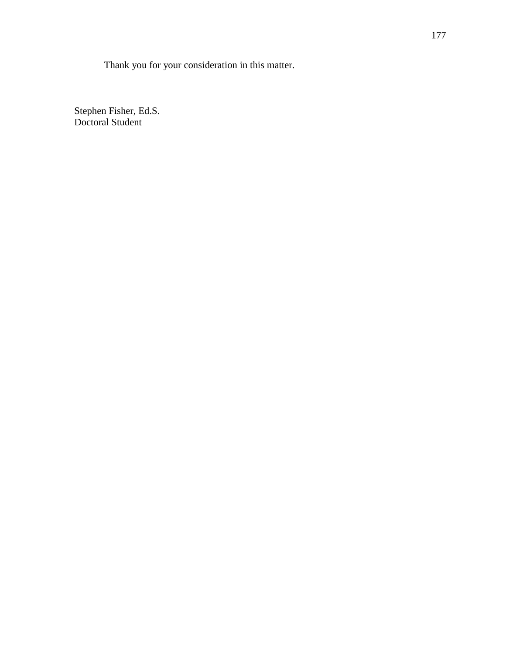Thank you for your consideration in this matter.

Stephen Fisher, Ed.S. Doctoral Student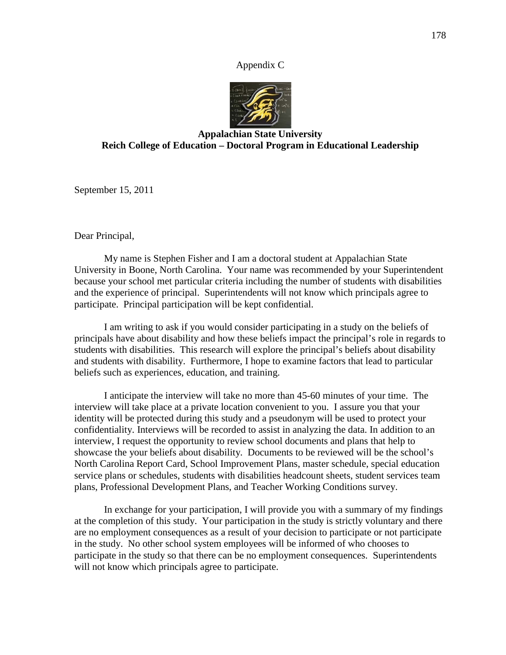### Appendix C



# **Appalachian State University Reich College of Education – Doctoral Program in Educational Leadership**

September 15, 2011

Dear Principal,

My name is Stephen Fisher and I am a doctoral student at Appalachian State University in Boone, North Carolina. Your name was recommended by your Superintendent because your school met particular criteria including the number of students with disabilities and the experience of principal. Superintendents will not know which principals agree to participate. Principal participation will be kept confidential.

I am writing to ask if you would consider participating in a study on the beliefs of principals have about disability and how these beliefs impact the principal's role in regards to students with disabilities. This research will explore the principal's beliefs about disability and students with disability. Furthermore, I hope to examine factors that lead to particular beliefs such as experiences, education, and training.

I anticipate the interview will take no more than 45-60 minutes of your time. The interview will take place at a private location convenient to you. I assure you that your identity will be protected during this study and a pseudonym will be used to protect your confidentiality. Interviews will be recorded to assist in analyzing the data. In addition to an interview, I request the opportunity to review school documents and plans that help to showcase the your beliefs about disability. Documents to be reviewed will be the school's North Carolina Report Card, School Improvement Plans, master schedule, special education service plans or schedules, students with disabilities headcount sheets, student services team plans, Professional Development Plans, and Teacher Working Conditions survey.

In exchange for your participation, I will provide you with a summary of my findings at the completion of this study. Your participation in the study is strictly voluntary and there are no employment consequences as a result of your decision to participate or not participate in the study. No other school system employees will be informed of who chooses to participate in the study so that there can be no employment consequences. Superintendents will not know which principals agree to participate.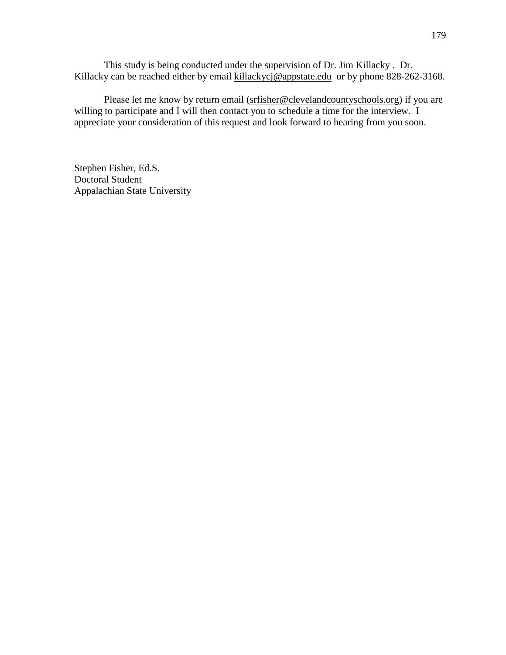This study is being conducted under the supervision of Dr. Jim Killacky . Dr. Killacky can be reached either by email [killackycj@appstate.edu](mailto:killackycj@appstate.edu) or by phone 828-262-3168.

Please let me know by return email [\(srfisher@clevelandcountyschools.org\)](mailto:srfisher@clevelandcountyschools.org) if you are willing to participate and I will then contact you to schedule a time for the interview. I appreciate your consideration of this request and look forward to hearing from you soon.

Stephen Fisher, Ed.S. Doctoral Student Appalachian State University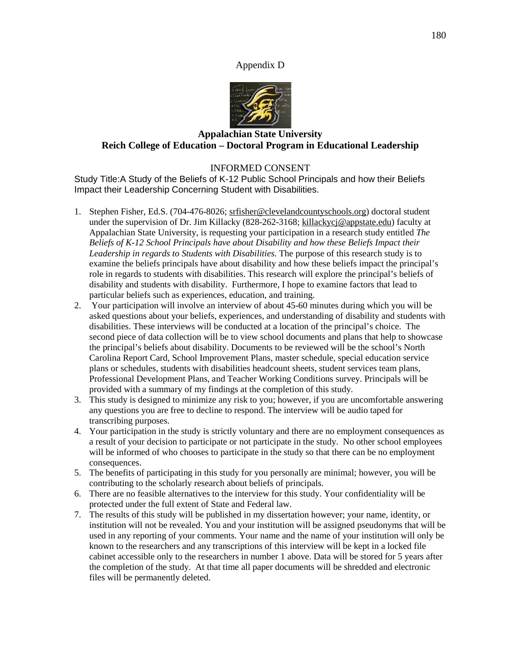### Appendix D



# **Appalachian State University Reich College of Education – Doctoral Program in Educational Leadership**

## INFORMED CONSENT

Study Title:A Study of the Beliefs of K-12 Public School Principals and how their Beliefs Impact their Leadership Concerning Student with Disabilities.

- 1. Stephen Fisher, Ed.S. (704-476-8026; [srfisher@clevelandcountyschools.org\)](mailto:srfisher@clevelandcountyschools.org) doctoral student under the supervision of Dr. Jim Killacky (828-262-3168; [killackycj@appstate.edu\)](mailto:killackycj@appstate.edu) faculty at Appalachian State University, is requesting your participation in a research study entitled *The Beliefs of K-12 School Principals have about Disability and how these Beliefs Impact their Leadership in regards to Students with Disabilities.* The purpose of this research study is to examine the beliefs principals have about disability and how these beliefs impact the principal's role in regards to students with disabilities. This research will explore the principal's beliefs of disability and students with disability. Furthermore, I hope to examine factors that lead to particular beliefs such as experiences, education, and training.
- 2. Your participation will involve an interview of about 45-60 minutes during which you will be asked questions about your beliefs, experiences, and understanding of disability and students with disabilities. These interviews will be conducted at a location of the principal's choice. The second piece of data collection will be to view school documents and plans that help to showcase the principal's beliefs about disability. Documents to be reviewed will be the school's North Carolina Report Card, School Improvement Plans, master schedule, special education service plans or schedules, students with disabilities headcount sheets, student services team plans, Professional Development Plans, and Teacher Working Conditions survey. Principals will be provided with a summary of my findings at the completion of this study.
- 3. This study is designed to minimize any risk to you; however, if you are uncomfortable answering any questions you are free to decline to respond. The interview will be audio taped for transcribing purposes.
- 4. Your participation in the study is strictly voluntary and there are no employment consequences as a result of your decision to participate or not participate in the study. No other school employees will be informed of who chooses to participate in the study so that there can be no employment consequences.
- 5. The benefits of participating in this study for you personally are minimal; however, you will be contributing to the scholarly research about beliefs of principals.
- 6. There are no feasible alternatives to the interview for this study. Your confidentiality will be protected under the full extent of State and Federal law.
- 7. The results of this study will be published in my dissertation however; your name, identity, or institution will not be revealed. You and your institution will be assigned pseudonyms that will be used in any reporting of your comments. Your name and the name of your institution will only be known to the researchers and any transcriptions of this interview will be kept in a locked file cabinet accessible only to the researchers in number 1 above. Data will be stored for 5 years after the completion of the study. At that time all paper documents will be shredded and electronic files will be permanently deleted.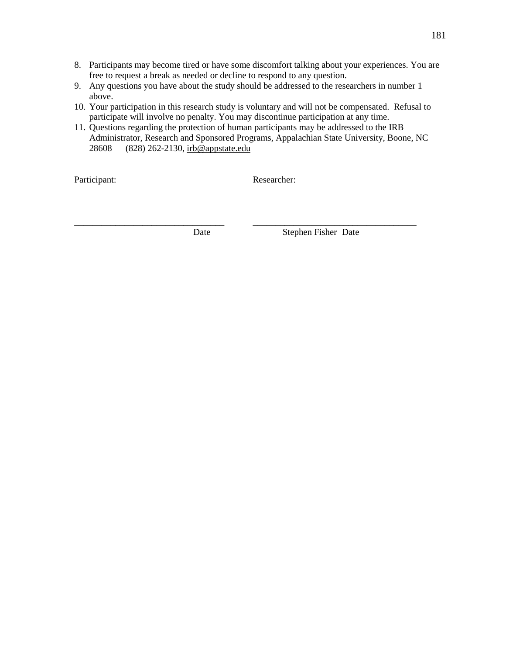- 8. Participants may become tired or have some discomfort talking about your experiences. You are free to request a break as needed or decline to respond to any question.
- 9. Any questions you have about the study should be addressed to the researchers in number 1 above.
- 10. Your participation in this research study is voluntary and will not be compensated. Refusal to participate will involve no penalty. You may discontinue participation at any time.
- 11. Questions regarding the protection of human participants may be addressed to the IRB Administrator, Research and Sponsored Programs, Appalachian State University, Boone, NC 28608 (828) 262-2130, [irb@appstate.edu](mailto:irb@appstate.edu)

Participant: Researcher:

\_\_\_\_\_\_\_\_\_\_\_\_\_\_\_\_\_\_\_\_\_\_\_\_\_\_\_\_\_\_\_\_\_ \_\_\_\_\_\_\_\_\_\_\_\_\_\_\_\_\_\_\_\_\_\_\_\_\_\_\_\_\_\_\_\_\_\_\_\_ Date Stephen Fisher Date